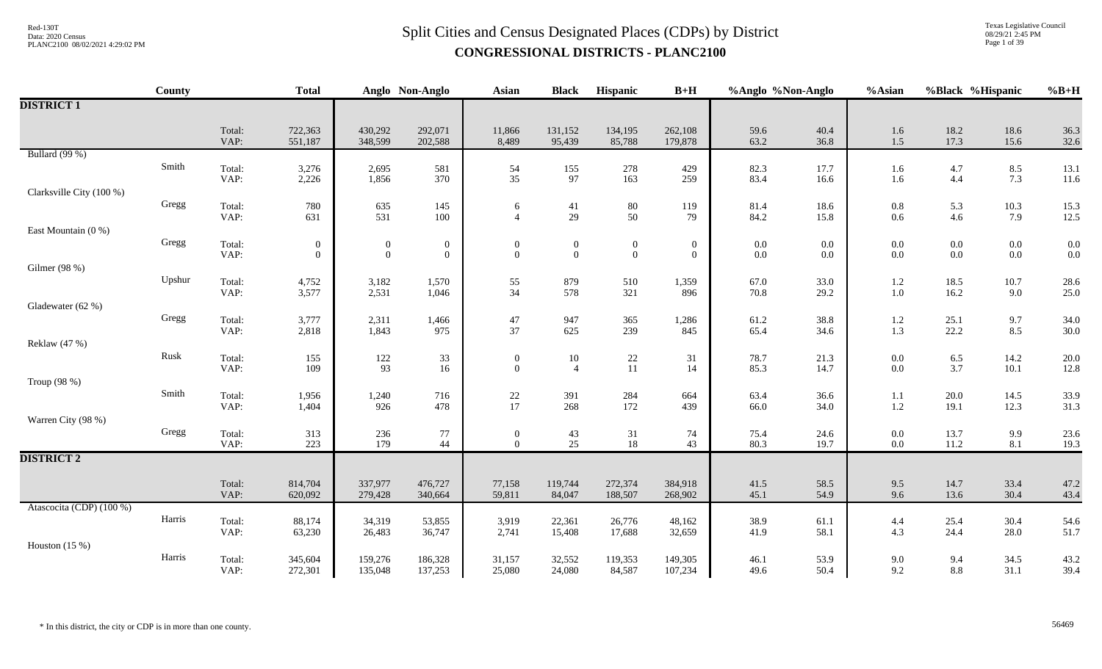Texas Legislative Council 08/29/21 2:45 PM Page 1 of 39

|                          | County       |                | <b>Total</b>       |                    | Anglo Non-Anglo    | <b>Asian</b>                            | <b>Black</b>      | Hispanic           | $B+H$              | %Anglo %Non-Anglo |              | %Asian         | %Black %Hispanic |              | $%B+H$       |
|--------------------------|--------------|----------------|--------------------|--------------------|--------------------|-----------------------------------------|-------------------|--------------------|--------------------|-------------------|--------------|----------------|------------------|--------------|--------------|
| <b>DISTRICT 1</b>        |              |                |                    |                    |                    |                                         |                   |                    |                    |                   |              |                |                  |              |              |
|                          |              | Total:<br>VAP: | 722,363<br>551,187 | 430,292<br>348,599 | 292,071<br>202,588 | 11,866<br>8,489                         | 131,152<br>95,439 | 134,195<br>85,788  | 262,108<br>179,878 | 59.6<br>63.2      | 40.4<br>36.8 | 1.6<br>1.5     | 18.2<br>17.3     | 18.6<br>15.6 | 36.3<br>32.6 |
| Bullard (99 %)           |              |                |                    |                    |                    |                                         |                   |                    |                    |                   |              |                |                  |              |              |
|                          | Smith        | Total:<br>VAP: | 3,276<br>2,226     | 2,695<br>1,856     | 581<br>370         | 54<br>35                                | 155<br>97         | 278<br>163         | 429<br>259         | 82.3<br>83.4      | 17.7<br>16.6 | 1.6<br>1.6     | 4.7<br>4.4       | 8.5<br>7.3   | 13.1<br>11.6 |
| Clarksville City (100 %) |              |                |                    |                    |                    |                                         |                   |                    |                    |                   |              |                |                  |              |              |
|                          | Gregg        | Total:         | 780                | 635<br>531         | 145                | 6                                       | 41                | $80\,$             | 119                | 81.4              | 18.6         | $0.8\,$        | 5.3              | $10.3\,$     | 15.3         |
| East Mountain $(0, % )$  |              | VAP:           | 631                |                    | 100                | $\overline{4}$                          | 29                | 50 <sup>°</sup>    | 79                 | 84.2              | 15.8         | 0.6            | 4.6              | 7.9          | 12.5         |
|                          | Gregg        | Total:         | $\boldsymbol{0}$   | $\boldsymbol{0}$   | $\boldsymbol{0}$   | $\boldsymbol{0}$                        | $\boldsymbol{0}$  | $\boldsymbol{0}$   | $\boldsymbol{0}$   | $0.0\,$           | 0.0          | $0.0\,$        | $0.0\,$          | $0.0\,$      | 0.0          |
|                          |              | VAP:           | $\overline{0}$     | $\boldsymbol{0}$   | $\boldsymbol{0}$   | $\boldsymbol{0}$                        | $\overline{0}$    | $\boldsymbol{0}$   | $\overline{0}$     | $0.0\,$           | $0.0\,$      | $0.0\,$        | $0.0\,$          | $0.0\,$      | 0.0          |
| Gilmer (98 %)            | Upshur       |                |                    |                    |                    |                                         |                   |                    |                    |                   |              |                |                  |              |              |
|                          |              | Total:<br>VAP: | 4,752<br>3,577     | 3,182<br>2,531     | 1,570<br>1,046     | 55<br>34                                | 879<br>578        | 510<br>321         | 1,359<br>896       | 67.0<br>70.8      | 33.0<br>29.2 | 1.2<br>$1.0\,$ | 18.5<br>16.2     | 10.7<br>9.0  | 28.6<br>25.0 |
| Gladewater (62 %)        |              |                |                    |                    |                    |                                         |                   |                    |                    |                   |              |                |                  |              |              |
|                          | Gregg        | Total:         | 3,777              | 2,311              | 1,466              | $47\,$<br>37                            | 947               | 365                | 1,286              | 61.2              | 38.8         | $1.2\,$        | 25.1             | 9.7          | 34.0         |
| Reklaw (47 %)            |              | VAP:           | 2,818              | 1,843              | 975                |                                         | 625               | 239                | 845                | 65.4              | 34.6         | 1.3            | 22.2             | 8.5          | 30.0         |
|                          | ${\rm Rusk}$ | Total:         | 155                | 122                | 33                 | $\mathbf{0}$                            | $10\,$            | $22\,$             | 31                 | 78.7              | 21.3         | $0.0\,$        | $6.5\,$          | 14.2         | 20.0         |
|                          |              | VAP:           | 109                | 93                 | 16                 | $\theta$                                | $\overline{4}$    | 11                 | 14                 | 85.3              | 14.7         | 0.0            | 3.7              | $10.1$       | 12.8         |
| Troup (98 %)             | Smith        | Total:         | 1,956              | 1,240              | 716                |                                         | 391               | 284                | 664                | 63.4              | 36.6         | 1.1            | 20.0             | 14.5         | 33.9         |
|                          |              | VAP:           | 1,404              | 926                | 478                | $\begin{array}{c} 22 \\ 17 \end{array}$ | 268               | 172                | 439                | 66.0              | 34.0         | 1.2            | 19.1             | 12.3         | 31.3         |
| Warren City (98 %)       |              |                |                    |                    |                    |                                         |                   |                    |                    |                   |              |                |                  |              |              |
|                          | Gregg        | Total:<br>VAP: | 313<br>223         | 236<br>179         | 77<br>44           | $\boldsymbol{0}$<br>$\mathbf{0}$        | 43<br>25          | $\frac{31}{18}$    | 74<br>43           | 75.4<br>80.3      | 24.6<br>19.7 | $0.0\,$<br>0.0 | 13.7<br>11.2     | 9.9<br>8.1   | 23.6<br>19.3 |
| <b>DISTRICT 2</b>        |              |                |                    |                    |                    |                                         |                   |                    |                    |                   |              |                |                  |              |              |
|                          |              |                |                    |                    |                    |                                         |                   |                    |                    |                   |              |                |                  |              |              |
|                          |              | Total:<br>VAP: | 814,704<br>620,092 | 337,977<br>279,428 | 476,727<br>340,664 | 77,158<br>59,811                        | 119,744<br>84,047 | 272,374<br>188,507 | 384,918<br>268,902 | 41.5<br>45.1      | 58.5<br>54.9 | 9.5<br>9.6     | 14.7<br>13.6     | 33.4<br>30.4 | 47.2<br>43.4 |
| Atascocita (CDP) (100 %) |              |                |                    |                    |                    |                                         |                   |                    |                    |                   |              |                |                  |              |              |
|                          | Harris       | Total:         | 88,174             | 34,319             | 53,855             | 3,919                                   | 22,361            | 26,776             | 48,162             | 38.9              | 61.1         | 4.4            | 25.4             | 30.4         | 54.6         |
| Houston $(15%)$          |              | VAP:           | 63,230             | 26,483             | 36,747             | 2,741                                   | 15,408            | 17,688             | 32,659             | 41.9              | 58.1         | 4.3            | 24.4             | 28.0         | 51.7         |
|                          | Harris       | Total:         | 345,604            | 159,276            | 186,328            | 31,157                                  | 32,552            | 119,353            | 149,305            | 46.1              | 53.9         | 9.0            | 9.4              | 34.5         | 43.2         |
|                          |              | VAP:           | 272,301            | 135,048            | 137,253            | 25,080                                  | 24,080            | 84,587             | 107,234            | 49.6              | 50.4         | 9.2            | 8.8              | 31.1         | 39.4         |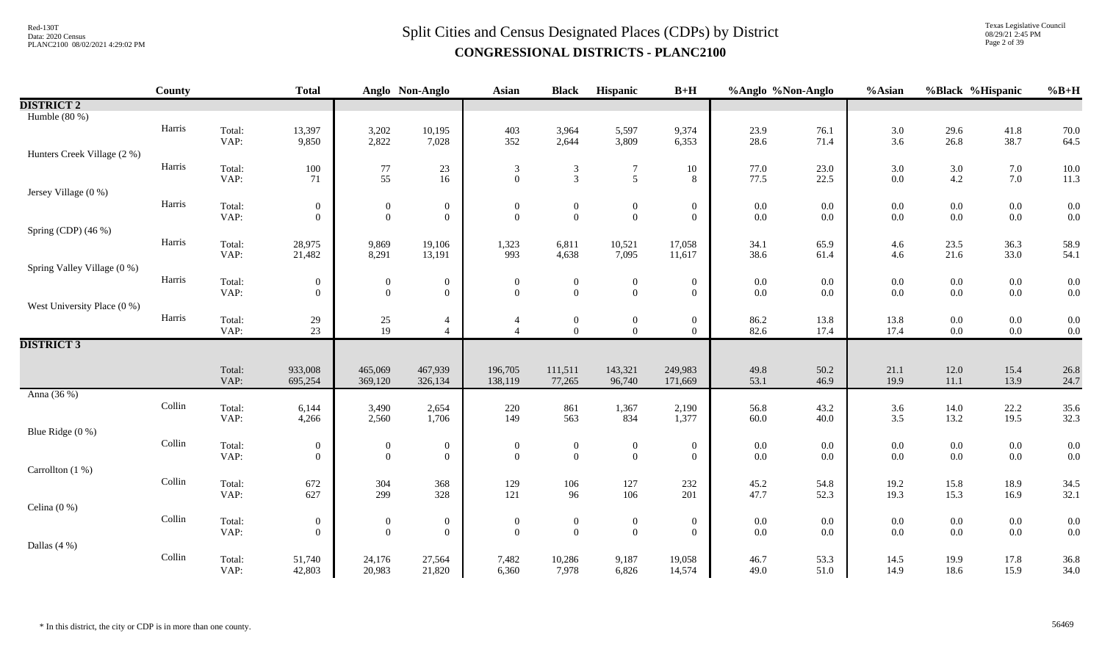Texas Legislative Council 08/29/21 2:45 PM Page 2 of 39

|                             | County |        | <b>Total</b>                   |                                | Anglo Non-Anglo                    | <b>Asian</b>                               | <b>Black</b>                     | Hispanic                         | $B+H$                          | %Anglo %Non-Anglo  |         | %Asian         | %Black %Hispanic   |                    | $%B+H$       |
|-----------------------------|--------|--------|--------------------------------|--------------------------------|------------------------------------|--------------------------------------------|----------------------------------|----------------------------------|--------------------------------|--------------------|---------|----------------|--------------------|--------------------|--------------|
| <b>DISTRICT 2</b>           |        |        |                                |                                |                                    |                                            |                                  |                                  |                                |                    |         |                |                    |                    |              |
| Humble $(80\%)$             |        |        |                                |                                |                                    |                                            |                                  |                                  |                                |                    |         |                |                    |                    |              |
|                             | Harris | Total: | 13,397                         | 3,202                          | 10,195                             | 403                                        | 3,964                            | 5,597                            | 9,374                          | 23.9               | 76.1    | $3.0\,$        | 29.6               | 41.8               | 70.0         |
|                             |        | VAP:   | 9,850                          | 2,822                          | 7,028                              | 352                                        | 2,644                            | 3,809                            | 6,353                          | 28.6               | 71.4    | 3.6            | 26.8               | 38.7               | 64.5         |
| Hunters Creek Village (2 %) |        |        |                                |                                |                                    |                                            |                                  |                                  |                                |                    |         |                |                    |                    |              |
|                             | Harris | Total: | 100                            | $77\,$                         | $23\,$                             | $\mathfrak{Z}$<br>$\overline{0}$           | $\overline{3}$<br>$\overline{3}$ | $\overline{7}$<br>5              | $10\,$                         | 77.0               | 23.0    | 3.0            | $3.0\,$            | 7.0                | 10.0         |
| Jersey Village (0 %)        |        | VAP:   | 71                             | 55                             | $16\,$                             |                                            |                                  |                                  | 8                              | 77.5               | 22.5    | $0.0\,$        | $4.2\,$            | 7.0                | 11.3         |
|                             | Harris | Total: |                                |                                |                                    | $\boldsymbol{0}$                           | $\mathbf{0}$                     |                                  |                                |                    | 0.0     |                |                    |                    | 0.0          |
|                             |        | VAP:   | $\mathbf{0}$<br>$\overline{0}$ | $\mathbf{0}$<br>$\overline{0}$ | $\boldsymbol{0}$<br>$\overline{0}$ | $\mathbf{0}$                               | $\mathbf{0}$                     | $\boldsymbol{0}$<br>$\mathbf{0}$ | $\mathbf{0}$<br>$\overline{0}$ | $0.0\,$<br>$0.0\,$ | $0.0\,$ | $0.0\,$<br>0.0 | $0.0\,$<br>$0.0\,$ | $0.0\,$<br>$0.0\,$ | 0.0          |
| Spring (CDP) (46 %)         |        |        |                                |                                |                                    |                                            |                                  |                                  |                                |                    |         |                |                    |                    |              |
|                             | Harris | Total: | 28,975                         | 9,869                          | 19,106                             | 1,323                                      | 6,811                            | 10,521                           | 17,058                         | 34.1               | 65.9    | 4.6            | 23.5               | 36.3               | 58.9         |
|                             |        | VAP:   | 21,482                         | 8,291                          | 13,191                             | 993                                        | 4,638                            | 7,095                            | 11,617                         | 38.6               | 61.4    | 4.6            | 21.6               | 33.0               | 54.1         |
| Spring Valley Village (0 %) |        |        |                                |                                |                                    |                                            |                                  |                                  |                                |                    |         |                |                    |                    |              |
|                             | Harris | Total: | $\boldsymbol{0}$               | $\boldsymbol{0}$               | $\boldsymbol{0}$                   | $\boldsymbol{0}$                           | $\boldsymbol{0}$                 | $\boldsymbol{0}$                 | $\boldsymbol{0}$               | $0.0\,$            | $0.0\,$ | $0.0\,$        | $0.0\,$            | $0.0\,$            | 0.0          |
|                             |        | VAP:   | $\overline{0}$                 | $\overline{0}$                 | $\overline{0}$                     | $\overline{0}$                             | $\overline{0}$                   | $\boldsymbol{0}$                 | $\overline{0}$                 | 0.0                | 0.0     | 0.0            | $0.0\,$            | $0.0\,$            | 0.0          |
| West University Place (0 %) |        |        |                                |                                |                                    |                                            |                                  |                                  |                                |                    |         |                |                    |                    |              |
|                             | Harris | Total: | 29                             | 25<br>19                       | 4<br>$\overline{4}$                | $\overline{4}$<br>$\overline{\mathcal{A}}$ | $\mathbf{0}$<br>$\overline{0}$   | $\mathbf{0}$<br>$\overline{0}$   | $\boldsymbol{0}$<br>$\theta$   | 86.2               | 13.8    | 13.8           | $0.0\,$            | $0.0\,$            | 0.0<br>0.0   |
| <b>DISTRICT 3</b>           |        | VAP:   | 23                             |                                |                                    |                                            |                                  |                                  |                                | 82.6               | 17.4    | 17.4           | $0.0\,$            | $0.0\,$            |              |
|                             |        |        |                                |                                |                                    |                                            |                                  |                                  |                                |                    |         |                |                    |                    |              |
|                             |        | Total: | 933,008                        | 465,069                        | 467,939                            | 196,705                                    | 111,511                          | 143,321                          | 249,983                        | 49.8               | 50.2    | 21.1           | 12.0               | 15.4               | 26.8         |
|                             |        | VAP:   | 695,254                        | 369,120                        | 326,134                            | 138,119                                    | 77,265                           | 96,740                           | 171,669                        | 53.1               | 46.9    | 19.9           | 11.1               | 13.9               | 24.7         |
| Anna (36 %)                 |        |        |                                |                                |                                    |                                            |                                  |                                  |                                |                    |         |                |                    |                    |              |
|                             | Collin | Total: | 6,144                          | 3,490                          | 2,654                              | 220                                        | 861                              | 1,367                            | 2,190                          | 56.8               | 43.2    | 3.6            | 14.0               | 22.2               | 35.6         |
|                             |        | VAP:   | 4,266                          | 2,560                          | 1,706                              | 149                                        | 563                              | 834                              | 1,377                          | 60.0               | 40.0    | 3.5            | 13.2               | 19.5               | 32.3         |
| Blue Ridge (0 %)            |        |        |                                |                                |                                    |                                            |                                  |                                  |                                |                    |         |                |                    |                    |              |
|                             | Collin | Total: | $\boldsymbol{0}$               | $\boldsymbol{0}$               | $\boldsymbol{0}$                   | $\theta$                                   | $\mathbf{0}$                     | $\boldsymbol{0}$                 | $\boldsymbol{0}$               | $0.0\,$            | 0.0     | $0.0\,$        | $0.0\,$            | $0.0\,$            | 0.0          |
| Carrollton (1 %)            |        | VAP:   | $\overline{0}$                 | $\overline{0}$                 | $\mathbf{0}$                       | $\Omega$                                   | $\overline{0}$                   | $\boldsymbol{0}$                 | $\overline{0}$                 | 0.0                | 0.0     | 0.0            | $0.0\,$            | $0.0\,$            | 0.0          |
|                             | Collin | Total: | 672                            | 304                            | 368                                |                                            |                                  | 127                              | 232                            | 45.2               | 54.8    | 19.2           |                    | 18.9               |              |
|                             |        | VAP:   | 627                            | 299                            | 328                                | $129\,$<br>121                             | 106<br>96                        | 106                              | 201                            | 47.7               | 52.3    | 19.3           | 15.8<br>15.3       | 16.9               | 34.5<br>32.1 |
| Celina $(0\%)$              |        |        |                                |                                |                                    |                                            |                                  |                                  |                                |                    |         |                |                    |                    |              |
|                             | Collin | Total: | $\boldsymbol{0}$               | $\boldsymbol{0}$               | $\boldsymbol{0}$                   | $\mathbf{0}$                               | $\boldsymbol{0}$                 | $\boldsymbol{0}$                 | $\boldsymbol{0}$               | 0.0                | 0.0     | $0.0\,$        | $0.0\,$            | $0.0\,$            | 0.0          |
|                             |        | VAP:   | $\overline{0}$                 | $\overline{0}$                 | $\mathbf{0}$                       | $\overline{0}$                             | $\mathbf{0}$                     | $\boldsymbol{0}$                 | $\overline{0}$                 | $0.0\,$            | $0.0\,$ | 0.0            | $0.0\,$            | $0.0\,$            | 0.0          |
| Dallas (4 %)                |        |        |                                |                                |                                    |                                            |                                  |                                  |                                |                    |         |                |                    |                    |              |
|                             | Collin | Total: | 51,740                         | 24,176                         | 27,564                             | 7,482                                      | 10,286                           | 9,187                            | 19,058                         | 46.7               | 53.3    | 14.5           | 19.9               | 17.8               | 36.8         |
|                             |        | VAP:   | 42,803                         | 20,983                         | 21,820                             | 6,360                                      | 7,978                            | 6,826                            | 14,574                         | 49.0               | 51.0    | 14.9           | 18.6               | 15.9               | 34.0         |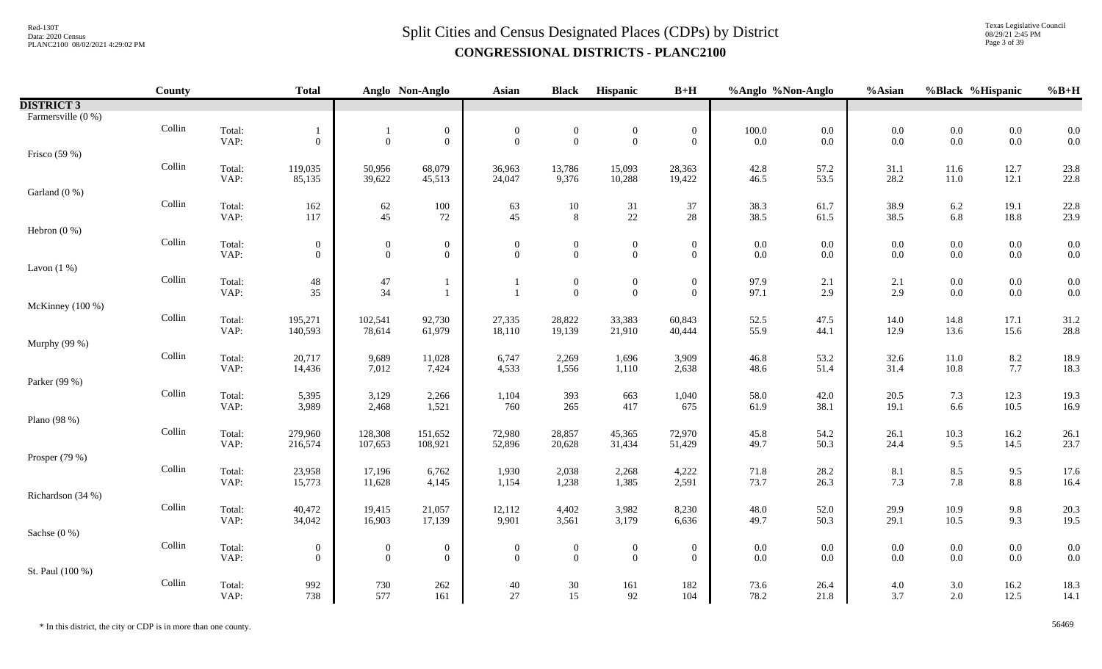Texas Legislative Council 08/29/21 2:45 PM Page 3 of 39

|                    | County |                | <b>Total</b>     |                  | Anglo Non-Anglo   | Asian            | <b>Black</b>              | Hispanic         | $B+H$            | %Anglo %Non-Anglo |              | %Asian                                    | %Black %Hispanic |                 | $%B+H$       |
|--------------------|--------|----------------|------------------|------------------|-------------------|------------------|---------------------------|------------------|------------------|-------------------|--------------|-------------------------------------------|------------------|-----------------|--------------|
| <b>DISTRICT 3</b>  |        |                |                  |                  |                   |                  |                           |                  |                  |                   |              |                                           |                  |                 |              |
| Farmersville (0 %) |        |                |                  |                  |                   |                  |                           |                  |                  |                   |              |                                           |                  |                 |              |
|                    | Collin | Total:         |                  |                  | $\boldsymbol{0}$  | $\boldsymbol{0}$ | $\boldsymbol{0}$          | $\boldsymbol{0}$ | $\boldsymbol{0}$ | $100.0\,$         | $0.0\,$      | $\begin{array}{c} 0.0 \\ 0.0 \end{array}$ | $0.0\,$          | $0.0\,$         | 0.0          |
|                    |        | VAP:           | $\overline{0}$   | $\overline{0}$   | $\mathbf{0}$      | $\mathbf{0}$     | $\overline{0}$            | $\overline{0}$   | $\overline{0}$   | $0.0\,$           | 0.0          |                                           | $0.0\,$          | $0.0\,$         | 0.0          |
| Frisco (59 %)      |        |                |                  |                  |                   |                  |                           |                  |                  |                   |              |                                           |                  |                 |              |
|                    | Collin | Total:         | 119,035          | 50,956           | 68,079            | 36,963           | 13,786                    | 15,093           | 28,363           | 42.8              | 57.2         | 31.1                                      | 11.6             | 12.7            | 23.8         |
|                    |        | VAP:           | 85,135           | 39,622           | 45,513            | 24,047           | 9,376                     | 10,288           | 19,422           | 46.5              | 53.5         | 28.2                                      | $11.0\,$         | 12.1            | 22.8         |
| Garland (0 %)      | Collin |                |                  |                  |                   |                  |                           |                  |                  |                   |              |                                           |                  |                 |              |
|                    |        | Total:<br>VAP: | 162<br>117       | $62$ $45$        | $100\,$<br>$72\,$ | 63<br>45         | $10\,$<br>$8\phantom{.}8$ | 31<br>$22\,$     | 37<br>28         | 38.3<br>38.5      | 61.7<br>61.5 | 38.9<br>38.5                              | $6.2\,$<br>6.8   | 19.1<br>18.8    | 22.8<br>23.9 |
| Hebron $(0\%)$     |        |                |                  |                  |                   |                  |                           |                  |                  |                   |              |                                           |                  |                 |              |
|                    | Collin | Total:         | $\boldsymbol{0}$ | $\boldsymbol{0}$ | $\boldsymbol{0}$  | $\boldsymbol{0}$ | $\boldsymbol{0}$          | $\boldsymbol{0}$ | $\boldsymbol{0}$ | $0.0\,$           | 0.0          | $0.0\,$                                   | $0.0\,$          | $0.0\,$         | 0.0          |
|                    |        | VAP:           | $\overline{0}$   | $\boldsymbol{0}$ | $\mathbf{0}$      | $\Omega$         | $\overline{0}$            | $\overline{0}$   | $\overline{0}$   | 0.0               | 0.0          | $0.0\,$                                   | $0.0\,$          | $0.0\,$         | 0.0          |
| Lavon $(1%)$       |        |                |                  |                  |                   |                  |                           |                  |                  |                   |              |                                           |                  |                 |              |
|                    | Collin | Total:         | 48               | $47\,$           |                   |                  | $\overline{0}$            | $\boldsymbol{0}$ | $\boldsymbol{0}$ | 97.9              | 2.1          | 2.1                                       | $0.0\,$          | $0.0\,$         | 0.0          |
|                    |        | VAP:           | 35               | 34               |                   | $\overline{1}$   | $\mathbf{0}$              | $\overline{0}$   | $\boldsymbol{0}$ | 97.1              | 2.9          | 2.9                                       | $0.0\,$          | $0.0\,$         | 0.0          |
| McKinney (100 %)   |        |                |                  |                  |                   |                  |                           |                  |                  |                   |              |                                           |                  |                 |              |
|                    | Collin | Total:         | 195,271          | 102,541          | 92,730            | 27,335           | 28,822                    | 33,383           | 60,843           | 52.5              | 47.5         | $14.0\,$                                  | 14.8             | 17.1            | 31.2         |
|                    |        | VAP:           | 140,593          | 78,614           | 61,979            | 18,110           | 19,139                    | 21,910           | 40,444           | 55.9              | 44.1         | 12.9                                      | 13.6             | 15.6            | 28.8         |
| Murphy (99 %)      |        |                |                  |                  |                   |                  |                           |                  |                  |                   |              |                                           |                  |                 |              |
|                    | Collin | Total:         | 20,717           | 9,689            | 11,028            | 6,747            | 2,269                     | 1,696            | 3,909            | 46.8              | 53.2         | 32.6                                      | $11.0\,$         | 8.2             | 18.9         |
|                    |        | VAP:           | 14,436           | 7,012            | 7,424             | 4,533            | 1,556                     | 1,110            | 2,638            | 48.6              | 51.4         | 31.4                                      | 10.8             | 7.7             | 18.3         |
| Parker (99 %)      |        |                |                  |                  |                   |                  |                           |                  |                  |                   |              |                                           |                  |                 |              |
|                    | Collin | Total:<br>VAP: | 5,395<br>3,989   | 3,129<br>2,468   | 2,266<br>1,521    | 1,104<br>760     | 393<br>265                | 663<br>417       | 1,040<br>675     | 58.0<br>61.9      | 42.0<br>38.1 | 20.5<br>19.1                              | 7.3<br>6.6       | 12.3<br>10.5    | 19.3<br>16.9 |
| Plano (98 %)       |        |                |                  |                  |                   |                  |                           |                  |                  |                   |              |                                           |                  |                 |              |
|                    | Collin | Total:         | 279,960          | 128,308          | 151,652           | 72,980           | 28,857                    | 45,365           | 72,970           | 45.8              | 54.2         | 26.1                                      | $10.3\,$         | 16.2            |              |
|                    |        | VAP:           | 216,574          | 107,653          | 108,921           | 52,896           | 20,628                    | 31,434           | 51,429           | 49.7              | 50.3         | 24.4                                      | 9.5              | 14.5            | 26.1<br>23.7 |
| Prosper $(79%)$    |        |                |                  |                  |                   |                  |                           |                  |                  |                   |              |                                           |                  |                 |              |
|                    | Collin | Total:         | 23,958           | 17,196           | 6,762             | 1,930            | 2,038                     | 2,268            | 4,222            | 71.8              | 28.2         | 8.1                                       | $8.5\,$          | 9.5             | 17.6         |
|                    |        | VAP:           | 15,773           | 11,628           | 4,145             | 1,154            | 1,238                     | 1,385            | 2,591            | 73.7              | 26.3         | 7.3                                       | 7.8              | $\!\!\!\!\!8.8$ | 16.4         |
| Richardson (34 %)  |        |                |                  |                  |                   |                  |                           |                  |                  |                   |              |                                           |                  |                 |              |
|                    | Collin | Total:         | 40,472           | 19,415           | 21,057            | 12,112           | 4,402                     | 3,982            | 8,230            | 48.0              | 52.0         | 29.9                                      | 10.9             | 9.8             | 20.3         |
|                    |        | VAP:           | 34,042           | 16,903           | 17,139            | 9,901            | 3,561                     | 3,179            | 6,636            | 49.7              | 50.3         | 29.1                                      | 10.5             | 9.3             | 19.5         |
| Sachse (0 %)       |        |                |                  |                  |                   |                  |                           |                  |                  |                   |              |                                           |                  |                 |              |
|                    | Collin | Total:         | $\overline{0}$   | $\boldsymbol{0}$ | $\boldsymbol{0}$  | $\mathbf{0}$     | $\boldsymbol{0}$          | $\boldsymbol{0}$ | $\boldsymbol{0}$ | $0.0\,$           | 0.0          | $0.0\,$                                   | $0.0\,$          | $0.0\,$         | 0.0          |
|                    |        | VAP:           | $\overline{0}$   | $\overline{0}$   | $\mathbf{0}$      | $\overline{0}$   | $\overline{0}$            | $\overline{0}$   | $\overline{0}$   | 0.0               | 0.0          | $0.0\,$                                   | $0.0\,$          | $0.0\,$         | 0.0          |
| St. Paul (100 %)   |        |                |                  |                  |                   |                  |                           |                  |                  |                   |              |                                           |                  |                 |              |
|                    | Collin | Total:         | 992              | 730              | 262               | 40               | 30                        | 161              | 182              | 73.6              | 26.4         | $4.0\,$                                   | $3.0\,$          | 16.2            | 18.3         |
|                    |        | VAP:           | 738              | 577              | 161               | 27               | 15                        | 92               | 104              | 78.2              | 21.8         | 3.7                                       | $2.0\,$          | 12.5            | 14.1         |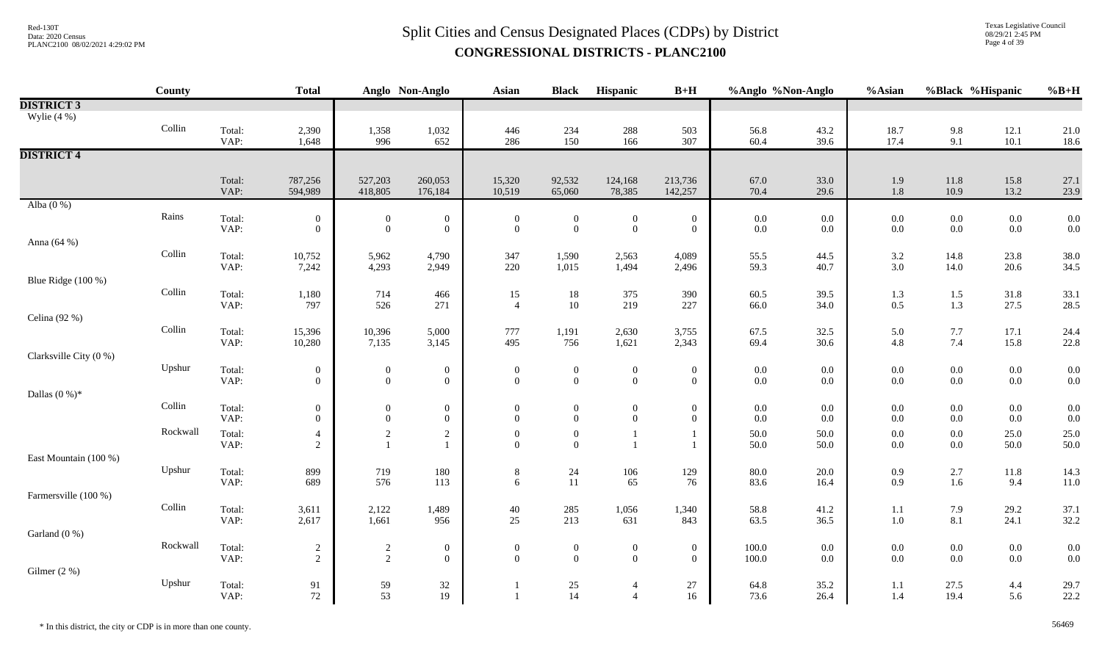Texas Legislative Council 08/29/21 2:45 PM Page 4 of 39

|                        | County                  |                | <b>Total</b>     |                  | Anglo Non-Anglo                    | Asian                          | <b>Black</b>                            | Hispanic                         | $B+H$                              | %Anglo %Non-Anglo  |              | %Asian             | %Black %Hispanic   |                    | $%B+H$       |
|------------------------|-------------------------|----------------|------------------|------------------|------------------------------------|--------------------------------|-----------------------------------------|----------------------------------|------------------------------------|--------------------|--------------|--------------------|--------------------|--------------------|--------------|
| <b>DISTRICT 3</b>      |                         |                |                  |                  |                                    |                                |                                         |                                  |                                    |                    |              |                    |                    |                    |              |
| Wylie $(4\%)$          |                         |                |                  |                  |                                    |                                |                                         |                                  |                                    |                    |              |                    |                    |                    |              |
|                        | Collin                  | Total:         | 2,390            | 1,358            | 1,032                              | 446                            | 234                                     | 288                              | 503                                | 56.8               | 43.2         | 18.7               | 9.8                | 12.1               | 21.0         |
|                        |                         | VAP:           | 1,648            | 996              | 652                                | 286                            | 150                                     | 166                              | 307                                | 60.4               | 39.6         | 17.4               | 9.1                | $10.1$             | 18.6         |
| <b>DISTRICT 4</b>      |                         |                |                  |                  |                                    |                                |                                         |                                  |                                    |                    |              |                    |                    |                    |              |
|                        |                         |                |                  |                  |                                    |                                |                                         |                                  |                                    |                    |              |                    |                    |                    |              |
|                        |                         | Total:         | 787,256          | 527,203          | 260,053                            | 15,320                         | 92,532                                  | 124,168                          | 213,736                            | 67.0               | 33.0         | 1.9                | $11.8\,$           | 15.8               | 27.1         |
|                        |                         | VAP:           | 594,989          | 418,805          | 176,184                            | 10,519                         | 65,060                                  | 78,385                           | 142,257                            | 70.4               | 29.6         | $1.8\,$            | 10.9               | 13.2               | 23.9         |
| Alba $(0\%)$           |                         |                |                  |                  |                                    |                                |                                         |                                  |                                    |                    |              |                    |                    |                    |              |
|                        | Rains                   | Total:         | $\boldsymbol{0}$ | $\boldsymbol{0}$ | $\mathbf{0}$                       | $\boldsymbol{0}$               | $\boldsymbol{0}$                        | $\boldsymbol{0}$                 | $\boldsymbol{0}$                   | $0.0\,$            | $0.0\,$      | $0.0\,$            | $0.0\,$            | $0.0\,$            | 0.0          |
|                        |                         | VAP:           | $\overline{0}$   | $\boldsymbol{0}$ | $\boldsymbol{0}$                   | $\mathbf{0}$                   | $\mathbf{0}$                            | $\mathbf{0}$                     | $\boldsymbol{0}$                   | $0.0\,$            | 0.0          | 0.0                | $0.0\,$            | 0.0                | 0.0          |
| Anna (64 %)            | Collin                  |                |                  |                  |                                    |                                |                                         |                                  |                                    |                    |              |                    |                    |                    |              |
|                        |                         | Total:<br>VAP: | 10,752<br>7,242  | 5,962<br>4,293   | 4,790<br>2,949                     | 347<br>220                     | 1,590<br>1,015                          | 2,563<br>1,494                   | 4,089<br>2,496                     | 55.5<br>59.3       | 44.5<br>40.7 | $\frac{3.2}{3.0}$  | 14.8<br>14.0       | 23.8<br>20.6       | 38.0<br>34.5 |
| Blue Ridge (100 %)     |                         |                |                  |                  |                                    |                                |                                         |                                  |                                    |                    |              |                    |                    |                    |              |
|                        | Collin                  |                |                  |                  | 466                                |                                |                                         |                                  |                                    |                    |              |                    |                    |                    |              |
|                        |                         | Total:<br>VAP: | 1,180<br>797     | 714<br>526       | 271                                | 15<br>$\overline{4}$           | $18\,$<br>$10\,$                        | 375<br>219                       | 390<br>227                         | 60.5<br>66.0       | 39.5<br>34.0 | 1.3<br>0.5         | 1.5<br>1.3         | $31.8\,$<br>27.5   | 33.1<br>28.5 |
| Celina (92 %)          |                         |                |                  |                  |                                    |                                |                                         |                                  |                                    |                    |              |                    |                    |                    |              |
|                        | $\operatorname{Collin}$ | Total:         | 15,396           | 10,396           | 5,000                              | 777                            | 1,191                                   | 2,630                            | 3,755                              | 67.5               | 32.5         | 5.0                | 7.7                | 17.1               | 24.4         |
|                        |                         | VAP:           | 10,280           | 7,135            | 3,145                              | 495                            | 756                                     | 1,621                            | 2,343                              | 69.4               | $30.6\,$     | $4.8\,$            | 7.4                | 15.8               | 22.8         |
| Clarksville City (0 %) |                         |                |                  |                  |                                    |                                |                                         |                                  |                                    |                    |              |                    |                    |                    |              |
|                        | Upshur                  | Total:         | $\boldsymbol{0}$ | $\boldsymbol{0}$ | $\boldsymbol{0}$                   | $\boldsymbol{0}$               | $\boldsymbol{0}$                        | $\boldsymbol{0}$                 | $\boldsymbol{0}$                   | $0.0\,$            | $0.0\,$      | $0.0\,$            | $0.0\,$            | $0.0\,$            | 0.0          |
|                        |                         | VAP:           | $\overline{0}$   | $\overline{0}$   | $\overline{0}$                     | $\overline{0}$                 | $\overline{0}$                          | $\mathbf{0}$                     | $\boldsymbol{0}$                   | $0.0\,$            | 0.0          | $0.0\,$            | $0.0\,$            | $0.0\,$            | 0.0          |
| Dallas $(0\%)^*$       |                         |                |                  |                  |                                    |                                |                                         |                                  |                                    |                    |              |                    |                    |                    |              |
|                        | Collin                  | Total:         | $\boldsymbol{0}$ | $\theta$         | $\overline{0}$                     | $\mathbf{0}$                   | $\boldsymbol{0}$                        | $\mathbf{0}$                     | $\boldsymbol{0}$                   | $0.0\,$            | 0.0          | $0.0\,$            | $0.0\,$            | $0.0\,$            | 0.0          |
|                        |                         | VAP:           | $\overline{0}$   | $\boldsymbol{0}$ | $\mathbf{0}$                       | $\overline{0}$                 | $\overline{0}$                          | $\mathbf{0}$                     | $\overline{0}$                     | $0.0\,$            | $0.0\,$      | $0.0\,$            | $0.0\,$            | 0.0                | 0.0          |
|                        | Rockwall                | Total:         | $\overline{4}$   | $\sqrt{2}$       | $\sqrt{2}$                         | $\mathbf{0}$                   | $\boldsymbol{0}$                        |                                  | -1                                 | 50.0               | 50.0         | 0.0                | $0.0\,$            | 25.0               | 25.0         |
|                        |                         | VAP:           | $\overline{c}$   |                  | $\mathbf{1}$                       | $\theta$                       | $\boldsymbol{0}$                        |                                  | $\overline{1}$                     | 50.0               | 50.0         | $0.0\,$            | $0.0\,$            | 50.0               | 50.0         |
| East Mountain (100 %)  |                         |                |                  |                  |                                    |                                |                                         |                                  |                                    |                    |              |                    |                    |                    |              |
|                        | Upshur                  | Total:         | 899              | 719              | 180                                | $\,8$                          | 24                                      | $106\,$                          | 129                                | 80.0               | $20.0\,$     | 0.9                | $2.7\,$            | $11.8\,$           | 14.3         |
|                        |                         | VAP:           | 689              | 576              | 113                                | 6                              | 11                                      | 65                               | 76                                 | 83.6               | 16.4         | $0.9\,$            | 1.6                | 9.4                | 11.0         |
| Farmersville (100 %)   |                         |                |                  |                  |                                    |                                |                                         |                                  |                                    |                    |              |                    |                    |                    |              |
|                        | Collin                  | Total:         | 3,611            | 2,122            | 1,489                              | $40\,$                         | 285                                     | 1,056                            | 1,340                              | 58.8               | 41.2         | 1.1                | 7.9                | 29.2               | 37.1         |
|                        |                         | VAP:           | 2,617            | 1,661            | 956                                | 25                             | 213                                     | 631                              | 843                                | 63.5               | 36.5         | $1.0\,$            | 8.1                | 24.1               | 32.2         |
| Garland (0 %)          | Rockwall                |                |                  |                  |                                    |                                |                                         |                                  |                                    |                    |              |                    |                    |                    |              |
|                        |                         | Total:<br>VAP: | $\frac{2}{2}$    | $\frac{2}{2}$    | $\boldsymbol{0}$<br>$\overline{0}$ | $\mathbf{0}$<br>$\overline{0}$ | $\boldsymbol{0}$<br>$\overline{0}$      | $\boldsymbol{0}$<br>$\mathbf{0}$ | $\boldsymbol{0}$<br>$\overline{0}$ | $100.0\,$<br>100.0 | 0.0<br>0.0   | $0.0\,$<br>$0.0\,$ | $0.0\,$<br>$0.0\,$ | $0.0\,$<br>$0.0\,$ | 0.0<br>0.0   |
| Gilmer $(2\%)$         |                         |                |                  |                  |                                    |                                |                                         |                                  |                                    |                    |              |                    |                    |                    |              |
|                        | Upshur                  | Total:         |                  |                  | 32                                 |                                |                                         | $\overline{4}$                   | 27                                 | 64.8               | 35.2         | 1.1                | 27.5               | 4.4                | 29.7         |
|                        |                         | VAP:           | $\frac{91}{72}$  | $\frac{59}{53}$  | 19                                 |                                | $\begin{array}{c} 25 \\ 14 \end{array}$ | $\overline{4}$                   | 16                                 | 73.6               | 26.4         | 1.4                | 19.4               | 5.6                | 22.2         |
|                        |                         |                |                  |                  |                                    |                                |                                         |                                  |                                    |                    |              |                    |                    |                    |              |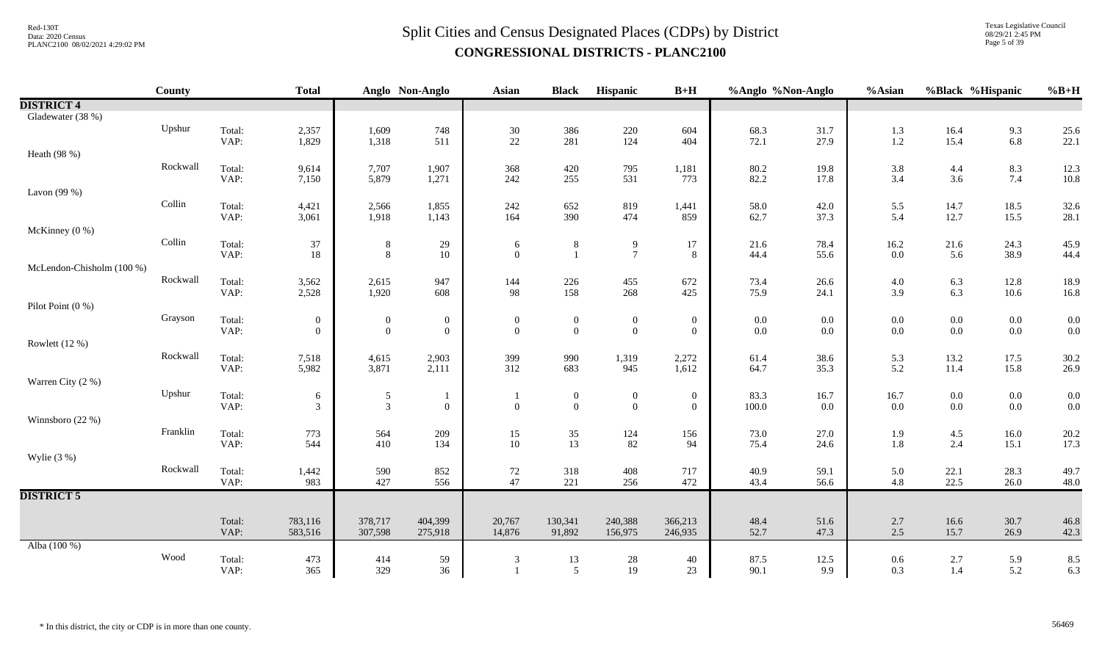Texas Legislative Council 08/29/21 2:45 PM Page 5 of 39

|                           | County   |                | <b>Total</b>     |                  | Anglo Non-Anglo  | <b>Asian</b>     | <b>Black</b>     | Hispanic         | $B+H$        | %Anglo %Non-Anglo |              | %Asian     | %Black %Hispanic |              | $%B+H$       |
|---------------------------|----------|----------------|------------------|------------------|------------------|------------------|------------------|------------------|--------------|-------------------|--------------|------------|------------------|--------------|--------------|
| <b>DISTRICT 4</b>         |          |                |                  |                  |                  |                  |                  |                  |              |                   |              |            |                  |              |              |
| Gladewater (38 %)         |          |                |                  |                  |                  |                  |                  |                  |              |                   |              |            |                  |              |              |
|                           | Upshur   | Total:         | 2,357            | 1,609            | 748              | 30               | 386              | $220\,$          | 604          | 68.3              | 31.7         | 1.3        | 16.4             | 9.3          | 25.6         |
|                           |          | VAP:           | 1,829            | 1,318            | 511              | 22               | 281              | 124              | 404          | 72.1              | 27.9         | 1.2        | 15.4             | 6.8          | 22.1         |
| Heath (98 %)              | Rockwall | Total:         |                  | 7,707            |                  | 368              | 420              | 795              |              | 80.2              | 19.8         |            |                  |              |              |
|                           |          | VAP:           | 9,614<br>7,150   | 5,879            | 1,907<br>1,271   | 242              | 255              | 531              | 1,181<br>773 | 82.2              | 17.8         | 3.8<br>3.4 | 4.4<br>$3.6$     | 8.3<br>7.4   | 12.3<br>10.8 |
| Lavon $(99\%)$            |          |                |                  |                  |                  |                  |                  |                  |              |                   |              |            |                  |              |              |
|                           | Collin   | Total:         | 4,421            | 2,566            | 1,855            | 242              | 652              | 819              | 1,441        | 58.0              | 42.0         | 5.5        | 14.7             | 18.5         | 32.6         |
|                           |          | VAP:           | 3,061            | 1,918            | 1,143            | 164              | 390              | 474              | 859          | 62.7              | 37.3         | 5.4        | 12.7             | 15.5         | 28.1         |
| McKinney $(0\%)$          |          |                |                  |                  |                  |                  |                  |                  |              |                   |              |            |                  |              |              |
|                           | Collin   | Total:         | 37               | 8                | $29\,$           | 6                | 8                | 9                | 17           | 21.6              | 78.4         | 16.2       | 21.6             | 24.3         | 45.9         |
| McLendon-Chisholm (100 %) |          | VAP:           | 18               | $\,8\,$          | $10\,$           | $\overline{0}$   | $\overline{1}$   | $\overline{7}$   | 8            | 44.4              | 55.6         | $0.0\,$    | 5.6              | 38.9         | 44.4         |
|                           | Rockwall | Total:         | 3,562            | 2,615            | 947              | 144              | 226              | 455              | 672          | 73.4              | 26.6         | $4.0\,$    | 6.3              | 12.8         | 18.9         |
|                           |          | VAP:           | 2,528            | 1,920            | 608              | 98               | 158              | 268              | 425          | 75.9              | 24.1         | 3.9        | 6.3              | 10.6         | 16.8         |
| Pilot Point (0 %)         |          |                |                  |                  |                  |                  |                  |                  |              |                   |              |            |                  |              |              |
|                           | Grayson  | Total:         | $\boldsymbol{0}$ | $\boldsymbol{0}$ | $\boldsymbol{0}$ | $\boldsymbol{0}$ | $\boldsymbol{0}$ | $\boldsymbol{0}$ | $\mathbf{0}$ | 0.0               | 0.0          | $0.0\,$    | $0.0\,$          | $0.0\,$      | 0.0          |
|                           |          | VAP:           | $\overline{0}$   | $\boldsymbol{0}$ | $\boldsymbol{0}$ | $\mathbf{0}$     | $\mathbf{0}$     | $\mathbf{0}$     | $\mathbf{0}$ | $0.0\,$           | 0.0          | 0.0        | $0.0\,$          | $0.0\,$      | 0.0          |
| Rowlett (12 %)            |          |                |                  |                  |                  |                  |                  |                  |              |                   |              |            |                  |              |              |
|                           | Rockwall | Total:         | 7,518            | 4,615            | 2,903            | 399              | 990              | 1,319            | 2,272        | 61.4              | 38.6         | 5.3        | 13.2             | 17.5         | 30.2         |
| Warren City (2 %)         |          | VAP:           | 5,982            | 3,871            | 2,111            | 312              | 683              | 945              | 1,612        | 64.7              | 35.3         | 5.2        | 11.4             | 15.8         | 26.9         |
|                           | Upshur   | Total:         | 6                | $\mathfrak{S}$   |                  |                  | $\boldsymbol{0}$ | $\boldsymbol{0}$ | $\mathbf{0}$ | 83.3              | 16.7         | 16.7       | $0.0\,$          | $0.0\,$      | 0.0          |
|                           |          | VAP:           | $\mathfrak{Z}$   | $\overline{3}$   | $\overline{0}$   | $\overline{0}$   | $\overline{0}$   | $\mathbf{0}$     | $\mathbf{0}$ | 100.0             | 0.0          | $0.0\,$    | $0.0\,$          | $0.0\,$      | 0.0          |
| Winnsboro (22 %)          |          |                |                  |                  |                  |                  |                  |                  |              |                   |              |            |                  |              |              |
|                           | Franklin | Total:         | 773              | 564              | 209              | 15               | $35\,$           | 124              | 156          | 73.0              | 27.0         | 1.9        | $4.5\,$          | 16.0         | 20.2         |
|                           |          | VAP:           | 544              | 410              | 134              | 10               | 13               | 82               | 94           | 75.4              | 24.6         | 1.8        | 2.4              | 15.1         | 17.3         |
| Wylie $(3\%)$             |          |                |                  |                  |                  |                  |                  |                  |              |                   |              |            |                  |              |              |
|                           | Rockwall | Total:<br>VAP: | 1,442<br>983     | 590<br>427       | 852<br>556       | 72<br>47         | 318<br>221       | 408<br>256       | 717<br>472   | 40.9<br>43.4      | 59.1<br>56.6 | 5.0<br>4.8 | 22.1<br>22.5     | 28.3<br>26.0 | 49.7<br>48.0 |
| <b>DISTRICT 5</b>         |          |                |                  |                  |                  |                  |                  |                  |              |                   |              |            |                  |              |              |
|                           |          |                |                  |                  |                  |                  |                  |                  |              |                   |              |            |                  |              |              |
|                           |          | Total:         | 783,116          | 378,717          | 404,399          | 20,767           | 130,341          | 240,388          | 366,213      | 48.4              | 51.6         | 2.7        | 16.6             | 30.7         | 46.8         |
|                           |          | VAP:           | 583,516          | 307,598          | 275,918          | 14,876           | 91,892           | 156,975          | 246,935      | 52.7              | 47.3         | 2.5        | 15.7             | 26.9         | 42.3         |
| Alba (100 %)              |          |                |                  |                  |                  |                  |                  |                  |              |                   |              |            |                  |              |              |
|                           | Wood     | Total:<br>VAP: | 473<br>365       | 414<br>329       | 59<br>36         | 3                | 13<br>5          | $28\,$<br>19     | 40<br>23     | 87.5<br>90.1      | 12.5<br>9.9  | 0.6<br>0.3 | $2.7\,$<br>1.4   | 5.9<br>5.2   | 8.5<br>6.3   |
|                           |          |                |                  |                  |                  |                  |                  |                  |              |                   |              |            |                  |              |              |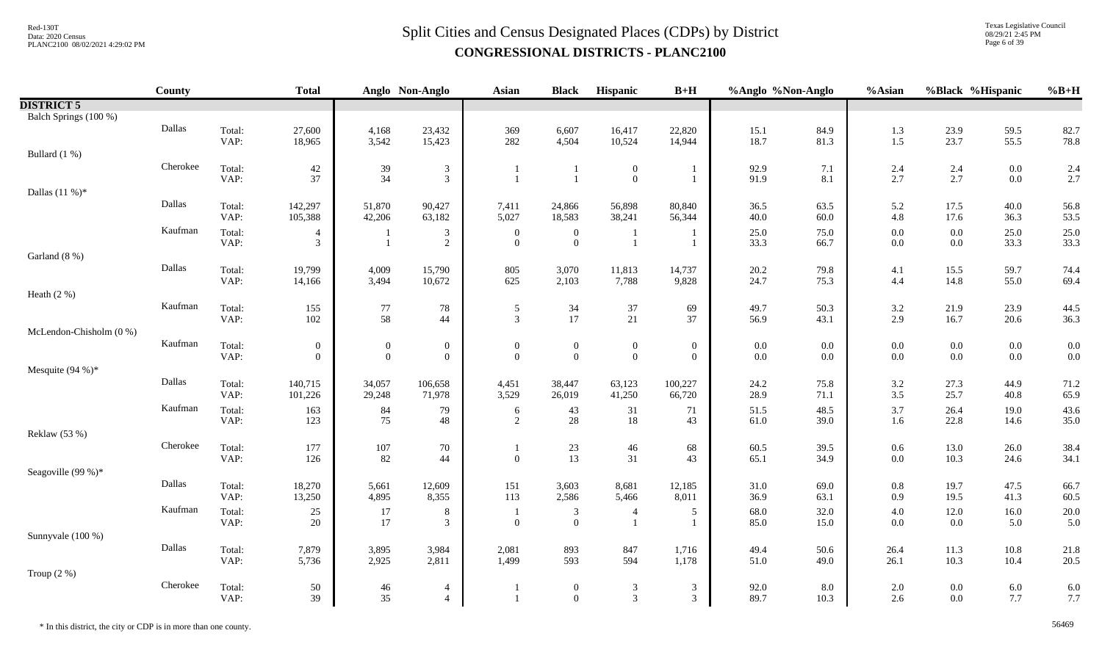Texas Legislative Council 08/29/21 2:45 PM Page 6 of 39

|                         | <b>County</b> |                | <b>Total</b>                       |                                    | Anglo Non-Anglo                    | <b>Asian</b>                 | <b>Black</b>                   | Hispanic                           | $B+H$                              | %Anglo %Non-Anglo |              | %Asian             | %Black %Hispanic   |                | $%B+H$       |
|-------------------------|---------------|----------------|------------------------------------|------------------------------------|------------------------------------|------------------------------|--------------------------------|------------------------------------|------------------------------------|-------------------|--------------|--------------------|--------------------|----------------|--------------|
| <b>DISTRICT 5</b>       |               |                |                                    |                                    |                                    |                              |                                |                                    |                                    |                   |              |                    |                    |                |              |
| Balch Springs (100 %)   |               |                |                                    |                                    |                                    |                              |                                |                                    |                                    |                   |              |                    |                    |                |              |
|                         | Dallas        | Total:<br>VAP: | 27,600                             | 4,168<br>3,542                     | 23,432<br>15,423                   | 369<br>282                   | 6,607<br>4,504                 | 16,417                             | 22,820                             | 15.1<br>18.7      | 84.9<br>81.3 | 1.3                | 23.9<br>23.7       | 59.5<br>55.5   | 82.7         |
| Bullard (1 %)           |               |                | 18,965                             |                                    |                                    |                              |                                | 10,524                             | 14,944                             |                   |              | $1.5$              |                    |                | 78.8         |
|                         | Cherokee      | Total:         | 42                                 | $39\,$                             | $\boldsymbol{\mathfrak{Z}}$        |                              |                                | $\boldsymbol{0}$                   | - 1                                | 92.9              | 7.1          | 2.4                | $2.4\,$            | $0.0\,$        | 2.4          |
|                         |               | VAP:           | 37                                 | 34                                 | $\overline{3}$                     |                              | $\overline{1}$                 | $\mathbf{0}$                       | $\overline{\phantom{0}}$           | 91.9              | 8.1          | 2.7                | 2.7                | $0.0\,$        | 2.7          |
| Dallas $(11%)$ *        |               |                |                                    |                                    |                                    |                              |                                |                                    |                                    |                   |              |                    |                    |                |              |
|                         | Dallas        | Total:<br>VAP: | 142,297<br>105,388                 | 51,870<br>42,206                   | 90,427<br>63,182                   | 7,411<br>5,027               | 24,866<br>18,583               | 56,898<br>38,241                   | 80,840<br>56,344                   | 36.5<br>40.0      | 63.5<br>60.0 | 5.2<br>$4.8\,$     | 17.5<br>17.6       | 40.0<br>36.3   | 56.8<br>53.5 |
|                         | Kaufman       | Total:         | $\overline{4}$                     |                                    | $\mathfrak{Z}$                     | $\mathbf{0}$                 | $\overline{0}$                 |                                    |                                    | 25.0              | 75.0         | $0.0\,$            | $0.0\,$            | 25.0           | 25.0         |
|                         |               | VAP:           | 3                                  |                                    | $\overline{2}$                     | $\theta$                     | $\mathbf{0}$                   |                                    |                                    | 33.3              | 66.7         | $0.0\,$            | $0.0\,$            | 33.3           | 33.3         |
| Garland (8 %)           |               |                |                                    |                                    |                                    |                              |                                |                                    |                                    |                   |              |                    |                    |                |              |
|                         | Dallas        | Total:<br>VAP: | 19,799<br>14,166                   | 4,009<br>3,494                     | 15,790<br>10,672                   | 805<br>625                   | 3,070<br>2,103                 | 11,813<br>7,788                    | 14,737<br>9,828                    | 20.2<br>24.7      | 79.8<br>75.3 | 4.1<br>4.4         | 15.5<br>14.8       | 59.7<br>55.0   | 74.4<br>69.4 |
| Heath $(2\%)$           |               |                |                                    |                                    |                                    |                              |                                |                                    |                                    |                   |              |                    |                    |                |              |
|                         | Kaufman       | Total:         | 155                                | $77\,$                             | $78\,$                             | $\sqrt{5}$                   | 34                             | 37                                 | 69                                 | 49.7              | 50.3         | $3.2\,$            | 21.9               | 23.9           | 44.5         |
|                         |               | VAP:           | 102                                | 58                                 | 44                                 | $\mathfrak{Z}$               | 17                             | 21                                 | 37                                 | 56.9              | 43.1         | 2.9                | 16.7               | 20.6           | 36.3         |
| McLendon-Chisholm (0 %) |               |                |                                    |                                    |                                    |                              |                                |                                    |                                    |                   |              |                    |                    |                |              |
|                         | Kaufman       | Total:<br>VAP: | $\boldsymbol{0}$<br>$\overline{0}$ | $\boldsymbol{0}$<br>$\overline{0}$ | $\boldsymbol{0}$<br>$\overline{0}$ | $\boldsymbol{0}$<br>$\theta$ | $\mathbf{0}$<br>$\overline{0}$ | $\boldsymbol{0}$<br>$\overline{0}$ | $\boldsymbol{0}$<br>$\overline{0}$ | $0.0\,$<br>0.0    | 0.0<br>0.0   | $0.0\,$<br>$0.0\,$ | $0.0\,$<br>$0.0\,$ | $0.0\,$<br>0.0 | 0.0<br>0.0   |
| Mesquite $(94%)$ *      |               |                |                                    |                                    |                                    |                              |                                |                                    |                                    |                   |              |                    |                    |                |              |
|                         | Dallas        | Total:         | 140,715                            | 34,057                             | 106,658                            | 4,451                        | 38,447                         | 63,123                             | 100,227                            | 24.2              | 75.8         | $3.2\,$            | 27.3               | 44.9           | 71.2         |
|                         |               | VAP:           | 101,226                            | 29,248                             | 71,978                             | 3,529                        | 26,019                         | 41,250                             | 66,720                             | 28.9              | 71.1         | $3.5$              | 25.7               | 40.8           | 65.9         |
|                         | Kaufman       | Total:         | 163                                | 84                                 | 79                                 | 6                            | 43                             | 31                                 | 71                                 | 51.5              | 48.5         | 3.7                | 26.4               | 19.0           | 43.6         |
|                         |               | VAP:           | 123                                | 75                                 | 48                                 | $\overline{2}$               | 28                             | $18\,$                             | 43                                 | 61.0              | 39.0         | 1.6                | 22.8               | 14.6           | 35.0         |
| Reklaw (53 %)           | Cherokee      |                |                                    |                                    |                                    |                              |                                |                                    |                                    |                   |              |                    |                    |                |              |
|                         |               | Total:<br>VAP: | 177<br>126                         | $107\,$<br>82                      | 70<br>44                           | $\theta$                     | $23\,$<br>13                   | $46\,$<br>31                       | 68<br>43                           | 60.5<br>65.1      | 39.5<br>34.9 | $0.6\,$<br>0.0     | 13.0<br>10.3       | 26.0<br>24.6   | 38.4<br>34.1 |
| Seagoville (99 %)*      |               |                |                                    |                                    |                                    |                              |                                |                                    |                                    |                   |              |                    |                    |                |              |
|                         | Dallas        | Total:         | 18,270                             | 5,661                              | 12,609                             | 151                          | 3,603                          | 8,681                              | 12,185                             | 31.0              | 69.0         | $0.8\,$            | 19.7               | 47.5           | 66.7         |
|                         |               | VAP:           | 13,250                             | 4,895                              | 8,355                              | 113                          | 2,586                          | 5,466                              | 8,011                              | 36.9              | 63.1         | 0.9                | 19.5               | 41.3           | 60.5         |
|                         | Kaufman       | Total:         | 25                                 | 17<br>17                           | 8                                  | $\mathbf{1}$                 | 3<br>$\mathbf{0}$              | $\overline{4}$                     | 5<br>$\overline{1}$                | 68.0              | 32.0<br>15.0 | 4.0<br>$0.0\,$     | 12.0               | 16.0           | 20.0         |
| Sunnyvale (100 %)       |               | VAP:           | 20                                 |                                    | 3                                  | $\overline{0}$               |                                | $\overline{1}$                     |                                    | 85.0              |              |                    | $0.0\,$            | 5.0            | 5.0          |
|                         | Dallas        | Total:         | 7,879                              | 3,895                              | 3,984                              | 2,081                        | 893                            | 847                                | 1,716                              | 49.4              | 50.6         | 26.4               | 11.3               | $10.8\,$       | 21.8         |
|                         |               | VAP:           | 5,736                              | 2,925                              | 2,811                              | 1,499                        | 593                            | 594                                | 1,178                              | 51.0              | 49.0         | 26.1               | 10.3               | 10.4           | 20.5         |
| Troup $(2\%)$           |               |                |                                    |                                    |                                    |                              |                                |                                    |                                    |                   |              |                    |                    |                |              |
|                         | Cherokee      | Total:         | 50                                 | 46                                 | $\overline{4}$                     |                              | $\overline{0}$                 | $\mathfrak{Z}$                     | $\mathfrak{Z}$                     | 92.0              | 8.0          | 2.0                | $0.0\,$            | 6.0            | 6.0          |
|                         |               | VAP:           | 39                                 | 35                                 | $\overline{4}$                     |                              | $\overline{0}$                 | $\mathfrak{Z}$                     | $\mathfrak{Z}$                     | 89.7              | 10.3         | 2.6                | $0.0\,$            | 7.7            | 7.7          |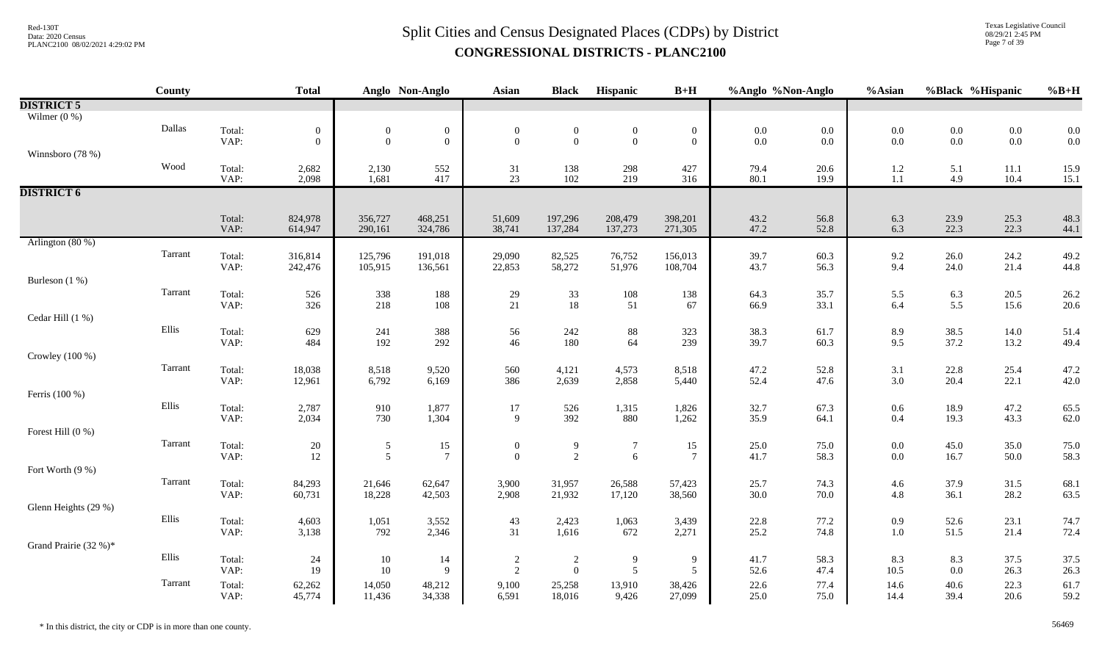Texas Legislative Council 08/29/21 2:45 PM Page 7 of 39

|                       | County  |                | <b>Total</b>     |                  | Anglo Non-Anglo  | <b>Asian</b>                     | <b>Black</b>                       | Hispanic                         | $B+H$            | %Anglo %Non-Anglo                         |              | %Asian            |                | %Black %Hispanic | $%B+H$       |
|-----------------------|---------|----------------|------------------|------------------|------------------|----------------------------------|------------------------------------|----------------------------------|------------------|-------------------------------------------|--------------|-------------------|----------------|------------------|--------------|
| <b>DISTRICT 5</b>     |         |                |                  |                  |                  |                                  |                                    |                                  |                  |                                           |              |                   |                |                  |              |
| Wilmer $(0\%)$        |         |                |                  |                  |                  |                                  |                                    |                                  |                  |                                           |              |                   |                |                  |              |
|                       | Dallas  | Total:         | $\boldsymbol{0}$ | $\mathbf{0}$     | $\boldsymbol{0}$ | $\boldsymbol{0}$                 | $\boldsymbol{0}$                   | $\boldsymbol{0}$                 | $\boldsymbol{0}$ | $\begin{array}{c} 0.0 \\ 0.0 \end{array}$ | $0.0\,$      | $0.0\,$           | $0.0\,$        | $0.0\,$          | 0.0          |
|                       |         | VAP:           | $\mathbf{0}$     | $\mathbf{0}$     | $\mathbf{0}$     | $\mathbf{0}$                     | $\overline{0}$                     | $\mathbf{0}$                     | $\boldsymbol{0}$ |                                           | $0.0\,$      | 0.0               | $0.0\,$        | $0.0\,$          | 0.0          |
| Winnsboro (78 %)      |         |                |                  |                  |                  |                                  |                                    |                                  |                  |                                           |              |                   |                |                  |              |
|                       | Wood    | Total:         | 2,682            | 2,130            | 552              | 31                               | 138                                | 298                              | 427              | 79.4                                      | 20.6         | $1.2\,$           | 5.1            | 11.1             | 15.9         |
|                       |         | VAP:           | 2,098            | 1,681            | 417              | 23                               | 102                                | 219                              | 316              | 80.1                                      | 19.9         | $1.1\,$           | 4.9            | 10.4             | 15.1         |
| <b>DISTRICT 6</b>     |         |                |                  |                  |                  |                                  |                                    |                                  |                  |                                           |              |                   |                |                  |              |
|                       |         | Total:         | 824,978          | 356,727          | 468,251          | 51,609                           | 197,296                            | 208,479                          | 398,201          | 43.2                                      | 56.8         | 6.3               | 23.9           | 25.3             | 48.3         |
|                       |         | VAP:           | 614,947          | 290,161          | 324,786          | 38,741                           | 137,284                            | 137,273                          | 271,305          | 47.2                                      | 52.8         | 6.3               | 22.3           | 22.3             | 44.1         |
| Arlington $(80\%)$    |         |                |                  |                  |                  |                                  |                                    |                                  |                  |                                           |              |                   |                |                  |              |
|                       | Tarrant | Total:         | 316,814          | 125,796          | 191,018          | 29,090                           | 82,525                             | 76,752                           | 156,013          | 39.7                                      | 60.3         |                   | 26.0           | 24.2             | 49.2         |
|                       |         | VAP:           | 242,476          | 105,915          | 136,561          | 22,853                           | 58,272                             | 51,976                           | 108,704          | 43.7                                      | 56.3         | $\frac{9.2}{9.4}$ | 24.0           | 21.4             | 44.8         |
| Burleson (1 %)        |         |                |                  |                  |                  |                                  |                                    |                                  |                  |                                           |              |                   |                |                  |              |
|                       | Tarrant | Total:         | 526              | 338              | 188              | $29\,$                           | 33                                 | 108                              | 138              | 64.3                                      | 35.7         | 5.5               | 6.3            | 20.5             | 26.2         |
|                       |         | VAP:           | 326              | 218              | 108              | 21                               | 18                                 | 51                               | 67               | 66.9                                      | 33.1         | 6.4               | 5.5            | 15.6             | 20.6         |
| Cedar Hill (1 %)      |         |                |                  |                  |                  |                                  |                                    |                                  |                  |                                           |              |                   |                |                  |              |
|                       | Ellis   | Total:         | 629              | 241              | 388              | 56                               | 242<br>180                         | $88\,$                           | 323              | 38.3                                      | 61.7         | 8.9               | 38.5           | 14.0             | 51.4         |
|                       |         | VAP:           | 484              | 192              | 292              | 46                               |                                    | 64                               | 239              | 39.7                                      | 60.3         | 9.5               | 37.2           | 13.2             | 49.4         |
| Crowley $(100\%)$     | Tarrant |                |                  |                  |                  |                                  |                                    |                                  |                  |                                           |              |                   |                |                  |              |
|                       |         | Total:<br>VAP: | 18,038<br>12,961 | 8,518<br>6,792   | 9,520<br>6,169   | 560<br>386                       | 4,121<br>2,639                     | 4,573<br>2,858                   | 8,518<br>5,440   | 47.2<br>52.4                              | 52.8<br>47.6 | 3.1<br>3.0        | 22.8<br>20.4   | 25.4<br>22.1     | 47.2<br>42.0 |
| Ferris (100 %)        |         |                |                  |                  |                  |                                  |                                    |                                  |                  |                                           |              |                   |                |                  |              |
|                       | Ellis   | Total:         | 2,787            | 910              | 1,877            | 17                               | 526                                | 1,315                            | 1,826            | 32.7                                      | 67.3         | $0.6\,$           | 18.9           | 47.2             | 65.5         |
|                       |         | VAP:           | 2,034            | 730              | 1,304            | 9                                | 392                                | 880                              | 1,262            | 35.9                                      | 64.1         | $0.4\,$           | 19.3           | 43.3             | 62.0         |
| Forest Hill (0 %)     |         |                |                  |                  |                  |                                  |                                    |                                  |                  |                                           |              |                   |                |                  |              |
|                       | Tarrant | Total:         | 20               | $\sqrt{5}$       | 15               | $\boldsymbol{0}$                 | $\overline{9}$                     | $\overline{7}$                   | 15               | 25.0                                      | 75.0         | $0.0\,$           | 45.0           | 35.0             | 75.0         |
|                       |         | VAP:           | 12               | 5                | $7\phantom{.0}$  | $\theta$                         | 2                                  | 6                                | $\overline{7}$   | 41.7                                      | 58.3         | $0.0\,$           | 16.7           | 50.0             | 58.3         |
| Fort Worth (9 %)      |         |                |                  |                  |                  |                                  |                                    |                                  |                  |                                           |              |                   |                |                  |              |
|                       | Tarrant | Total:         | 84,293           | 21,646           | 62,647           | 3,900                            | 31,957                             | 26,588                           | 57,423           | 25.7                                      | 74.3         | 4.6               | 37.9           | 31.5             | 68.1         |
|                       |         | VAP:           | 60,731           | 18,228           | 42,503           | 2,908                            | 21,932                             | 17,120                           | 38,560           | 30.0                                      | 70.0         | 4.8               | 36.1           | 28.2             | 63.5         |
| Glenn Heights (29 %)  |         |                |                  |                  |                  |                                  |                                    |                                  |                  |                                           |              |                   |                |                  |              |
|                       | Ellis   | Total:         | 4,603            | 1,051            | 3,552            | 43                               | 2,423                              | 1,063                            | 3,439            | 22.8                                      | 77.2         | 0.9               | 52.6           | 23.1             | 74.7         |
|                       |         | VAP:           | 3,138            | 792              | 2,346            | 31                               | 1,616                              | 672                              | 2,271            | 25.2                                      | 74.8         | $1.0\,$           | 51.5           | 21.4             | 72.4         |
| Grand Prairie (32 %)* |         |                |                  |                  |                  |                                  |                                    |                                  |                  |                                           |              |                   |                |                  |              |
|                       | Ellis   | Total:<br>VAP: | 24<br>19         | 10<br>10         | 14<br>9          | $\overline{c}$<br>$\overline{2}$ | $\overline{2}$<br>$\boldsymbol{0}$ | $\overline{9}$<br>$\mathfrak{S}$ | 9<br>5           | 41.7<br>52.6                              | 58.3<br>47.4 | 8.3<br>10.5       | 8.3<br>$0.0\,$ | 37.5<br>26.3     | 37.5<br>26.3 |
|                       | Tarrant |                |                  |                  |                  |                                  |                                    |                                  |                  |                                           |              |                   |                |                  |              |
|                       |         | Total:<br>VAP: | 62,262<br>45,774 | 14,050<br>11,436 | 48,212<br>34,338 | 9,100<br>6,591                   | 25,258<br>18,016                   | 13,910<br>9,426                  | 38,426<br>27,099 | 22.6<br>25.0                              | 77.4<br>75.0 | 14.6<br>14.4      | 40.6<br>39.4   | 22.3<br>20.6     | 61.7<br>59.2 |
|                       |         |                |                  |                  |                  |                                  |                                    |                                  |                  |                                           |              |                   |                |                  |              |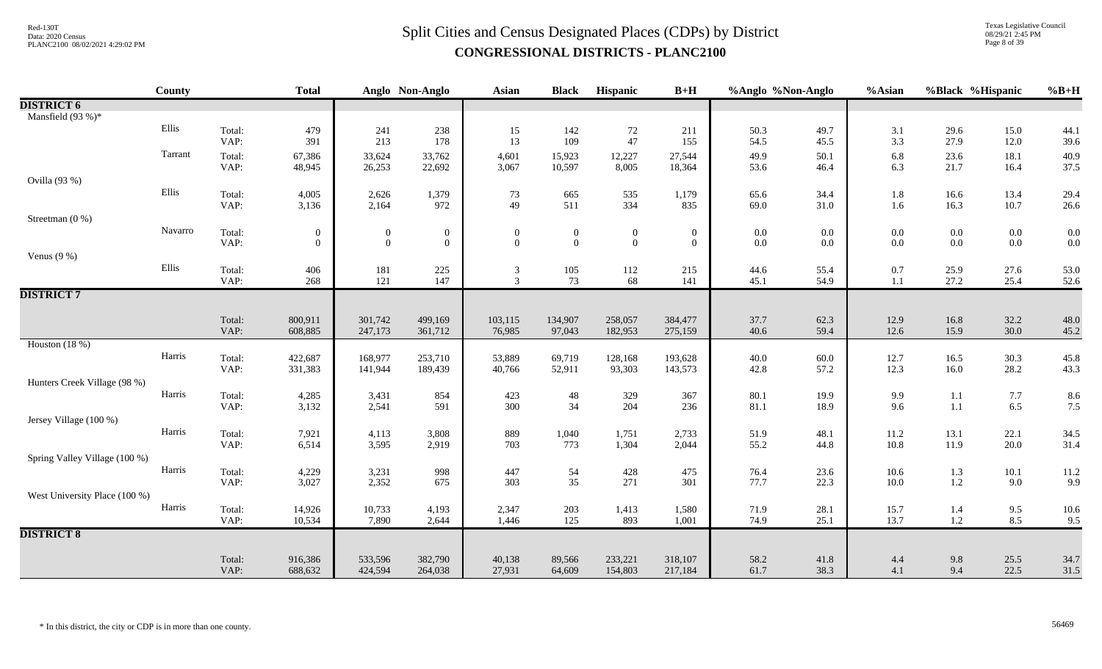Texas Legislative Council 08/29/21 2:45 PM Page 8 of 39

|                               | County  |                | <b>Total</b>               |                                      | Anglo Non-Anglo                  | Asian                            | <b>Black</b>               | Hispanic                         | $B+H$                              | %Anglo %Non-Anglo |                    | %Asian           |                                           | %Black %Hispanic   | $%B+H$             |
|-------------------------------|---------|----------------|----------------------------|--------------------------------------|----------------------------------|----------------------------------|----------------------------|----------------------------------|------------------------------------|-------------------|--------------------|------------------|-------------------------------------------|--------------------|--------------------|
| <b>DISTRICT 6</b>             |         |                |                            |                                      |                                  |                                  |                            |                                  |                                    |                   |                    |                  |                                           |                    |                    |
| Mansfield (93 %)*             |         |                |                            |                                      |                                  |                                  |                            |                                  |                                    |                   |                    |                  |                                           |                    |                    |
|                               | Ellis   | Total:<br>VAP: | 479<br>391                 | 241<br>213                           | 238<br>178                       | 15<br>13                         | 142<br>109                 | $72\,$<br>47                     | 211<br>155                         | 50.3<br>54.5      | 49.7<br>45.5       | 3.1<br>3.3       | 29.6<br>27.9                              | 15.0<br>12.0       | 44.1<br>39.6       |
|                               | Tarrant | Total:<br>VAP: | 67,386<br>48,945           | 33,624<br>26,253                     | 33,762<br>22,692                 | 4,601<br>3,067                   | 15,923<br>10,597           | 12,227<br>8,005                  | 27,544<br>18,364                   | 49.9<br>53.6      | 50.1<br>46.4       | 6.8<br>6.3       | 23.6<br>21.7                              | 18.1<br>16.4       | 40.9<br>37.5       |
| Ovilla (93 %)                 |         |                |                            |                                      |                                  |                                  |                            |                                  |                                    |                   |                    |                  |                                           |                    |                    |
|                               | Ellis   | Total:<br>VAP: | 4,005<br>3,136             | 2,626<br>2,164                       | 1,379<br>972                     | 73<br>49                         | 665<br>511                 | 535<br>334                       | 1,179<br>835                       | 65.6<br>69.0      | 34.4<br>31.0       | 1.8<br>1.6       | 16.6<br>16.3                              | 13.4<br>$10.7\,$   | 29.4<br>26.6       |
| Streetman (0 %)               |         |                |                            |                                      |                                  |                                  |                            |                                  |                                    |                   |                    |                  |                                           |                    |                    |
|                               | Navarro | Total:<br>VAP: | $\overline{0}$<br>$\Omega$ | $\boldsymbol{0}$<br>$\boldsymbol{0}$ | $\boldsymbol{0}$<br>$\mathbf{0}$ | $\mathbf{0}$<br>$\Omega$         | $\bf{0}$<br>$\overline{0}$ | $\boldsymbol{0}$<br>$\mathbf{0}$ | $\boldsymbol{0}$<br>$\overline{0}$ | 0.0<br>0.0        | $0.0\,$<br>$0.0\,$ | $0.0\,$<br>0.0   | $0.0\,$<br>$0.0\,$                        | $0.0\,$<br>$0.0\,$ | 0.0<br>0.0         |
| Venus $(9\%)$                 |         |                |                            |                                      |                                  |                                  |                            |                                  |                                    |                   |                    |                  |                                           |                    |                    |
|                               | Ellis   | Total:<br>VAP: | 406<br>268                 | 181<br>121                           | 225<br>147                       | $\mathfrak{Z}$<br>$\overline{3}$ | 105<br>73                  | 112<br>68                        | 215<br>141                         | 44.6<br>45.1      | 55.4<br>54.9       | 0.7<br>1.1       | 25.9<br>27.2                              | 27.6<br>25.4       | 53.0<br>52.6       |
| <b>DISTRICT 7</b>             |         |                |                            |                                      |                                  |                                  |                            |                                  |                                    |                   |                    |                  |                                           |                    |                    |
|                               |         | Total:<br>VAP: | 800,911<br>608,885         | 301,742<br>247,173                   | 499,169<br>361,712               | 103,115<br>76,985                | 134,907<br>97,043          | 258,057<br>182,953               | 384,477<br>275,159                 | 37.7<br>40.6      | 62.3<br>59.4       | 12.9<br>12.6     | 16.8<br>15.9                              | 32.2<br>30.0       | 48.0<br>45.2       |
| Houston $(18%)$               |         |                |                            |                                      |                                  |                                  |                            |                                  |                                    |                   |                    |                  |                                           |                    |                    |
|                               | Harris  | Total:<br>VAP: | 422,687<br>331,383         | 168,977<br>141,944                   | 253,710<br>189,439               | 53,889<br>40,766                 | 69,719<br>52,911           | 128,168<br>93,303                | 193,628<br>143,573                 | 40.0<br>42.8      | 60.0<br>57.2       | 12.7<br>12.3     | 16.5<br>16.0                              | 30.3<br>28.2       | 45.8<br>43.3       |
| Hunters Creek Village (98 %)  |         |                |                            |                                      |                                  |                                  |                            |                                  |                                    |                   |                    |                  |                                           |                    |                    |
|                               | Harris  | Total:<br>VAP: | 4,285<br>3,132             | 3,431<br>2,541                       | 854<br>591                       | 423<br>300                       | $48\,$<br>34               | 329<br>204                       | 367<br>236                         | 80.1<br>81.1      | 19.9<br>18.9       | 9.9<br>9.6       | $1.1\,$<br>1.1                            | 7.7<br>6.5         | 8.6<br>7.5         |
| Jersey Village (100 %)        |         |                |                            |                                      |                                  |                                  |                            |                                  |                                    |                   |                    |                  |                                           |                    |                    |
|                               | Harris  | Total:<br>VAP: | 7,921<br>6,514             | 4,113<br>3,595                       | 3,808<br>2,919                   | 889<br>703                       | 1,040<br>773               | 1,751<br>1,304                   | 2,733<br>2,044                     | 51.9<br>55.2      | 48.1<br>44.8       | $11.2\,$<br>10.8 | 13.1<br>11.9                              | 22.1<br>20.0       | 34.5<br>31.4       |
| Spring Valley Village (100 %) |         |                |                            |                                      |                                  |                                  |                            |                                  |                                    |                   |                    |                  |                                           |                    |                    |
|                               | Harris  | Total:<br>VAP: | 4,229<br>3,027             | 3,231<br>2,352                       | 998<br>675                       | 447<br>303                       | 54<br>35                   | 428<br>271                       | 475<br>301                         | 76.4<br>77.7      | 23.6<br>22.3       | $10.6\,$<br>10.0 | $\begin{array}{c} 1.3 \\ 1.2 \end{array}$ | 10.1<br>9.0        | $\frac{11.2}{9.9}$ |
| West University Place (100 %) |         |                |                            |                                      |                                  |                                  |                            |                                  |                                    |                   |                    |                  |                                           |                    |                    |
|                               | Harris  | Total:<br>VAP: | 14,926<br>10,534           | 10,733<br>7,890                      | 4,193<br>2,644                   | 2,347<br>1,446                   | $203\,$<br>125             | 1,413<br>893                     | 1,580<br>1,001                     | 71.9<br>74.9      | 28.1<br>25.1       | 15.7<br>13.7     | 1.4<br>$1.2\,$                            | 9.5<br>8.5         | 10.6<br>9.5        |
| <b>DISTRICT 8</b>             |         |                |                            |                                      |                                  |                                  |                            |                                  |                                    |                   |                    |                  |                                           |                    |                    |
|                               |         | Total:<br>VAP: | 916,386<br>688,632         | 533,596<br>424,594                   | 382,790<br>264,038               | 40,138<br>27,931                 | 89,566<br>64,609           | 233,221<br>154,803               | 318,107<br>217,184                 | 58.2<br>61.7      | 41.8<br>38.3       | 4.4<br>4.1       | $9.8\,$<br>9.4                            | 25.5<br>22.5       | 34.7<br>31.5       |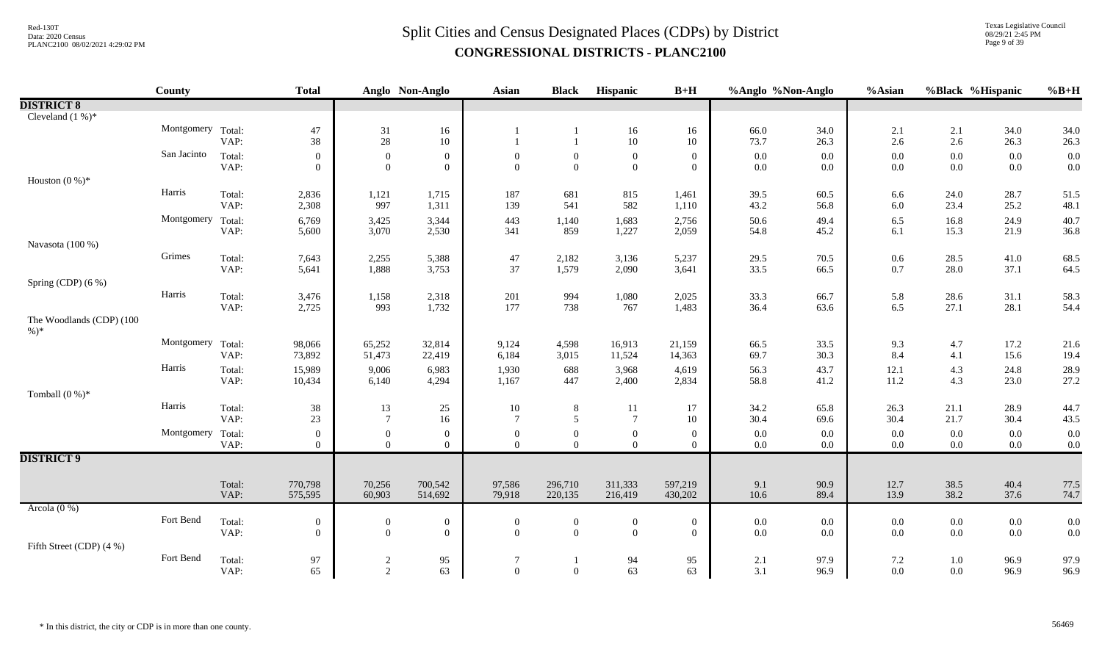Texas Legislative Council 08/29/21 2:45 PM Page 9 of 39

|                                     | <b>County</b>     |                | <b>Total</b>                     |                                    | Anglo Non-Anglo                    | Asian                    | <b>Black</b>                       | Hispanic                         | $B+H$                            | %Anglo %Non-Anglo  |              | %Asian             | %Black %Hispanic   |                    | $%B+H$       |
|-------------------------------------|-------------------|----------------|----------------------------------|------------------------------------|------------------------------------|--------------------------|------------------------------------|----------------------------------|----------------------------------|--------------------|--------------|--------------------|--------------------|--------------------|--------------|
| <b>DISTRICT 8</b>                   |                   |                |                                  |                                    |                                    |                          |                                    |                                  |                                  |                    |              |                    |                    |                    |              |
| Cleveland $(1\%)^*$                 |                   |                |                                  |                                    |                                    |                          |                                    |                                  |                                  |                    |              |                    |                    |                    |              |
|                                     | Montgomery Total: | VAP:           | 47<br>38                         | 31<br>$28\,$                       | 16<br>10                           |                          |                                    | 16<br>$10\,$                     | 16<br>10                         | 66.0<br>73.7       | 34.0<br>26.3 | 2.1<br>$2.6\,$     | 2.1<br>2.6         | 34.0<br>26.3       | 34.0<br>26.3 |
|                                     | San Jacinto       | Total:<br>VAP: | $\overline{0}$<br>$\overline{0}$ | $\boldsymbol{0}$<br>$\overline{0}$ | $\boldsymbol{0}$<br>$\overline{0}$ | $\Omega$<br>$\Omega$     | $\overline{0}$<br>$\overline{0}$   | $\mathbf{0}$<br>$\overline{0}$   | $\overline{0}$<br>$\overline{0}$ | $0.0\,$<br>$0.0\,$ | 0.0<br>0.0   | $0.0\,$<br>$0.0\,$ | $0.0\,$<br>$0.0\,$ | 0.0<br>$0.0\,$     | 0.0<br>0.0   |
| Houston $(0\%)^*$                   |                   |                |                                  |                                    |                                    |                          |                                    |                                  |                                  |                    |              |                    |                    |                    |              |
|                                     | Harris            | Total:<br>VAP: | 2,836<br>2,308                   | 1,121<br>997                       | 1,715<br>1,311                     | 187<br>139               | 681<br>541                         | 815<br>582                       | 1,461<br>1,110                   | 39.5<br>43.2       | 60.5<br>56.8 | 6.6<br>6.0         | 24.0<br>23.4       | 28.7<br>25.2       | 51.5<br>48.1 |
|                                     | Montgomery        | Total:<br>VAP: | 6,769<br>5,600                   | 3,425<br>3,070                     | 3,344<br>2,530                     | 443<br>341               | 1,140<br>859                       | 1,683<br>1,227                   | 2,756<br>2,059                   | 50.6<br>54.8       | 49.4<br>45.2 | 6.5<br>6.1         | 16.8<br>15.3       | 24.9<br>21.9       | 40.7<br>36.8 |
| Navasota (100 %)                    |                   |                |                                  |                                    |                                    |                          |                                    |                                  |                                  |                    |              |                    |                    |                    |              |
|                                     | Grimes            | Total:<br>VAP: | 7,643<br>5,641                   | 2,255<br>1,888                     | 5,388<br>3,753                     | 47<br>37                 | 2,182<br>1,579                     | 3,136<br>2,090                   | 5,237<br>3,641                   | 29.5<br>33.5       | 70.5<br>66.5 | $0.6\,$<br>0.7     | 28.5<br>28.0       | 41.0<br>37.1       | 68.5<br>64.5 |
| Spring (CDP) (6 %)                  |                   |                |                                  |                                    |                                    |                          |                                    |                                  |                                  |                    |              |                    |                    |                    |              |
|                                     | Harris            | Total:<br>VAP: | 3,476<br>2,725                   | 1,158<br>993                       | 2,318<br>1,732                     | 201<br>177               | 994<br>738                         | 1,080<br>767                     | 2,025<br>1,483                   | 33.3<br>36.4       | 66.7<br>63.6 | 5.8<br>6.5         | 28.6<br>27.1       | 31.1<br>28.1       | 58.3<br>54.4 |
| The Woodlands (CDP) (100<br>$\%$ )* |                   |                |                                  |                                    |                                    |                          |                                    |                                  |                                  |                    |              |                    |                    |                    |              |
|                                     | Montgomery Total: | VAP:           | 98,066<br>73,892                 | 65,252<br>51,473                   | 32,814<br>22,419                   | 9,124<br>6,184           | 4,598<br>3,015                     | 16,913<br>11,524                 | 21,159<br>14,363                 | 66.5<br>69.7       | 33.5<br>30.3 | 9.3<br>8.4         | 4.7<br>4.1         | 17.2<br>15.6       | 21.6<br>19.4 |
|                                     | Harris            | Total:<br>VAP: | 15,989<br>10,434                 | 9,006<br>6,140                     | 6,983<br>4,294                     | 1,930<br>1,167           | 688<br>447                         | 3,968<br>2,400                   | 4,619<br>2,834                   | 56.3<br>58.8       | 43.7<br>41.2 | 12.1<br>11.2       | 4.3<br>4.3         | 24.8<br>23.0       | 28.9<br>27.2 |
| Tomball $(0\%)^*$                   |                   |                |                                  |                                    |                                    |                          |                                    |                                  |                                  |                    |              |                    |                    |                    |              |
|                                     | Harris            | Total:<br>VAP: | 38<br>23                         | 13<br>$7\phantom{.0}$              | 25<br>16                           | 10<br>$\overline{7}$     | 8<br>5                             | 11<br>$7\phantom{.0}$            | 17<br>10                         | 34.2<br>30.4       | 65.8<br>69.6 | 26.3<br>30.4       | 21.1<br>21.7       | 28.9<br>30.4       | 44.7<br>43.5 |
|                                     | Montgomery Total: | VAP:           | $\overline{0}$<br>$\overline{0}$ | $\mathbf{0}$<br>$\overline{0}$     | $\mathbf{0}$<br>$\Omega$           | $\mathbf{0}$<br>$\Omega$ | $\mathbf{0}$<br>$\overline{0}$     | $\boldsymbol{0}$<br>$\Omega$     | $\mathbf{0}$<br>$\theta$         | $0.0\,$<br>$0.0\,$ | 0.0<br>0.0   | 0.0<br>$0.0\,$     | $0.0\,$<br>$0.0\,$ | $0.0\,$<br>$0.0\,$ | 0.0<br>0.0   |
| <b>DISTRICT 9</b>                   |                   |                |                                  |                                    |                                    |                          |                                    |                                  |                                  |                    |              |                    |                    |                    |              |
|                                     |                   | Total:<br>VAP: | 770,798<br>575,595               | 70,256<br>60,903                   | 700,542<br>514,692                 | 97,586<br>79,918         | 296,710<br>220,135                 | 311,333<br>216,419               | 597,219<br>430,202               | 9.1<br>10.6        | 90.9<br>89.4 | 12.7<br>13.9       | 38.5<br>38.2       | 40.4<br>37.6       | 77.5<br>74.7 |
| Arcola $(0\%)$                      |                   |                |                                  |                                    |                                    |                          |                                    |                                  |                                  |                    |              |                    |                    |                    |              |
|                                     | Fort Bend         | Total:<br>VAP: | $\mathbf{0}$<br>$\overline{0}$   | $\mathbf{0}$<br>$\overline{0}$     | $\boldsymbol{0}$<br>$\theta$       | $\mathbf{0}$<br>$\Omega$ | $\boldsymbol{0}$<br>$\overline{0}$ | $\boldsymbol{0}$<br>$\mathbf{0}$ | $\mathbf{0}$<br>$\overline{0}$   | $0.0\,$<br>$0.0\,$ | 0.0<br>0.0   | 0.0<br>0.0         | $0.0\,$<br>$0.0\,$ | $0.0\,$<br>0.0     | 0.0<br>0.0   |
| Fifth Street (CDP) (4 %)            |                   |                |                                  |                                    |                                    |                          |                                    |                                  |                                  |                    |              |                    |                    |                    |              |
|                                     | Fort Bend         | Total:<br>VAP: | 97<br>65                         | 2<br>2                             | 95<br>63                           | 7<br>$\Omega$            | $\mathbf{1}$<br>$\overline{0}$     | 94<br>63                         | 95<br>63                         | 2.1<br>3.1         | 97.9<br>96.9 | 7.2<br>$0.0\,$     | $1.0\,$<br>$0.0\,$ | 96.9<br>96.9       | 97.9<br>96.9 |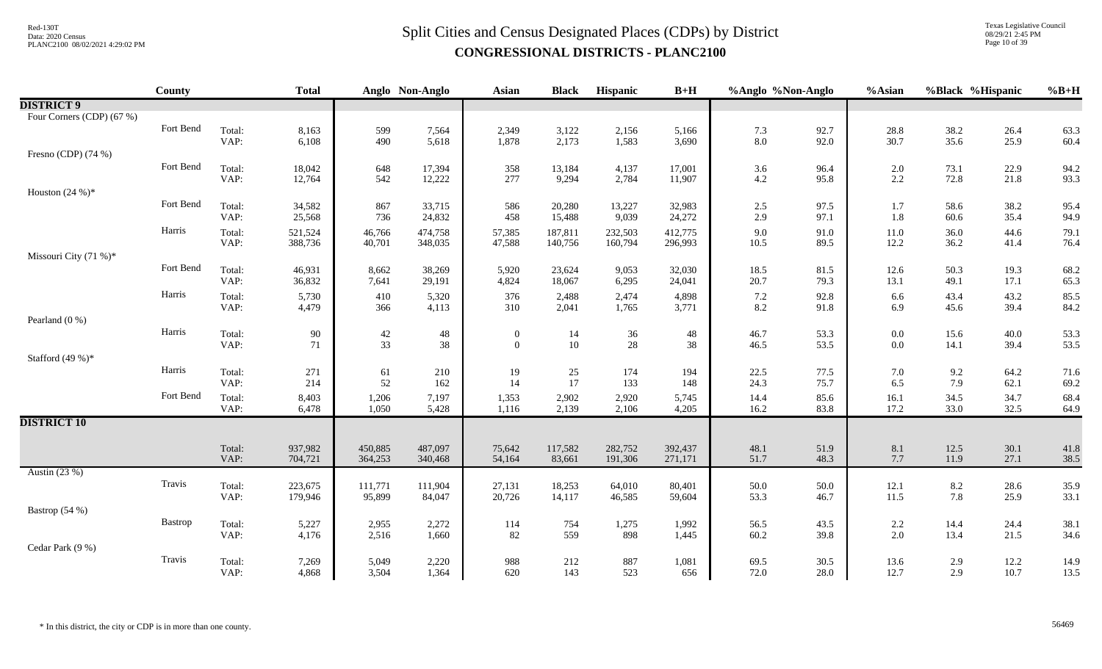Texas Legislative Council 08/29/21 2:45 PM Page 10 of 39

|                           | County    |                | <b>Total</b>       |                    | Anglo Non-Anglo    | Asian            | <b>Black</b>      | Hispanic           | $B+H$              | %Anglo %Non-Anglo |              | %Asian     | %Black %Hispanic |              | $%B+H$       |
|---------------------------|-----------|----------------|--------------------|--------------------|--------------------|------------------|-------------------|--------------------|--------------------|-------------------|--------------|------------|------------------|--------------|--------------|
| <b>DISTRICT 9</b>         |           |                |                    |                    |                    |                  |                   |                    |                    |                   |              |            |                  |              |              |
| Four Corners (CDP) (67 %) |           |                |                    |                    |                    |                  |                   |                    |                    |                   |              |            |                  |              |              |
|                           | Fort Bend | Total:         | 8,163              | 599                | 7,564              | 2,349            | 3,122             | 2,156              | 5,166              | 7.3               | 92.7         | 28.8       | 38.2             | 26.4         | 63.3         |
|                           |           | VAP:           | 6,108              | 490                | 5,618              | 1,878            | 2,173             | 1,583              | 3,690              | 8.0               | 92.0         | 30.7       | 35.6             | 25.9         | 60.4         |
| Fresno (CDP) (74 %)       |           |                |                    |                    |                    |                  |                   |                    |                    |                   |              |            |                  |              |              |
|                           | Fort Bend | Total:         | 18,042             | 648                | 17,394             | 358              | 13,184            | 4,137              | 17,001             | 3.6               | 96.4         | 2.0        | 73.1             | 22.9         | 94.2         |
|                           |           | VAP:           | 12,764             | 542                | 12,222             | 277              | 9,294             | 2,784              | 11,907             | 4.2               | 95.8         | 2.2        | 72.8             | 21.8         | 93.3         |
| Houston $(24%)$ *         |           |                |                    |                    |                    |                  |                   |                    |                    |                   |              |            |                  |              |              |
|                           | Fort Bend | Total:         | 34,582             | 867                | 33,715             | 586              | 20,280            | 13,227             | 32,983             | $2.5\,$           | 97.5         | 1.7        | 58.6             | 38.2         | 95.4         |
|                           |           | VAP:           | 25,568             | 736                | 24,832             | 458              | 15,488            | 9,039              | 24,272             | 2.9               | 97.1         | 1.8        | 60.6             | 35.4         | 94.9         |
|                           | Harris    | Total:         | 521,524            | 46,766             | 474,758            | 57,385           | 187,811           | 232,503            | 412,775            | 9.0               | 91.0         | 11.0       | 36.0             | 44.6         | 79.1         |
|                           |           | VAP:           | 388,736            | 40,701             | 348,035            | 47,588           | 140,756           | 160,794            | 296,993            | 10.5              | 89.5         | 12.2       | 36.2             | 41.4         | 76.4         |
| Missouri City (71 %)*     |           |                |                    |                    |                    |                  |                   |                    |                    |                   |              |            |                  |              |              |
|                           | Fort Bend | Total:         | 46,931             | 8,662              | 38,269             | 5,920            | 23,624            | 9,053              | 32,030             | 18.5              | 81.5         | 12.6       | 50.3             | 19.3         | 68.2         |
|                           |           | VAP:           | 36,832             | 7,641              | 29,191             | 4,824            | 18,067            | 6,295              | 24,041             | 20.7              | 79.3         | 13.1       | 49.1             | 17.1         | 65.3         |
|                           | Harris    | Total:         | 5,730              | 410                | 5,320              | 376              | 2,488             | 2,474              | 4,898              | 7.2               | 92.8         | 6.6        | 43.4             | 43.2         | 85.5         |
|                           |           | VAP:           | 4,479              | 366                | 4,113              | 310              | 2,041             | 1,765              | 3,771              | $8.2\,$           | 91.8         | 6.9        | 45.6             | 39.4         | 84.2         |
| Pearland $(0\%)$          |           |                |                    |                    |                    |                  |                   |                    |                    |                   |              |            |                  |              |              |
|                           | Harris    | Total:         | $90\,$             | $42\,$             | $\sqrt{48}$        | $\boldsymbol{0}$ | 14                | 36                 | $48\,$             | 46.7              | 53.3         | $0.0\,$    | 15.6             | 40.0         | 53.3         |
|                           |           | VAP:           | 71                 | 33                 | 38                 | $\overline{0}$   | 10                | $28\,$             | 38                 | 46.5              | 53.5         | 0.0        | 14.1             | 39.4         | 53.5         |
| Stafford $(49%)$ *        |           |                |                    |                    |                    |                  |                   |                    |                    |                   |              |            |                  |              |              |
|                           | Harris    | Total:         | 271                | 61                 | 210                | 19               | 25                | 174                | 194                | 22.5              | 77.5         | 7.0        | 9.2              | 64.2         | 71.6         |
|                           |           | VAP:           | 214                | 52                 | 162                | 14               | 17                | 133                | 148                | 24.3              | 75.7         | 6.5        | 7.9              | 62.1         | 69.2         |
|                           | Fort Bend | Total:         | 8,403              | 1,206              | 7,197              | 1,353            | 2,902             | 2,920              | 5,745              | 14.4              | 85.6         | 16.1       | 34.5             | 34.7         | 68.4         |
|                           |           | VAP:           | 6,478              | 1,050              | 5,428              | 1,116            | 2,139             | 2,106              | 4,205              | 16.2              | 83.8         | 17.2       | 33.0             | 32.5         | 64.9         |
| <b>DISTRICT 10</b>        |           |                |                    |                    |                    |                  |                   |                    |                    |                   |              |            |                  |              |              |
|                           |           |                |                    |                    |                    |                  |                   |                    |                    |                   |              |            |                  |              |              |
|                           |           | Total:<br>VAP: | 937,982<br>704,721 | 450,885<br>364,253 | 487,097<br>340,468 | 75,642<br>54,164 | 117,582<br>83,661 | 282,752<br>191,306 | 392,437<br>271,171 | 48.1<br>51.7      | 51.9<br>48.3 | 8.1<br>7.7 | 12.5<br>11.9     | 30.1<br>27.1 | 41.8<br>38.5 |
| Austin (23 %)             |           |                |                    |                    |                    |                  |                   |                    |                    |                   |              |            |                  |              |              |
|                           | Travis    | Total:         | 223,675            | 111,771            | 111,904            | 27,131           | 18,253            | 64,010             | 80,401             | 50.0              | 50.0         | 12.1       | 8.2              | 28.6         | 35.9         |
|                           |           | VAP:           | 179,946            | 95,899             | 84,047             | 20,726           | 14,117            | 46,585             | 59,604             | 53.3              | 46.7         | 11.5       | 7.8              | 25.9         | 33.1         |
| Bastrop (54 %)            |           |                |                    |                    |                    |                  |                   |                    |                    |                   |              |            |                  |              |              |
|                           | Bastrop   | Total:         | 5,227              | 2,955              | 2,272              | 114              | 754               | 1,275              | 1,992              | 56.5              | 43.5         | 2.2        | 14.4             | 24.4         | 38.1         |
|                           |           | VAP:           | 4,176              | 2,516              | 1,660              | 82               | 559               | 898                | 1,445              | 60.2              | 39.8         | 2.0        | 13.4             | 21.5         | 34.6         |
| Cedar Park (9 %)          |           |                |                    |                    |                    |                  |                   |                    |                    |                   |              |            |                  |              |              |
|                           | Travis    | Total:         | 7,269              | 5,049              | 2,220              | 988              | 212               | 887                | 1,081              | 69.5              | 30.5         | 13.6       | 2.9              | 12.2         | 14.9         |
|                           |           | VAP:           | 4,868              | 3,504              | 1,364              | 620              | 143               | 523                | 656                | 72.0              | 28.0         | 12.7       | 2.9              | 10.7         | 13.5         |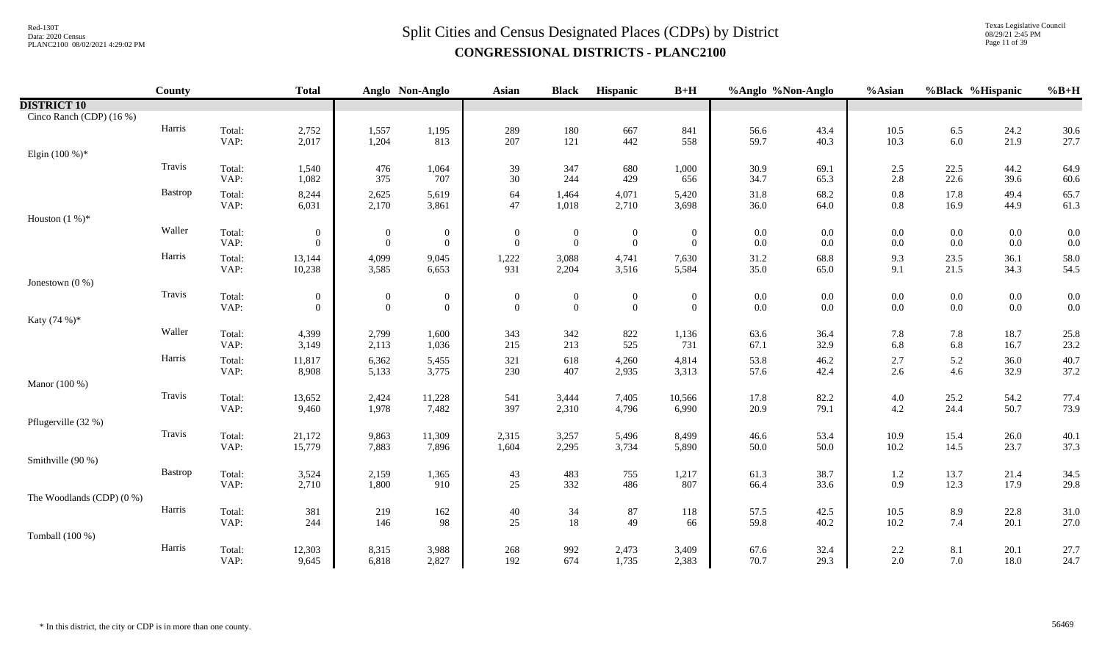# $Split$  Cities and Census Designated Places (CDPs) by District  $Split$  Cities and Census Designated Places (CDPs) by District **CONGRESSIONAL DISTRICTS - PLANC2100**

Texas Legislative Council 08/29/21 2:45 PM Page 11 of 39

|                           | <b>County</b> |                | <b>Total</b>     |                | Anglo Non-Anglo  | <b>Asian</b>     | <b>Black</b>     | Hispanic         | $B+H$           | %Anglo %Non-Anglo |              | %Asian             | %Black %Hispanic |              | $%B+H$       |
|---------------------------|---------------|----------------|------------------|----------------|------------------|------------------|------------------|------------------|-----------------|-------------------|--------------|--------------------|------------------|--------------|--------------|
| <b>DISTRICT 10</b>        |               |                |                  |                |                  |                  |                  |                  |                 |                   |              |                    |                  |              |              |
| Cinco Ranch (CDP) (16 %)  |               |                |                  |                |                  |                  |                  |                  |                 |                   |              |                    |                  |              |              |
|                           | Harris        | Total:         | 2,752            | 1,557          | 1,195            | 289              | 180              | 667              | 841             | 56.6              | 43.4         | $10.5\,$           | 6.5              | 24.2         | 30.6         |
|                           |               | VAP:           | 2,017            | 1,204          | 813              | 207              | 121              | 442              | 558             | 59.7              | 40.3         | 10.3               | 6.0              | 21.9         | 27.7         |
| Elgin $(100\%)^*$         |               |                |                  |                |                  |                  |                  |                  |                 |                   |              |                    |                  |              |              |
|                           | Travis        | Total:         | 1,540            | 476            | 1,064            | 39               | 347              | 680              | 1,000           | 30.9              | 69.1         | 2.5                | 22.5             | 44.2         | 64.9         |
|                           |               | VAP:           | 1,082            | 375            | 707              | 30               | 244              | 429              | 656             | 34.7              | 65.3         | 2.8                | 22.6             | 39.6         | 60.6         |
|                           | Bastrop       | Total:<br>VAP: | 8,244<br>6,031   | 2,625<br>2,170 | 5,619<br>3,861   | 64<br>47         | 1,464<br>1,018   | 4,071<br>2,710   | 5,420<br>3,698  | 31.8<br>36.0      | 68.2<br>64.0 | $0.8\,$<br>$0.8\,$ | 17.8<br>16.9     | 49.4<br>44.9 | 65.7<br>61.3 |
| Houston $(1%)^*$          |               |                |                  |                |                  |                  |                  |                  |                 |                   |              |                    |                  |              |              |
|                           | Waller        | Total:         | $\mathbf{0}$     | $\overline{0}$ | $\boldsymbol{0}$ | $\boldsymbol{0}$ | $\boldsymbol{0}$ | $\boldsymbol{0}$ | $\overline{0}$  | 0.0               | 0.0          | $0.0\,$            | $0.0\,$          | $0.0\,$      | 0.0          |
|                           |               | VAP:           | $\overline{0}$   | $\overline{0}$ | $\overline{0}$   | $\overline{0}$   | $\overline{0}$   | $\overline{0}$   | $\overline{0}$  | 0.0               | 0.0          | $0.0\,$            | $0.0\,$          | $0.0\,$      | 0.0          |
|                           | Harris        | Total:         | 13,144           | 4,099          | 9,045            | 1,222            | 3,088            | 4,741            | 7,630           | 31.2              | 68.8         | 9.3                | 23.5             | 36.1         | 58.0         |
|                           |               | VAP:           | 10,238           | 3,585          | 6,653            | 931              | 2,204            | 3,516            | 5,584           | 35.0              | 65.0         | 9.1                | 21.5             | 34.3         | 54.5         |
| Jonestown $(0, % )$       |               |                |                  |                |                  |                  |                  |                  |                 |                   |              |                    |                  |              |              |
|                           | Travis        | Total:         | $\boldsymbol{0}$ | $\overline{0}$ | $\boldsymbol{0}$ | $\mathbf{0}$     | $\boldsymbol{0}$ | $\boldsymbol{0}$ | $\overline{0}$  | $0.0\,$           | $0.0\,$      | $0.0\,$            | $0.0\,$          | $0.0\,$      | $0.0\,$      |
|                           |               | VAP:           | $\overline{0}$   | $\overline{0}$ | $\overline{0}$   | $\theta$         | $\overline{0}$   | $\overline{0}$   | $\overline{0}$  | $0.0\,$           | 0.0          | $0.0\,$            | $0.0\,$          | $0.0\,$      | 0.0          |
| Katy (74 %)*              |               |                |                  |                |                  |                  |                  |                  |                 |                   |              |                    |                  |              |              |
|                           | Waller        | Total:         | 4,399            | 2,799          | 1,600            | 343              | 342              | 822              | 1,136           | 63.6              | 36.4         | 7.8                | 7.8              | 18.7         | 25.8         |
|                           |               | VAP:           | 3,149            | 2,113          | 1,036            | 215              | 213              | 525              | 731             | 67.1              | 32.9         | 6.8                | 6.8              | 16.7         | 23.2         |
|                           | Harris        | Total:         | 11,817           | 6,362          | 5,455            | 321              | 618              | 4,260            | 4,814           | 53.8              | 46.2         | $2.7\,$            | 5.2              | 36.0         | 40.7         |
|                           |               | VAP:           | 8,908            | 5,133          | 3,775            | 230              | 407              | 2,935            | 3,313           | 57.6              | 42.4         | 2.6                | 4.6              | 32.9         | 37.2         |
| Manor (100 %)             | Travis        |                |                  |                |                  |                  |                  |                  |                 |                   |              |                    |                  |              |              |
|                           |               | Total:<br>VAP: | 13,652<br>9,460  | 2,424<br>1,978 | 11,228<br>7,482  | 541<br>397       | 3,444<br>2,310   | 7,405<br>4,796   | 10,566<br>6,990 | 17.8<br>20.9      | 82.2<br>79.1 | $4.0\,$<br>$4.2\,$ | 25.2<br>24.4     | 54.2<br>50.7 | 77.4<br>73.9 |
| Pflugerville (32 %)       |               |                |                  |                |                  |                  |                  |                  |                 |                   |              |                    |                  |              |              |
|                           | Travis        | Total:         | 21,172           | 9,863          | 11,309           | 2,315            | 3,257            | 5,496            | 8,499           | 46.6              | 53.4         | 10.9               | 15.4             | 26.0         | 40.1         |
|                           |               | VAP:           | 15,779           | 7,883          | 7,896            | 1,604            | 2,295            | 3,734            | 5,890           | 50.0              | 50.0         | 10.2               | 14.5             | 23.7         | 37.3         |
| Smithville (90 %)         |               |                |                  |                |                  |                  |                  |                  |                 |                   |              |                    |                  |              |              |
|                           | Bastrop       | Total:         | 3,524            | 2,159          | 1,365            | 43               | 483              | 755              | 1,217           | 61.3              | 38.7         | 1.2                | 13.7             | 21.4         | 34.5         |
|                           |               | VAP:           | 2,710            | 1,800          | 910              | 25               | 332              | 486              | 807             | 66.4              | 33.6         | 0.9                | 12.3             | 17.9         | 29.8         |
| The Woodlands (CDP) (0 %) |               |                |                  |                |                  |                  |                  |                  |                 |                   |              |                    |                  |              |              |
|                           | Harris        | Total:         | 381              | 219            | 162              | 40               | 34               | $87\,$           | 118             | 57.5              | 42.5         | $10.5\,$           | 8.9              | 22.8         | 31.0         |
|                           |               | VAP:           | 244              | 146            | 98               | 25               | 18               | 49               | 66              | 59.8              | 40.2         | $10.2\,$           | 7.4              | 20.1         | 27.0         |
| Tomball (100 %)           |               |                |                  |                |                  |                  |                  |                  |                 |                   |              |                    |                  |              |              |
|                           | Harris        | Total:         | 12,303           | 8,315          | 3,988            | 268              | 992              | 2,473            | 3,409           | 67.6              | 32.4         | $2.2\,$            | 8.1              | 20.1         | 27.7         |
|                           |               | VAP:           | 9,645            | 6,818          | 2,827            | 192              | 674              | 1,735            | 2,383           | 70.7              | 29.3         | 2.0                | 7.0              | 18.0         | 24.7         |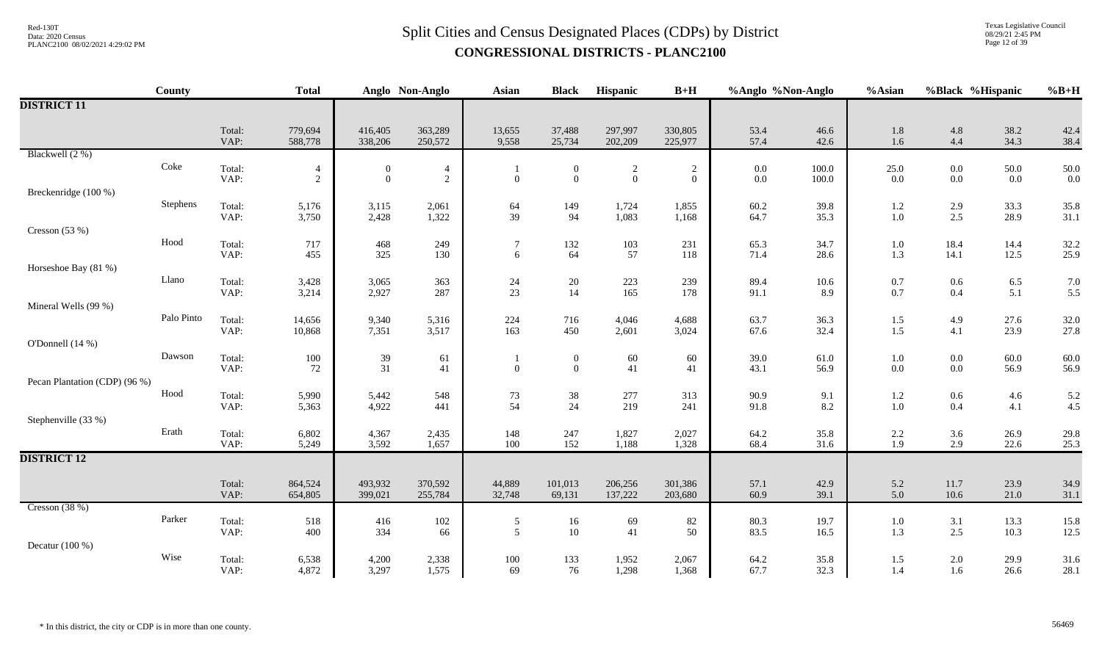Texas Legislative Council 08/29/21 2:45 PM Page 12 of 39

|                               | County     |                | <b>Total</b>                 |                                      | Anglo Non-Anglo     | <b>Asian</b>        | <b>Black</b>                       | Hispanic                       | $B+H$                          | %Anglo %Non-Anglo  |                 | %Asian             | %Black %Hispanic   |                  | $%B+H$       |
|-------------------------------|------------|----------------|------------------------------|--------------------------------------|---------------------|---------------------|------------------------------------|--------------------------------|--------------------------------|--------------------|-----------------|--------------------|--------------------|------------------|--------------|
| <b>DISTRICT 11</b>            |            |                |                              |                                      |                     |                     |                                    |                                |                                |                    |                 |                    |                    |                  |              |
|                               |            | Total:<br>VAP: | 779,694<br>588,778           | 416,405<br>338,206                   | 363,289<br>250,572  | 13,655<br>9,558     | 37,488<br>25,734                   | 297,997<br>202,209             | 330,805<br>225,977             | 53.4<br>57.4       | 46.6<br>42.6    | $1.8\,$<br>1.6     | $4.8\,$<br>4.4     | 38.2<br>34.3     | 42.4<br>38.4 |
| Blackwell (2 %)               |            |                |                              |                                      |                     |                     |                                    |                                |                                |                    |                 |                    |                    |                  |              |
|                               | Coke       | Total:<br>VAP: | $\overline{4}$<br>$\sqrt{2}$ | $\boldsymbol{0}$<br>$\boldsymbol{0}$ | $\overline{4}$<br>2 | $\boldsymbol{0}$    | $\theta$<br>$\overline{0}$         | $\overline{c}$<br>$\mathbf{0}$ | $\overline{c}$<br>$\mathbf{0}$ | $0.0\,$<br>$0.0\,$ | 100.0<br>100.0  | 25.0<br>$0.0\,$    | $0.0\,$<br>$0.0\,$ | 50.0<br>$0.0\,$  | 50.0<br>0.0  |
| Breckenridge (100 %)          |            |                |                              |                                      |                     |                     |                                    |                                |                                |                    |                 |                    |                    |                  |              |
|                               | Stephens   | Total:<br>VAP: | 5,176<br>3,750               | 3,115<br>2,428                       | 2,061<br>1,322      | 64<br>39            | 149<br>94                          | 1,724<br>1,083                 | 1,855<br>1,168                 | 60.2<br>64.7       | 39.8<br>35.3    | 1.2<br>$1.0\,$     | $\frac{2.9}{2.5}$  | 33.3<br>28.9     | 35.8<br>31.1 |
| Cresson $(53%)$               |            |                |                              |                                      |                     |                     |                                    |                                |                                |                    |                 |                    |                    |                  |              |
|                               | Hood       | Total:<br>VAP: | 717<br>455                   | 468<br>325                           | 249<br>130          | $\overline{7}$<br>6 | 132<br>64                          | 103<br>57                      | 231<br>118                     | 65.3<br>71.4       | 34.7<br>28.6    | $1.0\,$<br>1.3     | 18.4<br>14.1       | 14.4<br>12.5     | 32.2<br>25.9 |
| Horseshoe Bay (81 %)          |            |                |                              |                                      |                     |                     |                                    |                                |                                |                    |                 |                    |                    |                  |              |
|                               | Llano      | Total:<br>VAP: | 3,428<br>3,214               | 3,065<br>2,927                       | 363<br>287          | 24<br>23            | $20\,$<br>14                       | 223<br>165                     | 239<br>178                     | 89.4<br>91.1       | $10.6\,$<br>8.9 | 0.7<br>0.7         | $0.6\,$<br>0.4     | $6.5\,$<br>5.1   | 7.0<br>5.5   |
| Mineral Wells (99 %)          |            |                |                              |                                      |                     |                     |                                    |                                |                                |                    |                 |                    |                    |                  |              |
|                               | Palo Pinto | Total:<br>VAP: | 14,656<br>10,868             | 9,340<br>7,351                       | 5,316<br>3,517      | $224\,$<br>163      | 716<br>450                         | 4,046<br>2,601                 | 4,688<br>3,024                 | 63.7<br>67.6       | 36.3<br>32.4    | 1.5<br>1.5         | 4.9<br>4.1         | 27.6<br>23.9     | 32.0<br>27.8 |
| O'Donnell (14 %)              |            |                |                              |                                      |                     |                     |                                    |                                |                                |                    |                 |                    |                    |                  |              |
|                               | Dawson     | Total:<br>VAP: | $100\,$<br>72                | $\frac{39}{31}$                      | 61<br>41            | $\mathbf{0}$        | $\boldsymbol{0}$<br>$\overline{0}$ | 60<br>41                       | 60<br>41                       | 39.0<br>43.1       | 61.0<br>56.9    | $1.0\,$<br>$0.0\,$ | $0.0\,$<br>$0.0\,$ | $60.0\,$<br>56.9 | 60.0<br>56.9 |
| Pecan Plantation (CDP) (96 %) |            |                |                              |                                      |                     |                     |                                    |                                |                                |                    |                 |                    |                    |                  |              |
|                               | Hood       | Total:<br>VAP: | 5,990<br>5,363               | 5,442<br>4,922                       | 548<br>441          | $73\,$<br>54        | $38\,$<br>24                       | 277<br>219                     | 313<br>241                     | 90.9<br>91.8       | 9.1<br>8.2      | $1.2\,$<br>$1.0\,$ | $0.6\,$<br>0.4     | $4.6\,$<br>4.1   | 5.2<br>4.5   |
| Stephenville (33 %)           |            |                |                              |                                      |                     |                     |                                    |                                |                                |                    |                 |                    |                    |                  |              |
|                               | Erath      | Total:<br>VAP: | 6,802<br>5,249               | 4,367<br>3,592                       | 2,435<br>1,657      | 148<br>100          | 247<br>152                         | 1,827<br>1,188                 | 2,027<br>1,328                 | 64.2<br>68.4       | 35.8<br>31.6    | 2.2<br>1.9         | $3.6$<br>2.9       | 26.9<br>22.6     | 29.8<br>25.3 |
| <b>DISTRICT 12</b>            |            |                |                              |                                      |                     |                     |                                    |                                |                                |                    |                 |                    |                    |                  |              |
|                               |            | Total:<br>VAP: | 864,524<br>654,805           | 493,932<br>399,021                   | 370,592<br>255,784  | 44,889<br>32,748    | 101,013<br>69,131                  | 206,256<br>137,222             | 301,386<br>203,680             | 57.1<br>60.9       | 42.9<br>39.1    | 5.2<br>5.0         | 11.7<br>$10.6\,$   | 23.9<br>21.0     | 34.9<br>31.1 |
| Cresson $(38%)$               |            |                |                              |                                      |                     |                     |                                    |                                |                                |                    |                 |                    |                    |                  |              |
|                               | Parker     | Total:<br>VAP: | 518<br>400                   | 416<br>334                           | 102<br>66           | $\mathfrak{S}$<br>5 | $16\,$<br>10                       | 69<br>41                       | 82<br>50                       | 80.3<br>83.5       | 19.7<br>16.5    | $1.0\,$<br>1.3     | 3.1<br>2.5         | 13.3<br>10.3     | 15.8<br>12.5 |
| Decatur $(100\%)$             |            |                |                              |                                      |                     |                     |                                    |                                |                                |                    |                 |                    |                    |                  |              |
|                               | Wise       | Total:<br>VAP: | 6,538<br>4,872               | 4,200<br>3,297                       | 2,338<br>1,575      | $100\,$<br>69       | 133<br>76                          | 1,952<br>1,298                 | 2,067<br>1,368                 | 64.2<br>67.7       | 35.8<br>32.3    | $1.5\,$<br>1.4     | $2.0\,$<br>1.6     | 29.9<br>26.6     | 31.6<br>28.1 |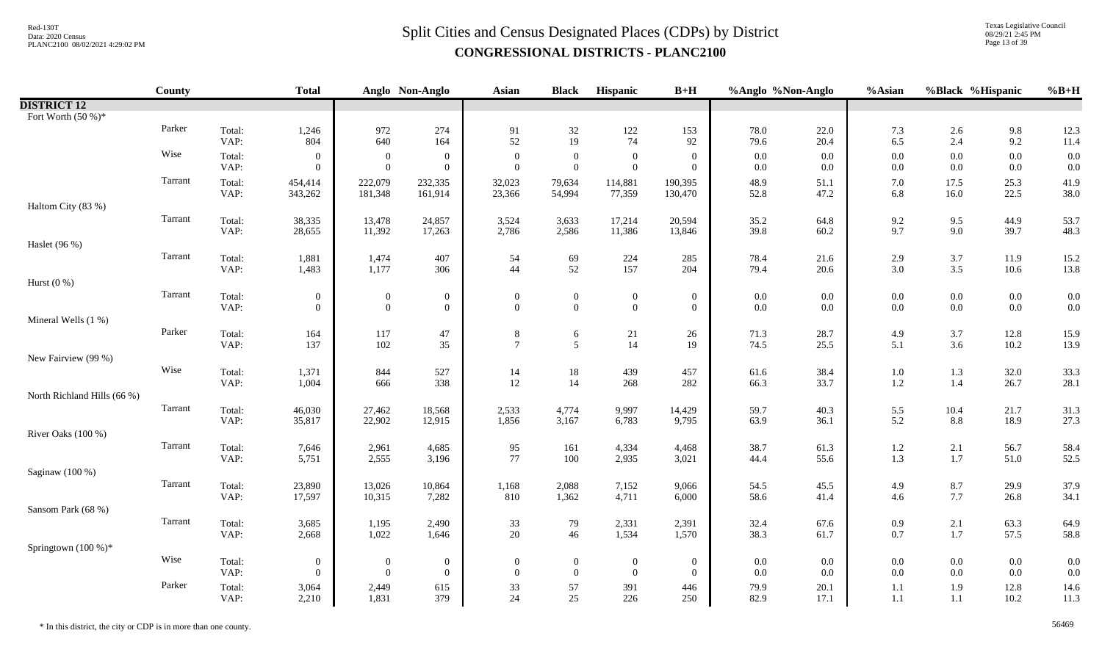Texas Legislative Council 08/29/21 2:45 PM Page 13 of 39

|                             | County  |                | <b>Total</b>                     |                                      | Anglo Non-Anglo                    | Asian                              | <b>Black</b>                     | Hispanic                             | $B+H$                            | %Anglo %Non-Anglo  |              | %Asian             | %Black %Hispanic   |                    | $%B+H$       |
|-----------------------------|---------|----------------|----------------------------------|--------------------------------------|------------------------------------|------------------------------------|----------------------------------|--------------------------------------|----------------------------------|--------------------|--------------|--------------------|--------------------|--------------------|--------------|
| <b>DISTRICT 12</b>          |         |                |                                  |                                      |                                    |                                    |                                  |                                      |                                  |                    |              |                    |                    |                    |              |
| Fort Worth $(50\%)^*$       |         |                |                                  |                                      |                                    |                                    |                                  |                                      |                                  |                    |              |                    |                    |                    |              |
|                             | Parker  | Total:<br>VAP: | 1,246<br>804                     | 972<br>640                           | 274<br>164                         | 91<br>52                           | 32<br>19                         | $122\,$<br>74                        | 153<br>92                        | 78.0<br>79.6       | 22.0<br>20.4 | 7.3<br>6.5         | 2.6<br>2.4         | $9.8\,$<br>9.2     | 12.3<br>11.4 |
|                             | Wise    | Total:<br>VAP: | $\overline{0}$<br>$\overline{0}$ | $\mathbf{0}$<br>$\overline{0}$       | $\boldsymbol{0}$<br>$\overline{0}$ | $\overline{0}$<br>$\Omega$         | $\overline{0}$<br>$\overline{0}$ | $\boldsymbol{0}$<br>$\boldsymbol{0}$ | $\mathbf{0}$<br>$\mathbf{0}$     | $0.0\,$<br>$0.0\,$ | 0.0<br>0.0   | $0.0\,$<br>$0.0\,$ | $0.0\,$<br>$0.0\,$ | $0.0\,$<br>0.0     | 0.0<br>0.0   |
|                             | Tarrant | Total:<br>VAP: | 454,414<br>343,262               | 222,079<br>181,348                   | 232,335<br>161,914                 | 32,023<br>23,366                   | 79,634<br>54,994                 | 114,881<br>77,359                    | 190,395<br>130,470               | 48.9<br>52.8       | 51.1<br>47.2 | 7.0<br>6.8         | 17.5<br>16.0       | 25.3<br>22.5       | 41.9<br>38.0 |
| Haltom City (83 %)          |         |                |                                  |                                      |                                    |                                    |                                  |                                      |                                  |                    |              |                    |                    |                    |              |
|                             | Tarrant | Total:<br>VAP: | 38,335<br>28,655                 | 13,478<br>11,392                     | 24,857<br>17,263                   | 3,524<br>2,786                     | 3,633<br>2,586                   | 17,214<br>11,386                     | 20,594<br>13,846                 | 35.2<br>39.8       | 64.8<br>60.2 | 9.2<br>9.7         | 9.5<br>9.0         | 44.9<br>39.7       | 53.7<br>48.3 |
| Haslet (96 %)               |         |                |                                  |                                      |                                    |                                    |                                  |                                      |                                  |                    |              |                    |                    |                    |              |
|                             | Tarrant | Total:<br>VAP: | 1,881<br>1,483                   | 1,474<br>1,177                       | 407<br>306                         | 54<br>44                           | 69<br>52                         | 224<br>157                           | 285<br>204                       | 78.4<br>79.4       | 21.6<br>20.6 | 2.9<br>3.0         | 3.7<br>$3.5$       | 11.9<br>$10.6\,$   | 15.2<br>13.8 |
| Hurst $(0\%)$               |         |                |                                  |                                      |                                    |                                    |                                  |                                      |                                  |                    |              |                    |                    |                    |              |
|                             | Tarrant | Total:<br>VAP: | $\overline{0}$<br>$\overline{0}$ | $\boldsymbol{0}$<br>$\boldsymbol{0}$ | $\boldsymbol{0}$<br>$\mathbf{0}$   | $\boldsymbol{0}$<br>$\theta$       | $\overline{0}$<br>$\mathbf{0}$   | $\mathbf{0}$<br>$\mathbf{0}$         | $\mathbf{0}$<br>$\mathbf{0}$     | $0.0\,$<br>0.0     | 0.0<br>0.0   | $0.0\,$<br>$0.0\,$ | $0.0\,$<br>$0.0\,$ | $0.0\,$<br>$0.0\,$ | 0.0<br>0.0   |
| Mineral Wells (1 %)         |         |                |                                  |                                      |                                    |                                    |                                  |                                      |                                  |                    |              |                    |                    |                    |              |
|                             | Parker  | Total:<br>VAP: | 164<br>137                       | $117\,$<br>102                       | 47<br>35                           | $8\,$<br>$\overline{7}$            | 6<br>5                           | $21\,$<br>14                         | 26<br>19                         | 71.3<br>74.5       | 28.7<br>25.5 | 4.9<br>5.1         | $3.7$<br>3.6       | 12.8<br>10.2       | 15.9<br>13.9 |
| New Fairview (99 %)         |         |                |                                  |                                      |                                    |                                    |                                  |                                      |                                  |                    |              |                    |                    |                    |              |
|                             | Wise    | Total:<br>VAP: | 1,371<br>1,004                   | 844<br>666                           | 527<br>338                         | 14<br>12                           | $18\,$<br>14                     | 439<br>268                           | 457<br>282                       | 61.6<br>66.3       | 38.4<br>33.7 | $1.0\,$<br>$1.2\,$ | $1.3\,$<br>1.4     | 32.0<br>26.7       | 33.3<br>28.1 |
| North Richland Hills (66 %) |         |                |                                  |                                      |                                    |                                    |                                  |                                      |                                  |                    |              |                    |                    |                    |              |
|                             | Tarrant | Total:<br>VAP: | 46,030<br>35,817                 | 27,462<br>22,902                     | 18,568<br>12,915                   | 2,533<br>1,856                     | 4,774<br>3,167                   | 9,997<br>6,783                       | 14,429<br>9,795                  | 59.7<br>63.9       | 40.3<br>36.1 | 5.5<br>5.2         | 10.4<br>8.8        | 21.7<br>18.9       | 31.3<br>27.3 |
| River Oaks (100 %)          |         |                |                                  |                                      |                                    |                                    |                                  |                                      |                                  |                    |              |                    |                    |                    |              |
|                             | Tarrant | Total:<br>VAP: | 7,646<br>5,751                   | 2,961<br>2,555                       | 4,685<br>3,196                     | 95<br>77                           | 161<br>100                       | 4,334<br>2,935                       | 4,468<br>3,021                   | 38.7<br>44.4       | 61.3<br>55.6 | 1.2<br>1.3         | $2.1\,$<br>$1.7\,$ | 56.7<br>51.0       | 58.4<br>52.5 |
| Saginaw (100 %)             |         |                |                                  |                                      |                                    |                                    |                                  |                                      |                                  |                    |              |                    |                    |                    |              |
|                             | Tarrant | Total:<br>VAP: | 23,890<br>17,597                 | 13,026<br>10,315                     | 10,864<br>7,282                    | 1,168<br>810                       | 2,088<br>1,362                   | 7,152<br>4,711                       | 9,066<br>6,000                   | 54.5<br>58.6       | 45.5<br>41.4 | 4.9<br>4.6         | 8.7<br>7.7         | 29.9<br>26.8       | 37.9<br>34.1 |
| Sansom Park (68 %)          |         |                |                                  |                                      |                                    |                                    |                                  |                                      |                                  |                    |              |                    |                    |                    |              |
|                             | Tarrant | Total:<br>VAP: | 3,685<br>2,668                   | 1,195<br>1,022                       | 2,490<br>1,646                     | 33<br>20                           | 79<br>46                         | 2,331<br>1,534                       | 2,391<br>1,570                   | 32.4<br>38.3       | 67.6<br>61.7 | 0.9<br>0.7         | $2.1\,$<br>$1.7\,$ | 63.3<br>57.5       | 64.9<br>58.8 |
| Springtown $(100\%)^*$      | Wise    |                |                                  |                                      |                                    |                                    |                                  |                                      |                                  |                    |              |                    |                    |                    |              |
|                             |         | Total:<br>VAP: | $\overline{0}$<br>$\overline{0}$ | $\bf{0}$<br>$\overline{0}$           | $\boldsymbol{0}$<br>$\overline{0}$ | $\boldsymbol{0}$<br>$\overline{0}$ | $\bf{0}$<br>$\overline{0}$       | $\bf{0}$<br>$\overline{0}$           | $\overline{0}$<br>$\overline{0}$ | $0.0\,$<br>$0.0\,$ | 0.0<br>0.0   | $0.0\,$<br>0.0     | $0.0\,$<br>$0.0\,$ | $0.0\,$<br>$0.0\,$ | 0.0<br>0.0   |
|                             | Parker  | Total:<br>VAP: | 3,064<br>2,210                   | 2,449<br>1,831                       | 615<br>379                         | 33<br>24                           | 57<br>25                         | 391<br>226                           | 446<br>250                       | 79.9<br>82.9       | 20.1<br>17.1 | $1.1\,$<br>$1.1\,$ | 1.9<br>$1.1\,$     | 12.8<br>$10.2\,$   | 14.6<br>11.3 |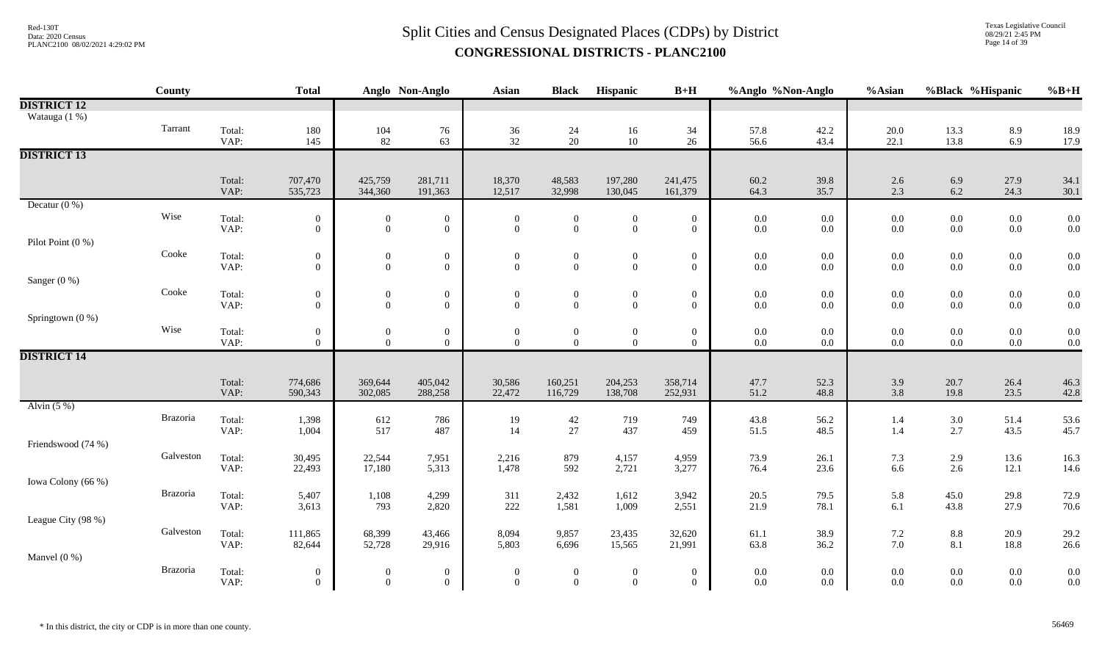Texas Legislative Council 08/29/21 2:45 PM Page 14 of 39

|                    | County    |                | <b>Total</b>                       |                                    | Anglo Non-Anglo                    | <b>Asian</b>                 | <b>Black</b>                       | Hispanic                           | $B+H$                              | %Anglo %Non-Anglo  |                    | %Asian     | %Black %Hispanic   |                    | $%B+H$                                    |
|--------------------|-----------|----------------|------------------------------------|------------------------------------|------------------------------------|------------------------------|------------------------------------|------------------------------------|------------------------------------|--------------------|--------------------|------------|--------------------|--------------------|-------------------------------------------|
| <b>DISTRICT 12</b> |           |                |                                    |                                    |                                    |                              |                                    |                                    |                                    |                    |                    |            |                    |                    |                                           |
| Watauga (1 %)      |           |                |                                    |                                    |                                    |                              |                                    |                                    |                                    |                    |                    |            |                    |                    |                                           |
|                    | Tarrant   | Total:         | 180                                | 104                                | 76                                 | 36                           | 24                                 | 16                                 | 34                                 | 57.8               | 42.2               | $20.0\,$   | 13.3               | 8.9                | 18.9                                      |
|                    |           | VAP:           | 145                                | 82                                 | 63                                 | 32                           | 20                                 | 10                                 | 26                                 | 56.6               | 43.4               | 22.1       | 13.8               | 6.9                | 17.9                                      |
| <b>DISTRICT 13</b> |           |                |                                    |                                    |                                    |                              |                                    |                                    |                                    |                    |                    |            |                    |                    |                                           |
|                    |           | Total:         | 707,470                            | 425,759                            | 281,711                            | 18,370                       | 48,583                             | 197,280                            | 241,475                            | 60.2               | 39.8               | 2.6        | 6.9                | 27.9               | 34.1                                      |
|                    |           | VAP:           | 535,723                            | 344,360                            | 191,363                            | 12,517                       | 32,998                             | 130,045                            | 161,379                            | 64.3               | 35.7               | 2.3        | 6.2                | 24.3               | 30.1                                      |
| Decatur $(0\%)$    |           |                |                                    |                                    |                                    |                              |                                    |                                    |                                    |                    |                    |            |                    |                    |                                           |
|                    | Wise      | Total:         | $\mathbf{0}$                       | $\boldsymbol{0}$                   | $\boldsymbol{0}$                   | $\boldsymbol{0}$             | $\boldsymbol{0}$                   | $\boldsymbol{0}$                   | $\boldsymbol{0}$                   | $0.0\,$            | $0.0\,$            | $0.0\,$    | $0.0\,$            | $0.0\,$            | 0.0                                       |
|                    |           | VAP:           | $\boldsymbol{0}$                   | $\boldsymbol{0}$                   | $\boldsymbol{0}$                   | $\mathbf{0}$                 | $\overline{0}$                     | $\overline{0}$                     | $\mathbf{0}$                       | $0.0\,$            | $0.0\,$            | 0.0        | $0.0\,$            | $0.0\,$            | 0.0                                       |
| Pilot Point (0 %)  |           |                |                                    |                                    |                                    |                              |                                    |                                    |                                    |                    |                    |            |                    |                    |                                           |
|                    | Cooke     | Total:         | $\boldsymbol{0}$                   | $\overline{0}$                     | $\boldsymbol{0}$                   | $\boldsymbol{0}$             | $\boldsymbol{0}$                   | $\boldsymbol{0}$                   | $\boldsymbol{0}$                   | $0.0\,$            | 0.0                | 0.0        | $0.0\,$            | $0.0\,$            | $\begin{array}{c} 0.0 \\ 0.0 \end{array}$ |
|                    |           | VAP:           | $\overline{0}$                     | $\mathbf{0}$                       | $\theta$                           | $\overline{0}$               | $\overline{0}$                     | $\mathbf{0}$                       | $\boldsymbol{0}$                   | $0.0\,$            | $0.0\,$            | 0.0        | $0.0\,$            | $0.0\,$            |                                           |
| Sanger (0 %)       | Cooke     |                |                                    |                                    |                                    |                              |                                    |                                    |                                    |                    |                    |            |                    |                    |                                           |
|                    |           | Total:<br>VAP: | $\boldsymbol{0}$<br>$\overline{0}$ | $\boldsymbol{0}$<br>$\overline{0}$ | $\boldsymbol{0}$<br>$\overline{0}$ | $\boldsymbol{0}$<br>$\theta$ | $\boldsymbol{0}$<br>$\overline{0}$ | $\boldsymbol{0}$<br>$\overline{0}$ | $\boldsymbol{0}$<br>$\overline{0}$ | $0.0\,$<br>$0.0\,$ | $0.0\,$<br>$0.0\,$ | 0.0<br>0.0 | $0.0\,$<br>$0.0\,$ | $0.0\,$<br>$0.0\,$ | 0.0<br>0.0                                |
| Springtown (0 %)   |           |                |                                    |                                    |                                    |                              |                                    |                                    |                                    |                    |                    |            |                    |                    |                                           |
|                    | Wise      | Total:         | $\boldsymbol{0}$                   | $\boldsymbol{0}$                   | $\boldsymbol{0}$                   | $\boldsymbol{0}$             | $\boldsymbol{0}$                   | $\boldsymbol{0}$                   | $\boldsymbol{0}$                   | $0.0\,$            | $0.0\,$            | $0.0\,$    | $0.0\,$            | $0.0\,$            | 0.0                                       |
|                    |           | VAP:           | $\overline{0}$                     | $\mathbf{0}$                       | $\overline{0}$                     | $\mathbf{0}$                 | $\overline{0}$                     | $\overline{0}$                     | $\overline{0}$                     | $0.0\,$            | $0.0\,$            | $0.0\,$    | $0.0\,$            | $0.0\,$            | 0.0                                       |
| <b>DISTRICT 14</b> |           |                |                                    |                                    |                                    |                              |                                    |                                    |                                    |                    |                    |            |                    |                    |                                           |
|                    |           |                |                                    |                                    |                                    |                              |                                    |                                    |                                    |                    |                    |            |                    |                    |                                           |
|                    |           | Total:         | 774,686                            | 369,644                            | 405,042                            | 30,586                       | 160,251                            | 204,253                            | 358,714                            | 47.7               | 52.3               | 3.9        | 20.7               | 26.4               | 46.3                                      |
| Alvin $(5%)$       |           | VAP:           | 590,343                            | 302,085                            | 288,258                            | 22,472                       | 116,729                            | 138,708                            | 252,931                            | 51.2               | 48.8               | 3.8        | 19.8               | 23.5               | 42.8                                      |
|                    | Brazoria  | Total:         | 1,398                              | 612                                | 786                                | 19                           | 42                                 | 719                                | 749                                | 43.8               | 56.2               | 1.4        | $3.0\,$            | 51.4               | 53.6                                      |
|                    |           | VAP:           | 1,004                              | 517                                | 487                                | 14                           | $27\,$                             | 437                                | 459                                | 51.5               | 48.5               | 1.4        | 2.7                | 43.5               | 45.7                                      |
| Friendswood (74 %) |           |                |                                    |                                    |                                    |                              |                                    |                                    |                                    |                    |                    |            |                    |                    |                                           |
|                    | Galveston | Total:         | 30,495                             | 22,544                             | 7,951                              | 2,216                        | 879                                | 4,157                              | 4,959                              | 73.9               | 26.1               | 7.3        | $2.9\,$            | 13.6               | 16.3                                      |
|                    |           | VAP:           | 22,493                             | 17,180                             | 5,313                              | 1,478                        | 592                                | 2,721                              | 3,277                              | 76.4               | 23.6               | 6.6        | 2.6                | 12.1               | 14.6                                      |
| Iowa Colony (66 %) |           |                |                                    |                                    |                                    |                              |                                    |                                    |                                    |                    |                    |            |                    |                    |                                           |
|                    | Brazoria  | Total:         | 5,407                              | 1,108                              | 4,299                              | 311                          | 2,432                              | 1,612                              | 3,942                              | 20.5               | 79.5               | 5.8        | 45.0               | 29.8               | 72.9                                      |
|                    |           | VAP:           | 3,613                              | 793                                | 2,820                              | 222                          | 1,581                              | 1,009                              | 2,551                              | 21.9               | 78.1               | 6.1        | 43.8               | 27.9               | 70.6                                      |
| League City (98 %) |           |                |                                    |                                    |                                    |                              |                                    |                                    |                                    |                    |                    |            |                    |                    |                                           |
|                    | Galveston | Total:<br>VAP: | 111,865<br>82,644                  | 68,399<br>52,728                   | 43,466<br>29,916                   | 8,094<br>5,803               | 9,857<br>6,696                     | 23,435<br>15,565                   | 32,620<br>21,991                   | 61.1<br>63.8       | 38.9<br>36.2       | 7.2<br>7.0 | $\ \, 8.8$<br>8.1  | 20.9<br>18.8       | 29.2<br>26.6                              |
| Manvel $(0\%)$     |           |                |                                    |                                    |                                    |                              |                                    |                                    |                                    |                    |                    |            |                    |                    |                                           |
|                    | Brazoria  | Total:         | $\boldsymbol{0}$                   | $\boldsymbol{0}$                   | $\boldsymbol{0}$                   | $\boldsymbol{0}$             | $\boldsymbol{0}$                   | $\boldsymbol{0}$                   | $\mathbf{0}$                       | $0.0\,$            | 0.0                | 0.0        | $0.0\,$            | $0.0\,$            | 0.0                                       |
|                    |           | VAP:           | $\overline{0}$                     | $\overline{0}$                     | $\overline{0}$                     | $\overline{0}$               | $\overline{0}$                     | $\overline{0}$                     | $\overline{0}$                     | $0.0\,$            | $0.0\,$            | 0.0        | $0.0\,$            | $0.0\,$            | 0.0                                       |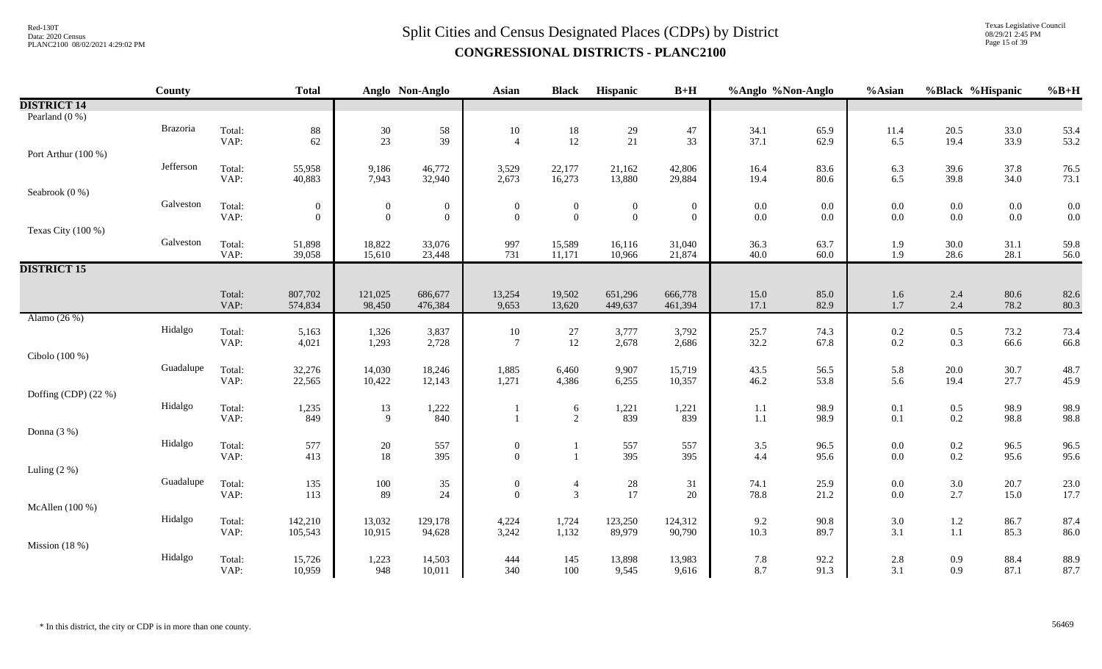Texas Legislative Council 08/29/21 2:45 PM Page 15 of 39

|                      | County    |                | <b>Total</b>     |                  | Anglo Non-Anglo  | <b>Asian</b>                       | <b>Black</b>                            | Hispanic                                | $B+H$            | %Anglo %Non-Anglo |              | %Asian                                    |                | %Black %Hispanic | $%B+H$                                    |
|----------------------|-----------|----------------|------------------|------------------|------------------|------------------------------------|-----------------------------------------|-----------------------------------------|------------------|-------------------|--------------|-------------------------------------------|----------------|------------------|-------------------------------------------|
| <b>DISTRICT 14</b>   |           |                |                  |                  |                  |                                    |                                         |                                         |                  |                   |              |                                           |                |                  |                                           |
| Pearland (0 %)       |           |                |                  |                  |                  |                                    |                                         |                                         |                  |                   |              |                                           |                |                  |                                           |
|                      | Brazoria  | Total:         | 88               | $30\,$           | 58               | 10                                 | $\begin{array}{c} 18 \\ 12 \end{array}$ | $\begin{array}{c} 29 \\ 21 \end{array}$ | 47               | 34.1              | 65.9         | 11.4                                      | 20.5           | 33.0             | 53.4                                      |
|                      |           | VAP:           | 62               | 23               | 39               | $\overline{4}$                     |                                         |                                         | 33               | 37.1              | 62.9         | 6.5                                       | 19.4           | 33.9             | 53.2                                      |
| Port Arthur (100 %)  |           |                |                  |                  |                  |                                    |                                         |                                         |                  |                   |              |                                           |                |                  |                                           |
|                      | Jefferson | Total:         | 55,958           | 9,186            | 46,772           | 3,529                              | 22,177                                  | 21,162                                  | 42,806           | 16.4              | 83.6         | 6.3                                       | 39.6           | 37.8             | 76.5                                      |
|                      |           | VAP:           | 40,883           | 7,943            | 32,940           | 2,673                              | 16,273                                  | 13,880                                  | 29,884           | 19.4              | 80.6         | 6.5                                       | 39.8           | 34.0             | 73.1                                      |
| Seabrook (0 %)       |           |                |                  |                  |                  |                                    |                                         |                                         |                  |                   |              |                                           |                |                  |                                           |
|                      | Galveston | Total:         | $\boldsymbol{0}$ | $\overline{0}$   | $\boldsymbol{0}$ | $\overline{0}$                     | $\boldsymbol{0}$                        | $\boldsymbol{0}$                        | $\boldsymbol{0}$ | $0.0\,$           | 0.0          | $0.0\,$                                   | $0.0\,$        | $0.0\,$          | $\begin{array}{c} 0.0 \\ 0.0 \end{array}$ |
|                      |           | VAP:           | $\overline{0}$   | $\overline{0}$   | $\boldsymbol{0}$ | $\mathbf{0}$                       | $\theta$                                | $\boldsymbol{0}$                        | $\overline{0}$   | $0.0\,$           | $0.0\,$      | 0.0                                       | $0.0\,$        | $0.0\,$          |                                           |
| Texas City (100 %)   | Galveston |                |                  |                  |                  |                                    |                                         |                                         |                  |                   |              |                                           |                |                  |                                           |
|                      |           | Total:<br>VAP: | 51,898<br>39,058 | 18,822<br>15,610 | 33,076<br>23,448 | 997<br>731                         | 15,589<br>11,171                        | 16,116<br>10,966                        | 31,040<br>21,874 | 36.3<br>40.0      | 63.7<br>60.0 | 1.9<br>1.9                                | 30.0<br>28.6   | 31.1<br>28.1     | 59.8<br>56.0                              |
| <b>DISTRICT 15</b>   |           |                |                  |                  |                  |                                    |                                         |                                         |                  |                   |              |                                           |                |                  |                                           |
|                      |           |                |                  |                  |                  |                                    |                                         |                                         |                  |                   |              |                                           |                |                  |                                           |
|                      |           | Total:         | 807,702          | 121,025          | 686,677          | 13,254                             | 19,502                                  | 651,296                                 | 666,778          | 15.0              | 85.0         | 1.6                                       | 2.4            | 80.6             | 82.6                                      |
|                      |           | VAP:           | 574,834          | 98,450           | 476,384          | 9,653                              | 13,620                                  | 449,637                                 | 461,394          | 17.1              | 82.9         | 1.7                                       | 2.4            | 78.2             | 80.3                                      |
| Alamo (26 %)         |           |                |                  |                  |                  |                                    |                                         |                                         |                  |                   |              |                                           |                |                  |                                           |
|                      | Hidalgo   | Total:         | 5,163            | 1,326            | 3,837            | 10                                 | $27\,$                                  | 3,777                                   | 3,792            | 25.7              | 74.3         |                                           | $0.5\,$        | 73.2             | 73.4                                      |
|                      |           | VAP:           | 4,021            | 1,293            | 2,728            | $\overline{7}$                     | 12                                      | 2,678                                   | 2,686            | 32.2              | 67.8         | $\begin{array}{c} 0.2 \\ 0.2 \end{array}$ | 0.3            | 66.6             | 66.8                                      |
| Cibolo (100 %)       |           |                |                  |                  |                  |                                    |                                         |                                         |                  |                   |              |                                           |                |                  |                                           |
|                      | Guadalupe | Total:         | 32,276           | 14,030           | 18,246           | 1,885                              | 6,460                                   | 9,907                                   | 15,719           | 43.5              | 56.5         | 5.8                                       | $20.0\,$       | 30.7             | 48.7                                      |
|                      |           | VAP:           | 22,565           | 10,422           | 12,143           | 1,271                              | 4,386                                   | 6,255                                   | 10,357           | 46.2              | 53.8         | 5.6                                       | 19.4           | 27.7             | 45.9                                      |
| Doffing (CDP) (22 %) |           |                |                  |                  |                  |                                    |                                         |                                         |                  |                   |              |                                           |                |                  |                                           |
|                      | Hidalgo   | Total:         | 1,235            | 13               | 1,222            |                                    | 6                                       | 1,221                                   | 1,221            | 1.1               | 98.9         | 0.1                                       | $0.5\,$        | 98.9             | 98.9                                      |
|                      |           | VAP:           | 849              | 9                | 840              |                                    | 2                                       | 839                                     | 839              | $1.1\,$           | 98.9         | 0.1                                       | 0.2            | 98.8             | 98.8                                      |
| Donna (3 %)          |           |                |                  |                  |                  |                                    |                                         |                                         |                  |                   |              |                                           |                |                  |                                           |
|                      | Hidalgo   | Total:         | 577              | $20\,$           | 557<br>395       | $\boldsymbol{0}$<br>$\mathbf{0}$   |                                         | 557                                     | 557              | 3.5               | 96.5         | $0.0\,$                                   | $0.2\,$        | 96.5             | 96.5                                      |
|                      |           | VAP:           | 413              | 18               |                  |                                    |                                         | 395                                     | 395              | 4.4               | 95.6         | 0.0                                       | 0.2            | 95.6             | 95.6                                      |
| Luling $(2\%)$       | Guadalupe |                |                  |                  |                  |                                    |                                         |                                         |                  |                   |              |                                           |                |                  |                                           |
|                      |           | Total:<br>VAP: | 135<br>113       | $100\,$<br>89    | $35\,$<br>24     | $\boldsymbol{0}$<br>$\overline{0}$ | $\overline{4}$<br>$\mathfrak{Z}$        | $\begin{array}{c} 28 \\ 17 \end{array}$ | 31<br>20         | 74.1<br>78.8      | 25.9<br>21.2 | $0.0\,$<br>0.0                            | $3.0\,$<br>2.7 | 20.7<br>15.0     | 23.0<br>17.7                              |
| McAllen (100 %)      |           |                |                  |                  |                  |                                    |                                         |                                         |                  |                   |              |                                           |                |                  |                                           |
|                      | Hidalgo   | Total:         | 142,210          | 13,032           | 129,178          | 4,224                              | 1,724                                   | 123,250                                 | 124,312          | 9.2               | 90.8         | 3.0                                       | $1.2\,$        | 86.7             | 87.4                                      |
|                      |           | VAP:           | 105,543          | 10,915           | 94,628           | 3,242                              | 1,132                                   | 89,979                                  | 90,790           | 10.3              | 89.7         | 3.1                                       | 1.1            | 85.3             | 86.0                                      |
| Mission $(18%)$      |           |                |                  |                  |                  |                                    |                                         |                                         |                  |                   |              |                                           |                |                  |                                           |
|                      | Hidalgo   | Total:         | 15,726           | 1,223            | 14,503           | 444                                | 145                                     | 13,898                                  | 13,983           | 7.8               | 92.2         | 2.8                                       | 0.9            | 88.4             | 88.9                                      |
|                      |           | VAP:           | 10,959           | 948              | 10,011           | 340                                | 100                                     | 9,545                                   | 9,616            | 8.7               | 91.3         | 3.1                                       | 0.9            | 87.1             | 87.7                                      |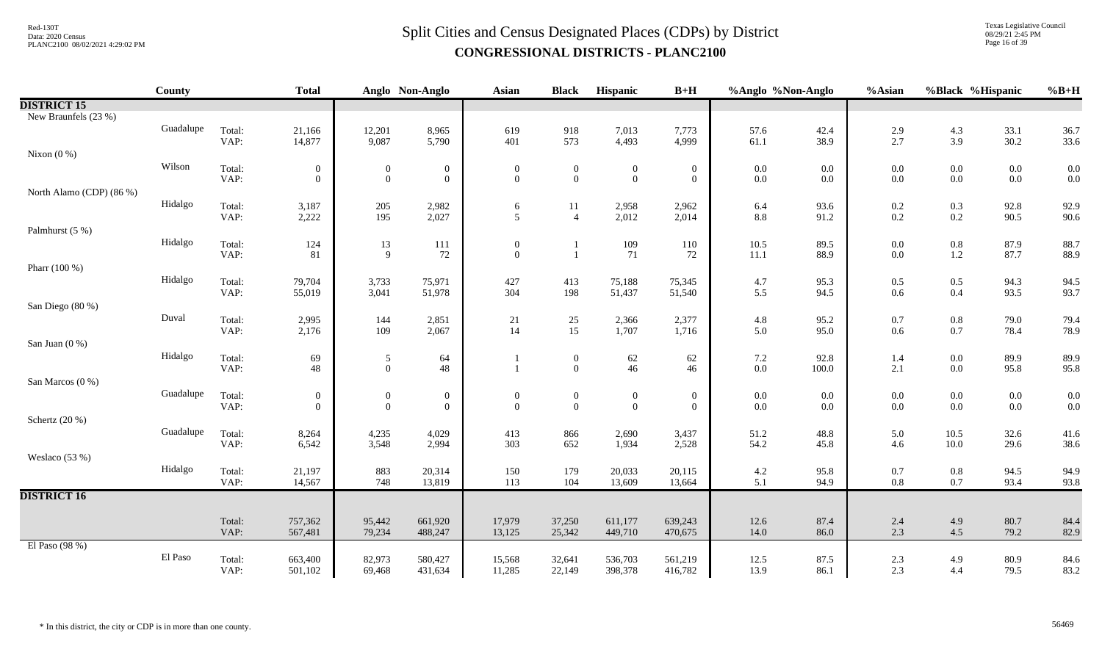Texas Legislative Council 08/29/21 2:45 PM Page 16 of 39

|                          | <b>County</b> |                | <b>Total</b>                 |                              | Anglo Non-Anglo                  | <b>Asian</b>                       | <b>Black</b>                       | Hispanic                         | $B+H$                            | %Anglo %Non-Anglo  |              | %Asian     | %Black %Hispanic   |              | $%B+H$       |
|--------------------------|---------------|----------------|------------------------------|------------------------------|----------------------------------|------------------------------------|------------------------------------|----------------------------------|----------------------------------|--------------------|--------------|------------|--------------------|--------------|--------------|
| <b>DISTRICT 15</b>       |               |                |                              |                              |                                  |                                    |                                    |                                  |                                  |                    |              |            |                    |              |              |
| New Braunfels (23 %)     |               |                |                              |                              |                                  |                                    |                                    |                                  |                                  |                    |              |            |                    |              |              |
|                          | Guadalupe     | Total:         | 21,166                       | 12,201                       | 8,965                            | 619                                | 918                                | 7,013                            | 7,773                            | 57.6               | 42.4         | 2.9        | $4.3\,$            | 33.1         | 36.7         |
|                          |               | VAP:           | 14,877                       | 9,087                        | 5,790                            | 401                                | 573                                | 4,493                            | 4,999                            | 61.1               | 38.9         | 2.7        | 3.9                | 30.2         | 33.6         |
| Nixon $(0\%)$            | Wilson        | Total:         |                              |                              |                                  |                                    |                                    |                                  |                                  |                    |              |            |                    | $0.0\,$      | 0.0          |
|                          |               | VAP:           | $\boldsymbol{0}$<br>$\theta$ | $\boldsymbol{0}$<br>$\theta$ | $\boldsymbol{0}$<br>$\mathbf{0}$ | $\boldsymbol{0}$<br>$\overline{0}$ | $\boldsymbol{0}$<br>$\mathbf{0}$   | $\boldsymbol{0}$<br>$\mathbf{0}$ | $\boldsymbol{0}$<br>$\mathbf{0}$ | $0.0\,$<br>$0.0\,$ | 0.0<br>0.0   | 0.0<br>0.0 | $0.0\,$<br>$0.0\,$ | $0.0\,$      | 0.0          |
| North Alamo (CDP) (86 %) |               |                |                              |                              |                                  |                                    |                                    |                                  |                                  |                    |              |            |                    |              |              |
|                          | Hidalgo       | Total:         | 3,187                        | $205\,$                      | 2,982                            | $\sqrt{6}$                         | 11                                 | 2,958                            | 2,962                            | 6.4                | 93.6         | $0.2\,$    | 0.3                | 92.8         | 92.9         |
|                          |               | VAP:           | 2,222                        | 195                          | 2,027                            | $\mathfrak{S}$                     | $\overline{4}$                     | 2,012                            | 2,014                            | $8.8\,$            | 91.2         | $0.2\,$    | $0.2\,$            | 90.5         | 90.6         |
| Palmhurst (5 %)          |               |                |                              |                              |                                  |                                    |                                    |                                  |                                  |                    |              |            |                    |              |              |
|                          | Hidalgo       | Total:         | 124                          | 13                           | 111                              | $\boldsymbol{0}$                   |                                    | 109                              | 110                              | 10.5               | 89.5         | 0.0        | $0.8\,$            | 87.9         | 88.7         |
| Pharr (100 %)            |               | VAP:           | 81                           | 9                            | $72\,$                           | $\mathbf{0}$                       |                                    | $71\,$                           | 72                               | $11.1\,$           | 88.9         | 0.0        | $1.2\,$            | 87.7         | 88.9         |
|                          | Hidalgo       | Total:         | 79,704                       | 3,733                        | 75,971                           | 427                                | 413                                | 75,188                           | 75,345                           | 4.7                | 95.3         | $0.5\,$    | $0.5\,$            | 94.3         | 94.5         |
|                          |               | VAP:           | 55,019                       | 3,041                        | 51,978                           | 304                                | 198                                | 51,437                           | 51,540                           | 5.5                | 94.5         | 0.6        | $0.4\,$            | 93.5         | 93.7         |
| San Diego (80 %)         |               |                |                              |                              |                                  |                                    |                                    |                                  |                                  |                    |              |            |                    |              |              |
|                          | Duval         | Total:         | 2,995                        | 144                          | 2,851                            | 21                                 | 25                                 | 2,366                            | 2,377                            | 4.8                | 95.2         | 0.7        | $0.8\,$            | 79.0         | 79.4         |
|                          |               | VAP:           | 2,176                        | 109                          | 2,067                            | 14                                 | 15                                 | 1,707                            | 1,716                            | 5.0                | 95.0         | 0.6        | $0.7\,$            | 78.4         | 78.9         |
| San Juan (0 %)           |               |                |                              |                              |                                  |                                    |                                    |                                  |                                  |                    |              |            |                    |              |              |
|                          | Hidalgo       | Total:<br>VAP: | 69                           | 5                            | 64<br>48                         |                                    | $\boldsymbol{0}$<br>$\overline{0}$ | 62<br>46                         | 62                               | $7.2\,$<br>$0.0\,$ | 92.8         | 1.4        | $0.0\,$            | 89.9<br>95.8 | 89.9         |
| San Marcos (0 %)         |               |                | 48                           | $\overline{0}$               |                                  |                                    |                                    |                                  | 46                               |                    | 100.0        | 2.1        | $0.0\,$            |              | 95.8         |
|                          | Guadalupe     | Total:         | $\boldsymbol{0}$             | $\boldsymbol{0}$             | $\boldsymbol{0}$                 | $\overline{0}$                     | $\boldsymbol{0}$                   | $\boldsymbol{0}$                 | $\overline{0}$                   | $0.0\,$            | 0.0          | 0.0        | $0.0\,$            | $0.0\,$      | 0.0          |
|                          |               | VAP:           | $\overline{0}$               | $\overline{0}$               | $\mathbf{0}$                     | $\mathbf{0}$                       | $\overline{0}$                     | $\boldsymbol{0}$                 | $\overline{0}$                   | $0.0\,$            | $0.0\,$      | 0.0        | $0.0\,$            | $0.0\,$      | 0.0          |
| Schertz $(20\%)$         |               |                |                              |                              |                                  |                                    |                                    |                                  |                                  |                    |              |            |                    |              |              |
|                          | Guadalupe     | Total:         | 8,264                        | 4,235                        | 4,029                            | 413                                | 866                                | 2,690                            | 3,437                            | 51.2               | 48.8         | 5.0        | $10.5\,$           | 32.6         | 41.6         |
|                          |               | VAP:           | 6,542                        | 3,548                        | 2,994                            | 303                                | 652                                | 1,934                            | 2,528                            | 54.2               | 45.8         | 4.6        | 10.0               | 29.6         | 38.6         |
| Weslaco (53 %)           |               |                |                              |                              |                                  |                                    |                                    |                                  |                                  |                    |              |            |                    |              |              |
|                          | Hidalgo       | Total:<br>VAP: | 21,197<br>14,567             | 883<br>748                   | 20,314<br>13,819                 | 150<br>113                         | 179<br>104                         | 20,033<br>13,609                 | 20,115<br>13,664                 | $4.2\,$<br>5.1     | 95.8<br>94.9 | 0.7<br>0.8 | $0.8\,$<br>0.7     | 94.5<br>93.4 | 94.9<br>93.8 |
| <b>DISTRICT 16</b>       |               |                |                              |                              |                                  |                                    |                                    |                                  |                                  |                    |              |            |                    |              |              |
|                          |               |                |                              |                              |                                  |                                    |                                    |                                  |                                  |                    |              |            |                    |              |              |
|                          |               | Total:         | 757,362                      | 95,442                       | 661,920                          | 17,979                             | 37,250                             | 611,177                          | 639,243                          | 12.6               | 87.4         | 2.4        | 4.9                | 80.7         | 84.4         |
|                          |               | VAP:           | 567,481                      | 79,234                       | 488,247                          | 13,125                             | 25,342                             | 449,710                          | 470,675                          | 14.0               | 86.0         | 2.3        | 4.5                | 79.2         | 82.9         |
| El Paso (98 %)           |               |                |                              |                              |                                  |                                    |                                    |                                  |                                  |                    |              |            |                    |              |              |
|                          | El Paso       | Total:         | 663,400                      | 82,973                       | 580,427                          | 15,568                             | 32,641                             | 536,703                          | 561,219                          | 12.5               | 87.5         | 2.3        | 4.9                | 80.9         | 84.6         |
|                          |               | VAP:           | 501,102                      | 69,468                       | 431,634                          | 11,285                             | 22,149                             | 398,378                          | 416,782                          | 13.9               | 86.1         | 2.3        | 4.4                | 79.5         | 83.2         |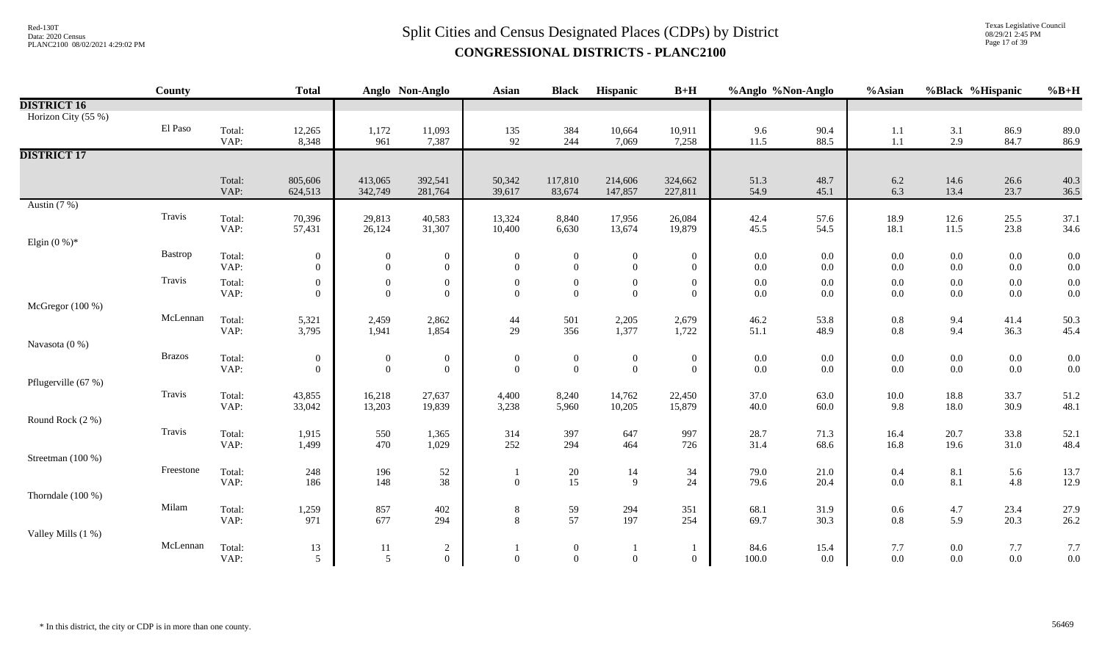# $Split$  Cities and Census Designated Places (CDPs) by District  $Split$  Cities and Census Designated Places (CDPs) by District **CONGRESSIONAL DISTRICTS - PLANC2100**

Texas Legislative Council 08/29/21 2:45 PM Page 17 of 39

|                     | County        |                | <b>Total</b>                       |                                | Anglo Non-Anglo                      | <b>Asian</b>                     | <b>Black</b>                       | Hispanic                           | $B+H$                              | %Anglo %Non-Anglo  |                | %Asian             | %Black %Hispanic   |                    | $%B+H$       |
|---------------------|---------------|----------------|------------------------------------|--------------------------------|--------------------------------------|----------------------------------|------------------------------------|------------------------------------|------------------------------------|--------------------|----------------|--------------------|--------------------|--------------------|--------------|
| <b>DISTRICT 16</b>  |               |                |                                    |                                |                                      |                                  |                                    |                                    |                                    |                    |                |                    |                    |                    |              |
| Horizon City (55 %) |               |                |                                    |                                |                                      |                                  |                                    |                                    |                                    |                    |                |                    |                    |                    |              |
|                     | El Paso       | Total:         | 12,265                             | 1,172                          | 11,093                               | $\frac{135}{92}$                 | 384                                | 10,664                             | 10,911                             | 9.6                | 90.4           | 1.1                | 3.1                | 86.9               | 89.0         |
|                     |               | VAP:           | 8,348                              | 961                            | 7,387                                |                                  | 244                                | 7,069                              | 7,258                              | 11.5               | 88.5           | 1.1                | 2.9                | 84.7               | 86.9         |
| <b>DISTRICT 17</b>  |               |                |                                    |                                |                                      |                                  |                                    |                                    |                                    |                    |                |                    |                    |                    |              |
|                     |               | Total:         | 805,606                            | 413,065                        | 392,541                              | 50,342                           | 117,810                            | 214,606                            | 324,662                            | 51.3               | 48.7           | 6.2                | 14.6               | 26.6               | 40.3         |
|                     |               | VAP:           | 624,513                            | 342,749                        | 281,764                              | 39,617                           | 83,674                             | 147,857                            | 227,811                            | 54.9               | 45.1           | 6.3                | 13.4               | 23.7               | 36.5         |
| Austin $(7%)$       |               |                |                                    |                                |                                      |                                  |                                    |                                    |                                    |                    |                |                    |                    |                    |              |
|                     | Travis        | Total:         | 70,396                             | 29,813                         | 40,583                               | 13,324                           | 8,840                              | 17,956                             | 26,084                             | 42.4               | 57.6           | 18.9               | 12.6               | 25.5               | 37.1         |
|                     |               | VAP:           | 57,431                             | 26,124                         | 31,307                               | 10,400                           | 6,630                              | 13,674                             | 19,879                             | 45.5               | 54.5           | 18.1               | 11.5               | 23.8               | 34.6         |
| Elgin $(0\%)^*$     |               |                |                                    |                                |                                      |                                  |                                    |                                    |                                    |                    |                |                    |                    |                    |              |
|                     | Bastrop       | Total:<br>VAP: | $\boldsymbol{0}$<br>$\overline{0}$ | $\mathbf{0}$<br>$\overline{0}$ | $\boldsymbol{0}$<br>$\boldsymbol{0}$ | $\Omega$<br>$\overline{0}$       | $\boldsymbol{0}$<br>$\overline{0}$ | $\boldsymbol{0}$<br>$\overline{0}$ | $\boldsymbol{0}$<br>$\overline{0}$ | $0.0\,$<br>$0.0\,$ | 0.0<br>$0.0\,$ | $0.0\,$<br>$0.0\,$ | $0.0\,$<br>$0.0\,$ | $0.0\,$<br>$0.0\,$ | 0.0<br>0.0   |
|                     | Travis        | Total:         | $\overline{0}$                     | $\boldsymbol{0}$               | $\boldsymbol{0}$                     | $\theta$                         | $\overline{0}$                     | $\boldsymbol{0}$                   |                                    | $0.0\,$            | $0.0\,$        | $0.0\,$            | $0.0\,$            | $0.0\,$            | 0.0          |
|                     |               | VAP:           | $\overline{0}$                     | $\overline{0}$                 | $\mathbf{0}$                         | $\Omega$                         | $\overline{0}$                     | $\boldsymbol{0}$                   | $\boldsymbol{0}$<br>$\overline{0}$ | $0.0\,$            | $0.0\,$        | $0.0\,$            | $0.0\,$            | $0.0\,$            | 0.0          |
| McGregor (100 %)    |               |                |                                    |                                |                                      |                                  |                                    |                                    |                                    |                    |                |                    |                    |                    |              |
|                     | McLennan      | Total:         | 5,321                              | 2,459                          | 2,862                                | 44                               | 501                                | 2,205                              | 2,679                              | 46.2               | 53.8           | $0.8\,$            | 9.4                | 41.4               | 50.3         |
|                     |               | VAP:           | 3,795                              | 1,941                          | 1,854                                | 29                               | 356                                | 1,377                              | 1,722                              | 51.1               | 48.9           | 0.8                | 9.4                | 36.3               | 45.4         |
| Navasota (0 %)      |               |                |                                    |                                |                                      |                                  |                                    |                                    |                                    |                    |                |                    |                    |                    |              |
|                     | <b>Brazos</b> | Total:<br>VAP: | $\overline{0}$<br>$\mathbf{0}$     | $\mathbf{0}$                   | $\boldsymbol{0}$                     | $\boldsymbol{0}$<br>$\mathbf{0}$ | $\boldsymbol{0}$<br>$\mathbf{0}$   | $\boldsymbol{0}$                   | $\boldsymbol{0}$                   | $0.0\,$            | $0.0\,$        | $0.0\,$            | $0.0\,$<br>$0.0\,$ | $0.0\,$<br>$0.0\,$ | 0.0          |
| Pflugerville (67 %) |               |                |                                    | $\boldsymbol{0}$               | $\boldsymbol{0}$                     |                                  |                                    | $\boldsymbol{0}$                   | $\overline{0}$                     | $0.0\,$            | $0.0\,$        | $0.0\,$            |                    |                    | 0.0          |
|                     | Travis        | Total:         | 43,855                             | 16,218                         | 27,637                               | 4,400                            | 8,240                              | 14,762                             | 22,450                             | 37.0               | 63.0           | $10.0\,$           | 18.8               | 33.7               | 51.2         |
|                     |               | VAP:           | 33,042                             | 13,203                         | 19,839                               | 3,238                            | 5,960                              | 10,205                             | 15,879                             | 40.0               | 60.0           | 9.8                | 18.0               | 30.9               | 48.1         |
| Round Rock (2 %)    |               |                |                                    |                                |                                      |                                  |                                    |                                    |                                    |                    |                |                    |                    |                    |              |
|                     | Travis        | Total:         | 1,915                              | 550                            | 1,365                                | 314                              | 397                                | 647                                | 997                                | 28.7               | 71.3           | 16.4               | 20.7               | 33.8               | 52.1         |
|                     |               | VAP:           | 1,499                              | 470                            | 1,029                                | 252                              | 294                                | 464                                | 726                                | 31.4               | 68.6           | 16.8               | 19.6               | 31.0               | 48.4         |
| Streetman (100 %)   |               |                |                                    |                                |                                      |                                  |                                    |                                    |                                    |                    |                |                    |                    |                    |              |
|                     | Freestone     | Total:<br>VAP: | 248<br>186                         | 196<br>148                     | 52<br>$38\,$                         | $\overline{0}$                   | 20<br>15                           | 14<br>9                            | 34<br>24                           | 79.0<br>79.6       | 21.0<br>20.4   | $0.4\,$<br>$0.0\,$ | $8.1\,$<br>8.1     | 5.6<br>$4.8\,$     | 13.7<br>12.9 |
| Thorndale (100 %)   |               |                |                                    |                                |                                      |                                  |                                    |                                    |                                    |                    |                |                    |                    |                    |              |
|                     | Milam         | Total:         | 1,259                              | 857                            | 402                                  | $\,8\,$                          | 59                                 | 294                                | 351                                | 68.1               | 31.9           | $0.6\,$            | 4.7                | 23.4               | 27.9         |
|                     |               | VAP:           | 971                                | 677                            | 294                                  | 8                                | 57                                 | 197                                | 254                                | 69.7               | 30.3           | $0.8\,$            | 5.9                | 20.3               | 26.2         |
| Valley Mills (1 %)  |               |                |                                    |                                |                                      |                                  |                                    |                                    |                                    |                    |                |                    |                    |                    |              |
|                     | McLennan      | Total:         | 13                                 | 11                             | $\overline{c}$                       |                                  | $\boldsymbol{0}$                   |                                    | -1                                 | 84.6               | 15.4           | 7.7                | $0.0\,$            | 7.7                | 7.7          |
|                     |               | VAP:           | 5                                  | 5                              | $\theta$                             | $\mathbf{0}$                     | $\boldsymbol{0}$                   | $\mathbf{0}$                       | $\overline{0}$                     | 100.0              | 0.0            | 0.0                | $0.0\,$            | $0.0\,$            | 0.0          |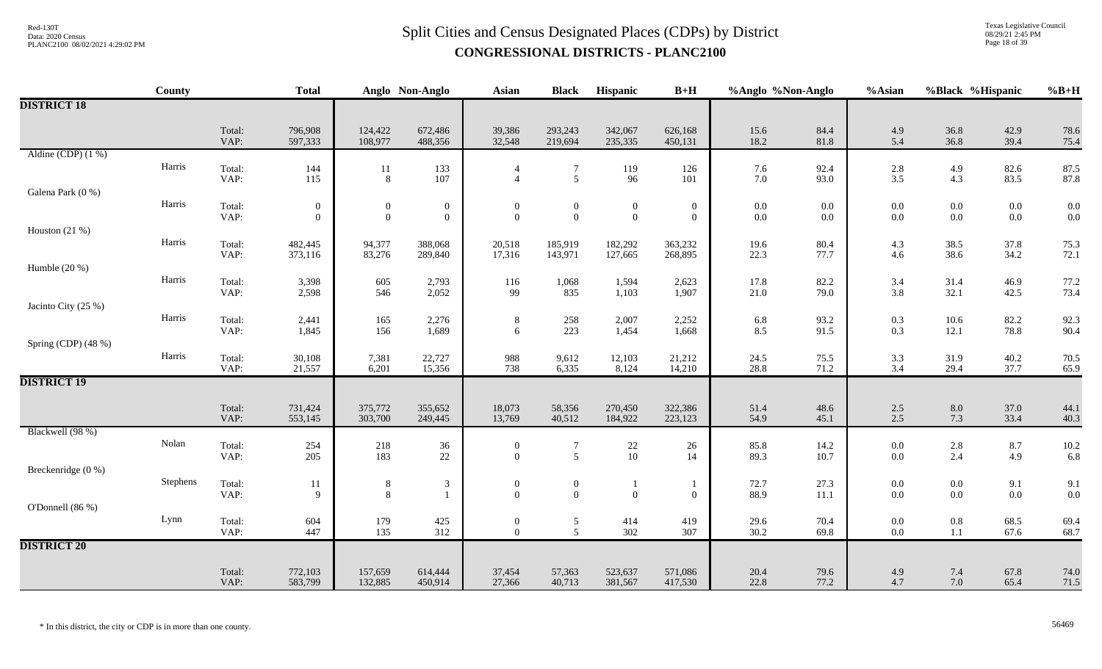Texas Legislative Council 08/29/21 2:45 PM Page 18 of 39

|                      | <b>County</b> |                | <b>Total</b>                     |                                  | Anglo Non-Anglo                  | Asian                              | <b>Black</b>                     | Hispanic                                | $B+H$                            | %Anglo %Non-Anglo  |                | %Asian             | %Black %Hispanic   |                    | $%B+H$       |
|----------------------|---------------|----------------|----------------------------------|----------------------------------|----------------------------------|------------------------------------|----------------------------------|-----------------------------------------|----------------------------------|--------------------|----------------|--------------------|--------------------|--------------------|--------------|
| <b>DISTRICT 18</b>   |               |                |                                  |                                  |                                  |                                    |                                  |                                         |                                  |                    |                |                    |                    |                    |              |
|                      |               | Total:<br>VAP: | 796,908<br>597,333               | 124,422<br>108,977               | 672,486<br>488,356               | 39,386<br>32,548                   | 293,243<br>219,694               | 342,067<br>235,335                      | 626,168<br>450,131               | 15.6<br>18.2       | 84.4<br>81.8   | 4.9<br>5.4         | 36.8<br>36.8       | 42.9<br>39.4       | 78.6<br>75.4 |
| Aldine (CDP) $(1\%)$ |               |                |                                  |                                  |                                  |                                    |                                  |                                         |                                  |                    |                |                    |                    |                    |              |
|                      | Harris        | Total:<br>VAP: | 144<br>115                       | 11<br>$8\,$                      | 133<br>107                       | $\overline{4}$<br>$\overline{4}$   | $\overline{7}$<br>$\mathfrak{S}$ | 119<br>96                               | 126<br>101                       | 7.6<br>$7.0\,$     | 92.4<br>93.0   | $\frac{2.8}{3.5}$  | 4.9<br>4.3         | 82.6<br>83.5       | 87.5<br>87.8 |
| Galena Park (0 %)    |               |                |                                  |                                  |                                  |                                    |                                  |                                         |                                  |                    |                |                    |                    |                    |              |
|                      | Harris        | Total:<br>VAP: | $\boldsymbol{0}$<br>$\mathbf{0}$ | $\boldsymbol{0}$<br>$\mathbf{0}$ | $\boldsymbol{0}$<br>$\mathbf{0}$ | $\boldsymbol{0}$<br>$\mathbf{0}$   | $\boldsymbol{0}$<br>$\mathbf{0}$ | $\overline{0}$<br>$\mathbf{0}$          | $\boldsymbol{0}$<br>$\mathbf{0}$ | $0.0\,$<br>$0.0\,$ | $0.0\,$<br>0.0 | 0.0<br>0.0         | $0.0\,$<br>$0.0\,$ | $0.0\,$<br>$0.0\,$ | 0.0<br>0.0   |
| Houston $(21\%)$     |               |                |                                  |                                  |                                  |                                    |                                  |                                         |                                  |                    |                |                    |                    |                    |              |
|                      | Harris        | Total:<br>VAP: | 482,445<br>373,116               | 94,377<br>83,276                 | 388,068<br>289,840               | 20,518<br>17,316                   | 185,919<br>143,971               | 182,292<br>127,665                      | 363,232<br>268,895               | 19.6<br>22.3       | 80.4<br>77.7   | 4.3<br>4.6         | 38.5<br>38.6       | 37.8<br>34.2       | 75.3<br>72.1 |
| Humble (20 %)        |               |                |                                  |                                  |                                  |                                    |                                  |                                         |                                  |                    |                |                    |                    |                    |              |
|                      | Harris        | Total:<br>VAP: | 3,398<br>2,598                   | 605<br>546                       | 2,793<br>2,052                   | 116<br>99                          | 1,068<br>835                     | 1,594<br>1,103                          | 2,623<br>1,907                   | 17.8<br>21.0       | 82.2<br>79.0   | 3.4<br>3.8         | 31.4<br>32.1       | 46.9<br>42.5       | 77.2<br>73.4 |
| Jacinto City (25 %)  |               |                |                                  |                                  |                                  |                                    |                                  |                                         |                                  |                    |                |                    |                    |                    |              |
|                      | Harris        | Total:<br>VAP: | 2,441<br>1,845                   | 165<br>156                       | 2,276<br>1,689                   | $\,8\,$<br>6                       | 258<br>223                       | 2,007<br>1,454                          | 2,252<br>1,668                   | $6.8\,$<br>8.5     | 93.2<br>91.5   | 0.3<br>0.3         | $10.6\,$<br>12.1   | 82.2<br>78.8       | 92.3<br>90.4 |
| Spring (CDP) (48 %)  |               |                |                                  |                                  |                                  |                                    |                                  |                                         |                                  |                    |                |                    |                    |                    |              |
|                      | Harris        | Total:<br>VAP: | 30,108<br>21,557                 | 7,381<br>6,201                   | 22,727<br>15,356                 | 988<br>738                         | 9,612<br>6,335                   | 12,103<br>8,124                         | 21,212<br>14,210                 | 24.5<br>28.8       | 75.5<br>71.2   | $\frac{3.3}{3.4}$  | 31.9<br>29.4       | 40.2<br>37.7       | 70.5<br>65.9 |
| <b>DISTRICT 19</b>   |               |                |                                  |                                  |                                  |                                    |                                  |                                         |                                  |                    |                |                    |                    |                    |              |
|                      |               | Total:<br>VAP: | 731,424<br>553,145               | 375,772<br>303,700               | 355,652<br>249,445               | 18,073<br>13,769                   | 58,356<br>40,512                 | 270,450<br>184,922                      | 322,386<br>223,123               | 51.4<br>54.9       | 48.6<br>45.1   | 2.5<br>2.5         | $8.0\,$<br>7.3     | 37.0<br>33.4       | 44.1<br>40.3 |
| Blackwell (98 %)     |               |                |                                  |                                  |                                  |                                    |                                  |                                         |                                  |                    |                |                    |                    |                    |              |
|                      | Nolan         | Total:<br>VAP: | 254<br>205                       | 218<br>183                       | 36<br>22                         | $\bf{0}$<br>$\mathbf{0}$           | $\overline{7}$<br>5              | $\begin{array}{c} 22 \\ 10 \end{array}$ | 26<br>14                         | 85.8<br>89.3       | 14.2<br>10.7   | $0.0\,$<br>0.0     | $2.8\,$<br>2.4     | 8.7<br>4.9         | 10.2<br>6.8  |
| Breckenridge (0 %)   |               |                |                                  |                                  |                                  |                                    |                                  |                                         |                                  |                    |                |                    |                    |                    |              |
|                      | Stephens      | Total:<br>VAP: | 11<br>$\mathbf{Q}$               | $\,8\,$<br>8                     | $\mathfrak{Z}$                   | $\boldsymbol{0}$<br>$\overline{0}$ | $\boldsymbol{0}$<br>$\Omega$     | $\mathbf{1}$<br>$\overline{0}$          | $\theta$                         | 72.7<br>88.9       | 27.3<br>11.1   | 0.0<br>0.0         | $0.0\,$<br>$0.0\,$ | 9.1<br>$0.0\,$     | 9.1<br>0.0   |
| O'Donnell $(86\%)$   |               |                |                                  |                                  |                                  |                                    |                                  |                                         |                                  |                    |                |                    |                    |                    |              |
|                      | Lynn          | Total:<br>VAP: | 604<br>447                       | 179<br>135                       | $425\,$<br>312                   | $\boldsymbol{0}$<br>$\mathbf{0}$   | 5<br>5                           | 414<br>302                              | 419<br>307                       | 29.6<br>30.2       | 70.4<br>69.8   | $0.0\,$<br>$0.0\,$ | $0.8\,$<br>$1.1\,$ | 68.5<br>67.6       | 69.4<br>68.7 |
| <b>DISTRICT 20</b>   |               |                |                                  |                                  |                                  |                                    |                                  |                                         |                                  |                    |                |                    |                    |                    |              |
|                      |               | Total:<br>VAP: | 772,103<br>583,799               | 157,659<br>132,885               | 614,444<br>450,914               | 37,454<br>27,366                   | 57,363<br>40,713                 | 523,637<br>381,567                      | 571,086<br>417,530               | 20.4<br>22.8       | 79.6<br>77.2   | 4.9<br>4.7         | 7.4<br>7.0         | 67.8<br>65.4       | 74.0<br>71.5 |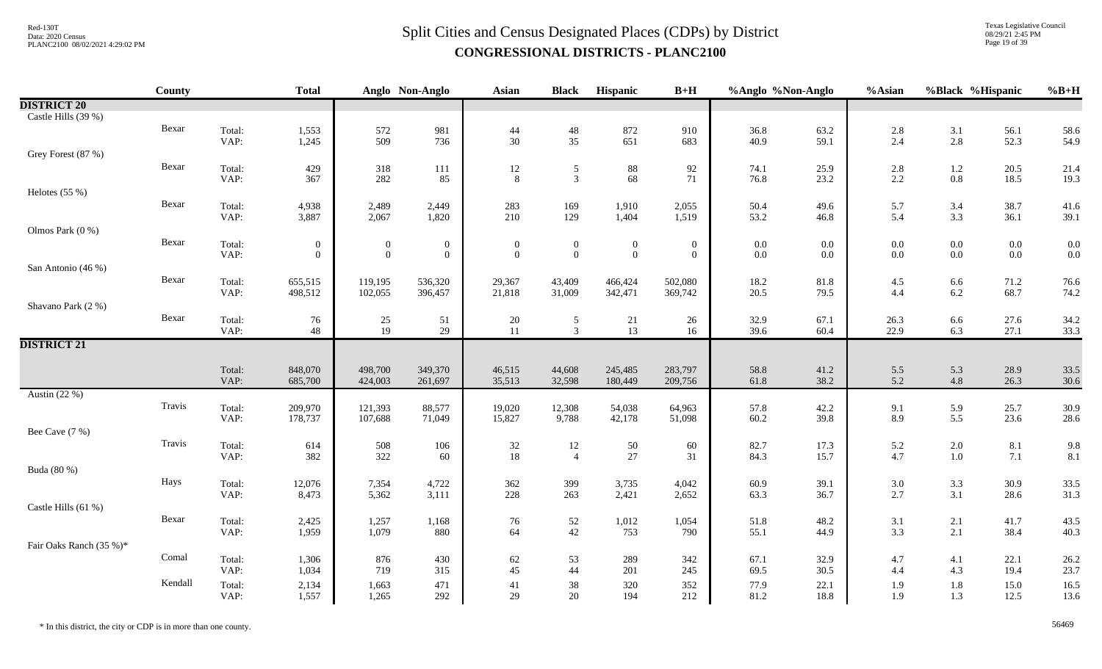Texas Legislative Council 08/29/21 2:45 PM Page 19 of 39

|                         | <b>County</b> |        | <b>Total</b>     |                 | Anglo Non-Anglo  | Asian            | <b>Black</b>     | Hispanic         | $B+H$            | %Anglo %Non-Anglo |         | $%$ Asian         | %Black %Hispanic |         | $%B+H$ |
|-------------------------|---------------|--------|------------------|-----------------|------------------|------------------|------------------|------------------|------------------|-------------------|---------|-------------------|------------------|---------|--------|
| <b>DISTRICT 20</b>      |               |        |                  |                 |                  |                  |                  |                  |                  |                   |         |                   |                  |         |        |
| Castle Hills (39 %)     |               |        |                  |                 |                  |                  |                  |                  |                  |                   |         |                   |                  |         |        |
|                         | Bexar         | Total: | 1,553            | 572             | 981              | $44$             | $\frac{48}{35}$  | 872              | 910              | 36.8              | 63.2    | $2.8\,$           | 3.1              | 56.1    | 58.6   |
|                         |               | VAP:   | 1,245            | 509             | 736              | $30\,$           |                  | 651              | 683              | 40.9              | 59.1    | 2.4               | $2.8\,$          | 52.3    | 54.9   |
| Grey Forest (87 %)      |               |        |                  |                 |                  |                  |                  |                  |                  |                   |         |                   |                  |         |        |
|                         | Bexar         | Total: | 429              | 318             | 111              | 12               | $\sqrt{5}$       | $88\,$           | 92               | 74.1              | 25.9    | $2.8\,$           | $1.2\,$          | 20.5    | 21.4   |
|                         |               | VAP:   | 367              | 282             | 85               | $8\,$            | $\overline{3}$   | 68               | 71               | 76.8              | 23.2    | $2.2\,$           | $0.8\,$          | 18.5    | 19.3   |
| Helotes $(55%)$         |               |        |                  |                 |                  |                  |                  |                  |                  |                   |         |                   |                  |         |        |
|                         | Bexar         | Total: | 4,938            | 2,489           | 2,449            | 283              | 169              | 1,910            | 2,055            | 50.4              | 49.6    | 5.7               | 3.4              | 38.7    | 41.6   |
|                         |               | VAP:   | 3,887            | 2,067           | 1,820            | 210              | 129              | 1,404            | 1,519            | 53.2              | 46.8    | 5.4               | 3.3              | 36.1    | 39.1   |
| Olmos Park (0 %)        |               |        |                  |                 |                  |                  |                  |                  |                  |                   |         |                   |                  |         |        |
|                         | Bexar         | Total: | $\boldsymbol{0}$ | $\overline{0}$  | $\boldsymbol{0}$ | $\boldsymbol{0}$ | $\boldsymbol{0}$ | $\boldsymbol{0}$ | $\boldsymbol{0}$ | $0.0\,$           | $0.0\,$ | $0.0\,$           | $0.0\,$          | $0.0\,$ | 0.0    |
|                         |               | VAP:   | $\overline{0}$   | $\mathbf{0}$    | $\overline{0}$   | $\overline{0}$   | $\mathbf{0}$     | $\mathbf{0}$     | $\mathbf{0}$     | $0.0\,$           | 0.0     | $0.0\,$           | $0.0\,$          | $0.0\,$ | 0.0    |
| San Antonio (46 %)      |               |        |                  |                 |                  |                  |                  |                  |                  |                   |         |                   |                  |         |        |
|                         | Bexar         | Total: | 655,515          | 119,195         | 536,320          | 29,367           | 43,409           | 466,424          | 502,080          | 18.2              | 81.8    | 4.5               | 6.6              | 71.2    | 76.6   |
|                         |               | VAP:   | 498,512          | 102,055         | 396,457          | 21,818           | 31,009           | 342,471          | 369,742          | 20.5              | 79.5    | 4.4               | $6.2\,$          | 68.7    | 74.2   |
| Shavano Park (2 %)      |               |        |                  |                 |                  |                  |                  |                  |                  |                   |         |                   |                  |         |        |
|                         | Bexar         | Total: | 76               | $\frac{25}{19}$ | 51               | 20               | 5                | 21               | 26               | 32.9              | 67.1    | 26.3              | $6.6\,$          | 27.6    | 34.2   |
|                         |               | VAP:   | 48               |                 | 29               | 11               | $\overline{3}$   | 13               | $16\,$           | 39.6              | 60.4    | 22.9              | 6.3              | 27.1    | 33.3   |
| <b>DISTRICT 21</b>      |               |        |                  |                 |                  |                  |                  |                  |                  |                   |         |                   |                  |         |        |
|                         |               | Total: | 848,070          | 498,700         | 349,370          | 46,515           | 44,608           | 245,485          | 283,797          | 58.8              | 41.2    | 5.5               | 5.3              | 28.9    | 33.5   |
|                         |               | VAP:   | 685,700          | 424,003         | 261,697          | 35,513           | 32,598           | 180,449          | 209,756          | 61.8              | 38.2    | 5.2               | 4.8              | 26.3    | 30.6   |
| Austin $(22%)$          |               |        |                  |                 |                  |                  |                  |                  |                  |                   |         |                   |                  |         |        |
|                         | Travis        | Total: | 209,970          | 121,393         | 88,577           | 19,020           | 12,308           | 54,038           | 64,963           | 57.8              | 42.2    |                   | 5.9              | 25.7    | 30.9   |
|                         |               | VAP:   | 178,737          | 107,688         | 71,049           | 15,827           | 9,788            | 42,178           | 51,098           | 60.2              | 39.8    | $\frac{9.1}{8.9}$ | 5.5              | 23.6    | 28.6   |
| Bee Cave (7 %)          |               |        |                  |                 |                  |                  |                  |                  |                  |                   |         |                   |                  |         |        |
|                         | Travis        | Total: | 614              | 508             | 106              |                  | 12               |                  | 60               | 82.7              | 17.3    | 5.2               | $2.0\,$          | 8.1     | 9.8    |
|                         |               | VAP:   | 382              | 322             | 60               | $\frac{32}{18}$  | $\overline{4}$   | $\frac{50}{27}$  | 31               | 84.3              | 15.7    | 4.7               | $1.0\,$          | 7.1     | 8.1    |
| Buda (80 %)             |               |        |                  |                 |                  |                  |                  |                  |                  |                   |         |                   |                  |         |        |
|                         | Hays          | Total: | 12,076           | 7,354           | 4,722            | 362              | 399              | 3,735            | 4,042            | 60.9              | 39.1    | $3.0\,$           | $3.3\,$          | 30.9    | 33.5   |
|                         |               | VAP:   | 8,473            | 5,362           | 3,111            | 228              | 263              | 2,421            | 2,652            | 63.3              | 36.7    | 2.7               | 3.1              | 28.6    | 31.3   |
| Castle Hills (61 %)     |               |        |                  |                 |                  |                  |                  |                  |                  |                   |         |                   |                  |         |        |
|                         | Bexar         | Total: | 2,425            | 1,257           | 1,168            | 76               | $52\,$           | 1,012            | 1,054            | 51.8              | 48.2    | $3.1\,$           | 2.1              | 41.7    | 43.5   |
|                         |               | VAP:   | 1,959            | 1,079           | 880              | 64               | 42               | 753              | 790              | 55.1              | 44.9    | 3.3               | 2.1              | 38.4    | 40.3   |
| Fair Oaks Ranch (35 %)* |               |        |                  |                 |                  |                  |                  |                  |                  |                   |         |                   |                  |         |        |
|                         | Comal         | Total: | 1,306            | 876             | 430              | 62               | 53               | 289              | 342              | 67.1              | 32.9    | 4.7               | 4.1              | 22.1    | 26.2   |
|                         |               | VAP:   | 1,034            | 719             | 315              | 45               | 44               | 201              | 245              | 69.5              | 30.5    | 4.4               | 4.3              | 19.4    | 23.7   |
|                         | Kendall       | Total: | 2,134            | 1,663           | 471              | 41               | 38               | 320              | 352              | 77.9              | 22.1    | 1.9               | $1.8\,$          | 15.0    | 16.5   |
|                         |               | VAP:   | 1,557            | 1,265           | 292              | 29               | 20               | 194              | 212              | 81.2              | 18.8    | 1.9               | 1.3              | 12.5    | 13.6   |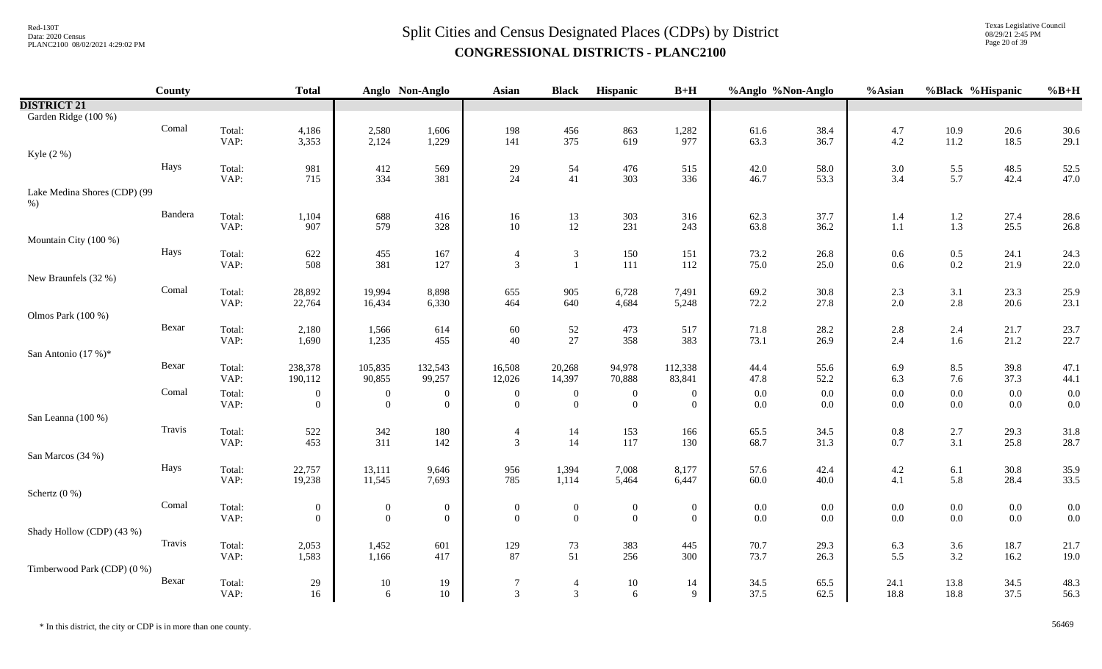Texas Legislative Council 08/29/21 2:45 PM Page 20 of 39

|                              | <b>County</b> |                | <b>Total</b>   |                  | Anglo Non-Anglo                    | Asian                              | <b>Black</b>     | Hispanic                             | $B+H$                              | %Anglo %Non-Anglo |              | %Asian     |                    | %Black %Hispanic | $%B+H$       |
|------------------------------|---------------|----------------|----------------|------------------|------------------------------------|------------------------------------|------------------|--------------------------------------|------------------------------------|-------------------|--------------|------------|--------------------|------------------|--------------|
| <b>DISTRICT 21</b>           |               |                |                |                  |                                    |                                    |                  |                                      |                                    |                   |              |            |                    |                  |              |
| Garden Ridge (100 %)         |               |                |                |                  |                                    |                                    |                  |                                      |                                    |                   |              |            |                    |                  |              |
|                              | Comal         | Total:         | 4,186          | 2,580            | 1,606                              | 198                                | 456              | 863                                  | 1,282                              | 61.6              | 38.4         | 4.7        | 10.9               | 20.6             | 30.6         |
|                              |               | VAP:           | 3,353          | 2,124            | 1,229                              | 141                                | 375              | 619                                  | 977                                | 63.3              | 36.7         | 4.2        | 11.2               | 18.5             | 29.1         |
| Kyle (2 %)                   |               |                |                |                  |                                    |                                    |                  |                                      |                                    |                   |              |            |                    |                  |              |
|                              | Hays          | Total:         | 981            | 412              | 569                                | 29                                 | 54               | 476                                  | 515                                | 42.0              | 58.0         | 3.0        | $5.5\,$            | 48.5             | 52.5         |
|                              |               | VAP:           | 715            | 334              | 381                                | 24                                 | 41               | 303                                  | 336                                | 46.7              | 53.3         | 3.4        | 5.7                | 42.4             | 47.0         |
| Lake Medina Shores (CDP) (99 |               |                |                |                  |                                    |                                    |                  |                                      |                                    |                   |              |            |                    |                  |              |
| $%$ )                        | Bandera       |                |                |                  |                                    |                                    |                  |                                      |                                    |                   |              |            |                    |                  |              |
|                              |               | Total:<br>VAP: | 1,104<br>907   | 688<br>579       | 416<br>328                         | 16<br>$10\,$                       | 13<br>$12\,$     | 303<br>231                           | 316<br>243                         | 62.3<br>63.8      | 37.7<br>36.2 | 1.4<br>1.1 | 1.2<br>$1.3\,$     | 27.4<br>25.5     | 28.6<br>26.8 |
| Mountain City (100 %)        |               |                |                |                  |                                    |                                    |                  |                                      |                                    |                   |              |            |                    |                  |              |
|                              | Hays          | Total:         | 622            | 455              | 167                                | $\overline{4}$                     | $\mathfrak{Z}$   | 150                                  | 151                                | 73.2              | 26.8         | 0.6        | $0.5\,$            | 24.1             | 24.3         |
|                              |               | VAP:           | 508            | 381              | 127                                | $\mathfrak{Z}$                     | $\overline{1}$   | 111                                  | 112                                | 75.0              | 25.0         | 0.6        | $0.2\,$            | 21.9             | 22.0         |
| New Braunfels (32 %)         |               |                |                |                  |                                    |                                    |                  |                                      |                                    |                   |              |            |                    |                  |              |
|                              | Comal         | Total:         | 28,892         | 19,994           | 8,898                              | 655                                | 905              | 6,728                                | 7,491                              | 69.2              | 30.8         | 2.3        | 3.1                | 23.3             | 25.9         |
|                              |               | VAP:           | 22,764         | 16,434           | 6,330                              | 464                                | 640              | 4,684                                | 5,248                              | 72.2              | 27.8         | 2.0        | 2.8                | 20.6             | 23.1         |
| Olmos Park (100 %)           |               |                |                |                  |                                    |                                    |                  |                                      |                                    |                   |              |            |                    |                  |              |
|                              | Bexar         | Total:         | 2,180          | 1,566            | 614                                | 60                                 | 52               | 473                                  | 517                                | 71.8              | 28.2         | 2.8        | $2.4\,$            | 21.7             | 23.7         |
|                              |               | VAP:           | 1,690          | 1,235            | 455                                | 40                                 | 27               | 358                                  | 383                                | 73.1              | 26.9         | 2.4        | 1.6                | 21.2             | 22.7         |
| San Antonio (17 %)*          |               |                |                |                  |                                    |                                    |                  |                                      |                                    |                   |              |            |                    |                  |              |
|                              | Bexar         | Total:         | 238,378        | 105,835          | 132,543                            | 16,508                             | 20,268           | 94,978                               | 112,338                            | 44.4              | 55.6         | 6.9        | 8.5                | 39.8             | 47.1         |
|                              |               | VAP:           | 190,112        | 90,855           | 99,257                             | 12,026                             | 14,397           | 70,888                               | 83,841                             | 47.8              | 52.2         | 6.3        | 7.6                | 37.3             | 44.1         |
|                              | Comal         | Total:         | $\mathbf{0}$   | $\boldsymbol{0}$ | $\mathbf{0}$                       | $\boldsymbol{0}$                   | $\mathbf{0}$     | $\boldsymbol{0}$                     | $\boldsymbol{0}$                   | $0.0\,$           | $0.0\,$      | 0.0        | $0.0\,$            | $0.0\,$          | 0.0          |
|                              |               | VAP:           | $\Omega$       | $\overline{0}$   | $\mathbf{0}$                       | $\theta$                           | $\overline{0}$   | $\overline{0}$                       | $\overline{0}$                     | 0.0               | 0.0          | 0.0        | $0.0\,$            | $0.0\,$          | 0.0          |
| San Leanna (100 %)           |               |                |                |                  |                                    |                                    |                  |                                      |                                    |                   |              |            |                    |                  |              |
|                              | Travis        | Total:         | 522            | 342              | 180                                | $\overline{4}$                     | 14               | 153                                  | 166                                | 65.5              | 34.5         | $0.8\,$    | $2.7\,$            | 29.3             | 31.8         |
|                              |               | VAP:           | 453            | 311              | 142                                | $\mathfrak{Z}$                     | 14               | 117                                  | 130                                | 68.7              | 31.3         | 0.7        | 3.1                | 25.8             | 28.7         |
| San Marcos (34 %)            |               |                |                |                  |                                    |                                    |                  |                                      |                                    |                   |              |            |                    |                  |              |
|                              | Hays          | Total:         | 22,757         | 13,111           | 9,646                              | 956                                | 1,394            | 7,008                                | 8,177                              | 57.6              | 42.4         | 4.2        | $6.1\,$            | 30.8             | 35.9         |
|                              |               | VAP:           | 19,238         | 11,545           | 7,693                              | 785                                | 1,114            | 5,464                                | 6,447                              | 60.0              | 40.0         | 4.1        | 5.8                | 28.4             | 33.5         |
| Schertz $(0\%)$              | Comal         |                |                |                  |                                    |                                    |                  |                                      |                                    |                   |              |            |                    |                  |              |
|                              |               | Total:         | $\overline{0}$ | $\boldsymbol{0}$ | $\boldsymbol{0}$<br>$\overline{0}$ | $\boldsymbol{0}$<br>$\overline{0}$ | $\boldsymbol{0}$ | $\boldsymbol{0}$<br>$\boldsymbol{0}$ | $\boldsymbol{0}$<br>$\overline{0}$ | $0.0\,$           | 0.0          | 0.0        | $0.0\,$<br>$0.0\,$ | $0.0\,$          | 0.0<br>0.0   |
|                              |               | VAP:           | $\overline{0}$ | $\boldsymbol{0}$ |                                    |                                    | $\overline{0}$   |                                      |                                    | 0.0               | $0.0\,$      | 0.0        |                    | $0.0\,$          |              |
| Shady Hollow (CDP) (43 %)    | Travis        |                |                |                  |                                    |                                    |                  |                                      |                                    |                   |              |            |                    |                  |              |
|                              |               | Total:<br>VAP: | 2,053<br>1,583 | 1,452<br>1,166   | 601<br>417                         | 129<br>87                          | 73<br>51         | 383<br>256                           | 445<br>300                         | 70.7<br>73.7      | 29.3<br>26.3 | 6.3<br>5.5 | 3.6<br>3.2         | 18.7<br>16.2     | 21.7<br>19.0 |
| Timberwood Park (CDP) (0 %)  |               |                |                |                  |                                    |                                    |                  |                                      |                                    |                   |              |            |                    |                  |              |
|                              | Bexar         | Total:         | 29             | $10\,$           | 19                                 | 7                                  | $\overline{4}$   | $10\,$                               | 14                                 | 34.5              | 65.5         | 24.1       | 13.8               | 34.5             | 48.3         |
|                              |               | VAP:           | 16             | 6                | 10                                 | $\mathfrak{Z}$                     | $\mathfrak{Z}$   | 6                                    | 9                                  | 37.5              | 62.5         | 18.8       | 18.8               | 37.5             | 56.3         |
|                              |               |                |                |                  |                                    |                                    |                  |                                      |                                    |                   |              |            |                    |                  |              |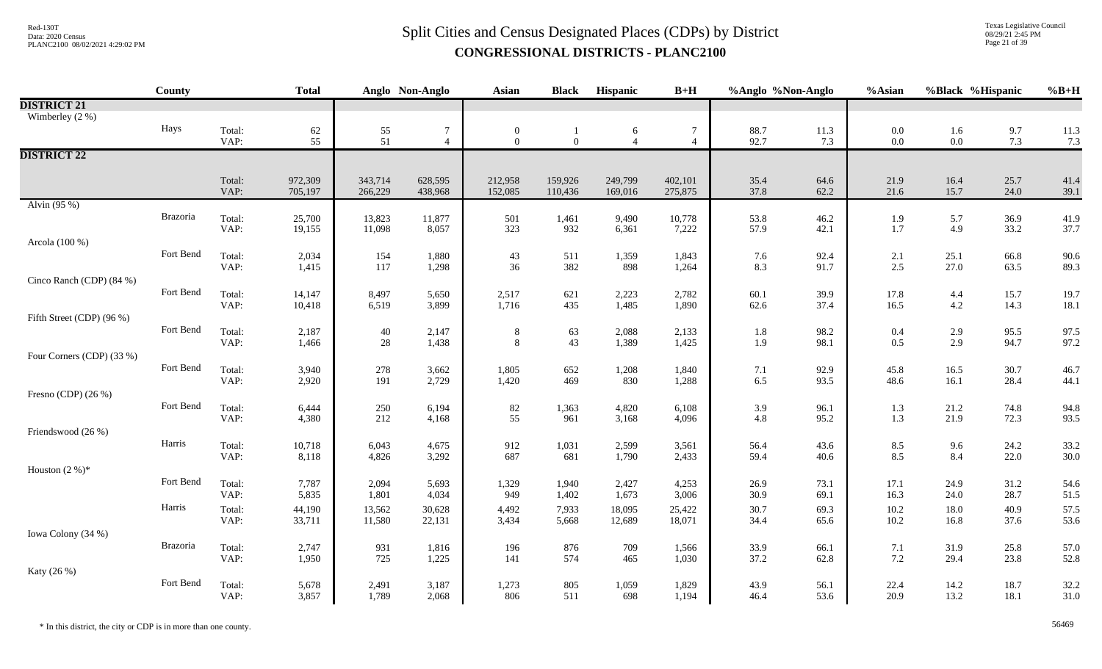Texas Legislative Council 08/29/21 2:45 PM Page 21 of 39

|                           | County    |                | <b>Total</b>     |                  | Anglo Non-Anglo | <b>Asian</b>   | <b>Black</b>   | Hispanic       | $B+H$           | %Anglo %Non-Anglo |              | %Asian            | %Black %Hispanic |              | $%B+H$       |
|---------------------------|-----------|----------------|------------------|------------------|-----------------|----------------|----------------|----------------|-----------------|-------------------|--------------|-------------------|------------------|--------------|--------------|
| <b>DISTRICT 21</b>        |           |                |                  |                  |                 |                |                |                |                 |                   |              |                   |                  |              |              |
| Wimberley (2 %)           |           |                |                  |                  |                 |                |                |                |                 |                   |              |                   |                  |              |              |
|                           | Hays      | Total:         | 62               | $\frac{55}{51}$  | $\overline{7}$  | $\mathbf{0}$   |                | 6              | 7               | 88.7              | 11.3         | $0.0\,$           | 1.6              | 9.7          | 11.3         |
|                           |           | VAP:           | 55               |                  | $\overline{4}$  | $\overline{0}$ | $\overline{0}$ | $\overline{4}$ | $\overline{4}$  | 92.7              | 7.3          | $0.0\,$           | $0.0\,$          | 7.3          | 7.3          |
| <b>DISTRICT 22</b>        |           |                |                  |                  |                 |                |                |                |                 |                   |              |                   |                  |              |              |
|                           |           |                |                  |                  |                 |                |                |                |                 |                   |              |                   |                  |              |              |
|                           |           | Total:         | 972,309          | 343,714          | 628,595         | 212,958        | 159,926        | 249,799        | 402,101         | 35.4              | 64.6         | 21.9              | 16.4             | 25.7         | 41.4         |
| Alvin (95 %)              |           | VAP:           | 705,197          | 266,229          | 438,968         | 152,085        | 110,436        | 169,016        | 275,875         | 37.8              | 62.2         | 21.6              | 15.7             | 24.0         | 39.1         |
|                           | Brazoria  |                |                  |                  |                 |                |                |                |                 |                   |              |                   |                  |              |              |
|                           |           | Total:<br>VAP: | 25,700<br>19,155 | 13,823<br>11,098 | 11,877<br>8,057 | 501<br>323     | 1,461<br>932   | 9,490<br>6,361 | 10,778<br>7,222 | 53.8<br>57.9      | 46.2<br>42.1 | 1.9<br>1.7        | 5.7<br>4.9       | 36.9<br>33.2 | 41.9<br>37.7 |
| Arcola (100 %)            |           |                |                  |                  |                 |                |                |                |                 |                   |              |                   |                  |              |              |
|                           | Fort Bend | Total:         | 2,034            | 154              | 1,880           | 43             | 511            | 1,359          | 1,843           | 7.6               | 92.4         |                   | 25.1             | 66.8         | 90.6         |
|                           |           | VAP:           | 1,415            | 117              | 1,298           | 36             | 382            | 898            | 1,264           | 8.3               | 91.7         | $\frac{2.1}{2.5}$ | 27.0             | 63.5         | 89.3         |
| Cinco Ranch (CDP) (84 %)  |           |                |                  |                  |                 |                |                |                |                 |                   |              |                   |                  |              |              |
|                           | Fort Bend | Total:         | 14,147           | 8,497            | 5,650           | 2,517          | 621            | 2,223          | 2,782           | 60.1              | 39.9         | 17.8              | $4.4\,$          | 15.7         | 19.7         |
|                           |           | VAP:           | 10,418           | 6,519            | 3,899           | 1,716          | 435            | 1,485          | 1,890           | 62.6              | 37.4         | 16.5              | 4.2              | 14.3         | 18.1         |
| Fifth Street (CDP) (96 %) |           |                |                  |                  |                 |                |                |                |                 |                   |              |                   |                  |              |              |
|                           | Fort Bend | Total:         | 2,187            | 40               | 2,147           | $\,8\,$        | 63             | 2,088          | 2,133           | $1.8\,$           | 98.2         | 0.4               | 2.9              | 95.5         | 97.5         |
|                           |           | VAP:           | 1,466            | 28               | 1,438           | 8              | 43             | 1,389          | 1,425           | 1.9               | 98.1         | 0.5               | 2.9              | 94.7         | 97.2         |
| Four Corners (CDP) (33 %) |           |                |                  |                  |                 |                |                |                |                 |                   |              |                   |                  |              |              |
|                           | Fort Bend | Total:         | 3,940            | 278              | 3,662           | 1,805          | 652            | 1,208          | 1,840           | $7.1\,$           | 92.9         | 45.8              | 16.5             | 30.7         | 46.7         |
|                           |           | VAP:           | 2,920            | 191              | 2,729           | 1,420          | 469            | 830            | 1,288           | 6.5               | 93.5         | 48.6              | 16.1             | 28.4         | 44.1         |
| Fresno (CDP) (26 %)       | Fort Bend |                |                  |                  |                 |                |                |                |                 |                   |              |                   |                  |              |              |
|                           |           | Total:<br>VAP: | 6,444<br>4,380   | 250<br>212       | 6,194<br>4,168  | $82\,$<br>55   | 1,363<br>961   | 4,820<br>3,168 | 6,108<br>4,096  | 3.9<br>4.8        | 96.1<br>95.2 | 1.3<br>1.3        | 21.2<br>21.9     | 74.8<br>72.3 | 94.8<br>93.5 |
| Friendswood (26 %)        |           |                |                  |                  |                 |                |                |                |                 |                   |              |                   |                  |              |              |
|                           | Harris    | Total:         | 10,718           | 6,043            | 4,675           | 912            | 1,031          | 2,599          | 3,561           | 56.4              | 43.6         | 8.5               | 9.6              | 24.2         | 33.2         |
|                           |           | VAP:           | 8,118            | 4,826            | 3,292           | 687            | 681            | 1,790          | 2,433           | 59.4              | 40.6         | 8.5               | 8.4              | 22.0         | 30.0         |
| Houston $(2\%)^*$         |           |                |                  |                  |                 |                |                |                |                 |                   |              |                   |                  |              |              |
|                           | Fort Bend | Total:         | 7,787            | 2,094            | 5,693           | 1,329          | 1,940          | 2,427          | 4,253           | 26.9              | 73.1         | 17.1              | 24.9             | 31.2         | 54.6         |
|                           |           | VAP:           | 5,835            | 1,801            | 4,034           | 949            | 1,402          | 1,673          | 3,006           | 30.9              | 69.1         | 16.3              | 24.0             | 28.7         | 51.5         |
|                           | Harris    | Total:         | 44,190           | 13,562           | 30,628          | 4,492          | 7,933          | 18,095         | 25,422          | 30.7              | 69.3         | 10.2              | 18.0             | 40.9         | 57.5         |
|                           |           | VAP:           | 33,711           | 11,580           | 22,131          | 3,434          | 5,668          | 12,689         | 18,071          | 34.4              | 65.6         | 10.2              | 16.8             | 37.6         | 53.6         |
| Iowa Colony (34 %)        |           |                |                  |                  |                 |                |                |                |                 |                   |              |                   |                  |              |              |
|                           | Brazoria  | Total:         | 2,747            | 931              | 1,816           | 196            | 876            | 709            | 1,566           | 33.9              | 66.1         | 7.1               | 31.9             | 25.8         | 57.0         |
|                           |           | VAP:           | 1,950            | 725              | 1,225           | 141            | 574            | 465            | 1,030           | 37.2              | 62.8         | $7.2\,$           | 29.4             | 23.8         | 52.8         |
| Katy (26 %)               |           |                |                  |                  |                 |                |                |                |                 |                   |              |                   |                  |              |              |
|                           | Fort Bend | Total:         | 5,678            | 2,491            | 3,187           | 1,273          | 805            | 1,059          | 1,829           | 43.9              | 56.1         | 22.4              | 14.2             | 18.7         | 32.2         |
|                           |           | VAP:           | 3,857            | 1,789            | 2,068           | 806            | 511            | 698            | 1,194           | 46.4              | 53.6         | 20.9              | 13.2             | 18.1         | 31.0         |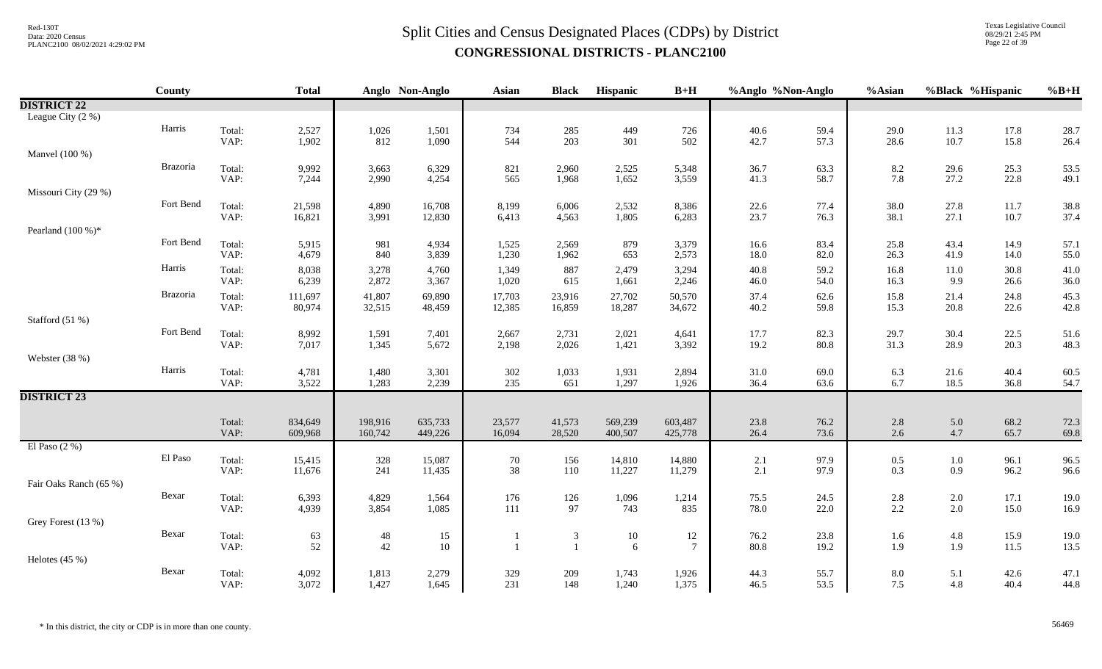# $Split$  Cities and Census Designated Places (CDPs) by District Data: 2020 Census **CONGRESSIONAL DISTRICTS - PLANC2100**

Texas Legislative Council 08/29/21 2:45 PM Page 22 of 39

|                        | County    |                | <b>Total</b>      |                  | Anglo Non-Anglo  | <b>Asian</b>     | <b>Black</b>     | Hispanic         | $B+H$            | %Anglo %Non-Anglo |              | %Asian       | %Black %Hispanic   |              | $%B+H$       |
|------------------------|-----------|----------------|-------------------|------------------|------------------|------------------|------------------|------------------|------------------|-------------------|--------------|--------------|--------------------|--------------|--------------|
| <b>DISTRICT 22</b>     |           |                |                   |                  |                  |                  |                  |                  |                  |                   |              |              |                    |              |              |
| League City (2 %)      |           |                |                   |                  |                  |                  |                  |                  |                  |                   |              |              |                    |              |              |
|                        | Harris    | Total:         | 2,527             | 1,026            | 1,501            | 734              | 285              | 449              | 726              | 40.6              | 59.4         | 29.0         | 11.3               | 17.8         | 28.7         |
|                        |           | VAP:           | 1,902             | 812              | 1,090            | 544              | 203              | 301              | 502              | 42.7              | 57.3         | 28.6         | 10.7               | 15.8         | 26.4         |
| Manvel (100 %)         | Brazoria  |                |                   |                  |                  |                  |                  |                  |                  |                   |              |              |                    |              |              |
|                        |           | Total:<br>VAP: | 9,992<br>7,244    | 3,663<br>2,990   | 6,329<br>4,254   | 821<br>565       | 2,960<br>1,968   | 2,525<br>1,652   | 5,348<br>3,559   | 36.7<br>41.3      | 63.3<br>58.7 | 8.2<br>7.8   | 29.6<br>27.2       | 25.3<br>22.8 | 53.5<br>49.1 |
| Missouri City (29 %)   |           |                |                   |                  |                  |                  |                  |                  |                  |                   |              |              |                    |              |              |
|                        | Fort Bend | Total:         | 21,598            | 4,890            | 16,708           | 8,199            | 6,006            | 2,532            | 8,386            | 22.6              | 77.4         | 38.0         | 27.8               | 11.7         | 38.8         |
|                        |           | VAP:           | 16,821            | 3,991            | 12,830           | 6,413            | 4,563            | 1,805            | 6,283            | 23.7              | 76.3         | 38.1         | 27.1               | 10.7         | 37.4         |
| Pearland $(100\%)*$    |           |                |                   |                  |                  |                  |                  |                  |                  |                   |              |              |                    |              |              |
|                        | Fort Bend | Total:         | 5,915             | 981              | 4,934            | 1,525            | 2,569            | 879              | 3,379            | 16.6              | 83.4         | 25.8         | 43.4               | 14.9         | 57.1         |
|                        |           | VAP:           | 4,679             | 840              | 3,839            | 1,230            | 1,962            | 653              | 2,573            | 18.0              | 82.0         | 26.3         | 41.9               | 14.0         | 55.0         |
|                        | Harris    | Total:<br>VAP: | 8,038<br>6,239    | 3,278<br>2,872   | 4,760<br>3,367   | 1,349<br>1,020   | 887<br>615       | 2,479<br>1,661   | 3,294<br>2,246   | 40.8<br>46.0      | 59.2<br>54.0 | 16.8<br>16.3 | $11.0\,$<br>9.9    | 30.8<br>26.6 | 41.0<br>36.0 |
|                        | Brazoria  |                |                   |                  |                  |                  |                  |                  |                  |                   |              |              |                    |              |              |
|                        |           | Total:<br>VAP: | 111,697<br>80,974 | 41,807<br>32,515 | 69,890<br>48,459 | 17,703<br>12,385 | 23,916<br>16,859 | 27,702<br>18,287 | 50,570<br>34,672 | 37.4<br>40.2      | 62.6<br>59.8 | 15.8<br>15.3 | 21.4<br>20.8       | 24.8<br>22.6 | 45.3<br>42.8 |
| Stafford (51 %)        |           |                |                   |                  |                  |                  |                  |                  |                  |                   |              |              |                    |              |              |
|                        | Fort Bend | Total:         | 8,992             | 1,591            | 7,401            | 2,667            | 2,731            | 2,021            | 4,641            | 17.7              | 82.3         | 29.7         | 30.4               | 22.5         | 51.6         |
|                        |           | VAP:           | 7,017             | 1,345            | 5,672            | 2,198            | 2,026            | 1,421            | 3,392            | 19.2              | 80.8         | 31.3         | 28.9               | 20.3         | 48.3         |
| Webster (38 %)         |           |                |                   |                  |                  |                  |                  |                  |                  |                   |              |              |                    |              |              |
|                        | Harris    | Total:         | 4,781             | 1,480            | 3,301            | 302              | 1,033            | 1,931            | 2,894            | 31.0              | 69.0         | 6.3          | 21.6               | 40.4         | 60.5         |
|                        |           | VAP:           | 3,522             | 1,283            | 2,239            | 235              | 651              | 1,297            | 1,926            | 36.4              | 63.6         | 6.7          | 18.5               | 36.8         | 54.7         |
| <b>DISTRICT 23</b>     |           |                |                   |                  |                  |                  |                  |                  |                  |                   |              |              |                    |              |              |
|                        |           | Total:         | 834,649           | 198,916          | 635,733          | 23,577           | 41,573           | 569,239          | 603,487          | 23.8              | 76.2         | 2.8          | 5.0                | 68.2         | 72.3         |
|                        |           | VAP:           | 609,968           | 160,742          | 449,226          | 16,094           | 28,520           | 400,507          | 425,778          | 26.4              | 73.6         | 2.6          | 4.7                | 65.7         | 69.8         |
| El Paso $(2\%)$        |           |                |                   |                  |                  |                  |                  |                  |                  |                   |              |              |                    |              |              |
|                        | El Paso   | Total:         | 15,415            | 328              | 15,087           | 70               | 156              | 14,810           | 14,880           | 2.1               | 97.9         | $0.5\,$      | $1.0\,$            | 96.1         | 96.5         |
|                        |           | VAP:           | 11,676            | 241              | 11,435           | 38               | 110              | 11,227           | 11,279           | 2.1               | 97.9         | 0.3          | 0.9                | 96.2         | 96.6         |
| Fair Oaks Ranch (65 %) | Bexar     |                |                   |                  |                  |                  |                  |                  |                  |                   |              |              |                    |              |              |
|                        |           | Total:<br>VAP: | 6,393<br>4,939    | 4,829<br>3,854   | 1,564<br>1,085   | 176<br>111       | 126<br>97        | 1,096<br>743     | 1,214<br>835     | 75.5<br>78.0      | 24.5<br>22.0 | 2.8<br>2.2   | $2.0\,$<br>$2.0\,$ | 17.1<br>15.0 | 19.0<br>16.9 |
| Grey Forest (13 %)     |           |                |                   |                  |                  |                  |                  |                  |                  |                   |              |              |                    |              |              |
|                        | Bexar     | Total:         | 63                | $48\,$           | 15               |                  | $\mathfrak{Z}$   | $10\,$           | $12\,$           | 76.2              | 23.8         | $1.6\,$      | $4.8\,$            | 15.9         | 19.0         |
|                        |           | VAP:           | 52                | 42               | 10               | $\mathbf{1}$     | $\overline{1}$   | 6                | $\tau$           | 80.8              | 19.2         | 1.9          | 1.9                | 11.5         | 13.5         |
| Helotes $(45%)$        |           |                |                   |                  |                  |                  |                  |                  |                  |                   |              |              |                    |              |              |
|                        | Bexar     | Total:         | 4,092             | 1,813            | 2,279            | 329              | 209              | 1,743            | 1,926            | 44.3              | 55.7         | 8.0          | 5.1                | 42.6         | 47.1         |
|                        |           | VAP:           | 3,072             | 1,427            | 1,645            | 231              | 148              | 1,240            | 1,375            | 46.5              | 53.5         | 7.5          | 4.8                | 40.4         | 44.8         |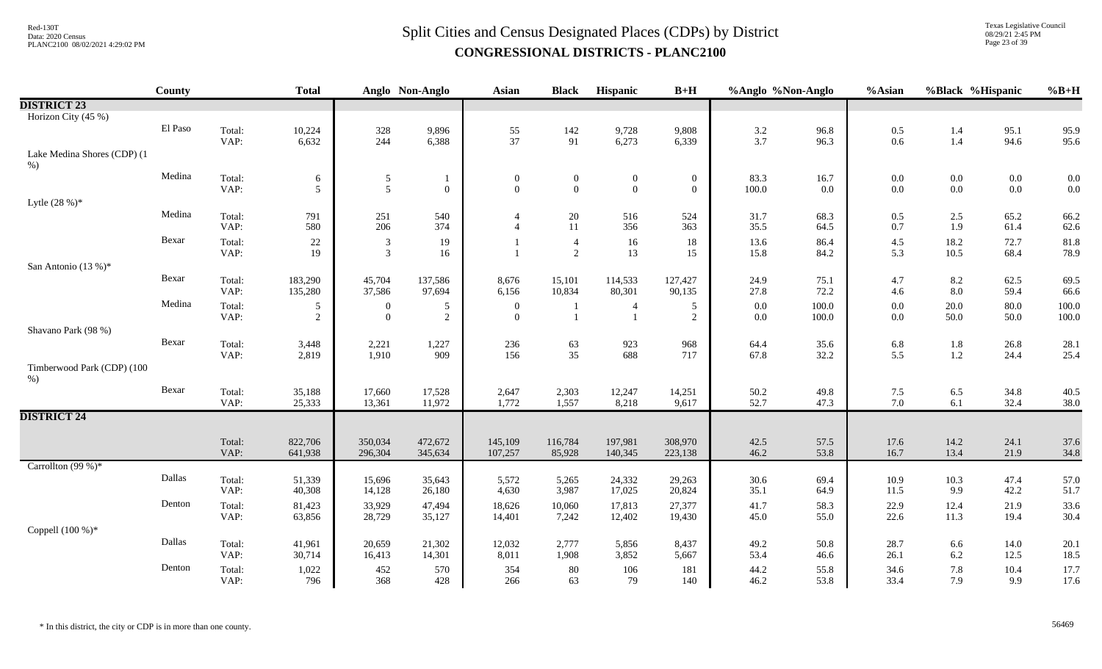Texas Legislative Council 08/29/21 2:45 PM Page 23 of 39

|                                      | <b>County</b> |                | <b>Total</b>        |                                  | Anglo Non-Anglo     | Asian                        | <b>Black</b>                     | Hispanic                           | $B+H$                        | %Anglo %Non-Anglo  |                 | %Asian       | %Black %Hispanic   |                    | $%B+H$         |
|--------------------------------------|---------------|----------------|---------------------|----------------------------------|---------------------|------------------------------|----------------------------------|------------------------------------|------------------------------|--------------------|-----------------|--------------|--------------------|--------------------|----------------|
| <b>DISTRICT 23</b>                   |               |                |                     |                                  |                     |                              |                                  |                                    |                              |                    |                 |              |                    |                    |                |
| Horizon City (45 %)                  |               |                |                     |                                  |                     |                              |                                  |                                    |                              |                    |                 |              |                    |                    |                |
|                                      | El Paso       | Total:<br>VAP: | 10,224<br>6,632     | 328<br>244                       | 9,896<br>6,388      | 55<br>37                     | 142<br>91                        | 9,728<br>6,273                     | 9,808<br>6,339               | $3.2\,$<br>3.7     | 96.8<br>96.3    | 0.5<br>0.6   | 1.4<br>1.4         | 95.1<br>94.6       | 95.9<br>95.6   |
| Lake Medina Shores (CDP) (1<br>$%$ ) |               |                |                     |                                  |                     |                              |                                  |                                    |                              |                    |                 |              |                    |                    |                |
|                                      | Medina        | Total:<br>VAP: | 6<br>5              | $\mathfrak{S}$<br>5              | $\overline{0}$      | $\boldsymbol{0}$<br>$\Omega$ | $\boldsymbol{0}$<br>$\mathbf{0}$ | $\boldsymbol{0}$<br>$\overline{0}$ | $\boldsymbol{0}$<br>$\theta$ | 83.3<br>100.0      | 16.7<br>$0.0\,$ | 0.0<br>0.0   | $0.0\,$<br>$0.0\,$ | $0.0\,$<br>$0.0\,$ | 0.0<br>0.0     |
| Lytle $(28%)$ *                      |               |                |                     |                                  |                     |                              |                                  |                                    |                              |                    |                 |              |                    |                    |                |
|                                      | Medina        | Total:<br>VAP: | 791<br>580          | 251<br>206                       | 540<br>374          | $\overline{4}$               | 20<br>11                         | 516<br>356                         | 524<br>363                   | 31.7<br>35.5       | 68.3<br>64.5    | 0.5<br>0.7   | $2.5\,$<br>1.9     | 65.2<br>61.4       | 66.2<br>62.6   |
|                                      | Bexar         | Total:<br>VAP: | 22<br>19            | $\mathfrak{Z}$<br>$\overline{3}$ | 19<br>16            |                              | $\overline{4}$<br>$\overline{2}$ | 16<br>13                           | 18<br>15                     | 13.6<br>15.8       | 86.4<br>84.2    | 4.5<br>5.3   | 18.2<br>10.5       | 72.7<br>68.4       | 81.8<br>78.9   |
| San Antonio (13 %)*                  |               |                |                     |                                  |                     |                              |                                  |                                    |                              |                    |                 |              |                    |                    |                |
|                                      | Bexar         | Total:<br>VAP: | 183,290<br>135,280  | 45,704<br>37,586                 | 137,586<br>97,694   | 8,676<br>6,156               | 15,101<br>10,834                 | 114,533<br>80,301                  | 127,427<br>90,135            | 24.9<br>27.8       | 75.1<br>72.2    | 4.7<br>4.6   | 8.2<br>8.0         | 62.5<br>59.4       | 69.5<br>66.6   |
|                                      | Medina        | Total:<br>VAP: | 5<br>$\overline{2}$ | $\mathbf{0}$<br>$\overline{0}$   | $\overline{5}$<br>2 | $\boldsymbol{0}$<br>$\Omega$ | $\blacksquare$                   |                                    | 5<br>2                       | $0.0\,$<br>$0.0\,$ | 100.0<br>100.0  | 0.0<br>0.0   | 20.0<br>50.0       | 80.0<br>50.0       | 100.0<br>100.0 |
| Shavano Park (98 %)                  |               |                |                     |                                  |                     |                              |                                  |                                    |                              |                    |                 |              |                    |                    |                |
|                                      | Bexar         | Total:<br>VAP: | 3,448<br>2,819      | 2,221<br>1,910                   | 1,227<br>909        | 236<br>156                   | 63<br>35                         | 923<br>688                         | 968<br>717                   | 64.4<br>67.8       | 35.6<br>32.2    | 6.8<br>5.5   | $1.8\,$<br>$1.2\,$ | 26.8<br>24.4       | 28.1<br>25.4   |
| Timberwood Park (CDP) (100<br>$%$ )  |               |                |                     |                                  |                     |                              |                                  |                                    |                              |                    |                 |              |                    |                    |                |
|                                      | Bexar         | Total:<br>VAP: | 35,188<br>25,333    | 17,660<br>13,361                 | 17,528<br>11,972    | 2,647<br>1,772               | 2,303<br>1,557                   | 12,247<br>8,218                    | 14,251<br>9,617              | 50.2<br>52.7       | 49.8<br>47.3    | 7.5<br>7.0   | 6.5<br>6.1         | 34.8<br>32.4       | 40.5<br>38.0   |
| <b>DISTRICT 24</b>                   |               |                |                     |                                  |                     |                              |                                  |                                    |                              |                    |                 |              |                    |                    |                |
|                                      |               |                |                     |                                  |                     |                              |                                  |                                    |                              |                    |                 |              |                    |                    |                |
|                                      |               | Total:<br>VAP: | 822,706<br>641,938  | 350,034<br>296,304               | 472,672<br>345,634  | 145,109<br>107,257           | 116,784<br>85,928                | 197,981<br>140,345                 | 308,970<br>223,138           | 42.5<br>46.2       | 57.5<br>53.8    | 17.6<br>16.7 | 14.2<br>13.4       | 24.1<br>21.9       | 37.6<br>34.8   |
| Carrollton $(99%)$ *                 |               |                |                     |                                  |                     |                              |                                  |                                    |                              |                    |                 |              |                    |                    |                |
|                                      | Dallas        | Total:<br>VAP: | 51,339<br>40,308    | 15,696<br>14,128                 | 35,643<br>26,180    | 5,572<br>4,630               | 5,265<br>3,987                   | 24,332<br>17,025                   | 29,263<br>20,824             | 30.6<br>35.1       | 69.4<br>64.9    | 10.9<br>11.5 | 10.3<br>9.9        | 47.4<br>42.2       | 57.0<br>51.7   |
|                                      | Denton        | Total:<br>VAP: | 81,423<br>63,856    | 33,929<br>28,729                 | 47,494<br>35,127    | 18,626<br>14,401             | 10,060<br>7,242                  | 17,813<br>12,402                   | 27,377<br>19,430             | 41.7<br>45.0       | 58.3<br>55.0    | 22.9<br>22.6 | 12.4<br>11.3       | 21.9<br>19.4       | 33.6<br>30.4   |
| Coppell (100 %)*                     |               |                |                     |                                  |                     |                              |                                  |                                    |                              |                    |                 |              |                    |                    |                |
|                                      | Dallas        | Total:<br>VAP: | 41,961<br>30,714    | 20,659<br>16,413                 | 21,302<br>14,301    | 12,032<br>8,011              | 2,777<br>1,908                   | 5,856<br>3,852                     | 8,437<br>5,667               | 49.2<br>53.4       | 50.8<br>46.6    | 28.7<br>26.1 | 6.6<br>6.2         | 14.0<br>12.5       | 20.1<br>18.5   |
|                                      | Denton        | Total:<br>VAP: | 1,022<br>796        | 452<br>368                       | 570<br>428          | 354<br>266                   | 80<br>63                         | 106<br>79                          | 181<br>140                   | 44.2<br>46.2       | 55.8<br>53.8    | 34.6<br>33.4 | 7.8<br>7.9         | 10.4<br>9.9        | 17.7<br>17.6   |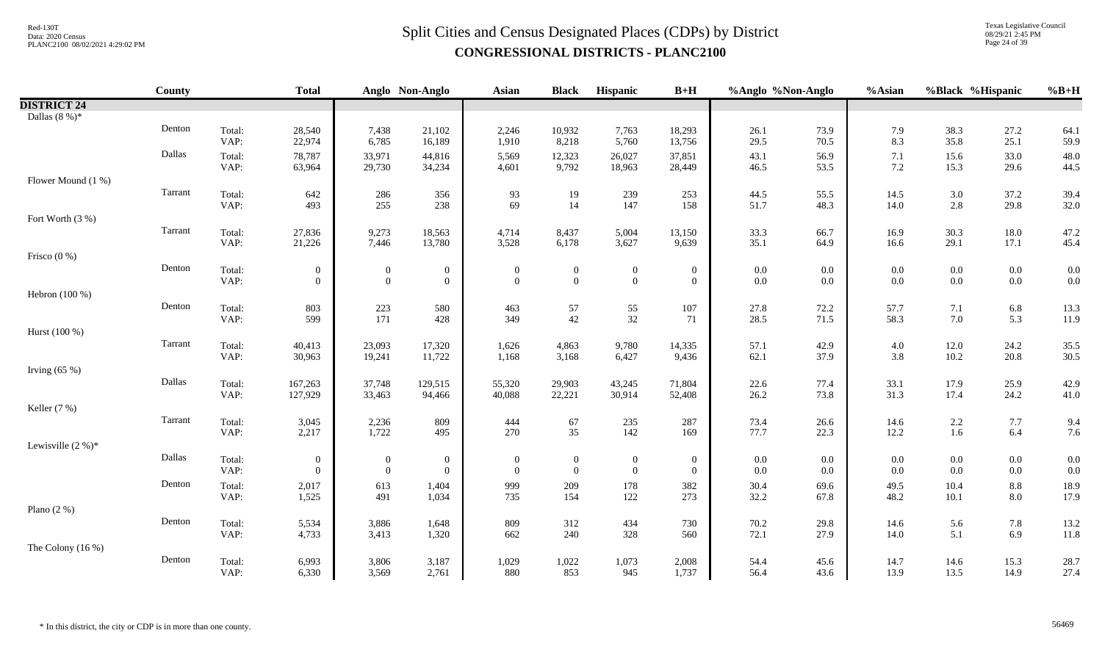Texas Legislative Council 08/29/21 2:45 PM Page 24 of 39

|                     | <b>County</b> |                | <b>Total</b>                     |                                           | Anglo Non-Anglo                  | <b>Asian</b>                            | <b>Black</b>                         | Hispanic                             | $B+H$                              | %Anglo %Non-Anglo  |                | %Asian           | %Black %Hispanic                          |                    | $%B+H$       |
|---------------------|---------------|----------------|----------------------------------|-------------------------------------------|----------------------------------|-----------------------------------------|--------------------------------------|--------------------------------------|------------------------------------|--------------------|----------------|------------------|-------------------------------------------|--------------------|--------------|
| <b>DISTRICT 24</b>  |               |                |                                  |                                           |                                  |                                         |                                      |                                      |                                    |                    |                |                  |                                           |                    |              |
| Dallas $(8\%)^*$    |               |                |                                  |                                           |                                  |                                         |                                      |                                      |                                    |                    |                |                  |                                           |                    |              |
|                     | Denton        | Total:<br>VAP: | 28,540<br>22,974                 | 7,438<br>6,785                            | 21,102<br>16,189                 | 2,246<br>1,910                          | 10,932<br>8,218                      | 7,763<br>5,760                       | 18,293<br>13,756                   | 26.1<br>29.5       | 73.9<br>70.5   | 7.9<br>8.3       | 38.3<br>35.8                              | 27.2<br>25.1       | 64.1<br>59.9 |
|                     | Dallas        | Total:<br>VAP: | 78,787<br>63,964                 | 33,971<br>29,730                          | 44,816<br>34,234                 | 5,569<br>4,601                          | 12,323<br>9,792                      | 26,027<br>18,963                     | 37,851<br>28,449                   | 43.1<br>46.5       | 56.9<br>53.5   | 7.1<br>7.2       | 15.6<br>15.3                              | 33.0<br>29.6       | 48.0<br>44.5 |
| Flower Mound (1 %)  |               |                |                                  |                                           |                                  |                                         |                                      |                                      |                                    |                    |                |                  |                                           |                    |              |
|                     | Tarrant       | Total:<br>VAP: | 642<br>493                       | $\begin{array}{c} 286 \\ 255 \end{array}$ | $\frac{356}{238}$                | $\begin{array}{c} 93 \\ 69 \end{array}$ | 19<br>14                             | $\frac{239}{147}$                    | 253<br>158                         | 44.5<br>51.7       | 55.5<br>48.3   | $14.5\,$<br>14.0 | $\begin{array}{c} 3.0 \\ 2.8 \end{array}$ | 37.2<br>29.8       | 39.4<br>32.0 |
| Fort Worth (3 %)    |               |                |                                  |                                           |                                  |                                         |                                      |                                      |                                    |                    |                |                  |                                           |                    |              |
|                     | Tarrant       | Total:<br>VAP: | 27,836<br>21,226                 | 9,273<br>7,446                            | 18,563<br>13,780                 | 4,714<br>3,528                          | 8,437<br>6,178                       | 5,004<br>3,627                       | 13,150<br>9,639                    | 33.3<br>35.1       | 66.7<br>64.9   | 16.9<br>16.6     | 30.3<br>29.1                              | 18.0<br>17.1       | 47.2<br>45.4 |
| Frisco $(0\% )$     |               |                |                                  |                                           |                                  |                                         |                                      |                                      |                                    |                    |                |                  |                                           |                    |              |
|                     | Denton        | Total:<br>VAP: | $\overline{0}$<br>$\overline{0}$ | $\boldsymbol{0}$<br>$\boldsymbol{0}$      | $\mathbf{0}$<br>$\mathbf{0}$     | $\boldsymbol{0}$<br>$\mathbf{0}$        | $\boldsymbol{0}$<br>$\boldsymbol{0}$ | $\boldsymbol{0}$<br>$\boldsymbol{0}$ | $\boldsymbol{0}$<br>$\mathbf{0}$   | $0.0\,$<br>$0.0\,$ | $0.0\,$<br>0.0 | $0.0\,$<br>0.0   | $0.0\,$<br>$0.0\,$                        | $0.0\,$<br>$0.0\,$ | 0.0<br>0.0   |
| Hebron (100 %)      |               |                |                                  |                                           |                                  |                                         |                                      |                                      |                                    |                    |                |                  |                                           |                    |              |
|                     | Denton        | Total:<br>VAP: | 803<br>599                       | 223<br>171                                | 580<br>428                       | 463<br>349                              | 57<br>42                             | $\frac{55}{32}$                      | 107<br>71                          | 27.8<br>28.5       | 72.2<br>71.5   | 57.7<br>58.3     | 7.1<br>7.0                                | $6.8\,$<br>5.3     | 13.3<br>11.9 |
| Hurst (100 %)       |               |                |                                  |                                           |                                  |                                         |                                      |                                      |                                    |                    |                |                  |                                           |                    |              |
|                     | Tarrant       | Total:<br>VAP: | 40,413<br>30,963                 | 23,093<br>19,241                          | 17,320<br>11,722                 | 1,626<br>1,168                          | 4,863<br>3,168                       | 9,780<br>6,427                       | 14,335<br>9,436                    | 57.1<br>62.1       | 42.9<br>37.9   | $4.0\,$<br>3.8   | $12.0\,$<br>$10.2\,$                      | 24.2<br>20.8       | 35.5<br>30.5 |
| Irving $(65%)$      |               |                |                                  |                                           |                                  |                                         |                                      |                                      |                                    |                    |                |                  |                                           |                    |              |
|                     | Dallas        | Total:<br>VAP: | 167,263<br>127,929               | 37,748<br>33,463                          | 129,515<br>94,466                | 55,320<br>40,088                        | 29,903<br>22,221                     | 43,245<br>30,914                     | 71,804<br>52,408                   | 22.6<br>26.2       | 77.4<br>73.8   | 33.1<br>31.3     | 17.9<br>17.4                              | 25.9<br>24.2       | 42.9<br>41.0 |
| Keller $(7%)$       |               |                |                                  |                                           |                                  |                                         |                                      |                                      |                                    |                    |                |                  |                                           |                    |              |
|                     | Tarrant       | Total:<br>VAP: | 3,045<br>2,217                   | 2,236<br>1,722                            | 809<br>495                       | 444<br>270                              | 67<br>35                             | 235<br>142                           | 287<br>169                         | 73.4<br>77.7       | 26.6<br>22.3   | 14.6<br>12.2     | $2.2\,$<br>1.6                            | 7.7<br>6.4         | 9.4<br>7.6   |
| Lewisville $(2%)^*$ |               |                |                                  |                                           |                                  |                                         |                                      |                                      |                                    |                    |                |                  |                                           |                    |              |
|                     | Dallas        | Total:<br>VAP: | $\boldsymbol{0}$<br>$\Omega$     | $\boldsymbol{0}$<br>$\mathbf{0}$          | $\boldsymbol{0}$<br>$\mathbf{0}$ | $\overline{0}$<br>$\theta$              | $\overline{0}$<br>$\mathbf{0}$       | $\boldsymbol{0}$<br>$\overline{0}$   | $\boldsymbol{0}$<br>$\overline{0}$ | $0.0\,$<br>$0.0\,$ | $0.0\,$<br>0.0 | 0.0<br>0.0       | $0.0\,$<br>$0.0\,$                        | $0.0\,$<br>$0.0\,$ | 0.0<br>0.0   |
|                     | Denton        | Total:<br>VAP: | 2,017<br>1,525                   | 613<br>491                                | 1,404<br>1,034                   | 999<br>735                              | 209<br>154                           | 178<br>122                           | 382<br>273                         | 30.4<br>32.2       | 69.6<br>67.8   | 49.5<br>48.2     | 10.4<br>10.1                              | 8.8<br>$8.0\,$     | 18.9<br>17.9 |
| Plano $(2\%)$       |               |                |                                  |                                           |                                  |                                         |                                      |                                      |                                    |                    |                |                  |                                           |                    |              |
|                     | Denton        | Total:<br>VAP: | 5,534<br>4,733                   | 3,886<br>3,413                            | 1,648<br>1,320                   | 809<br>662                              | 312<br>240                           | 434<br>328                           | 730<br>560                         | 70.2<br>72.1       | 29.8<br>27.9   | 14.6<br>14.0     | 5.6<br>5.1                                | $7.8\,$<br>6.9     | 13.2<br>11.8 |
| The Colony $(16\%)$ |               |                |                                  |                                           |                                  |                                         |                                      |                                      |                                    |                    |                |                  |                                           |                    |              |
|                     | Denton        | Total:<br>VAP: | 6,993<br>6,330                   | 3,806<br>3,569                            | 3,187<br>2,761                   | 1,029<br>880                            | 1,022<br>853                         | 1,073<br>945                         | 2,008<br>1,737                     | 54.4<br>56.4       | 45.6<br>43.6   | 14.7<br>13.9     | 14.6<br>13.5                              | 15.3<br>14.9       | 28.7<br>27.4 |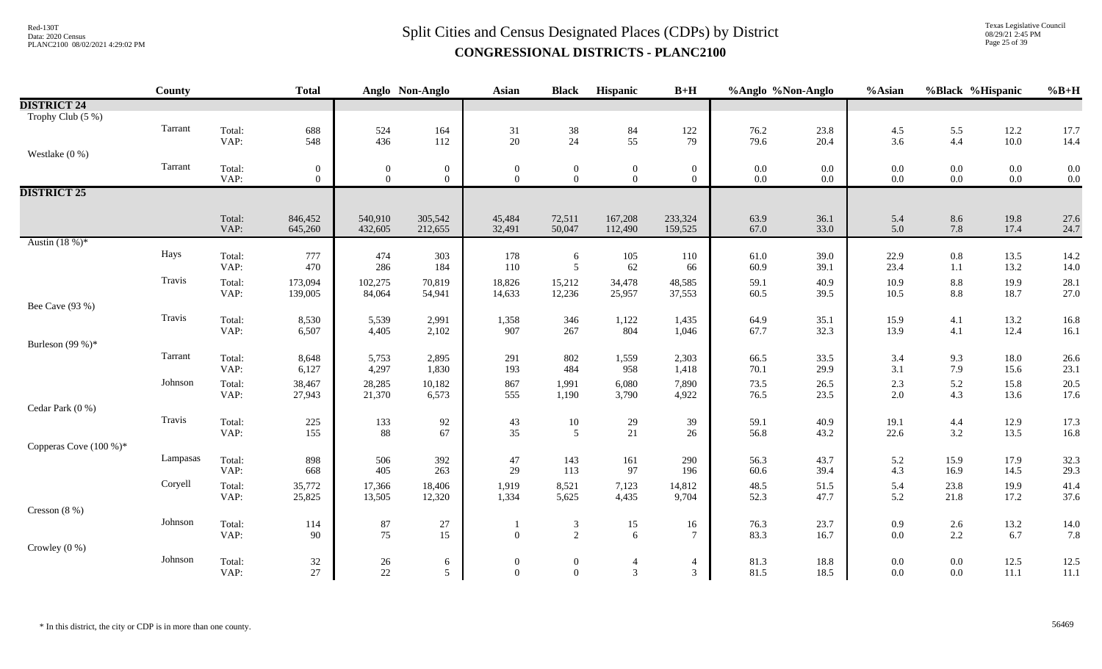# $Split$  Cities and Census Designated Places (CDPs) by District Data: 2020 Census **CONGRESSIONAL DISTRICTS - PLANC2100**

Texas Legislative Council 08/29/21 2:45 PM Page 25 of 39

|                        | County   |                | <b>Total</b>     |                  | Anglo Non-Anglo  | <b>Asian</b>                     | <b>Black</b>                     | Hispanic                                | $B+H$                 | %Anglo %Non-Anglo |              | %Asian         | %Black %Hispanic |              | $%B+H$       |
|------------------------|----------|----------------|------------------|------------------|------------------|----------------------------------|----------------------------------|-----------------------------------------|-----------------------|-------------------|--------------|----------------|------------------|--------------|--------------|
| <b>DISTRICT 24</b>     |          |                |                  |                  |                  |                                  |                                  |                                         |                       |                   |              |                |                  |              |              |
| Trophy Club (5 %)      |          |                |                  |                  |                  |                                  |                                  |                                         |                       |                   |              |                |                  |              |              |
|                        | Tarrant  | Total:         | 688              | 524              | 164              | 31                               | $\frac{38}{24}$                  | $\begin{array}{c} 84 \\ 55 \end{array}$ | 122                   | 76.2              | 23.8         | 4.5            | 5.5              | 12.2         | 17.7         |
|                        |          | VAP:           | 548              | 436              | 112              | 20                               |                                  |                                         | 79                    | 79.6              | 20.4         | 3.6            | 4.4              | 10.0         | 14.4         |
| Westlake $(0\%)$       |          |                |                  |                  |                  |                                  |                                  |                                         |                       |                   |              |                |                  |              |              |
|                        | Tarrant  | Total:         | $\boldsymbol{0}$ | $\boldsymbol{0}$ | $\overline{0}$   | $\mathbf{0}$                     | $\overline{0}$                   | $\boldsymbol{0}$                        | $\overline{0}$        | $0.0\,$           | $0.0\,$      | $0.0\,$        | $0.0\,$          | $0.0\,$      | 0.0          |
|                        |          | VAP:           | $\Omega$         | $\overline{0}$   | $\overline{0}$   | $\overline{0}$                   | $\mathbf{0}$                     | $\overline{0}$                          | $\overline{0}$        | $0.0\,$           | $0.0\,$      | $0.0\,$        | $0.0\,$          | $0.0\,$      | 0.0          |
| <b>DISTRICT 25</b>     |          |                |                  |                  |                  |                                  |                                  |                                         |                       |                   |              |                |                  |              |              |
|                        |          |                |                  |                  |                  |                                  |                                  |                                         |                       |                   |              |                |                  |              |              |
|                        |          | Total:         | 846,452          | 540,910          | 305,542          | 45,484                           | 72,511                           | 167,208                                 | 233,324               | 63.9              | 36.1         | 5.4            | 8.6              | 19.8         | 27.6         |
|                        |          | VAP:           | 645,260          | 432,605          | 212,655          | 32,491                           | 50,047                           | 112,490                                 | 159,525               | 67.0              | 33.0         | 5.0            | 7.8              | 17.4         | 24.7         |
| Austin $(18%)^*$       |          |                |                  |                  |                  |                                  |                                  |                                         |                       |                   |              |                |                  |              |              |
|                        | Hays     | Total:         | 777              | 474              | 303              | 178                              | 6                                | 105                                     | 110                   | 61.0              | 39.0         | 22.9           | $0.8\,$          | 13.5         | 14.2         |
|                        |          | VAP:           | 470              | 286              | 184              | 110                              | 5                                | 62                                      | 66                    | 60.9              | 39.1         | 23.4           | 1.1              | 13.2         | 14.0         |
|                        | Travis   | Total:         | 173,094          | 102,275          | 70,819           | 18,826                           | 15,212                           | 34,478                                  | 48,585                | 59.1              | 40.9         | 10.9           | 8.8              | 19.9         | 28.1         |
|                        |          | VAP:           | 139,005          | 84,064           | 54,941           | 14,633                           | 12,236                           | 25,957                                  | 37,553                | 60.5              | 39.5         | 10.5           | $8.8\,$          | 18.7         | 27.0         |
| Bee Cave (93 %)        |          |                |                  |                  |                  |                                  |                                  |                                         |                       |                   |              |                |                  |              |              |
|                        | Travis   | Total:         | 8,530            | 5,539            | 2,991            | 1,358                            | 346                              | 1,122                                   | 1,435                 | 64.9              | 35.1<br>32.3 | 15.9           | 4.1              | 13.2         | 16.8         |
|                        |          | VAP:           | 6,507            | 4,405            | 2,102            | 907                              | 267                              | 804                                     | 1,046                 | 67.7              |              | 13.9           | 4.1              | 12.4         | 16.1         |
| Burleson (99 %)*       | Tarrant  |                |                  |                  |                  |                                  |                                  |                                         |                       |                   |              |                |                  |              |              |
|                        |          | Total:         | 8,648            | 5,753            | 2,895            | 291                              | 802                              | 1,559                                   | 2,303                 | 66.5              | 33.5<br>29.9 | 3.4            | 9.3              | 18.0         | 26.6         |
|                        |          | VAP:           | 6,127            | 4,297            | 1,830            | 193                              | 484                              | 958                                     | 1,418                 | 70.1              |              | 3.1            | 7.9              | 15.6         | 23.1         |
|                        | Johnson  | Total:         | 38,467           | 28,285           | 10,182           | 867                              | 1,991                            | 6,080                                   | 7,890                 | 73.5              | 26.5         | 2.3            | 5.2              | 15.8         | 20.5         |
|                        |          | VAP:           | 27,943           | 21,370           | 6,573            | 555                              | 1,190                            | 3,790                                   | 4,922                 | 76.5              | 23.5         | 2.0            | 4.3              | 13.6         | 17.6         |
| Cedar Park (0 %)       | Travis   |                |                  |                  |                  |                                  |                                  |                                         |                       |                   |              |                |                  |              |              |
|                        |          | Total:<br>VAP: | 225<br>155       | 133<br>88        | 92<br>67         | $43\,$<br>35                     | $10\,$<br>5                      | 29<br>21                                | 39<br>26              | 59.1<br>56.8      | 40.9<br>43.2 | 19.1<br>22.6   | 4.4<br>3.2       | 12.9<br>13.5 | 17.3<br>16.8 |
|                        |          |                |                  |                  |                  |                                  |                                  |                                         |                       |                   |              |                |                  |              |              |
| Copperas Cove (100 %)* | Lampasas |                |                  |                  |                  |                                  |                                  |                                         |                       |                   |              |                |                  |              |              |
|                        |          | Total:<br>VAP: | 898<br>668       | 506<br>405       | 392<br>263       | 47<br>29                         | 143<br>113                       | 161<br>97                               | 290<br>196            | 56.3<br>60.6      | 43.7<br>39.4 | 5.2<br>4.3     | 15.9<br>16.9     | 17.9<br>14.5 | 32.3<br>29.3 |
|                        | Coryell  |                |                  |                  |                  |                                  |                                  |                                         |                       |                   |              |                |                  |              |              |
|                        |          | Total:<br>VAP: | 35,772<br>25,825 | 17,366<br>13,505 | 18,406<br>12,320 | 1,919<br>1,334                   | 8,521<br>5,625                   | 7,123<br>4,435                          | 14,812<br>9,704       | 48.5<br>52.3      | 51.5<br>47.7 | 5.4<br>5.2     | 23.8<br>21.8     | 19.9<br>17.2 | 41.4<br>37.6 |
| Cresson $(8\%)$        |          |                |                  |                  |                  |                                  |                                  |                                         |                       |                   |              |                |                  |              |              |
|                        | Johnson  |                |                  |                  |                  |                                  |                                  |                                         |                       |                   |              |                |                  |              |              |
|                        |          | Total:<br>VAP: | 114<br>90        | 87<br>75         | $27\,$<br>15     | $\mathbf{0}$                     | $\mathfrak{Z}$<br>2              | 15<br>6                                 | 16<br>$7\phantom{.0}$ | 76.3<br>83.3      | 23.7<br>16.7 | 0.9<br>0.0     | $2.6\,$<br>2.2   | 13.2<br>6.7  | 14.0<br>7.8  |
| Crowley $(0\%)$        |          |                |                  |                  |                  |                                  |                                  |                                         |                       |                   |              |                |                  |              |              |
|                        | Johnson  |                |                  |                  |                  |                                  |                                  |                                         |                       |                   |              |                |                  |              |              |
|                        |          | Total:<br>VAP: | $32\,$<br>27     | 26<br>22         | 6<br>5           | $\boldsymbol{0}$<br>$\mathbf{0}$ | $\overline{0}$<br>$\overline{0}$ | $\overline{4}$<br>$\overline{3}$        | 4<br>3                | 81.3<br>81.5      | 18.8<br>18.5 | 0.0<br>$0.0\,$ | $0.0\,$<br>0.0   | 12.5<br>11.1 | 12.5<br>11.1 |
|                        |          |                |                  |                  |                  |                                  |                                  |                                         |                       |                   |              |                |                  |              |              |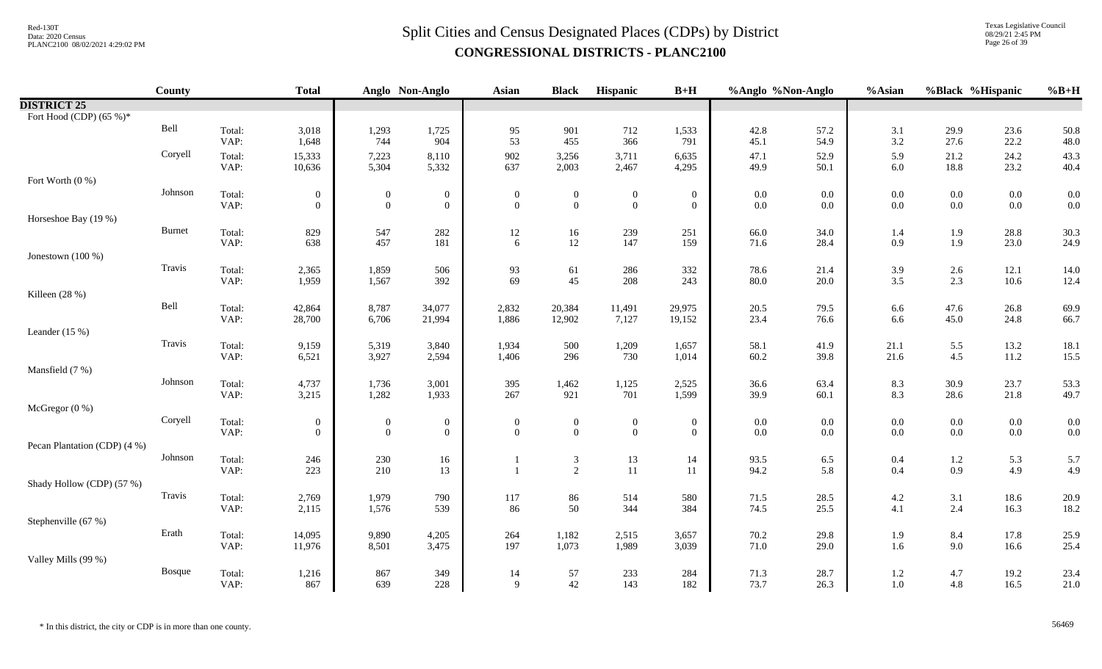Texas Legislative Council 08/29/21 2:45 PM Page 26 of 39

|                              | County        |                | <b>Total</b>                     |                                  | Anglo Non-Anglo                    | <b>Asian</b>                 | <b>Black</b>                     | Hispanic                           | $B+H$                            | %Anglo %Non-Anglo  |              | %Asian         | %Black %Hispanic   |                    | $%B+H$       |
|------------------------------|---------------|----------------|----------------------------------|----------------------------------|------------------------------------|------------------------------|----------------------------------|------------------------------------|----------------------------------|--------------------|--------------|----------------|--------------------|--------------------|--------------|
| <b>DISTRICT 25</b>           |               |                |                                  |                                  |                                    |                              |                                  |                                    |                                  |                    |              |                |                    |                    |              |
| Fort Hood (CDP) $(65\%)^*$   |               |                |                                  |                                  |                                    |                              |                                  |                                    |                                  |                    |              |                |                    |                    |              |
|                              | Bell          | Total:         | 3,018                            | 1,293                            | 1,725                              | 95                           | 901                              | 712                                | 1,533                            | 42.8               | 57.2         | 3.1            | 29.9               | 23.6               | 50.8         |
|                              |               | VAP:           | 1,648                            | 744                              | 904                                | 53                           | 455                              | 366                                | 791                              | 45.1               | 54.9         | $3.2\,$        | 27.6               | 22.2               | 48.0         |
|                              | Coryell       | Total:<br>VAP: | 15,333<br>10,636                 | 7,223<br>5,304                   | 8,110<br>5,332                     | 902<br>637                   | 3,256<br>2,003                   | 3,711<br>2,467                     | 6,635<br>4,295                   | 47.1<br>49.9       | 52.9<br>50.1 | 5.9<br>6.0     | 21.2<br>18.8       | 24.2<br>23.2       | 43.3<br>40.4 |
| Fort Worth (0 %)             |               |                |                                  |                                  |                                    |                              |                                  |                                    |                                  |                    |              |                |                    |                    |              |
|                              | Johnson       | Total:         | $\boldsymbol{0}$                 | $\boldsymbol{0}$                 | $\boldsymbol{0}$                   | $\boldsymbol{0}$             | $\boldsymbol{0}$                 | $\boldsymbol{0}$                   | $\boldsymbol{0}$                 | $0.0\,$            | 0.0          | $0.0\,$        | $0.0\,$            | $0.0\,$            | 0.0          |
|                              |               | VAP:           | $\boldsymbol{0}$                 | $\mathbf{0}$                     | $\boldsymbol{0}$                   | $\Omega$                     | $\mathbf{0}$                     | $\mathbf{0}$                       | $\boldsymbol{0}$                 | $0.0\,$            | 0.0          | $0.0\,$        | $0.0\,$            | $0.0\,$            | 0.0          |
| Horseshoe Bay (19 %)         |               |                |                                  |                                  |                                    |                              |                                  |                                    |                                  |                    |              |                |                    |                    |              |
|                              | <b>Burnet</b> | Total:         | 829                              | 547                              | 282                                | 12                           | 16                               | 239                                | 251                              | 66.0               | 34.0         | 1.4            | 1.9                | 28.8               | 30.3         |
|                              |               | VAP:           | 638                              | 457                              | 181                                | 6                            | 12                               | 147                                | 159                              | 71.6               | 28.4         | 0.9            | 1.9                | 23.0               | 24.9         |
| Jonestown (100 %)            | Travis        |                |                                  |                                  |                                    |                              |                                  |                                    |                                  |                    |              |                |                    |                    |              |
|                              |               | Total:<br>VAP: | 2,365<br>1,959                   | 1,859<br>1,567                   | 506<br>392                         | 93<br>69                     | 61<br>45                         | 286<br>208                         | 332<br>243                       | 78.6<br>80.0       | 21.4<br>20.0 | 3.9<br>3.5     | 2.6<br>2.3         | 12.1<br>10.6       | 14.0<br>12.4 |
| Killeen (28 %)               |               |                |                                  |                                  |                                    |                              |                                  |                                    |                                  |                    |              |                |                    |                    |              |
|                              | Bell          | Total:         | 42,864                           | 8,787                            | 34,077                             | 2,832                        | 20,384                           | 11,491                             | 29,975                           | 20.5               | 79.5         | 6.6            | 47.6               | 26.8               | 69.9         |
|                              |               | VAP:           | 28,700                           | 6,706                            | 21,994                             | 1,886                        | 12,902                           | 7,127                              | 19,152                           | 23.4               | 76.6         | 6.6            | 45.0               | 24.8               | 66.7         |
| Leander $(15\%)$             |               |                |                                  |                                  |                                    |                              |                                  |                                    |                                  |                    |              |                |                    |                    |              |
|                              | Travis        | Total:         | 9,159                            | 5,319                            | 3,840                              | 1,934                        | 500                              | 1,209                              | 1,657                            | 58.1               | 41.9         | 21.1           | 5.5                | 13.2               | $18.1\,$     |
|                              |               | VAP:           | 6,521                            | 3,927                            | 2,594                              | 1,406                        | 296                              | 730                                | 1,014                            | 60.2               | 39.8         | 21.6           | 4.5                | $11.2\,$           | 15.5         |
| Mansfield (7 %)              |               |                |                                  |                                  |                                    |                              |                                  |                                    |                                  |                    |              |                |                    |                    |              |
|                              | Johnson       | Total:         | 4,737                            | 1,736                            | 3,001                              | 395                          | 1,462                            | 1,125                              | 2,525                            | 36.6               | 63.4         | 8.3            | 30.9               | 23.7               | 53.3         |
|                              |               | VAP:           | 3,215                            | 1,282                            | 1,933                              | 267                          | 921                              | 701                                | 1,599                            | 39.9               | 60.1         | 8.3            | 28.6               | $21.8\,$           | 49.7         |
| McGregor (0 %)               | Coryell       |                |                                  |                                  |                                    |                              |                                  |                                    |                                  |                    |              |                |                    |                    |              |
|                              |               | Total:<br>VAP: | $\overline{0}$<br>$\overline{0}$ | $\overline{0}$<br>$\overline{0}$ | $\boldsymbol{0}$<br>$\overline{0}$ | $\boldsymbol{0}$<br>$\Omega$ | $\overline{0}$<br>$\overline{0}$ | $\boldsymbol{0}$<br>$\overline{0}$ | $\overline{0}$<br>$\overline{0}$ | $0.0\,$<br>$0.0\,$ | 0.0<br>0.0   | $0.0\,$<br>0.0 | $0.0\,$<br>$0.0\,$ | $0.0\,$<br>$0.0\,$ | 0.0<br>0.0   |
| Pecan Plantation (CDP) (4 %) |               |                |                                  |                                  |                                    |                              |                                  |                                    |                                  |                    |              |                |                    |                    |              |
|                              | Johnson       | Total:         | 246                              | 230                              | 16                                 |                              | $\mathfrak{Z}$                   | 13                                 | 14                               | 93.5               | 6.5          | 0.4            | $1.2\,$            | 5.3                | 5.7          |
|                              |               | VAP:           | 223                              | 210                              | 13                                 |                              | 2                                | 11                                 | 11                               | 94.2               | 5.8          | 0.4            | 0.9                | 4.9                | 4.9          |
| Shady Hollow (CDP) (57 %)    |               |                |                                  |                                  |                                    |                              |                                  |                                    |                                  |                    |              |                |                    |                    |              |
|                              | Travis        | Total:         | 2,769                            | 1,979                            | 790                                | 117                          | 86                               | 514                                | 580                              | 71.5               | 28.5         | $4.2\,$        | 3.1                | 18.6               | 20.9         |
|                              |               | VAP:           | 2,115                            | 1,576                            | 539                                | 86                           | 50                               | 344                                | 384                              | 74.5               | 25.5         | 4.1            | 2.4                | 16.3               | 18.2         |
| Stephenville (67 %)          |               |                |                                  |                                  |                                    |                              |                                  |                                    |                                  |                    |              |                |                    |                    |              |
|                              | Erath         | Total:         | 14,095                           | 9,890                            | 4,205                              | 264<br>197                   | 1,182                            | 2,515                              | 3,657                            | 70.2               | 29.8         | 1.9<br>1.6     | 8.4<br>9.0         | 17.8               | 25.9         |
| Valley Mills (99 %)          |               | VAP:           | 11,976                           | 8,501                            | 3,475                              |                              | 1,073                            | 1,989                              | 3,039                            | 71.0               | 29.0         |                |                    | 16.6               | 25.4         |
|                              | <b>Bosque</b> | Total:         | 1,216                            | 867                              | 349                                | 14                           | 57                               | 233                                | 284                              | 71.3               | 28.7         | $1.2\,$        | 4.7                | 19.2               | 23.4         |
|                              |               | VAP:           | 867                              | 639                              | 228                                | 9                            | 42                               | 143                                | 182                              | 73.7               | 26.3         | 1.0            | 4.8                | 16.5               | 21.0         |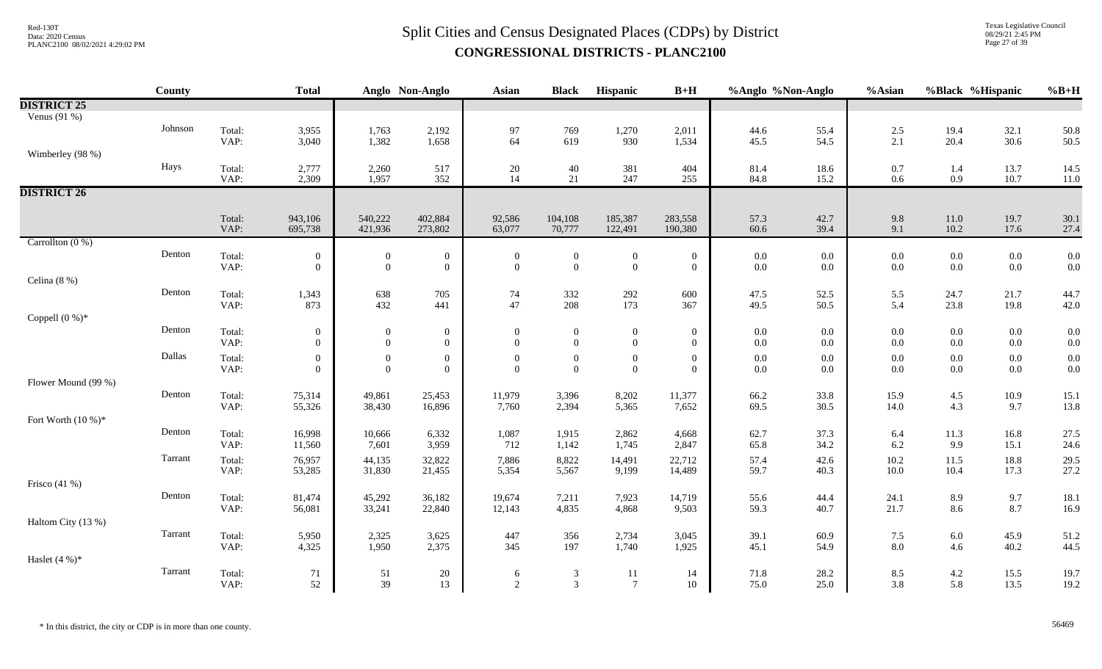# $Split$  Cities and Census Designated Places (CDPs) by District Data: 2020 Census **CONGRESSIONAL DISTRICTS - PLANC2100**

Texas Legislative Council 08/29/21 2:45 PM Page 27 of 39

| Venus $(91\%)$<br>Johnson<br>Total:<br>3,955<br>1,763<br>2,192<br>97<br>19.4<br>32.1<br>769<br>1,270<br>2,011<br>44.6<br>55.4<br>2.5<br>50.8<br>64<br>VAP:<br>3,040<br>1,658<br>619<br>1,534<br>54.5<br>2.1<br>20.4<br>30.6<br>50.5<br>1,382<br>930<br>45.5<br>Wimberley (98 %)<br>Hays<br>Total:<br>2,777<br>2,260<br>517<br>$20\,$<br>40<br>381<br>404<br>18.6<br>0.7<br>13.7<br>14.5<br>81.4<br>1.4<br>VAP:<br>2,309<br>1,957<br>352<br>14<br>21<br>247<br>255<br>84.8<br>15.2<br>0.6<br>0.9<br>10.7<br>11.0<br><b>DISTRICT 26</b><br>943,106<br>540,222<br>402,884<br>Total:<br>92,586<br>104,108<br>185,387<br>283,558<br>57.3<br>42.7<br>9.8<br>$11.0\,$<br>19.7<br>30.1<br>VAP:<br>421,936<br>273,802<br>10.2<br>695,738<br>63,077<br>70,777<br>122,491<br>190,380<br>60.6<br>39.4<br>9.1<br>17.6<br>27.4<br>Carrollton $(0\%)$<br>Denton<br>Total:<br>$0.0\,$<br>$\boldsymbol{0}$<br>$\boldsymbol{0}$<br>$0.0\,$<br>$0.0\,$<br>$0.0\,$<br>0.0<br>$\overline{0}$<br>$\boldsymbol{0}$<br>$\boldsymbol{0}$<br>$\boldsymbol{0}$<br>$0.0\,$<br>$\mathbf{0}$<br>0.0<br>$\mathbf{0}$<br>$0.0\,$<br>VAP:<br>$\overline{0}$<br>$\boldsymbol{0}$<br>$\mathbf{0}$<br>$\overline{0}$<br>$\overline{0}$<br>$\overline{0}$<br>$0.0\,$<br>0.0<br>0.0<br>$0.0\,$<br>Celina $(8\%)$<br>Denton<br>Total:<br>52.5<br>1,343<br>638<br>705<br>74<br>332<br>292<br>600<br>47.5<br>5.5<br>24.7<br>21.7<br>44.7<br>47<br>VAP:<br>432<br>208<br>173<br>50.5<br>5.4<br>42.0<br>873<br>441<br>367<br>49.5<br>23.8<br>19.8<br>Coppell $(0\%)^*$<br>Denton<br>Total:<br>$\boldsymbol{0}$<br>$\boldsymbol{0}$<br>0.0<br>0.0<br>$0.0\,$<br>$0.0\,$<br>0.0<br>$\boldsymbol{0}$<br>$\boldsymbol{0}$<br>$\boldsymbol{0}$<br>$\overline{0}$<br>$\boldsymbol{0}$<br>$0.0\,$<br>0.0<br>VAP:<br>$\overline{0}$<br>$\boldsymbol{0}$<br>$\boldsymbol{0}$<br>$\overline{0}$<br>$\overline{0}$<br>$\overline{0}$<br>$0.0\,$<br>0.0<br>0.0<br>$0.0\,$<br>$0.0\,$<br>$\overline{0}$<br>Dallas<br>Total:<br>$\boldsymbol{0}$<br>$\mathbf{0}$<br>$\boldsymbol{0}$<br>$\boldsymbol{0}$<br>$\boldsymbol{0}$<br>$\mathbf{0}$<br>$0.0\,$<br>0.0<br>$0.0\,$<br>$0.0\,$<br>$0.0\,$<br>0.0<br>$\boldsymbol{0}$<br>0.0<br>VAP:<br>$\mathbf{0}$<br>$\mathbf{0}$<br>$\theta$<br>$\mathbf{0}$<br>$\mathbf{0}$<br>$0.0\,$<br>$\theta$<br>$\overline{0}$<br>$0.0\,$<br>0.0<br>$0.0\,$<br>$0.0\,$<br>Flower Mound (99 %)<br>Denton<br>Total:<br>11,979<br>8,202<br>11,377<br>33.8<br>15.9<br>$4.5\,$<br>75,314<br>49,861<br>25,453<br>3,396<br>66.2<br>10.9<br>15.1<br>30.5<br>4.3<br>VAP:<br>55,326<br>38,430<br>16,896<br>7,760<br>2,394<br>5,365<br>7,652<br>69.5<br>14.0<br>9.7<br>13.8<br>Fort Worth $(10\%)^*$<br>Denton<br>Total:<br>16,998<br>10,666<br>6,332<br>1,087<br>1,915<br>2,862<br>4,668<br>62.7<br>37.3<br>11.3<br>16.8<br>27.5<br>6.4<br>VAP:<br>7,601<br>3,959<br>712<br>1,745<br>2,847<br>34.2<br>6.2<br>9.9<br>11,560<br>1,142<br>65.8<br>15.1<br>24.6<br>Tarrant<br>76,957<br>44,135<br>32,822<br>7,886<br>8,822<br>57.4<br>42.6<br>10.2<br>11.5<br>18.8<br>29.5<br>Total:<br>14,491<br>22,712<br>10.0<br>VAP:<br>31,830<br>14,489<br>59.7<br>10.4<br>17.3<br>27.2<br>53,285<br>21,455<br>5,354<br>5,567<br>9,199<br>40.3<br>Frisco $(41%)$<br>Denton<br>Total:<br>24.1<br>9.7<br>45,292<br>36,182<br>7,211<br>7,923<br>14,719<br>55.6<br>44.4<br>8.9<br>81,474<br>19,674<br>18.1<br>VAP:<br>8.7<br>56,081<br>33,241<br>4,835<br>4,868<br>9,503<br>40.7<br>21.7<br>8.6<br>16.9<br>22,840<br>12,143<br>59.3<br>Haltom City (13 %)<br>Tarrant<br>Total:<br>5,950<br>2,325<br>3,625<br>447<br>356<br>2,734<br>39.1<br>60.9<br>7.5<br>$6.0\,$<br>45.9<br>3,045<br>51.2<br>8.0<br>44.5<br>345<br>VAP:<br>4,325<br>1,950<br>2,375<br>197<br>1,740<br>1,925<br>54.9<br>4.6<br>40.2<br>45.1<br>Haslet $(4\%)^*$<br>Tarrant<br>Total:<br>28.2<br>8.5<br>71<br>51<br>20<br>$\mathfrak{Z}$<br>11<br>71.8<br>4.2<br>15.5<br>19.7<br>6<br>14<br>39<br>2<br>3<br>$7\phantom{.0}$<br>5.8<br>19.2<br>VAP:<br>52<br>13<br>10<br>75.0<br>25.0<br>3.8<br>13.5 |                    | County | <b>Total</b> | Anglo Non-Anglo | Asian | <b>Black</b> | Hispanic | $B+H$ | %Anglo %Non-Anglo | %Asian | %Black %Hispanic | $%B+H$ |
|---------------------------------------------------------------------------------------------------------------------------------------------------------------------------------------------------------------------------------------------------------------------------------------------------------------------------------------------------------------------------------------------------------------------------------------------------------------------------------------------------------------------------------------------------------------------------------------------------------------------------------------------------------------------------------------------------------------------------------------------------------------------------------------------------------------------------------------------------------------------------------------------------------------------------------------------------------------------------------------------------------------------------------------------------------------------------------------------------------------------------------------------------------------------------------------------------------------------------------------------------------------------------------------------------------------------------------------------------------------------------------------------------------------------------------------------------------------------------------------------------------------------------------------------------------------------------------------------------------------------------------------------------------------------------------------------------------------------------------------------------------------------------------------------------------------------------------------------------------------------------------------------------------------------------------------------------------------------------------------------------------------------------------------------------------------------------------------------------------------------------------------------------------------------------------------------------------------------------------------------------------------------------------------------------------------------------------------------------------------------------------------------------------------------------------------------------------------------------------------------------------------------------------------------------------------------------------------------------------------------------------------------------------------------------------------------------------------------------------------------------------------------------------------------------------------------------------------------------------------------------------------------------------------------------------------------------------------------------------------------------------------------------------------------------------------------------------------------------------------------------------------------------------------------------------------------------------------------------------------------------------------------------------------------------------------------------------------------------------------------------------------------------------------------------------------------------------------------------------------------------------------------------------------------------------------------------------------------------------------------------------------------------------------------------------------------------------------------------------------------------------------------------------------------------------------------------------------------------------------------------------------------------------------------------------------------------------------------------------------------------------------|--------------------|--------|--------------|-----------------|-------|--------------|----------|-------|-------------------|--------|------------------|--------|
|                                                                                                                                                                                                                                                                                                                                                                                                                                                                                                                                                                                                                                                                                                                                                                                                                                                                                                                                                                                                                                                                                                                                                                                                                                                                                                                                                                                                                                                                                                                                                                                                                                                                                                                                                                                                                                                                                                                                                                                                                                                                                                                                                                                                                                                                                                                                                                                                                                                                                                                                                                                                                                                                                                                                                                                                                                                                                                                                                                                                                                                                                                                                                                                                                                                                                                                                                                                                                                                                                                                                                                                                                                                                                                                                                                                                                                                                                                                                                                                                               | <b>DISTRICT 25</b> |        |              |                 |       |              |          |       |                   |        |                  |        |
|                                                                                                                                                                                                                                                                                                                                                                                                                                                                                                                                                                                                                                                                                                                                                                                                                                                                                                                                                                                                                                                                                                                                                                                                                                                                                                                                                                                                                                                                                                                                                                                                                                                                                                                                                                                                                                                                                                                                                                                                                                                                                                                                                                                                                                                                                                                                                                                                                                                                                                                                                                                                                                                                                                                                                                                                                                                                                                                                                                                                                                                                                                                                                                                                                                                                                                                                                                                                                                                                                                                                                                                                                                                                                                                                                                                                                                                                                                                                                                                                               |                    |        |              |                 |       |              |          |       |                   |        |                  |        |
|                                                                                                                                                                                                                                                                                                                                                                                                                                                                                                                                                                                                                                                                                                                                                                                                                                                                                                                                                                                                                                                                                                                                                                                                                                                                                                                                                                                                                                                                                                                                                                                                                                                                                                                                                                                                                                                                                                                                                                                                                                                                                                                                                                                                                                                                                                                                                                                                                                                                                                                                                                                                                                                                                                                                                                                                                                                                                                                                                                                                                                                                                                                                                                                                                                                                                                                                                                                                                                                                                                                                                                                                                                                                                                                                                                                                                                                                                                                                                                                                               |                    |        |              |                 |       |              |          |       |                   |        |                  |        |
|                                                                                                                                                                                                                                                                                                                                                                                                                                                                                                                                                                                                                                                                                                                                                                                                                                                                                                                                                                                                                                                                                                                                                                                                                                                                                                                                                                                                                                                                                                                                                                                                                                                                                                                                                                                                                                                                                                                                                                                                                                                                                                                                                                                                                                                                                                                                                                                                                                                                                                                                                                                                                                                                                                                                                                                                                                                                                                                                                                                                                                                                                                                                                                                                                                                                                                                                                                                                                                                                                                                                                                                                                                                                                                                                                                                                                                                                                                                                                                                                               |                    |        |              |                 |       |              |          |       |                   |        |                  |        |
|                                                                                                                                                                                                                                                                                                                                                                                                                                                                                                                                                                                                                                                                                                                                                                                                                                                                                                                                                                                                                                                                                                                                                                                                                                                                                                                                                                                                                                                                                                                                                                                                                                                                                                                                                                                                                                                                                                                                                                                                                                                                                                                                                                                                                                                                                                                                                                                                                                                                                                                                                                                                                                                                                                                                                                                                                                                                                                                                                                                                                                                                                                                                                                                                                                                                                                                                                                                                                                                                                                                                                                                                                                                                                                                                                                                                                                                                                                                                                                                                               |                    |        |              |                 |       |              |          |       |                   |        |                  |        |
|                                                                                                                                                                                                                                                                                                                                                                                                                                                                                                                                                                                                                                                                                                                                                                                                                                                                                                                                                                                                                                                                                                                                                                                                                                                                                                                                                                                                                                                                                                                                                                                                                                                                                                                                                                                                                                                                                                                                                                                                                                                                                                                                                                                                                                                                                                                                                                                                                                                                                                                                                                                                                                                                                                                                                                                                                                                                                                                                                                                                                                                                                                                                                                                                                                                                                                                                                                                                                                                                                                                                                                                                                                                                                                                                                                                                                                                                                                                                                                                                               |                    |        |              |                 |       |              |          |       |                   |        |                  |        |
|                                                                                                                                                                                                                                                                                                                                                                                                                                                                                                                                                                                                                                                                                                                                                                                                                                                                                                                                                                                                                                                                                                                                                                                                                                                                                                                                                                                                                                                                                                                                                                                                                                                                                                                                                                                                                                                                                                                                                                                                                                                                                                                                                                                                                                                                                                                                                                                                                                                                                                                                                                                                                                                                                                                                                                                                                                                                                                                                                                                                                                                                                                                                                                                                                                                                                                                                                                                                                                                                                                                                                                                                                                                                                                                                                                                                                                                                                                                                                                                                               |                    |        |              |                 |       |              |          |       |                   |        |                  |        |
|                                                                                                                                                                                                                                                                                                                                                                                                                                                                                                                                                                                                                                                                                                                                                                                                                                                                                                                                                                                                                                                                                                                                                                                                                                                                                                                                                                                                                                                                                                                                                                                                                                                                                                                                                                                                                                                                                                                                                                                                                                                                                                                                                                                                                                                                                                                                                                                                                                                                                                                                                                                                                                                                                                                                                                                                                                                                                                                                                                                                                                                                                                                                                                                                                                                                                                                                                                                                                                                                                                                                                                                                                                                                                                                                                                                                                                                                                                                                                                                                               |                    |        |              |                 |       |              |          |       |                   |        |                  |        |
|                                                                                                                                                                                                                                                                                                                                                                                                                                                                                                                                                                                                                                                                                                                                                                                                                                                                                                                                                                                                                                                                                                                                                                                                                                                                                                                                                                                                                                                                                                                                                                                                                                                                                                                                                                                                                                                                                                                                                                                                                                                                                                                                                                                                                                                                                                                                                                                                                                                                                                                                                                                                                                                                                                                                                                                                                                                                                                                                                                                                                                                                                                                                                                                                                                                                                                                                                                                                                                                                                                                                                                                                                                                                                                                                                                                                                                                                                                                                                                                                               |                    |        |              |                 |       |              |          |       |                   |        |                  |        |
|                                                                                                                                                                                                                                                                                                                                                                                                                                                                                                                                                                                                                                                                                                                                                                                                                                                                                                                                                                                                                                                                                                                                                                                                                                                                                                                                                                                                                                                                                                                                                                                                                                                                                                                                                                                                                                                                                                                                                                                                                                                                                                                                                                                                                                                                                                                                                                                                                                                                                                                                                                                                                                                                                                                                                                                                                                                                                                                                                                                                                                                                                                                                                                                                                                                                                                                                                                                                                                                                                                                                                                                                                                                                                                                                                                                                                                                                                                                                                                                                               |                    |        |              |                 |       |              |          |       |                   |        |                  |        |
|                                                                                                                                                                                                                                                                                                                                                                                                                                                                                                                                                                                                                                                                                                                                                                                                                                                                                                                                                                                                                                                                                                                                                                                                                                                                                                                                                                                                                                                                                                                                                                                                                                                                                                                                                                                                                                                                                                                                                                                                                                                                                                                                                                                                                                                                                                                                                                                                                                                                                                                                                                                                                                                                                                                                                                                                                                                                                                                                                                                                                                                                                                                                                                                                                                                                                                                                                                                                                                                                                                                                                                                                                                                                                                                                                                                                                                                                                                                                                                                                               |                    |        |              |                 |       |              |          |       |                   |        |                  |        |
|                                                                                                                                                                                                                                                                                                                                                                                                                                                                                                                                                                                                                                                                                                                                                                                                                                                                                                                                                                                                                                                                                                                                                                                                                                                                                                                                                                                                                                                                                                                                                                                                                                                                                                                                                                                                                                                                                                                                                                                                                                                                                                                                                                                                                                                                                                                                                                                                                                                                                                                                                                                                                                                                                                                                                                                                                                                                                                                                                                                                                                                                                                                                                                                                                                                                                                                                                                                                                                                                                                                                                                                                                                                                                                                                                                                                                                                                                                                                                                                                               |                    |        |              |                 |       |              |          |       |                   |        |                  |        |
|                                                                                                                                                                                                                                                                                                                                                                                                                                                                                                                                                                                                                                                                                                                                                                                                                                                                                                                                                                                                                                                                                                                                                                                                                                                                                                                                                                                                                                                                                                                                                                                                                                                                                                                                                                                                                                                                                                                                                                                                                                                                                                                                                                                                                                                                                                                                                                                                                                                                                                                                                                                                                                                                                                                                                                                                                                                                                                                                                                                                                                                                                                                                                                                                                                                                                                                                                                                                                                                                                                                                                                                                                                                                                                                                                                                                                                                                                                                                                                                                               |                    |        |              |                 |       |              |          |       |                   |        |                  |        |
|                                                                                                                                                                                                                                                                                                                                                                                                                                                                                                                                                                                                                                                                                                                                                                                                                                                                                                                                                                                                                                                                                                                                                                                                                                                                                                                                                                                                                                                                                                                                                                                                                                                                                                                                                                                                                                                                                                                                                                                                                                                                                                                                                                                                                                                                                                                                                                                                                                                                                                                                                                                                                                                                                                                                                                                                                                                                                                                                                                                                                                                                                                                                                                                                                                                                                                                                                                                                                                                                                                                                                                                                                                                                                                                                                                                                                                                                                                                                                                                                               |                    |        |              |                 |       |              |          |       |                   |        |                  |        |
|                                                                                                                                                                                                                                                                                                                                                                                                                                                                                                                                                                                                                                                                                                                                                                                                                                                                                                                                                                                                                                                                                                                                                                                                                                                                                                                                                                                                                                                                                                                                                                                                                                                                                                                                                                                                                                                                                                                                                                                                                                                                                                                                                                                                                                                                                                                                                                                                                                                                                                                                                                                                                                                                                                                                                                                                                                                                                                                                                                                                                                                                                                                                                                                                                                                                                                                                                                                                                                                                                                                                                                                                                                                                                                                                                                                                                                                                                                                                                                                                               |                    |        |              |                 |       |              |          |       |                   |        |                  |        |
|                                                                                                                                                                                                                                                                                                                                                                                                                                                                                                                                                                                                                                                                                                                                                                                                                                                                                                                                                                                                                                                                                                                                                                                                                                                                                                                                                                                                                                                                                                                                                                                                                                                                                                                                                                                                                                                                                                                                                                                                                                                                                                                                                                                                                                                                                                                                                                                                                                                                                                                                                                                                                                                                                                                                                                                                                                                                                                                                                                                                                                                                                                                                                                                                                                                                                                                                                                                                                                                                                                                                                                                                                                                                                                                                                                                                                                                                                                                                                                                                               |                    |        |              |                 |       |              |          |       |                   |        |                  |        |
|                                                                                                                                                                                                                                                                                                                                                                                                                                                                                                                                                                                                                                                                                                                                                                                                                                                                                                                                                                                                                                                                                                                                                                                                                                                                                                                                                                                                                                                                                                                                                                                                                                                                                                                                                                                                                                                                                                                                                                                                                                                                                                                                                                                                                                                                                                                                                                                                                                                                                                                                                                                                                                                                                                                                                                                                                                                                                                                                                                                                                                                                                                                                                                                                                                                                                                                                                                                                                                                                                                                                                                                                                                                                                                                                                                                                                                                                                                                                                                                                               |                    |        |              |                 |       |              |          |       |                   |        |                  |        |
|                                                                                                                                                                                                                                                                                                                                                                                                                                                                                                                                                                                                                                                                                                                                                                                                                                                                                                                                                                                                                                                                                                                                                                                                                                                                                                                                                                                                                                                                                                                                                                                                                                                                                                                                                                                                                                                                                                                                                                                                                                                                                                                                                                                                                                                                                                                                                                                                                                                                                                                                                                                                                                                                                                                                                                                                                                                                                                                                                                                                                                                                                                                                                                                                                                                                                                                                                                                                                                                                                                                                                                                                                                                                                                                                                                                                                                                                                                                                                                                                               |                    |        |              |                 |       |              |          |       |                   |        |                  |        |
|                                                                                                                                                                                                                                                                                                                                                                                                                                                                                                                                                                                                                                                                                                                                                                                                                                                                                                                                                                                                                                                                                                                                                                                                                                                                                                                                                                                                                                                                                                                                                                                                                                                                                                                                                                                                                                                                                                                                                                                                                                                                                                                                                                                                                                                                                                                                                                                                                                                                                                                                                                                                                                                                                                                                                                                                                                                                                                                                                                                                                                                                                                                                                                                                                                                                                                                                                                                                                                                                                                                                                                                                                                                                                                                                                                                                                                                                                                                                                                                                               |                    |        |              |                 |       |              |          |       |                   |        |                  |        |
|                                                                                                                                                                                                                                                                                                                                                                                                                                                                                                                                                                                                                                                                                                                                                                                                                                                                                                                                                                                                                                                                                                                                                                                                                                                                                                                                                                                                                                                                                                                                                                                                                                                                                                                                                                                                                                                                                                                                                                                                                                                                                                                                                                                                                                                                                                                                                                                                                                                                                                                                                                                                                                                                                                                                                                                                                                                                                                                                                                                                                                                                                                                                                                                                                                                                                                                                                                                                                                                                                                                                                                                                                                                                                                                                                                                                                                                                                                                                                                                                               |                    |        |              |                 |       |              |          |       |                   |        |                  |        |
|                                                                                                                                                                                                                                                                                                                                                                                                                                                                                                                                                                                                                                                                                                                                                                                                                                                                                                                                                                                                                                                                                                                                                                                                                                                                                                                                                                                                                                                                                                                                                                                                                                                                                                                                                                                                                                                                                                                                                                                                                                                                                                                                                                                                                                                                                                                                                                                                                                                                                                                                                                                                                                                                                                                                                                                                                                                                                                                                                                                                                                                                                                                                                                                                                                                                                                                                                                                                                                                                                                                                                                                                                                                                                                                                                                                                                                                                                                                                                                                                               |                    |        |              |                 |       |              |          |       |                   |        |                  |        |
|                                                                                                                                                                                                                                                                                                                                                                                                                                                                                                                                                                                                                                                                                                                                                                                                                                                                                                                                                                                                                                                                                                                                                                                                                                                                                                                                                                                                                                                                                                                                                                                                                                                                                                                                                                                                                                                                                                                                                                                                                                                                                                                                                                                                                                                                                                                                                                                                                                                                                                                                                                                                                                                                                                                                                                                                                                                                                                                                                                                                                                                                                                                                                                                                                                                                                                                                                                                                                                                                                                                                                                                                                                                                                                                                                                                                                                                                                                                                                                                                               |                    |        |              |                 |       |              |          |       |                   |        |                  |        |
|                                                                                                                                                                                                                                                                                                                                                                                                                                                                                                                                                                                                                                                                                                                                                                                                                                                                                                                                                                                                                                                                                                                                                                                                                                                                                                                                                                                                                                                                                                                                                                                                                                                                                                                                                                                                                                                                                                                                                                                                                                                                                                                                                                                                                                                                                                                                                                                                                                                                                                                                                                                                                                                                                                                                                                                                                                                                                                                                                                                                                                                                                                                                                                                                                                                                                                                                                                                                                                                                                                                                                                                                                                                                                                                                                                                                                                                                                                                                                                                                               |                    |        |              |                 |       |              |          |       |                   |        |                  |        |
|                                                                                                                                                                                                                                                                                                                                                                                                                                                                                                                                                                                                                                                                                                                                                                                                                                                                                                                                                                                                                                                                                                                                                                                                                                                                                                                                                                                                                                                                                                                                                                                                                                                                                                                                                                                                                                                                                                                                                                                                                                                                                                                                                                                                                                                                                                                                                                                                                                                                                                                                                                                                                                                                                                                                                                                                                                                                                                                                                                                                                                                                                                                                                                                                                                                                                                                                                                                                                                                                                                                                                                                                                                                                                                                                                                                                                                                                                                                                                                                                               |                    |        |              |                 |       |              |          |       |                   |        |                  |        |
|                                                                                                                                                                                                                                                                                                                                                                                                                                                                                                                                                                                                                                                                                                                                                                                                                                                                                                                                                                                                                                                                                                                                                                                                                                                                                                                                                                                                                                                                                                                                                                                                                                                                                                                                                                                                                                                                                                                                                                                                                                                                                                                                                                                                                                                                                                                                                                                                                                                                                                                                                                                                                                                                                                                                                                                                                                                                                                                                                                                                                                                                                                                                                                                                                                                                                                                                                                                                                                                                                                                                                                                                                                                                                                                                                                                                                                                                                                                                                                                                               |                    |        |              |                 |       |              |          |       |                   |        |                  |        |
|                                                                                                                                                                                                                                                                                                                                                                                                                                                                                                                                                                                                                                                                                                                                                                                                                                                                                                                                                                                                                                                                                                                                                                                                                                                                                                                                                                                                                                                                                                                                                                                                                                                                                                                                                                                                                                                                                                                                                                                                                                                                                                                                                                                                                                                                                                                                                                                                                                                                                                                                                                                                                                                                                                                                                                                                                                                                                                                                                                                                                                                                                                                                                                                                                                                                                                                                                                                                                                                                                                                                                                                                                                                                                                                                                                                                                                                                                                                                                                                                               |                    |        |              |                 |       |              |          |       |                   |        |                  |        |
|                                                                                                                                                                                                                                                                                                                                                                                                                                                                                                                                                                                                                                                                                                                                                                                                                                                                                                                                                                                                                                                                                                                                                                                                                                                                                                                                                                                                                                                                                                                                                                                                                                                                                                                                                                                                                                                                                                                                                                                                                                                                                                                                                                                                                                                                                                                                                                                                                                                                                                                                                                                                                                                                                                                                                                                                                                                                                                                                                                                                                                                                                                                                                                                                                                                                                                                                                                                                                                                                                                                                                                                                                                                                                                                                                                                                                                                                                                                                                                                                               |                    |        |              |                 |       |              |          |       |                   |        |                  |        |
|                                                                                                                                                                                                                                                                                                                                                                                                                                                                                                                                                                                                                                                                                                                                                                                                                                                                                                                                                                                                                                                                                                                                                                                                                                                                                                                                                                                                                                                                                                                                                                                                                                                                                                                                                                                                                                                                                                                                                                                                                                                                                                                                                                                                                                                                                                                                                                                                                                                                                                                                                                                                                                                                                                                                                                                                                                                                                                                                                                                                                                                                                                                                                                                                                                                                                                                                                                                                                                                                                                                                                                                                                                                                                                                                                                                                                                                                                                                                                                                                               |                    |        |              |                 |       |              |          |       |                   |        |                  |        |
|                                                                                                                                                                                                                                                                                                                                                                                                                                                                                                                                                                                                                                                                                                                                                                                                                                                                                                                                                                                                                                                                                                                                                                                                                                                                                                                                                                                                                                                                                                                                                                                                                                                                                                                                                                                                                                                                                                                                                                                                                                                                                                                                                                                                                                                                                                                                                                                                                                                                                                                                                                                                                                                                                                                                                                                                                                                                                                                                                                                                                                                                                                                                                                                                                                                                                                                                                                                                                                                                                                                                                                                                                                                                                                                                                                                                                                                                                                                                                                                                               |                    |        |              |                 |       |              |          |       |                   |        |                  |        |
|                                                                                                                                                                                                                                                                                                                                                                                                                                                                                                                                                                                                                                                                                                                                                                                                                                                                                                                                                                                                                                                                                                                                                                                                                                                                                                                                                                                                                                                                                                                                                                                                                                                                                                                                                                                                                                                                                                                                                                                                                                                                                                                                                                                                                                                                                                                                                                                                                                                                                                                                                                                                                                                                                                                                                                                                                                                                                                                                                                                                                                                                                                                                                                                                                                                                                                                                                                                                                                                                                                                                                                                                                                                                                                                                                                                                                                                                                                                                                                                                               |                    |        |              |                 |       |              |          |       |                   |        |                  |        |
|                                                                                                                                                                                                                                                                                                                                                                                                                                                                                                                                                                                                                                                                                                                                                                                                                                                                                                                                                                                                                                                                                                                                                                                                                                                                                                                                                                                                                                                                                                                                                                                                                                                                                                                                                                                                                                                                                                                                                                                                                                                                                                                                                                                                                                                                                                                                                                                                                                                                                                                                                                                                                                                                                                                                                                                                                                                                                                                                                                                                                                                                                                                                                                                                                                                                                                                                                                                                                                                                                                                                                                                                                                                                                                                                                                                                                                                                                                                                                                                                               |                    |        |              |                 |       |              |          |       |                   |        |                  |        |
|                                                                                                                                                                                                                                                                                                                                                                                                                                                                                                                                                                                                                                                                                                                                                                                                                                                                                                                                                                                                                                                                                                                                                                                                                                                                                                                                                                                                                                                                                                                                                                                                                                                                                                                                                                                                                                                                                                                                                                                                                                                                                                                                                                                                                                                                                                                                                                                                                                                                                                                                                                                                                                                                                                                                                                                                                                                                                                                                                                                                                                                                                                                                                                                                                                                                                                                                                                                                                                                                                                                                                                                                                                                                                                                                                                                                                                                                                                                                                                                                               |                    |        |              |                 |       |              |          |       |                   |        |                  |        |
|                                                                                                                                                                                                                                                                                                                                                                                                                                                                                                                                                                                                                                                                                                                                                                                                                                                                                                                                                                                                                                                                                                                                                                                                                                                                                                                                                                                                                                                                                                                                                                                                                                                                                                                                                                                                                                                                                                                                                                                                                                                                                                                                                                                                                                                                                                                                                                                                                                                                                                                                                                                                                                                                                                                                                                                                                                                                                                                                                                                                                                                                                                                                                                                                                                                                                                                                                                                                                                                                                                                                                                                                                                                                                                                                                                                                                                                                                                                                                                                                               |                    |        |              |                 |       |              |          |       |                   |        |                  |        |
|                                                                                                                                                                                                                                                                                                                                                                                                                                                                                                                                                                                                                                                                                                                                                                                                                                                                                                                                                                                                                                                                                                                                                                                                                                                                                                                                                                                                                                                                                                                                                                                                                                                                                                                                                                                                                                                                                                                                                                                                                                                                                                                                                                                                                                                                                                                                                                                                                                                                                                                                                                                                                                                                                                                                                                                                                                                                                                                                                                                                                                                                                                                                                                                                                                                                                                                                                                                                                                                                                                                                                                                                                                                                                                                                                                                                                                                                                                                                                                                                               |                    |        |              |                 |       |              |          |       |                   |        |                  |        |
|                                                                                                                                                                                                                                                                                                                                                                                                                                                                                                                                                                                                                                                                                                                                                                                                                                                                                                                                                                                                                                                                                                                                                                                                                                                                                                                                                                                                                                                                                                                                                                                                                                                                                                                                                                                                                                                                                                                                                                                                                                                                                                                                                                                                                                                                                                                                                                                                                                                                                                                                                                                                                                                                                                                                                                                                                                                                                                                                                                                                                                                                                                                                                                                                                                                                                                                                                                                                                                                                                                                                                                                                                                                                                                                                                                                                                                                                                                                                                                                                               |                    |        |              |                 |       |              |          |       |                   |        |                  |        |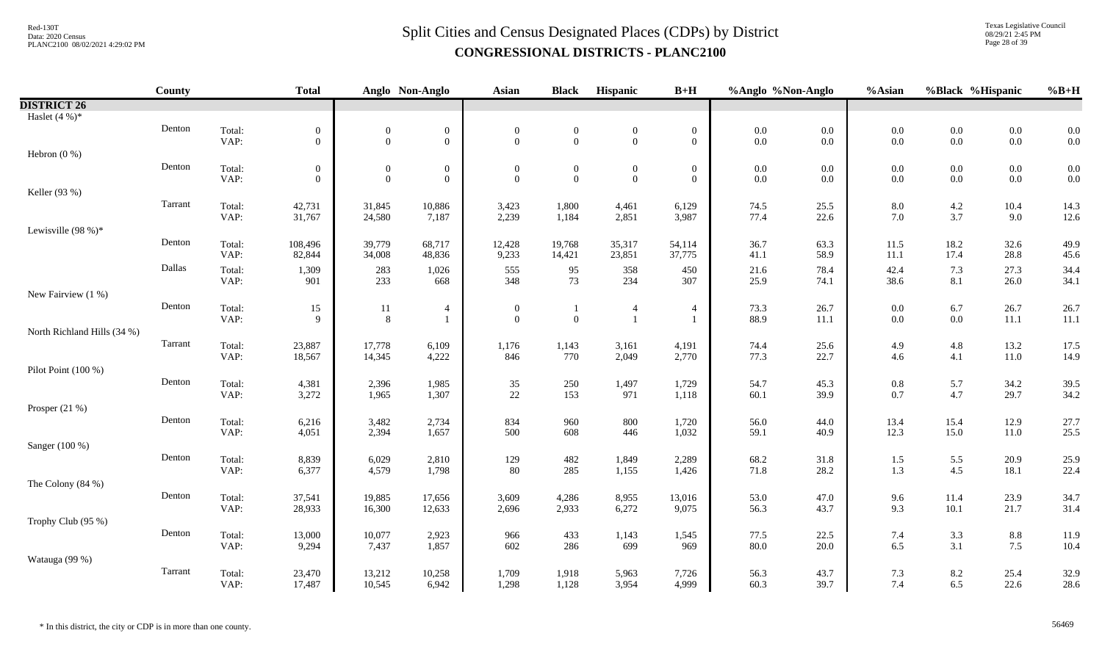# $Split$  Cities and Census Designated Places (CDPs) by District Data: 2020 Census **CONGRESSIONAL DISTRICTS - PLANC2100**

Texas Legislative Council 08/29/21 2:45 PM Page 28 of 39

|                             | <b>County</b> |                | <b>Total</b>     |                  | Anglo Non-Anglo  | Asian            | <b>Black</b>     | Hispanic         | $B+H$            | %Anglo %Non-Anglo |              | %Asian         |                | %Black %Hispanic | $%B+H$       |
|-----------------------------|---------------|----------------|------------------|------------------|------------------|------------------|------------------|------------------|------------------|-------------------|--------------|----------------|----------------|------------------|--------------|
| <b>DISTRICT 26</b>          |               |                |                  |                  |                  |                  |                  |                  |                  |                   |              |                |                |                  |              |
| Haslet $(4\%)^*$            |               |                |                  |                  |                  |                  |                  |                  |                  |                   |              |                |                |                  |              |
|                             | Denton        | Total:         | $\boldsymbol{0}$ | $\boldsymbol{0}$ | $\boldsymbol{0}$ | $\boldsymbol{0}$ | $\boldsymbol{0}$ | $\boldsymbol{0}$ | $\mathbf{0}$     | $0.0\,$           | 0.0          | $0.0\,$        | $0.0\,$        | $0.0\,$          | 0.0          |
|                             |               | VAP:           | $\overline{0}$   | $\boldsymbol{0}$ | $\mathbf{0}$     | $\Omega$         | $\theta$         | $\mathbf{0}$     | $\overline{0}$   | $0.0\,$           | 0.0          | 0.0            | $0.0\,$        | $0.0\,$          | 0.0          |
| Hebron $(0\%)$              |               |                |                  |                  |                  |                  |                  |                  |                  |                   |              |                |                |                  |              |
|                             | Denton        | Total:         | $\overline{0}$   | $\overline{0}$   | $\boldsymbol{0}$ | $\theta$         | $\boldsymbol{0}$ | $\mathbf{0}$     | $\boldsymbol{0}$ | $0.0\,$           | 0.0          | 0.0            | $0.0\,$        | $0.0\,$          | 0.0          |
|                             |               | VAP:           | $\overline{0}$   | $\overline{0}$   | $\mathbf{0}$     | $\theta$         | $\mathbf{0}$     | $\boldsymbol{0}$ | $\overline{0}$   | $0.0\,$           | 0.0          | 0.0            | $0.0\,$        | $0.0\,$          | 0.0          |
| Keller (93 %)               |               |                |                  |                  |                  |                  |                  |                  |                  |                   |              |                |                |                  |              |
|                             | Tarrant       | Total:         | 42,731           | 31,845           | 10,886           | 3,423            | 1,800            | 4,461            | 6,129            | 74.5              | 25.5         | 8.0            | $4.2\,$        | 10.4             | 14.3         |
|                             |               | VAP:           | 31,767           | 24,580           | 7,187            | 2,239            | 1,184            | 2,851            | 3,987            | 77.4              | 22.6         | 7.0            | 3.7            | 9.0              | 12.6         |
| Lewisville $(98%)$ *        |               |                |                  |                  |                  |                  |                  |                  |                  |                   |              |                |                |                  |              |
|                             | Denton        | Total:         | 108,496          | 39,779           | 68,717           | 12,428           | 19,768           | 35,317           | 54,114           | 36.7              | 63.3         | 11.5           | 18.2           | 32.6             | 49.9         |
|                             |               | VAP:           | 82,844           | 34,008           | 48,836           | 9,233            | 14,421           | 23,851           | 37,775           | 41.1              | 58.9         | 11.1           | 17.4           | 28.8             | 45.6         |
|                             | Dallas        | Total:         | 1,309            | 283              | 1,026            | 555              | 95               | 358              | 450              | 21.6              | 78.4         | 42.4           | $7.3\,$        | 27.3             | 34.4         |
|                             |               | VAP:           | 901              | 233              | 668              | 348              | 73               | 234              | 307              | 25.9              | 74.1         | 38.6           | 8.1            | 26.0             | 34.1         |
| New Fairview (1 %)          |               |                |                  |                  |                  |                  |                  |                  |                  |                   |              |                |                |                  |              |
|                             | Denton        | Total:         | 15               | 11               | $\overline{4}$   | $\boldsymbol{0}$ |                  | $\overline{4}$   | $\overline{4}$   | 73.3              | 26.7         | 0.0            | $6.7\,$        | 26.7             | 26.7         |
|                             |               | VAP:           | 9                | $\, 8$           |                  | $\Omega$         | $\mathbf{0}$     |                  |                  | 88.9              | 11.1         | 0.0            | $0.0\,$        | $11.1\,$         | 11.1         |
| North Richland Hills (34 %) |               |                |                  |                  |                  |                  |                  |                  |                  |                   |              |                |                |                  |              |
|                             | Tarrant       | Total:         | 23,887           | 17,778           | 6,109            | 1,176            | 1,143            | 3,161            | 4,191            | 74.4              | 25.6         | 4.9            | $4.8\,$        | 13.2             | 17.5         |
|                             |               | VAP:           | 18,567           | 14,345           | 4,222            | 846              | 770              | 2,049            | 2,770            | 77.3              | 22.7         | 4.6            | 4.1            | 11.0             | 14.9         |
| Pilot Point (100 %)         |               |                |                  |                  |                  |                  |                  |                  |                  |                   |              |                |                |                  |              |
|                             | Denton        | Total:<br>VAP: | 4,381            | 2,396<br>1,965   | 1,985<br>1,307   | 35<br>$22\,$     | 250<br>153       | 1,497<br>971     | 1,729<br>1,118   | 54.7<br>60.1      | 45.3<br>39.9 | $0.8\,$<br>0.7 | 5.7<br>$4.7\,$ | 34.2<br>29.7     | 39.5         |
|                             |               |                | 3,272            |                  |                  |                  |                  |                  |                  |                   |              |                |                |                  | 34.2         |
| Prosper (21 %)              | Denton        |                |                  |                  |                  |                  |                  |                  |                  |                   |              |                |                |                  |              |
|                             |               | Total:<br>VAP: | 6,216<br>4,051   | 3,482<br>2,394   | 2,734<br>1,657   | 834<br>500       | 960<br>608       | 800<br>446       | 1,720<br>1,032   | 56.0<br>59.1      | 44.0<br>40.9 | 13.4<br>12.3   | 15.4<br>15.0   | 12.9<br>11.0     | 27.7<br>25.5 |
| Sanger (100 %)              |               |                |                  |                  |                  |                  |                  |                  |                  |                   |              |                |                |                  |              |
|                             | Denton        | Total:         | 8,839            | 6,029            | 2,810            | 129              | 482              | 1,849            | 2,289            | 68.2              | 31.8         | 1.5            | $5.5\,$        | 20.9             | 25.9         |
|                             |               | VAP:           | 6,377            | 4,579            | 1,798            | 80               | 285              | 1,155            | 1,426            | 71.8              | 28.2         | 1.3            | 4.5            | 18.1             | 22.4         |
| The Colony (84 %)           |               |                |                  |                  |                  |                  |                  |                  |                  |                   |              |                |                |                  |              |
|                             | Denton        | Total:         | 37,541           | 19,885           | 17,656           | 3,609            | 4,286            | 8,955            | 13,016           | 53.0              | 47.0         | 9.6            | 11.4           | 23.9             | 34.7         |
|                             |               | VAP:           | 28,933           | 16,300           | 12,633           | 2,696            | 2,933            | 6,272            | 9,075            | 56.3              | 43.7         | 9.3            | 10.1           | 21.7             | 31.4         |
| Trophy Club (95 %)          |               |                |                  |                  |                  |                  |                  |                  |                  |                   |              |                |                |                  |              |
|                             | Denton        | Total:         | 13,000           | 10,077           | 2,923            | 966              | 433              | 1,143            | 1,545            | 77.5              | 22.5         | 7.4            | $3.3\,$        | $8.8\,$          | 11.9         |
|                             |               | VAP:           | 9,294            | 7,437            | 1,857            | 602              | 286              | 699              | 969              | 80.0              | 20.0         | 6.5            | 3.1            | 7.5              | 10.4         |
| Watauga (99 %)              |               |                |                  |                  |                  |                  |                  |                  |                  |                   |              |                |                |                  |              |
|                             | Tarrant       | Total:         | 23,470           | 13,212           | 10,258           | 1,709            | 1,918            | 5,963            | 7,726            | 56.3              | 43.7         | 7.3            | $8.2\,$        | 25.4             | 32.9         |
|                             |               | VAP:           | 17,487           | 10,545           | 6,942            | 1,298            | 1,128            | 3,954            | 4,999            | 60.3              | 39.7         | 7.4            | 6.5            | 22.6             | 28.6         |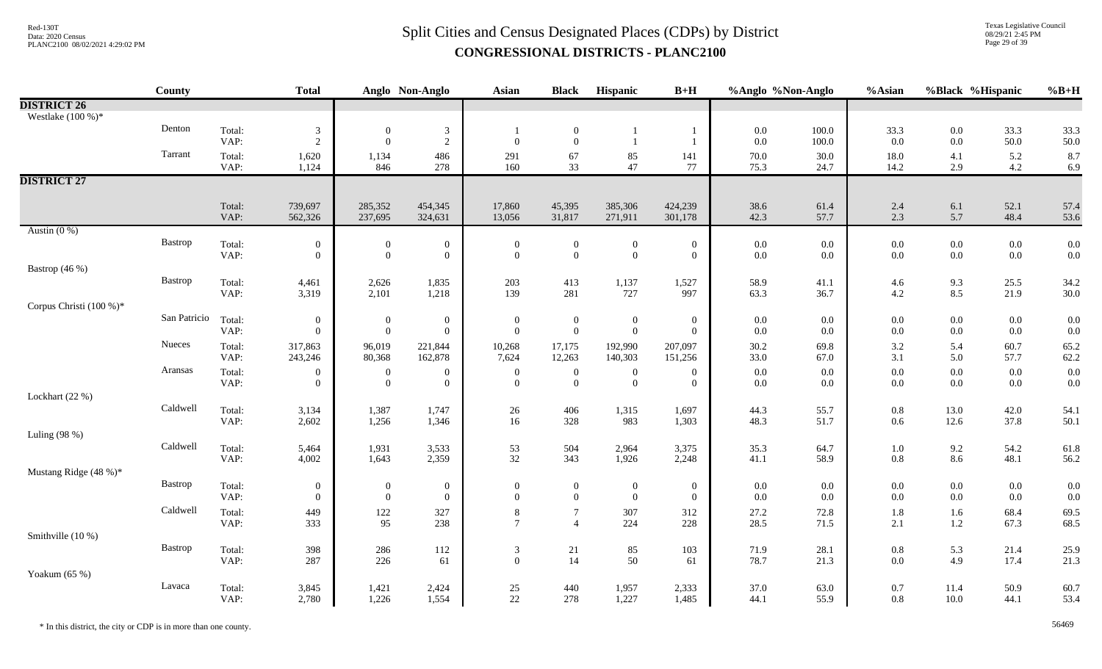Texas Legislative Council 08/29/21 2:45 PM Page 29 of 39

|                         | County       |                | <b>Total</b>                 |                                    | Anglo Non-Anglo                    | Asian                                | <b>Black</b>                     | Hispanic                         | $B+H$                        | %Anglo %Non-Anglo  |                    | %Asian         | %Black %Hispanic   |                    | $%B+H$       |
|-------------------------|--------------|----------------|------------------------------|------------------------------------|------------------------------------|--------------------------------------|----------------------------------|----------------------------------|------------------------------|--------------------|--------------------|----------------|--------------------|--------------------|--------------|
| <b>DISTRICT 26</b>      |              |                |                              |                                    |                                    |                                      |                                  |                                  |                              |                    |                    |                |                    |                    |              |
| Westlake $(100\%)$ *    |              |                |                              |                                    |                                    |                                      |                                  |                                  |                              |                    |                    |                |                    |                    |              |
|                         | Denton       | Total:         | $\mathfrak{Z}$               | $\overline{0}$                     | $\mathbf{3}$                       | $\mathbf{1}$                         | $\boldsymbol{0}$                 | -1                               |                              | $0.0\,$            | 100.0              | 33.3           | $0.0\,$            | 33.3               | 33.3         |
|                         |              | VAP:           | $\overline{2}$               | $\overline{0}$                     | $\overline{2}$                     | $\mathbf{0}$                         | $\overline{0}$                   | $\mathbf{1}$                     |                              | $0.0\,$            | 100.0              | 0.0            | $0.0\,$            | 50.0               | 50.0         |
|                         | Tarrant      | Total:         | 1,620                        | 1,134                              | 486                                | 291                                  | 67                               | 85                               | 141                          | $70.0\,$           | 30.0               | 18.0           | 4.1                | 5.2                | 8.7          |
|                         |              | VAP:           | 1,124                        | 846                                | 278                                | 160                                  | 33                               | 47                               | 77                           | 75.3               | 24.7               | 14.2           | 2.9                | 4.2                | 6.9          |
| <b>DISTRICT 27</b>      |              |                |                              |                                    |                                    |                                      |                                  |                                  |                              |                    |                    |                |                    |                    |              |
|                         |              |                |                              |                                    |                                    |                                      |                                  |                                  |                              |                    |                    |                |                    |                    |              |
|                         |              | Total:<br>VAP: | 739,697<br>562,326           | 285,352<br>237,695                 | 454,345<br>324,631                 | 17,860<br>13,056                     | 45,395<br>31,817                 | 385,306<br>271,911               | 424,239<br>301,178           | 38.6<br>42.3       | 61.4<br>57.7       | 2.4<br>2.3     | 6.1<br>5.7         | 52.1<br>48.4       | 57.4<br>53.6 |
| Austin $(0\%)$          |              |                |                              |                                    |                                    |                                      |                                  |                                  |                              |                    |                    |                |                    |                    |              |
|                         | Bastrop      | Total:         | $\boldsymbol{0}$             | $\boldsymbol{0}$                   | $\boldsymbol{0}$                   | $\boldsymbol{0}$                     | $\mathbf{0}$                     | $\boldsymbol{0}$                 | $\boldsymbol{0}$             | $0.0\,$            | 0.0                | $0.0\,$        | $0.0\,$            | $0.0\,$            | 0.0          |
|                         |              | VAP:           | $\theta$                     | $\mathbf{0}$                       | $\overline{0}$                     | $\mathbf{0}$                         | $\overline{0}$                   | $\overline{0}$                   | $\overline{0}$               | $0.0\,$            | $0.0\,$            | 0.0            | $0.0\,$            | $0.0\,$            | 0.0          |
| Bastrop (46 %)          |              |                |                              |                                    |                                    |                                      |                                  |                                  |                              |                    |                    |                |                    |                    |              |
|                         | Bastrop      | Total:         | 4,461                        | 2,626                              | 1,835                              | 203                                  | 413                              | 1,137                            | 1,527                        | 58.9               | 41.1               | 4.6            | 9.3                | 25.5               | 34.2         |
|                         |              | VAP:           | 3,319                        | 2,101                              | 1,218                              | 139                                  | 281                              | 727                              | 997                          | 63.3               | 36.7               | 4.2            | 8.5                | 21.9               | 30.0         |
| Corpus Christi (100 %)* |              |                |                              |                                    |                                    |                                      |                                  |                                  |                              |                    |                    |                |                    |                    |              |
|                         | San Patricio | Total:         | $\boldsymbol{0}$<br>$\theta$ | $\mathbf{0}$<br>$\mathbf{0}$       | $\overline{0}$                     | $\boldsymbol{0}$<br>$\boldsymbol{0}$ | $\boldsymbol{0}$<br>$\mathbf{0}$ | $\bf{0}$<br>$\overline{0}$       | $\boldsymbol{0}$<br>$\theta$ | $0.0\,$<br>$0.0\,$ | $0.0\,$<br>0.0     | 0.0            | $0.0\,$<br>$0.0\,$ | $0.0\,$            | 0.0<br>0.0   |
|                         | Nueces       | VAP:           |                              |                                    | $\overline{0}$                     |                                      |                                  |                                  |                              |                    |                    | $0.0\,$        |                    | $0.0\,$            |              |
|                         |              | Total:<br>VAP: | 317,863<br>243,246           | 96,019<br>80,368                   | 221,844<br>162,878                 | 10,268<br>7,624                      | 17,175<br>12,263                 | 192,990<br>140,303               | 207,097<br>151,256           | 30.2<br>33.0       | 69.8<br>67.0       | 3.2<br>3.1     | 5.4<br>5.0         | 60.7<br>57.7       | 65.2<br>62.2 |
|                         | Aransas      |                |                              |                                    |                                    |                                      |                                  |                                  |                              |                    |                    |                |                    |                    |              |
|                         |              | Total:<br>VAP: | $\boldsymbol{0}$<br>$\theta$ | $\boldsymbol{0}$<br>$\overline{0}$ | $\boldsymbol{0}$<br>$\overline{0}$ | $\boldsymbol{0}$<br>$\overline{0}$   | $\boldsymbol{0}$<br>$\theta$     | $\boldsymbol{0}$<br>$\mathbf{0}$ | $\boldsymbol{0}$<br>$\theta$ | $0.0\,$<br>$0.0\,$ | $0.0\,$<br>$0.0\,$ | $0.0\,$<br>0.0 | $0.0\,$<br>$0.0\,$ | $0.0\,$<br>$0.0\,$ | 0.0<br>0.0   |
| Lockhart (22 %)         |              |                |                              |                                    |                                    |                                      |                                  |                                  |                              |                    |                    |                |                    |                    |              |
|                         | Caldwell     | Total:         | 3,134                        | 1,387                              | 1,747                              | $26\,$                               | 406                              | 1,315                            | 1,697                        | 44.3               | 55.7               | $0.8\,$        | 13.0               | 42.0               | 54.1         |
|                         |              | VAP:           | 2,602                        | 1,256                              | 1,346                              | 16                                   | 328                              | 983                              | 1,303                        | 48.3               | 51.7               | 0.6            | 12.6               | 37.8               | 50.1         |
| Luling (98 %)           |              |                |                              |                                    |                                    |                                      |                                  |                                  |                              |                    |                    |                |                    |                    |              |
|                         | Caldwell     | Total:         | 5,464                        | 1,931                              | 3,533                              | 53                                   | 504                              | 2,964                            | 3,375                        | 35.3               | 64.7               | $1.0\,$        | 9.2                | 54.2               | 61.8         |
|                         |              | VAP:           | 4,002                        | 1,643                              | 2,359                              | 32                                   | 343                              | 1,926                            | 2,248                        | 41.1               | 58.9               | 0.8            | 8.6                | 48.1               | 56.2         |
| Mustang Ridge (48 %)*   |              |                |                              |                                    |                                    |                                      |                                  |                                  |                              |                    |                    |                |                    |                    |              |
|                         | Bastrop      | Total:         | $\mathbf{0}$                 | $\boldsymbol{0}$                   | $\bf{0}$                           | $\boldsymbol{0}$                     | $\boldsymbol{0}$                 | $\bf{0}$                         | $\boldsymbol{0}$             | $0.0\,$            | 0.0                | $0.0\,$        | $0.0\,$            | $0.0\,$            | 0.0          |
|                         |              | VAP:           | $\theta$                     | $\overline{0}$                     | $\overline{0}$                     | $\overline{0}$                       | $\overline{0}$                   | $\overline{0}$                   | $\overline{0}$               | $0.0\,$            | 0.0                | $0.0\,$        | $0.0\,$            | $0.0\,$            | 0.0          |
|                         | Caldwell     | Total:         | 449                          | $122\,$                            | 327                                | $\,8\,$                              | $\tau$                           | 307                              | 312                          | 27.2               | 72.8               | 1.8            | $1.6\,$            | 68.4               | 69.5         |
|                         |              | VAP:           | 333                          | 95                                 | 238                                | $7\overline{ }$                      | $\overline{\mathcal{A}}$         | 224                              | 228                          | 28.5               | 71.5               | 2.1            | 1.2                | 67.3               | 68.5         |
| Smithville (10 %)       |              |                |                              |                                    |                                    |                                      |                                  |                                  |                              |                    |                    |                |                    |                    |              |
|                         | Bastrop      | Total:         | 398                          | 286                                | 112                                | $\mathfrak{Z}$<br>$\boldsymbol{0}$   | 21                               | 85<br>50                         | 103                          | 71.9               | 28.1               | $0.8\,$        | 5.3                | 21.4               | 25.9         |
|                         |              | VAP:           | 287                          | 226                                | 61                                 |                                      | 14                               |                                  | 61                           | 78.7               | 21.3               | $0.0\,$        | 4.9                | 17.4               | 21.3         |
| Yoakum (65 %)           | Lavaca       |                |                              |                                    |                                    |                                      | 440                              |                                  |                              | 37.0               |                    |                |                    |                    |              |
|                         |              | Total:<br>VAP: | 3,845<br>2,780               | 1,421<br>1,226                     | 2,424<br>1,554                     | $25\,$<br>22                         | 278                              | 1,957<br>1,227                   | 2,333<br>1,485               | 44.1               | 63.0<br>55.9       | 0.7<br>0.8     | 11.4<br>$10.0\,$   | 50.9<br>44.1       | 60.7<br>53.4 |
|                         |              |                |                              |                                    |                                    |                                      |                                  |                                  |                              |                    |                    |                |                    |                    |              |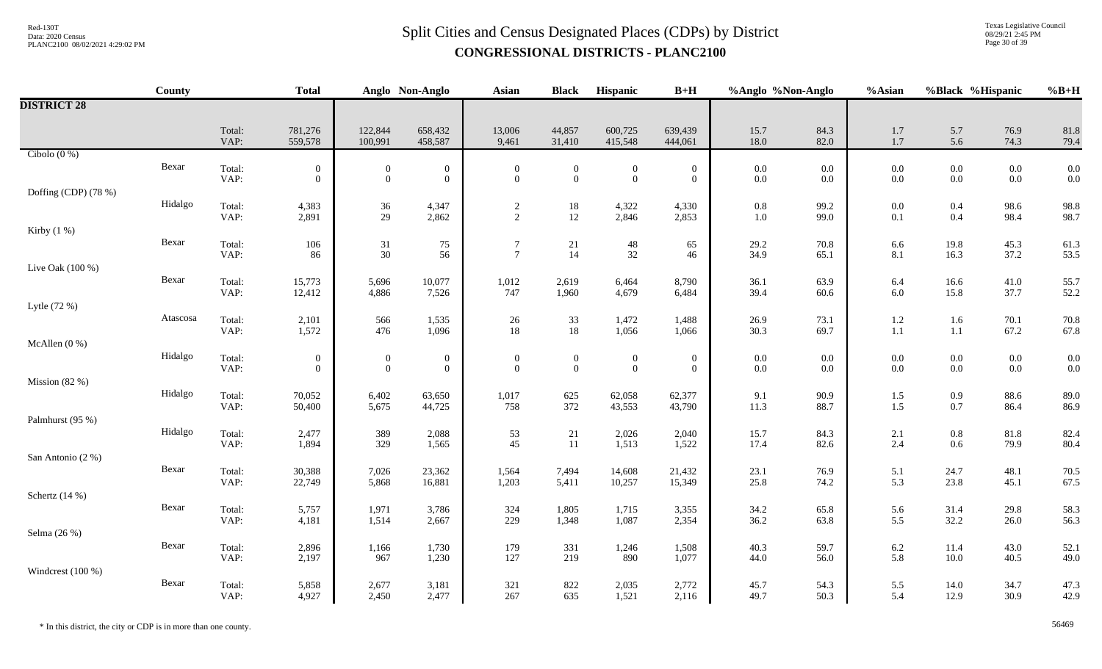Texas Legislative Council 08/29/21 2:45 PM Page 30 of 39

|                      | County   |                | <b>Total</b>                       |                                    | Anglo Non-Anglo                    | <b>Asian</b>                         | <b>Black</b>                       | Hispanic                           | $B+H$                          | %Anglo %Non-Anglo  |                    | %Asian             | %Black %Hispanic   |                    | $%B+H$       |
|----------------------|----------|----------------|------------------------------------|------------------------------------|------------------------------------|--------------------------------------|------------------------------------|------------------------------------|--------------------------------|--------------------|--------------------|--------------------|--------------------|--------------------|--------------|
| <b>DISTRICT 28</b>   |          |                |                                    |                                    |                                    |                                      |                                    |                                    |                                |                    |                    |                    |                    |                    |              |
|                      |          | Total:<br>VAP: | 781,276<br>559,578                 | 122,844<br>100,991                 | 658,432<br>458,587                 | 13,006<br>9,461                      | 44,857<br>31,410                   | 600,725<br>415,548                 | 639,439<br>444,061             | 15.7<br>18.0       | 84.3<br>82.0       | 1.7<br>1.7         | 5.7<br>5.6         | 76.9<br>74.3       | 81.8<br>79.4 |
| Cibolo $(0\%)$       |          |                |                                    |                                    |                                    |                                      |                                    |                                    |                                |                    |                    |                    |                    |                    |              |
|                      | Bexar    | Total:<br>VAP: | $\boldsymbol{0}$<br>$\overline{0}$ | $\overline{0}$<br>$\boldsymbol{0}$ | $\boldsymbol{0}$<br>$\overline{0}$ | $\boldsymbol{0}$<br>$\boldsymbol{0}$ | $\boldsymbol{0}$<br>$\mathbf{0}$   | $\boldsymbol{0}$<br>$\mathbf{0}$   | $\mathbf{0}$<br>$\overline{0}$ | $0.0\,$<br>$0.0\,$ | $0.0\,$<br>0.0     | $0.0\,$<br>$0.0\,$ | $0.0\,$<br>$0.0\,$ | $0.0\,$<br>$0.0\,$ | 0.0<br>0.0   |
| Doffing (CDP) (78 %) |          |                |                                    |                                    |                                    |                                      |                                    |                                    |                                |                    |                    |                    |                    |                    |              |
|                      | Hidalgo  | Total:<br>VAP: | 4,383<br>2,891                     | 36<br>29                           | 4,347<br>2,862                     | $\overline{c}$<br>$\overline{2}$     | 18<br>12                           | 4,322<br>2,846                     | 4,330<br>2,853                 | $0.8\,$<br>$1.0\,$ | 99.2<br>99.0       | $0.0\,$<br>0.1     | $0.4\,$<br>0.4     | 98.6<br>98.4       | 98.8<br>98.7 |
| Kirby $(1\%)$        |          |                |                                    |                                    |                                    |                                      |                                    |                                    |                                |                    |                    |                    |                    |                    |              |
|                      | Bexar    | Total:<br>VAP: | 106<br>86                          | $31\,$<br>30                       | 75<br>56                           | $\tau$<br>$\tau$                     | $\frac{21}{14}$                    | $48\,$<br>32                       | 65<br>46                       | 29.2<br>34.9       | 70.8<br>65.1       | 6.6<br>8.1         | 19.8<br>16.3       | 45.3<br>37.2       | 61.3<br>53.5 |
| Live Oak (100 %)     |          |                |                                    |                                    |                                    |                                      |                                    |                                    |                                |                    |                    |                    |                    |                    |              |
|                      | Bexar    | Total:<br>VAP: | 15,773<br>12,412                   | 5,696<br>4,886                     | 10,077<br>7,526                    | 1,012<br>747                         | 2,619<br>1,960                     | 6,464<br>4,679                     | 8,790<br>6,484                 | 36.1<br>39.4       | 63.9<br>60.6       | 6.4<br>6.0         | 16.6<br>15.8       | $41.0\,$<br>37.7   | 55.7<br>52.2 |
| Lytle (72 %)         |          |                |                                    |                                    |                                    |                                      |                                    |                                    |                                |                    |                    |                    |                    |                    |              |
|                      | Atascosa | Total:<br>VAP: | 2,101<br>1,572                     | 566<br>476                         | 1,535<br>1,096                     | 26<br>18                             | 33<br>18                           | 1,472<br>1,056                     | 1,488<br>1,066                 | 26.9<br>30.3       | 73.1<br>69.7       | $1.2\,$<br>$1.1\,$ | 1.6<br>$1.1\,$     | 70.1<br>67.2       | 70.8<br>67.8 |
| McAllen (0 %)        |          |                |                                    |                                    |                                    |                                      |                                    |                                    |                                |                    |                    |                    |                    |                    |              |
|                      | Hidalgo  | Total:<br>VAP: | $\overline{0}$<br>$\overline{0}$   | $\boldsymbol{0}$<br>$\overline{0}$ | $\boldsymbol{0}$<br>$\mathbf{0}$   | $\boldsymbol{0}$<br>$\overline{0}$   | $\boldsymbol{0}$<br>$\overline{0}$ | $\boldsymbol{0}$<br>$\overline{0}$ | $\mathbf{0}$<br>$\overline{0}$ | $0.0\,$<br>$0.0\,$ | $0.0\,$<br>$0.0\,$ | $0.0\,$<br>$0.0\,$ | $0.0\,$<br>$0.0\,$ | $0.0\,$<br>$0.0\,$ | 0.0<br>0.0   |
| Mission $(82%)$      |          |                |                                    |                                    |                                    |                                      |                                    |                                    |                                |                    |                    |                    |                    |                    |              |
|                      | Hidalgo  | Total:<br>VAP: | 70,052<br>50,400                   | 6,402<br>5,675                     | 63,650<br>44,725                   | 1,017<br>758                         | 625<br>372                         | 62,058<br>43,553                   | 62,377<br>43,790               | 9.1<br>11.3        | 90.9<br>88.7       | $1.5$<br>$1.5$     | $0.9\,$<br>$0.7\,$ | 88.6<br>86.4       | 89.0<br>86.9 |
| Palmhurst (95 %)     |          |                |                                    |                                    |                                    |                                      |                                    |                                    |                                |                    |                    |                    |                    |                    |              |
|                      | Hidalgo  | Total:<br>VAP: | 2,477<br>1,894                     | 389<br>329                         | 2,088<br>1,565                     | 53<br>45                             | 21<br>11                           | 2,026<br>1,513                     | 2,040<br>1,522                 | 15.7<br>17.4       | 84.3<br>82.6       | 2.1<br>2.4         | $0.8\,$<br>0.6     | 81.8<br>79.9       | 82.4<br>80.4 |
| San Antonio (2 %)    |          |                |                                    |                                    |                                    |                                      |                                    |                                    |                                |                    |                    |                    |                    |                    |              |
|                      | Bexar    | Total:<br>VAP: | 30,388<br>22,749                   | 7,026<br>5,868                     | 23,362<br>16,881                   | 1,564<br>1,203                       | 7,494<br>5,411                     | 14,608<br>10,257                   | 21,432<br>15,349               | 23.1<br>25.8       | 76.9<br>74.2       | 5.1<br>5.3         | 24.7<br>23.8       | 48.1<br>45.1       | 70.5<br>67.5 |
| Schertz (14 %)       |          |                |                                    |                                    |                                    |                                      |                                    |                                    |                                |                    |                    |                    |                    |                    |              |
|                      | Bexar    | Total:<br>VAP: | 5,757<br>4,181                     | 1,971<br>1,514                     | 3,786<br>2,667                     | 324<br>229                           | 1,805<br>1,348                     | 1,715<br>1,087                     | 3,355<br>2,354                 | 34.2<br>36.2       | 65.8<br>63.8       | 5.6<br>5.5         | 31.4<br>32.2       | 29.8<br>26.0       | 58.3<br>56.3 |
| Selma (26 %)         |          |                |                                    |                                    |                                    |                                      |                                    |                                    |                                |                    |                    |                    |                    |                    |              |
|                      | Bexar    | Total:<br>VAP: | 2,896<br>2,197                     | 1,166<br>967                       | 1,730<br>1,230                     | 179<br>127                           | 331<br>219                         | 1,246<br>890                       | 1,508<br>1,077                 | 40.3<br>44.0       | 59.7<br>56.0       | 6.2<br>5.8         | 11.4<br>$10.0\,$   | 43.0<br>40.5       | 52.1<br>49.0 |
| Windcrest (100 %)    |          |                |                                    |                                    |                                    |                                      |                                    |                                    |                                |                    |                    |                    |                    |                    |              |
|                      | Bexar    | Total:<br>VAP: | 5,858<br>4,927                     | 2,677<br>2,450                     | 3,181<br>2,477                     | 321<br>267                           | 822<br>635                         | 2,035<br>1,521                     | 2,772<br>2,116                 | 45.7<br>49.7       | 54.3<br>50.3       | 5.5<br>5.4         | 14.0<br>12.9       | 34.7<br>30.9       | 47.3<br>42.9 |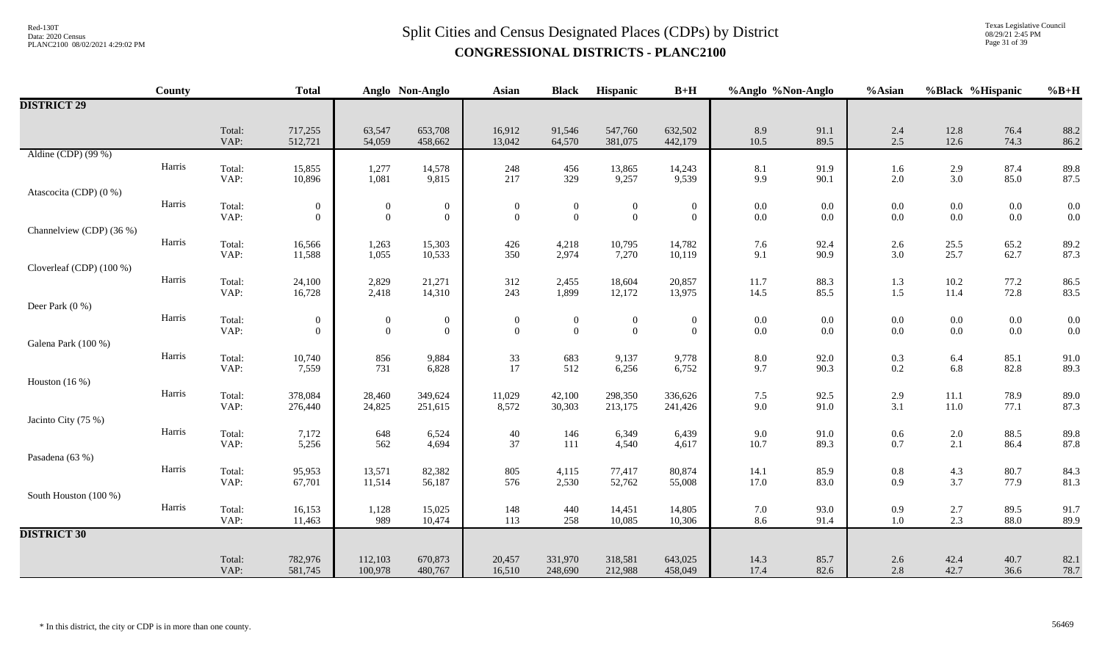Texas Legislative Council 08/29/21 2:45 PM Page 31 of 39

|                          | County |                | <b>Total</b>                   |                                      | Anglo Non-Anglo              | Asian                              | <b>Black</b>                     | Hispanic                             | $B+H$                              | %Anglo %Non-Anglo  |                    | %Asian                                    | %Black %Hispanic   |                    | $%B+H$       |
|--------------------------|--------|----------------|--------------------------------|--------------------------------------|------------------------------|------------------------------------|----------------------------------|--------------------------------------|------------------------------------|--------------------|--------------------|-------------------------------------------|--------------------|--------------------|--------------|
| <b>DISTRICT 29</b>       |        |                |                                |                                      |                              |                                    |                                  |                                      |                                    |                    |                    |                                           |                    |                    |              |
|                          |        | Total:<br>VAP: | 717,255<br>512,721             | 63,547<br>54,059                     | 653,708<br>458,662           | 16,912<br>13,042                   | 91,546<br>64,570                 | 547,760<br>381,075                   | 632,502<br>442,179                 | $8.9\,$<br>10.5    | 91.1<br>89.5       | 2.4<br>2.5                                | 12.8<br>12.6       | 76.4<br>74.3       | 88.2<br>86.2 |
| Aldine (CDP) (99 %)      |        |                |                                |                                      |                              |                                    |                                  |                                      |                                    |                    |                    |                                           |                    |                    |              |
|                          | Harris | Total:<br>VAP: | 15,855<br>10,896               | 1,277<br>1,081                       | 14,578<br>9,815              | 248<br>217                         | 456<br>329                       | 13,865<br>9,257                      | 14,243<br>9,539                    | 8.1<br>9.9         | 91.9<br>90.1       | 1.6<br>$2.0\,$                            | $2.9\,$<br>3.0     | 87.4<br>85.0       | 89.8<br>87.5 |
| Atascocita (CDP) (0 %)   |        |                |                                |                                      |                              |                                    |                                  |                                      |                                    |                    |                    |                                           |                    |                    |              |
|                          | Harris | Total:<br>VAP: | $\mathbf{0}$<br>$\overline{0}$ | $\boldsymbol{0}$<br>$\boldsymbol{0}$ | $\mathbf{0}$<br>$\mathbf{0}$ | $\boldsymbol{0}$<br>$\mathbf{0}$   | $\boldsymbol{0}$<br>$\mathbf{0}$ | $\boldsymbol{0}$<br>$\boldsymbol{0}$ | $\boldsymbol{0}$<br>$\overline{0}$ | $0.0\,$<br>$0.0\,$ | $0.0\,$<br>$0.0\,$ | $0.0\,$<br>0.0                            | $0.0\,$<br>$0.0\,$ | $0.0\,$<br>$0.0\,$ | 0.0<br>0.0   |
| Channelview (CDP) (36 %) |        |                |                                |                                      |                              |                                    |                                  |                                      |                                    |                    |                    |                                           |                    |                    |              |
|                          | Harris | Total:<br>VAP: | 16,566<br>11,588               | 1,263<br>1,055                       | 15,303<br>10,533             | 426<br>350                         | 4,218<br>2,974                   | 10,795<br>7,270                      | 14,782<br>10,119                   | 7.6<br>9.1         | 92.4<br>90.9       | $2.6\,$<br>3.0                            | 25.5<br>25.7       | 65.2<br>62.7       | 89.2<br>87.3 |
| Cloverleaf (CDP) (100 %) |        |                |                                |                                      |                              |                                    |                                  |                                      |                                    |                    |                    |                                           |                    |                    |              |
|                          | Harris | Total:<br>VAP: | 24,100<br>16,728               | 2,829<br>2,418                       | 21,271<br>14,310             | 312<br>243                         | 2,455<br>1,899                   | 18,604<br>12,172                     | 20,857<br>13,975                   | 11.7<br>14.5       | 88.3<br>85.5       | 1.3<br>1.5                                | $10.2\,$<br>11.4   | 77.2<br>72.8       | 86.5<br>83.5 |
| Deer Park (0 %)          |        |                |                                |                                      |                              |                                    |                                  |                                      |                                    |                    |                    |                                           |                    |                    |              |
|                          | Harris | Total:<br>VAP: | $\mathbf{0}$<br>$\theta$       | $\boldsymbol{0}$<br>$\overline{0}$   | $\bf{0}$<br>$\overline{0}$   | $\boldsymbol{0}$<br>$\overline{0}$ | $\overline{0}$<br>$\mathbf{0}$   | $\boldsymbol{0}$<br>$\mathbf{0}$     | $\overline{0}$<br>$\overline{0}$   | $0.0\,$<br>$0.0\,$ | $0.0\,$<br>0.0     | $0.0\,$<br>$0.0\,$                        | $0.0\,$<br>$0.0\,$ | $0.0\,$<br>$0.0\,$ | 0.0<br>0.0   |
| Galena Park (100 %)      |        |                |                                |                                      |                              |                                    |                                  |                                      |                                    |                    |                    |                                           |                    |                    |              |
|                          | Harris | Total:<br>VAP: | 10,740<br>7,559                | 856<br>731                           | 9,884<br>6,828               | $\frac{33}{17}$                    | 683<br>512                       | 9,137<br>6,256                       | 9,778<br>6,752                     | $8.0\,$<br>9.7     | 92.0<br>90.3       | $\begin{array}{c} 0.3 \\ 0.2 \end{array}$ | 6.4<br>6.8         | 85.1<br>82.8       | 91.0<br>89.3 |
| Houston $(16\%)$         |        |                |                                |                                      |                              |                                    |                                  |                                      |                                    |                    |                    |                                           |                    |                    |              |
|                          | Harris | Total:<br>VAP: | 378,084<br>276,440             | 28,460<br>24,825                     | 349,624<br>251,615           | 11,029<br>8,572                    | 42,100<br>30,303                 | 298,350<br>213,175                   | 336,626<br>241,426                 | 7.5<br>9.0         | 92.5<br>91.0       | 2.9<br>3.1                                | 11.1<br>11.0       | 78.9<br>77.1       | 89.0<br>87.3 |
| Jacinto City (75 %)      |        |                |                                |                                      |                              |                                    |                                  |                                      |                                    |                    |                    |                                           |                    |                    |              |
|                          | Harris | Total:<br>VAP: | 7,172<br>5,256                 | 648<br>562                           | 6,524<br>4,694               | $40\,$<br>37                       | 146<br>111                       | 6,349<br>4,540                       | 6,439<br>4,617                     | 9.0<br>10.7        | 91.0<br>89.3       | $\begin{array}{c} 0.6 \\ 0.7 \end{array}$ | $2.0\,$<br>2.1     | 88.5<br>86.4       | 89.8<br>87.8 |
| Pasadena (63 %)          |        |                |                                |                                      |                              |                                    |                                  |                                      |                                    |                    |                    |                                           |                    |                    |              |
|                          | Harris | Total:<br>VAP: | 95,953<br>67,701               | 13,571<br>11,514                     | 82,382<br>56,187             | 805<br>576                         | 4,115<br>2,530                   | 77,417<br>52,762                     | 80,874<br>55,008                   | 14.1<br>17.0       | 85.9<br>83.0       | $0.8\,$<br>0.9                            | 4.3<br>3.7         | 80.7<br>77.9       | 84.3<br>81.3 |
| South Houston (100 %)    |        |                |                                |                                      |                              |                                    |                                  |                                      |                                    |                    |                    |                                           |                    |                    |              |
|                          | Harris | Total:<br>VAP: | 16,153<br>11,463               | 1,128<br>989                         | 15,025<br>10,474             | 148<br>113                         | 440<br>258                       | 14,451<br>10,085                     | 14,805<br>10,306                   | 7.0<br>8.6         | 93.0<br>91.4       | 0.9<br>$1.0\,$                            | 2.7<br>2.3         | 89.5<br>88.0       | 91.7<br>89.9 |
| <b>DISTRICT 30</b>       |        |                |                                |                                      |                              |                                    |                                  |                                      |                                    |                    |                    |                                           |                    |                    |              |
|                          |        | Total:<br>VAP: | 782,976<br>581,745             | 112,103<br>100,978                   | 670,873<br>480,767           | 20,457<br>16,510                   | 331,970<br>248,690               | 318,581<br>212,988                   | 643,025<br>458,049                 | 14.3<br>17.4       | 85.7<br>82.6       | $2.6\,$<br>2.8                            | 42.4<br>42.7       | 40.7<br>36.6       | 82.1<br>78.7 |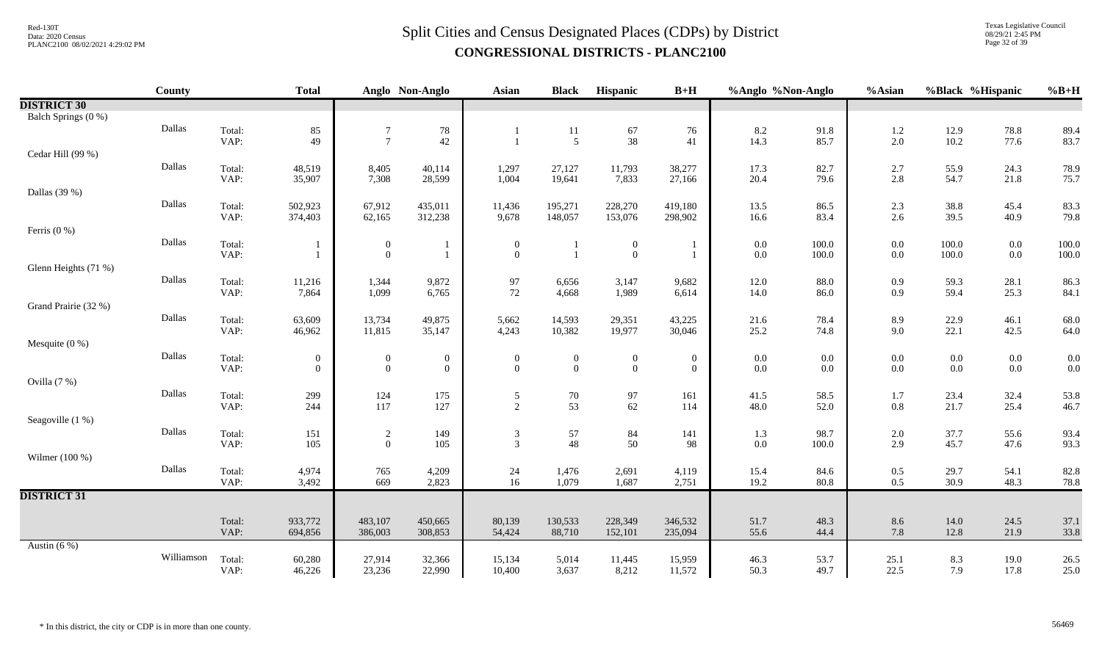Texas Legislative Council 08/29/21 2:45 PM Page 32 of 39

|                      | County     |                | <b>Total</b>                       |                     | Anglo Non-Anglo                  | <b>Asian</b>                     | <b>Black</b>                       | Hispanic                         | $B+H$                            | %Anglo %Non-Anglo  |                | %Asian     |                    | %Black %Hispanic                          | $%B+H$                                    |
|----------------------|------------|----------------|------------------------------------|---------------------|----------------------------------|----------------------------------|------------------------------------|----------------------------------|----------------------------------|--------------------|----------------|------------|--------------------|-------------------------------------------|-------------------------------------------|
| <b>DISTRICT 30</b>   |            |                |                                    |                     |                                  |                                  |                                    |                                  |                                  |                    |                |            |                    |                                           |                                           |
| Balch Springs (0 %)  |            |                |                                    |                     |                                  |                                  |                                    |                                  |                                  |                    |                |            |                    |                                           |                                           |
|                      | Dallas     | Total:         | 85                                 | $\overline{7}$      | 78                               |                                  | 11                                 | 67                               | 76                               | 8.2                | 91.8           | 1.2        | 12.9               | 78.8                                      | 89.4                                      |
|                      |            | VAP:           | 49                                 | $\overline{7}$      | 42                               |                                  | $\overline{5}$                     | 38                               | 41                               | 14.3               | 85.7           | 2.0        | 10.2               | 77.6                                      | 83.7                                      |
| Cedar Hill (99 %)    |            |                |                                    |                     |                                  |                                  |                                    |                                  |                                  |                    |                |            |                    |                                           |                                           |
|                      | Dallas     | Total:<br>VAP: | 48,519<br>35,907                   | 8,405<br>7,308      | 40,114<br>28,599                 | 1,297<br>1,004                   | 27,127<br>19,641                   | 11,793<br>7,833                  | 38,277<br>27,166                 | 17.3               | 82.7<br>79.6   | 2.7<br>2.8 | 55.9<br>54.7       | 24.3<br>21.8                              | 78.9<br>75.7                              |
| Dallas (39 %)        |            |                |                                    |                     |                                  |                                  |                                    |                                  |                                  | 20.4               |                |            |                    |                                           |                                           |
|                      | Dallas     | Total:         | 502,923                            | 67,912              | 435,011                          | 11,436                           | 195,271                            | 228,270                          | 419,180                          | 13.5               | 86.5           | 2.3        | 38.8               | 45.4                                      | 83.3                                      |
|                      |            | VAP:           | 374,403                            | 62,165              | 312,238                          | 9,678                            | 148,057                            | 153,076                          | 298,902                          | 16.6               | 83.4           | 2.6        | 39.5               | 40.9                                      | 79.8                                      |
| Ferris $(0\%)$       |            |                |                                    |                     |                                  |                                  |                                    |                                  |                                  |                    |                |            |                    |                                           |                                           |
|                      | Dallas     | Total:         |                                    | $\overline{0}$      |                                  | $\boldsymbol{0}$                 |                                    | $\boldsymbol{0}$                 | -1                               | $0.0\,$            | 100.0          | 0.0        | 100.0              | $0.0\,$                                   | 100.0                                     |
|                      |            | VAP:           |                                    | $\overline{0}$      | $\mathbf{1}$                     | $\mathbf{0}$                     |                                    | $\mathbf{0}$                     | $\mathbf{1}$                     | $0.0\,$            | 100.0          | 0.0        | 100.0              | $0.0\,$                                   | 100.0                                     |
| Glenn Heights (71 %) |            |                |                                    |                     |                                  |                                  |                                    |                                  |                                  |                    |                |            |                    |                                           |                                           |
|                      | Dallas     | Total:         | 11,216                             | 1,344               | 9,872                            | 97                               | 6,656                              | 3,147                            | 9,682                            | 12.0               | 88.0           | 0.9        | 59.3               | 28.1                                      | 86.3                                      |
|                      |            | VAP:           | 7,864                              | 1,099               | 6,765                            | 72                               | 4,668                              | 1,989                            | 6,614                            | 14.0               | 86.0           | 0.9        | 59.4               | 25.3                                      | 84.1                                      |
| Grand Prairie (32 %) |            |                |                                    |                     |                                  |                                  |                                    |                                  |                                  |                    |                |            |                    |                                           |                                           |
|                      | Dallas     | Total:         | 63,609                             | 13,734              | 49,875                           | 5,662                            | 14,593                             | 29,351                           | 43,225                           | 21.6               | 78.4           | 8.9        | 22.9               | 46.1                                      | 68.0                                      |
|                      |            | VAP:           | 46,962                             | 11,815              | 35,147                           | 4,243                            | 10,382                             | 19,977                           | 30,046                           | 25.2               | 74.8           | 9.0        | 22.1               | 42.5                                      | 64.0                                      |
| Mesquite $(0 %)$     | Dallas     |                |                                    |                     |                                  |                                  |                                    |                                  |                                  |                    |                |            |                    |                                           |                                           |
|                      |            | Total:<br>VAP: | $\boldsymbol{0}$<br>$\overline{0}$ | 0<br>$\overline{0}$ | $\boldsymbol{0}$<br>$\mathbf{0}$ | $\boldsymbol{0}$<br>$\mathbf{0}$ | $\boldsymbol{0}$<br>$\overline{0}$ | $\boldsymbol{0}$<br>$\mathbf{0}$ | $\overline{0}$<br>$\overline{0}$ | $0.0\,$<br>$0.0\,$ | 0.0<br>$0.0\,$ | 0.0<br>0.0 | $0.0\,$<br>$0.0\,$ | $\begin{array}{c} 0.0 \\ 0.0 \end{array}$ | $\begin{array}{c} 0.0 \\ 0.0 \end{array}$ |
| Ovilla (7 %)         |            |                |                                    |                     |                                  |                                  |                                    |                                  |                                  |                    |                |            |                    |                                           |                                           |
|                      | Dallas     | Total:         | 299                                | 124                 | 175                              | 5                                | $70\,$                             | 97                               | 161                              | 41.5               | 58.5           | 1.7        | 23.4               | 32.4                                      | 53.8                                      |
|                      |            | VAP:           | 244                                | 117                 | 127                              | 2                                | 53                                 | 62                               | 114                              | 48.0               | 52.0           | $0.8\,$    | 21.7               | 25.4                                      | 46.7                                      |
| Seagoville (1 %)     |            |                |                                    |                     |                                  |                                  |                                    |                                  |                                  |                    |                |            |                    |                                           |                                           |
|                      | Dallas     | Total:         | 151                                | $\sqrt{2}$          | 149                              | $\mathfrak{Z}$                   | 57                                 | 84                               | 141                              | 1.3                | 98.7           | 2.0        | 37.7               | 55.6                                      | 93.4                                      |
|                      |            | VAP:           | 105                                | $\overline{0}$      | 105                              | 3                                | 48                                 | 50                               | 98                               | $0.0\,$            | 100.0          | 2.9        | 45.7               | 47.6                                      | 93.3                                      |
| Wilmer (100 %)       |            |                |                                    |                     |                                  |                                  |                                    |                                  |                                  |                    |                |            |                    |                                           |                                           |
|                      | Dallas     | Total:         | 4,974                              | 765                 | 4,209                            | $\frac{24}{16}$                  | 1,476                              | 2,691                            | 4,119                            | 15.4               | 84.6           | $0.5\,$    | 29.7               | 54.1                                      | 82.8                                      |
|                      |            | VAP:           | 3,492                              | 669                 | 2,823                            |                                  | 1,079                              | 1,687                            | 2,751                            | 19.2               | 80.8           | 0.5        | 30.9               | 48.3                                      | 78.8                                      |
| <b>DISTRICT 31</b>   |            |                |                                    |                     |                                  |                                  |                                    |                                  |                                  |                    |                |            |                    |                                           |                                           |
|                      |            | Total:         | 933,772                            | 483,107             | 450,665                          | 80,139                           | 130,533                            | 228,349                          | 346,532                          | 51.7               | 48.3           | 8.6        | 14.0               | 24.5                                      | 37.1                                      |
|                      |            | VAP:           | 694,856                            | 386,003             | 308,853                          | 54,424                           | 88,710                             | 152,101                          | 235,094                          | 55.6               | 44.4           | 7.8        | 12.8               | 21.9                                      | 33.8                                      |
| Austin $(6\%)$       |            |                |                                    |                     |                                  |                                  |                                    |                                  |                                  |                    |                |            |                    |                                           |                                           |
|                      | Williamson | Total:         | 60,280                             | 27,914              | 32,366                           | 15,134                           | 5,014                              | 11,445                           | 15,959                           | 46.3               | 53.7           | 25.1       | 8.3                | 19.0                                      | 26.5                                      |
|                      |            | VAP:           | 46,226                             | 23,236              | 22,990                           | 10,400                           | 3,637                              | 8,212                            | 11,572                           | 50.3               | 49.7           | 22.5       | 7.9                | 17.8                                      | 25.0                                      |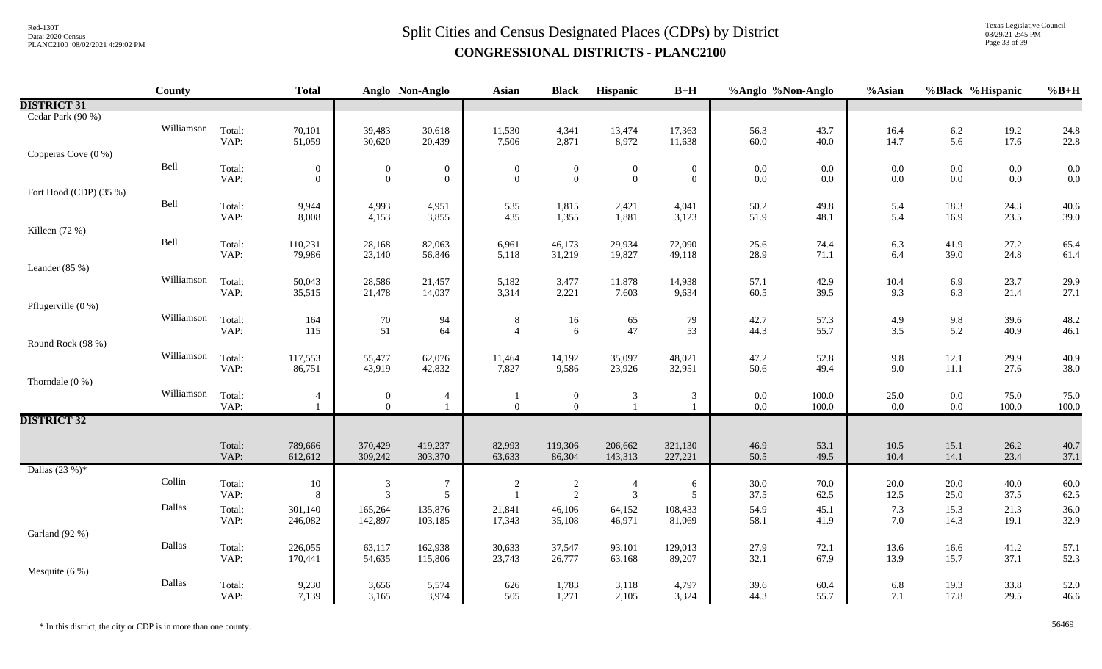# $Split$  Cities and Census Designated Places (CDPs) by District Data: 2020 Census **CONGRESSIONAL DISTRICTS - PLANC2100**

Texas Legislative Council 08/29/21 2:45 PM Page 33 of 39

|                        | <b>County</b> |                | <b>Total</b>     |                                  | Anglo Non-Anglo                      | <b>Asian</b>                     | <b>Black</b>                     | Hispanic                         | $B+H$            | %Anglo %Non-Anglo |                | %Asian                                     | %Black %Hispanic   |               | $%B+H$        |
|------------------------|---------------|----------------|------------------|----------------------------------|--------------------------------------|----------------------------------|----------------------------------|----------------------------------|------------------|-------------------|----------------|--------------------------------------------|--------------------|---------------|---------------|
| <b>DISTRICT 31</b>     |               |                |                  |                                  |                                      |                                  |                                  |                                  |                  |                   |                |                                            |                    |               |               |
| Cedar Park (90 %)      |               |                |                  |                                  |                                      |                                  |                                  |                                  |                  |                   |                |                                            |                    |               |               |
|                        | Williamson    | Total:         | 70,101           | 39,483                           | 30,618                               | 11,530                           | 4,341                            | 13,474                           | 17,363           | 56.3              | 43.7           | 16.4                                       | 6.2                | 19.2          | 24.8          |
|                        |               | VAP:           | 51,059           | 30,620                           | 20,439                               | 7,506                            | 2,871                            | 8,972                            | 11,638           | 60.0              | 40.0           | 14.7                                       | 5.6                | 17.6          | 22.8          |
| Copperas Cove (0 %)    |               |                |                  |                                  |                                      |                                  |                                  |                                  |                  |                   |                |                                            |                    |               |               |
|                        | Bell          | Total:<br>VAP: | $\boldsymbol{0}$ | $\boldsymbol{0}$                 | $\boldsymbol{0}$<br>$\boldsymbol{0}$ | $\boldsymbol{0}$<br>$\mathbf{0}$ | $\boldsymbol{0}$<br>$\mathbf{0}$ | $\boldsymbol{0}$<br>$\mathbf{0}$ | $\boldsymbol{0}$ | $0.0\,$           | $0.0\,$        | 0.0                                        | $0.0\,$            | $0.0\,$       | 0.0           |
| Fort Hood (CDP) (35 %) |               |                | $\overline{0}$   | $\overline{0}$                   |                                      |                                  |                                  |                                  | $\overline{0}$   | $0.0\,$           | $0.0\,$        | 0.0                                        | $0.0\,$            | $0.0\,$       | 0.0           |
|                        | Bell          | Total:         | 9,944            | 4,993                            | 4,951                                | 535                              | 1,815                            | 2,421                            |                  | 50.2              | 49.8           |                                            | 18.3               | 24.3          | 40.6          |
|                        |               | VAP:           | 8,008            | 4,153                            | 3,855                                | 435                              | 1,355                            | 1,881                            | 4,041<br>3,123   | 51.9              | 48.1           | 5.4<br>5.4                                 | 16.9               | 23.5          | 39.0          |
| Killeen (72 %)         |               |                |                  |                                  |                                      |                                  |                                  |                                  |                  |                   |                |                                            |                    |               |               |
|                        | Bell          | Total:         | 110,231          | 28,168                           | 82,063                               | 6,961                            | 46,173                           | 29,934                           | 72,090           | 25.6              | 74.4           | 6.3                                        | 41.9               | 27.2          | 65.4          |
|                        |               | VAP:           | 79,986           | 23,140                           | 56,846                               | 5,118                            | 31,219                           | 19,827                           | 49,118           | 28.9              | 71.1           | 6.4                                        | 39.0               | 24.8          | 61.4          |
| Leander $(85\%)$       |               |                |                  |                                  |                                      |                                  |                                  |                                  |                  |                   |                |                                            |                    |               |               |
|                        | Williamson    | Total:         | 50,043           | 28,586                           | 21,457                               | 5,182                            | 3,477                            | 11,878                           | 14,938           | 57.1              | 42.9           | 10.4                                       | 6.9                | 23.7          | 29.9          |
|                        |               | VAP:           | 35,515           | 21,478                           | 14,037                               | 3,314                            | 2,221                            | 7,603                            | 9,634            | 60.5              | 39.5           | 9.3                                        | 6.3                | 21.4          | 27.1          |
| Pflugerville (0 %)     |               |                |                  |                                  |                                      |                                  |                                  |                                  |                  |                   |                |                                            |                    |               |               |
|                        | Williamson    | Total:         | 164              | 70                               | 94                                   | 8                                | 16                               | 65                               | 79               | 42.7              | 57.3           | 4.9                                        | $9.8\,$            | 39.6          | 48.2          |
|                        |               | VAP:           | 115              | 51                               | 64                                   | $\Delta$                         | 6                                | 47                               | 53               | 44.3              | 55.7           | 3.5                                        | 5.2                | 40.9          | 46.1          |
| Round Rock (98 %)      |               |                |                  |                                  |                                      |                                  |                                  |                                  |                  |                   |                |                                            |                    |               |               |
|                        | Williamson    | Total:         | 117,553          | 55,477                           | 62,076                               | 11,464                           | 14,192                           | 35,097                           | 48,021           | 47.2              | 52.8           | 9.8                                        | 12.1               | 29.9          | 40.9          |
|                        |               | VAP:           | 86,751           | 43,919                           | 42,832                               | 7,827                            | 9,586                            | 23,926                           | 32,951           | 50.6              | 49.4           | 9.0                                        | 11.1               | 27.6          | 38.0          |
| Thorndale $(0\%)$      | Williamson    |                |                  |                                  |                                      |                                  |                                  |                                  |                  |                   |                |                                            |                    |               |               |
|                        |               | Total:<br>VAP: | 4                | $\overline{0}$<br>$\overline{0}$ | $\overline{4}$<br>$\mathbf{1}$       | $\theta$                         | $\overline{0}$<br>$\mathbf{0}$   | 3                                | 3                | $0.0\,$<br>0.0    | 100.0<br>100.0 | $\begin{array}{c} 25.0 \\ 0.0 \end{array}$ | $0.0\,$<br>$0.0\,$ | 75.0<br>100.0 | 75.0<br>100.0 |
| <b>DISTRICT 32</b>     |               |                |                  |                                  |                                      |                                  |                                  |                                  |                  |                   |                |                                            |                    |               |               |
|                        |               |                |                  |                                  |                                      |                                  |                                  |                                  |                  |                   |                |                                            |                    |               |               |
|                        |               | Total:         | 789,666          | 370,429                          | 419,237                              | 82,993                           | 119,306                          | 206,662                          | 321,130          | 46.9              | 53.1           | 10.5                                       | 15.1               | 26.2          | 40.7          |
|                        |               | VAP:           | 612,612          | 309,242                          | 303,370                              | 63,633                           | 86,304                           | 143,313                          | 227,221          | 50.5              | 49.5           | 10.4                                       | 14.1               | 23.4          | 37.1          |
| Dallas $(23%)^*$       |               |                |                  |                                  |                                      |                                  |                                  |                                  |                  |                   |                |                                            |                    |               |               |
|                        | Collin        | Total:         | 10               | $\mathfrak{Z}$                   | $\overline{7}$                       | $\overline{2}$                   | $\overline{c}$                   | $\overline{4}$                   | 6                | 30.0              | 70.0           | 20.0                                       | 20.0               | 40.0          | 60.0          |
|                        |               | VAP:           | 8                | $\mathfrak{Z}$                   | 5                                    | $\overline{1}$                   | 2                                | $\overline{3}$                   | 5                | 37.5              | 62.5           | 12.5                                       | 25.0               | 37.5          | 62.5          |
|                        | Dallas        | Total:         | 301,140          | 165,264                          | 135,876                              | 21,841                           | 46,106                           | 64,152                           | 108,433          | 54.9              | 45.1           | 7.3                                        | 15.3               | 21.3          | 36.0          |
|                        |               | VAP:           | 246,082          | 142,897                          | 103,185                              | 17,343                           | 35,108                           | 46,971                           | 81,069           | 58.1              | 41.9           | 7.0                                        | 14.3               | 19.1          | 32.9          |
| Garland (92 %)         |               |                |                  |                                  |                                      |                                  |                                  |                                  |                  |                   |                |                                            |                    |               |               |
|                        | Dallas        | Total:         | 226,055          | 63,117                           | 162,938                              | 30,633                           | 37,547                           | 93,101                           | 129,013          | 27.9              | 72.1           | 13.6                                       | 16.6               | 41.2          | 57.1          |
|                        |               | VAP:           | 170,441          | 54,635                           | 115,806                              | 23,743                           | 26,777                           | 63,168                           | 89,207           | 32.1              | 67.9           | 13.9                                       | 15.7               | 37.1          | 52.3          |
| Mesquite $(6\%)$       | Dallas        |                |                  |                                  |                                      |                                  |                                  |                                  |                  |                   |                |                                            |                    |               |               |
|                        |               | Total:<br>VAP: | 9,230<br>7,139   | 3,656<br>3,165                   | 5,574<br>3,974                       | 626<br>505                       | 1,783<br>1,271                   | 3,118<br>2,105                   | 4,797<br>3,324   | 39.6<br>44.3      | 60.4<br>55.7   | 6.8<br>7.1                                 | 19.3<br>17.8       | 33.8<br>29.5  | 52.0<br>46.6  |
|                        |               |                |                  |                                  |                                      |                                  |                                  |                                  |                  |                   |                |                                            |                    |               |               |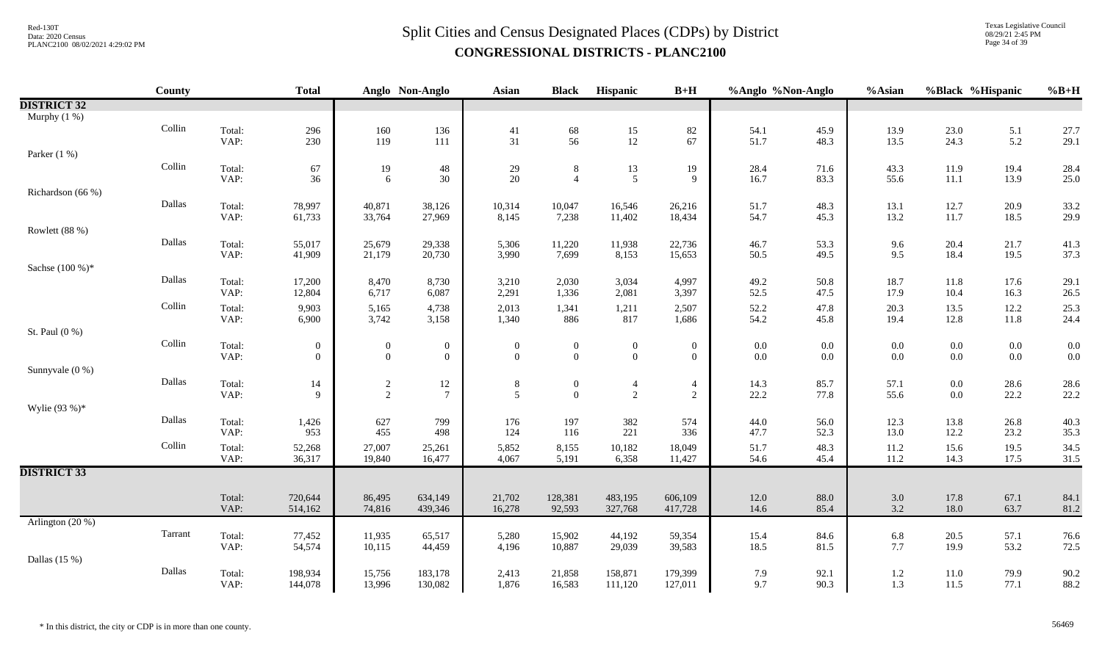Texas Legislative Council 08/29/21 2:45 PM Page 34 of 39

|                    | County  |                | <b>Total</b>     |                  | Anglo Non-Anglo  | <b>Asian</b>    | <b>Black</b>     | Hispanic                                | $B+H$            | %Anglo %Non-Anglo |              | %Asian       |              | %Black %Hispanic | $%B+H$       |
|--------------------|---------|----------------|------------------|------------------|------------------|-----------------|------------------|-----------------------------------------|------------------|-------------------|--------------|--------------|--------------|------------------|--------------|
| <b>DISTRICT 32</b> |         |                |                  |                  |                  |                 |                  |                                         |                  |                   |              |              |              |                  |              |
| Murphy $(1\%)$     |         |                |                  |                  |                  |                 |                  |                                         |                  |                   |              |              |              |                  |              |
|                    | Collin  | Total:         | 296              | 160              | 136              | 41              | $\frac{68}{56}$  | $\begin{array}{c} 15 \\ 12 \end{array}$ | 82               | 54.1              | 45.9         | 13.9         | 23.0         | 5.1              | 27.7         |
|                    |         | VAP:           | 230              | 119              | 111              | 31              |                  |                                         | 67               | 51.7              | 48.3         | 13.5         | 24.3         | 5.2              | 29.1         |
| Parker $(1\%)$     |         |                |                  |                  |                  |                 |                  |                                         |                  |                   |              |              |              |                  |              |
|                    | Collin  | Total:         | 67               | 19               | 48               | 29              | 8                | 13                                      | 19               | 28.4              | 71.6         | 43.3         | 11.9         | 19.4             | 28.4         |
|                    |         | VAP:           | 36               | 6                | 30               | 20              | $\overline{4}$   | $\overline{5}$                          | 9                | 16.7              | 83.3         | 55.6         | $11.1\,$     | 13.9             | 25.0         |
| Richardson (66 %)  | Dallas  |                |                  |                  |                  |                 |                  |                                         |                  |                   |              |              |              |                  |              |
|                    |         | Total:<br>VAP: | 78,997<br>61,733 | 40,871<br>33,764 | 38,126<br>27,969 | 10,314<br>8,145 | 10,047<br>7,238  | 16,546<br>11,402                        | 26,216<br>18,434 | 51.7<br>54.7      | 48.3<br>45.3 | 13.1<br>13.2 | 12.7<br>11.7 | 20.9<br>18.5     | 33.2<br>29.9 |
| Rowlett (88 %)     |         |                |                  |                  |                  |                 |                  |                                         |                  |                   |              |              |              |                  |              |
|                    | Dallas  | Total:         | 55,017           | 25,679           | 29,338           | 5,306           | 11,220           | 11,938                                  | 22,736           | 46.7              | 53.3         | 9.6          | 20.4         | 21.7             | 41.3         |
|                    |         | VAP:           | 41,909           | 21,179           | 20,730           | 3,990           | 7,699            | 8,153                                   | 15,653           | 50.5              | 49.5         | 9.5          | 18.4         | 19.5             | 37.3         |
| Sachse (100 %)*    |         |                |                  |                  |                  |                 |                  |                                         |                  |                   |              |              |              |                  |              |
|                    | Dallas  | Total:         | 17,200           | 8,470            | 8,730            | 3,210           | 2,030            | 3,034                                   | 4,997            | 49.2              | 50.8         | 18.7         | 11.8         | 17.6             | 29.1         |
|                    |         | VAP:           | 12,804           | 6,717            | 6,087            | 2,291           | 1,336            | 2,081                                   | 3,397            | 52.5              | 47.5         | 17.9         | 10.4         | 16.3             | 26.5         |
|                    | Collin  | Total:         | 9,903            | 5,165            | 4,738            | 2,013           | 1,341            | 1,211                                   | 2,507            | 52.2              | 47.8         | 20.3         | 13.5         | 12.2             | 25.3         |
|                    |         | VAP:           | 6,900            | 3,742            | 3,158            | 1,340           | 886              | 817                                     | 1,686            | 54.2              | 45.8         | 19.4         | 12.8         | 11.8             | 24.4         |
| St. Paul (0 %)     |         |                |                  |                  |                  |                 |                  |                                         |                  |                   |              |              |              |                  |              |
|                    | Collin  | Total:         | $\overline{0}$   | $\mathbf{0}$     | $\overline{0}$   | $\overline{0}$  | $\boldsymbol{0}$ | $\boldsymbol{0}$                        | $\mathbf{0}$     | $0.0\,$           | 0.0          | $0.0\,$      | $0.0\,$      | $0.0\,$          | 0.0          |
|                    |         | VAP:           | $\overline{0}$   | $\mathbf{0}$     | $\overline{0}$   | $\mathbf{0}$    | $\overline{0}$   | $\mathbf{0}$                            | $\overline{0}$   | 0.0               | 0.0          | 0.0          | $0.0\,$      | $0.0\,$          | 0.0          |
| Sunnyvale (0 %)    |         |                |                  |                  |                  |                 |                  |                                         |                  |                   |              |              |              |                  |              |
|                    | Dallas  | Total:         | 14               | $\overline{c}$   | 12               | $\,8$           | $\overline{0}$   | $\overline{4}$                          | $\overline{4}$   | 14.3              | 85.7         | 57.1         | $0.0\,$      | 28.6             | 28.6         |
|                    |         | VAP:           | 9                | $\overline{2}$   | $\overline{7}$   | 5               | $\overline{0}$   | $\sqrt{2}$                              | $\sqrt{2}$       | 22.2              | 77.8         | 55.6         | $0.0\,$      | 22.2             | 22.2         |
| Wylie $(93%)$ *    |         |                |                  |                  |                  |                 |                  |                                         |                  |                   |              |              |              |                  |              |
|                    | Dallas  | Total:         | 1,426            | 627              | 799              | 176             | 197              | 382                                     | 574              | 44.0              | 56.0         | 12.3         | 13.8         | 26.8             | 40.3         |
|                    |         | VAP:           | 953              | 455              | 498              | 124             | 116              | 221                                     | 336              | 47.7              | 52.3         | 13.0         | 12.2         | 23.2             | 35.3         |
|                    | Collin  | Total:         | 52,268           | 27,007           | 25,261           | 5,852           | 8,155            | 10,182                                  | 18,049           | 51.7              | 48.3         | 11.2         | 15.6         | 19.5             | 34.5         |
|                    |         | VAP:           | 36,317           | 19,840           | 16,477           | 4,067           | 5,191            | 6,358                                   | 11,427           | 54.6              | 45.4         | 11.2         | 14.3         | 17.5             | 31.5         |
| <b>DISTRICT 33</b> |         |                |                  |                  |                  |                 |                  |                                         |                  |                   |              |              |              |                  |              |
|                    |         | Total:         | 720,644          | 86,495           | 634,149          | 21,702          | 128,381          | 483,195                                 | 606,109          | 12.0              | $88.0\,$     | 3.0          | 17.8         | 67.1             | 84.1         |
|                    |         | VAP:           | 514,162          | 74,816           | 439,346          | 16,278          | 92,593           | 327,768                                 | 417,728          | 14.6              | 85.4         | 3.2          | 18.0         | 63.7             | 81.2         |
| Arlington $(20\%)$ |         |                |                  |                  |                  |                 |                  |                                         |                  |                   |              |              |              |                  |              |
|                    | Tarrant | Total:         | 77,452           | 11,935           | 65,517           | 5,280           | 15,902           | 44,192                                  | 59,354           | 15.4              | 84.6         | 6.8          | 20.5         | 57.1             | 76.6         |
|                    |         | VAP:           | 54,574           | 10,115           | 44,459           | 4,196           | 10,887           | 29,039                                  | 39,583           | 18.5              | 81.5         | 7.7          | 19.9         | 53.2             | 72.5         |
| Dallas $(15%)$     |         |                |                  |                  |                  |                 |                  |                                         |                  |                   |              |              |              |                  |              |
|                    | Dallas  | Total:         | 198,934          | 15,756           | 183,178          | 2,413           | 21,858           | 158,871                                 | 179,399          | 7.9               | 92.1         | 1.2          | 11.0         | 79.9             | 90.2         |
|                    |         | VAP:           | 144,078          | 13,996           | 130,082          | 1,876           | 16,583           | 111,120                                 | 127,011          | 9.7               | 90.3         | 1.3          | 11.5         | 77.1             | 88.2         |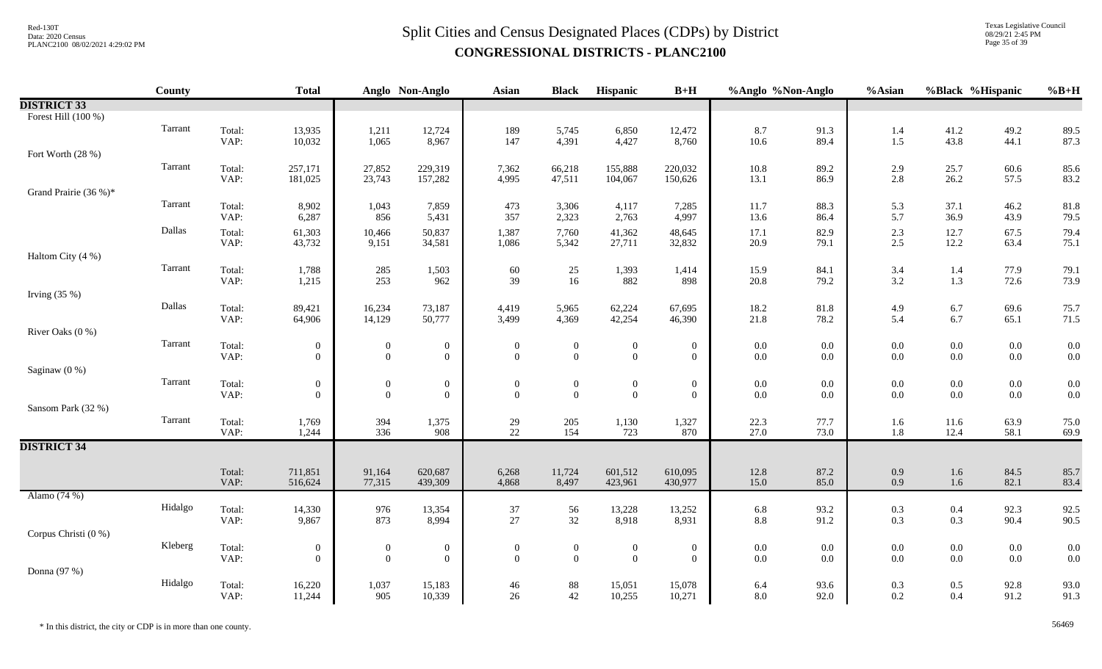Texas Legislative Council 08/29/21 2:45 PM Page 35 of 39

|                       | County  |                | <b>Total</b>               |                                           | Anglo Non-Anglo                      | <b>Asian</b>                   | <b>Black</b>                     | Hispanic                         | $B+H$                          | %Anglo %Non-Anglo  |              | %Asian     | %Black %Hispanic   |                    | $%B+H$       |
|-----------------------|---------|----------------|----------------------------|-------------------------------------------|--------------------------------------|--------------------------------|----------------------------------|----------------------------------|--------------------------------|--------------------|--------------|------------|--------------------|--------------------|--------------|
| <b>DISTRICT 33</b>    |         |                |                            |                                           |                                      |                                |                                  |                                  |                                |                    |              |            |                    |                    |              |
| Forest Hill (100 %)   |         |                |                            |                                           |                                      |                                |                                  |                                  |                                |                    |              |            |                    |                    |              |
|                       | Tarrant | Total:         | 13,935                     | 1,211                                     | 12,724                               | 189                            | 5,745                            | 6,850                            | 12,472                         | 8.7                | 91.3         | 1.4        | $41.2$<br>$43.8$   | 49.2               | 89.5         |
|                       |         | VAP:           | 10,032                     | 1,065                                     | 8,967                                | 147                            | 4,391                            | 4,427                            | 8,760                          | 10.6               | 89.4         | 1.5        |                    | 44.1               | 87.3         |
| Fort Worth (28 %)     | Tarrant |                | 257,171                    |                                           |                                      | 7,362                          |                                  |                                  | 220,032                        | 10.8               | 89.2         |            | 25.7               | 60.6               | 85.6         |
|                       |         | Total:<br>VAP: | 181,025                    | 27,852<br>23,743                          | 229,319<br>157,282                   | 4,995                          | 66,218<br>47,511                 | 155,888<br>104,067               | 150,626                        | 13.1               | 86.9         | 2.9<br>2.8 | 26.2               | 57.5               | 83.2         |
| Grand Prairie (36 %)* |         |                |                            |                                           |                                      |                                |                                  |                                  |                                |                    |              |            |                    |                    |              |
|                       | Tarrant | Total:         | 8,902                      | 1,043                                     | 7,859                                | 473                            | 3,306                            | 4,117                            | 7,285                          | 11.7               | 88.3         | 5.3        | 37.1               | 46.2               | 81.8         |
|                       |         | VAP:           | 6,287                      | 856                                       | 5,431                                | 357                            | 2,323                            | 2,763                            | 4,997                          | 13.6               | 86.4         | 5.7        | 36.9               | 43.9               | 79.5         |
|                       | Dallas  | Total:         | 61,303                     | 10,466                                    | 50,837                               | 1,387                          | 7,760                            | 41,362                           | 48,645                         | 17.1               | 82.9         | $2.3\,$    | 12.7               | 67.5               | 79.4         |
|                       |         | VAP:           | 43,732                     | 9,151                                     | 34,581                               | 1,086                          | 5,342                            | 27,711                           | 32,832                         | 20.9               | 79.1         | 2.5        | 12.2               | 63.4               | 75.1         |
| Haltom City (4 %)     |         |                |                            |                                           |                                      |                                |                                  |                                  |                                |                    |              |            |                    |                    |              |
|                       | Tarrant | Total:<br>VAP: | 1,788<br>1,215             | $\begin{array}{c} 285 \\ 253 \end{array}$ | 1,503<br>962                         | 60<br>39                       | 25<br>16                         | 1,393<br>882                     | 1,414<br>898                   | 15.9<br>20.8       | 84.1<br>79.2 | 3.4<br>3.2 | $1.4\,$<br>1.3     | 77.9<br>72.6       | 79.1<br>73.9 |
| Irving $(35%)$        |         |                |                            |                                           |                                      |                                |                                  |                                  |                                |                    |              |            |                    |                    |              |
|                       | Dallas  | Total:         | 89,421                     | 16,234                                    | 73,187                               | 4,419                          | 5,965                            | 62,224                           | 67,695                         | 18.2               | 81.8         | 4.9        | 6.7                | 69.6               | 75.7         |
|                       |         | VAP:           | 64,906                     | 14,129                                    | 50,777                               | 3,499                          | 4,369                            | 42,254                           | 46,390                         | 21.8               | 78.2         | 5.4        | 6.7                | 65.1               | 71.5         |
| River Oaks (0 %)      |         |                |                            |                                           |                                      |                                |                                  |                                  |                                |                    |              |            |                    |                    |              |
|                       | Tarrant | Total:         | $\overline{0}$             | $\overline{0}$                            | $\boldsymbol{0}$                     | $\mathbf{0}$                   | $\boldsymbol{0}$                 | $\boldsymbol{0}$                 | $\boldsymbol{0}$               | $0.0\,$            | $0.0\,$      | $0.0\,$    | $0.0\,$            | $0.0\,$            | 0.0          |
|                       |         | VAP:           | $\Omega$                   | $\overline{0}$                            | $\overline{0}$                       | $\Omega$                       | $\overline{0}$                   | $\mathbf{0}$                     | $\overline{0}$                 | $0.0\,$            | $0.0\,$      | $0.0\,$    | $0.0\,$            | $0.0\,$            | 0.0          |
| Saginaw $(0\%)$       |         |                |                            |                                           |                                      |                                |                                  |                                  |                                |                    |              |            |                    |                    |              |
|                       | Tarrant | Total:<br>VAP: | $\overline{0}$<br>$\Omega$ | $\boldsymbol{0}$<br>$\overline{0}$        | $\boldsymbol{0}$<br>$\boldsymbol{0}$ | $\mathbf{0}$<br>$\overline{0}$ | $\overline{0}$<br>$\overline{0}$ | $\boldsymbol{0}$<br>$\mathbf{0}$ | $\mathbf{0}$<br>$\overline{0}$ | $0.0\,$<br>$0.0\,$ | $0.0\,$      | $0.0\,$    | $0.0\,$<br>$0.0\,$ | $0.0\,$<br>$0.0\,$ | 0.0<br>0.0   |
| Sansom Park (32 %)    |         |                |                            |                                           |                                      |                                |                                  |                                  |                                |                    | $0.0\,$      | $0.0\,$    |                    |                    |              |
|                       | Tarrant | Total:         | 1,769                      | 394                                       | 1,375                                | 29                             | 205                              | 1,130                            | 1,327                          | 22.3               | 77.7         | 1.6        | 11.6               | 63.9               | 75.0         |
|                       |         | VAP:           | 1,244                      | 336                                       | 908                                  | 22                             | 154                              | 723                              | 870                            | 27.0               | 73.0         | 1.8        | 12.4               | 58.1               | 69.9         |
| <b>DISTRICT 34</b>    |         |                |                            |                                           |                                      |                                |                                  |                                  |                                |                    |              |            |                    |                    |              |
|                       |         |                |                            |                                           |                                      |                                |                                  |                                  |                                |                    |              |            |                    |                    |              |
|                       |         | Total:         | 711,851                    | 91,164                                    | 620,687                              | 6,268                          | 11,724                           | 601,512                          | 610,095                        | 12.8               | 87.2         | 0.9        | $1.6\,$            | 84.5               | 85.7         |
| Alamo (74 %)          |         | VAP:           | 516,624                    | 77,315                                    | 439,309                              | 4,868                          | 8,497                            | 423,961                          | 430,977                        | 15.0               | 85.0         | 0.9        | 1.6                | 82.1               | 83.4         |
|                       | Hidalgo | Total:         | 14,330                     | 976                                       | 13,354                               | $37\,$                         | 56                               | 13,228                           | 13,252                         | 6.8                | 93.2         | 0.3        | $0.4\,$            | 92.3               | 92.5         |
|                       |         | VAP:           | 9,867                      | 873                                       | 8,994                                | 27                             | 32                               | 8,918                            | 8,931                          | $8.8\,$            | 91.2         | 0.3        | 0.3                | 90.4               | 90.5         |
| Corpus Christi (0 %)  |         |                |                            |                                           |                                      |                                |                                  |                                  |                                |                    |              |            |                    |                    |              |
|                       | Kleberg | Total:         | $\boldsymbol{0}$           | $\mathbf{0}$                              | $\boldsymbol{0}$                     | $\boldsymbol{0}$               | $\mathbf{0}$                     | $\boldsymbol{0}$                 | $\boldsymbol{0}$               | $0.0\,$            | $0.0\,$      | $0.0\,$    | $0.0\,$            | $0.0\,$            | 0.0          |
|                       |         | VAP:           | $\overline{0}$             | $\overline{0}$                            | $\boldsymbol{0}$                     | $\mathbf{0}$                   | $\overline{0}$                   | $\overline{0}$                   | $\overline{0}$                 | $0.0\,$            | $0.0\,$      | $0.0\,$    | $0.0\,$            | $0.0\,$            | 0.0          |
| Donna (97 %)          |         |                |                            |                                           |                                      |                                |                                  |                                  |                                |                    |              |            |                    |                    |              |
|                       | Hidalgo | Total:         | 16,220                     | 1,037                                     | 15,183                               | 46                             | 88                               | 15,051                           | 15,078                         | 6.4                | 93.6         | 0.3        | $0.5\,$            | 92.8               | 93.0         |
|                       |         | VAP:           | 11,244                     | 905                                       | 10,339                               | 26                             | 42                               | 10,255                           | 10,271                         | 8.0                | 92.0         | $0.2\,$    | $0.4\,$            | 91.2               | 91.3         |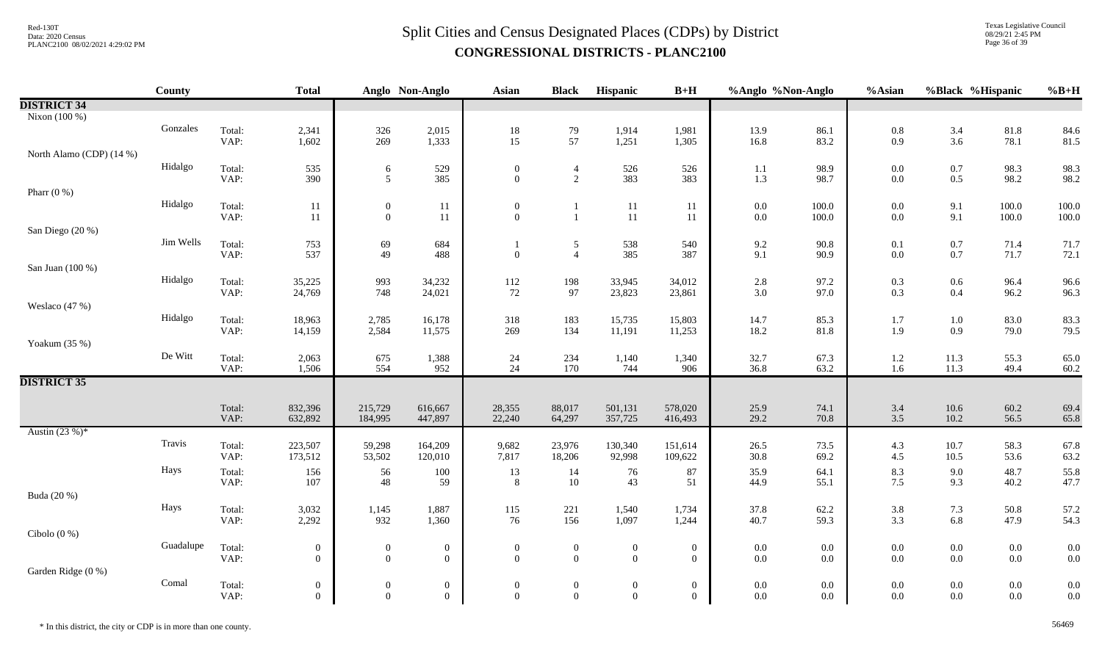Texas Legislative Council 08/29/21 2:45 PM Page 36 of 39

|                          | <b>County</b> |                | <b>Total</b>                       |                                    | Anglo Non-Anglo                  | <b>Asian</b>                            | <b>Black</b>                       | Hispanic                         | $B+H$                            | %Anglo %Non-Anglo  |                    | %Asian            | %Black %Hispanic   |                    | $%B+H$       |
|--------------------------|---------------|----------------|------------------------------------|------------------------------------|----------------------------------|-----------------------------------------|------------------------------------|----------------------------------|----------------------------------|--------------------|--------------------|-------------------|--------------------|--------------------|--------------|
| <b>DISTRICT 34</b>       |               |                |                                    |                                    |                                  |                                         |                                    |                                  |                                  |                    |                    |                   |                    |                    |              |
| Nixon (100 %)            |               |                |                                    |                                    |                                  |                                         |                                    |                                  |                                  |                    |                    |                   |                    |                    |              |
|                          | Gonzales      | Total:         | 2,341                              | 326                                | 2,015                            | $\begin{array}{c} 18 \\ 15 \end{array}$ | $\frac{79}{57}$                    | 1,914                            | 1,981                            | 13.9               | 86.1               | $0.8\,$           | $3.4$<br>$3.6$     | $81.8\,$           | 84.6         |
|                          |               | VAP:           | 1,602                              | 269                                | 1,333                            |                                         |                                    | 1,251                            | 1,305                            | 16.8               | 83.2               | 0.9               |                    | 78.1               | 81.5         |
| North Alamo (CDP) (14 %) |               |                |                                    |                                    |                                  |                                         |                                    |                                  |                                  |                    |                    |                   |                    |                    |              |
|                          | Hidalgo       | Total:         | 535                                | 6                                  | 529                              | $\boldsymbol{0}$                        | $\overline{4}$                     | 526                              | 526                              | $1.1\,$            | 98.9               | $0.0\,$           | $0.7\,$            | 98.3               | 98.3         |
|                          |               | VAP:           | 390                                | 5                                  | 385                              | $\theta$                                | 2                                  | 383                              | 383                              | 1.3                | 98.7               | 0.0               | $0.5\,$            | 98.2               | 98.2         |
| Pharr $(0\%)$            |               |                |                                    |                                    |                                  |                                         |                                    |                                  |                                  |                    |                    |                   |                    |                    |              |
|                          | Hidalgo       | Total:         | 11                                 | $\boldsymbol{0}$                   | 11                               | $\boldsymbol{0}$<br>$\mathbf{0}$        | -1<br>$\mathbf{1}$                 | 11                               | 11                               | $0.0\,$            | 100.0              | 0.0               | 9.1                | 100.0              | 100.0        |
|                          |               | VAP:           | 11                                 | $\boldsymbol{0}$                   | $11\,$                           |                                         |                                    | $11\,$                           | 11                               | $0.0\,$            | 100.0              | $0.0\,$           | 9.1                | 100.0              | 100.0        |
| San Diego (20 %)         | Jim Wells     |                |                                    |                                    |                                  |                                         |                                    |                                  |                                  |                    |                    |                   |                    |                    |              |
|                          |               | Total:<br>VAP: | 753<br>537                         | 69<br>49                           | 684<br>488                       | $\mathbf{0}$                            | $\mathfrak{S}$<br>$\overline{4}$   | 538<br>385                       | 540<br>387                       | 9.2<br>9.1         | 90.8<br>90.9       | 0.1<br>0.0        | $0.7\,$<br>$0.7\,$ | 71.4<br>71.7       | 71.7<br>72.1 |
| San Juan (100 %)         |               |                |                                    |                                    |                                  |                                         |                                    |                                  |                                  |                    |                    |                   |                    |                    |              |
|                          | Hidalgo       |                |                                    |                                    |                                  |                                         |                                    |                                  |                                  |                    |                    |                   |                    |                    |              |
|                          |               | Total:<br>VAP: | 35,225<br>24,769                   | 993<br>748                         | 34,232<br>24,021                 | 112<br>72                               | 198<br>97                          | 33,945<br>23,823                 | 34,012<br>23,861                 | $2.8\,$<br>$3.0\,$ | 97.2<br>97.0       | 0.3<br>0.3        | $0.6\,$<br>0.4     | 96.4<br>96.2       | 96.6<br>96.3 |
| Weslaco (47 %)           |               |                |                                    |                                    |                                  |                                         |                                    |                                  |                                  |                    |                    |                   |                    |                    |              |
|                          | Hidalgo       | Total:         | 18,963                             | 2,785                              | 16,178                           | 318                                     | 183                                | 15,735                           | 15,803                           | 14.7               | 85.3               | 1.7               | $1.0\,$            | 83.0               | 83.3         |
|                          |               | VAP:           | 14,159                             | 2,584                              | 11,575                           | 269                                     | 134                                | 11,191                           | 11,253                           | 18.2               | 81.8               | 1.9               | 0.9                | 79.0               | 79.5         |
| Yoakum (35 %)            |               |                |                                    |                                    |                                  |                                         |                                    |                                  |                                  |                    |                    |                   |                    |                    |              |
|                          | De Witt       | Total:         | 2,063                              |                                    | 1,388                            | 24                                      | 234                                | 1,140                            | 1,340                            | 32.7               | 67.3               |                   | 11.3               | 55.3               | 65.0         |
|                          |               | VAP:           | 1,506                              | 675<br>554                         | 952                              | 24                                      | 170                                | 744                              | 906                              | 36.8               | 63.2               | $\frac{1.2}{1.6}$ | 11.3               | 49.4               | 60.2         |
| <b>DISTRICT 35</b>       |               |                |                                    |                                    |                                  |                                         |                                    |                                  |                                  |                    |                    |                   |                    |                    |              |
|                          |               |                |                                    |                                    |                                  |                                         |                                    |                                  |                                  |                    |                    |                   |                    |                    |              |
|                          |               | Total:         | 832,396                            | 215,729                            | 616,667                          | 28,355                                  | 88,017                             | 501,131                          | 578,020                          | 25.9               | 74.1               | 3.4               | $10.6\,$           | 60.2               | 69.4         |
|                          |               | VAP:           | 632,892                            | 184,995                            | 447,897                          | 22,240                                  | 64,297                             | 357,725                          | 416,493                          | 29.2               | 70.8               | 3.5               | 10.2               | 56.5               | 65.8         |
| Austin $(23%)^*$         |               |                |                                    |                                    |                                  |                                         |                                    |                                  |                                  |                    |                    |                   |                    |                    |              |
|                          | Travis        | Total:         | 223,507                            | 59,298                             | 164,209                          | 9,682                                   | 23,976                             | 130,340                          | 151,614                          | 26.5               | 73.5               | 4.3               | 10.7               | 58.3               | 67.8         |
|                          |               | VAP:           | 173,512                            | 53,502                             | 120,010                          | 7,817                                   | 18,206                             | 92,998                           | 109,622                          | 30.8               | 69.2               | 4.5               | 10.5               | 53.6               | 63.2         |
|                          | Hays          | Total:         | 156                                | 56                                 | 100                              | 13                                      | 14                                 | 76                               | 87                               | 35.9               | 64.1               | 8.3               | 9.0                | 48.7               | 55.8         |
|                          |               | VAP:           | 107                                | 48                                 | 59                               | $8\,$                                   | 10                                 | 43                               | 51                               | 44.9               | 55.1               | 7.5               | 9.3                | 40.2               | 47.7         |
| Buda (20 %)              |               |                |                                    |                                    |                                  |                                         |                                    |                                  |                                  |                    |                    |                   |                    |                    |              |
|                          | Hays          | Total:<br>VAP: | 3,032                              | 1,145<br>932                       | 1,887                            | 115                                     | 221<br>156                         | 1,540<br>1,097                   | 1,734<br>1,244                   | 37.8               | 62.2<br>59.3       | 3.8<br>3.3        | $7.3\,$<br>6.8     | 50.8               | 57.2         |
|                          |               |                | 2,292                              |                                    | 1,360                            | 76                                      |                                    |                                  |                                  | 40.7               |                    |                   |                    | 47.9               | 54.3         |
| Cibolo $(0\%)$           | Guadalupe     |                |                                    |                                    |                                  |                                         |                                    |                                  |                                  |                    |                    |                   |                    |                    |              |
|                          |               | Total:<br>VAP: | $\boldsymbol{0}$<br>$\overline{0}$ | $\boldsymbol{0}$<br>$\overline{0}$ | $\bf{0}$<br>$\theta$             | $\boldsymbol{0}$<br>$\theta$            | $\boldsymbol{0}$<br>$\overline{0}$ | $\boldsymbol{0}$<br>$\theta$     | $\boldsymbol{0}$<br>$\mathbf{0}$ | $0.0\,$<br>$0.0\,$ | 0.0<br>$0.0\,$     | 0.0<br>0.0        | $0.0\,$<br>$0.0\,$ | $0.0\,$<br>$0.0\,$ | 0.0<br>0.0   |
| Garden Ridge (0 %)       |               |                |                                    |                                    |                                  |                                         |                                    |                                  |                                  |                    |                    |                   |                    |                    |              |
|                          | Comal         | Total:         |                                    |                                    |                                  | $\boldsymbol{0}$                        |                                    |                                  |                                  | $0.0\,$            |                    | 0.0               |                    |                    | 0.0          |
|                          |               | VAP:           | $\boldsymbol{0}$<br>$\overline{0}$ | $\boldsymbol{0}$<br>$\overline{0}$ | $\boldsymbol{0}$<br>$\mathbf{0}$ | $\mathbf{0}$                            | $\overline{0}$<br>$\boldsymbol{0}$ | $\boldsymbol{0}$<br>$\mathbf{0}$ | $\overline{0}$<br>$\mathbf{0}$   | $0.0\,$            | $0.0\,$<br>$0.0\,$ | 0.0               | $0.0\,$<br>$0.0\,$ | $0.0\,$<br>$0.0\,$ | 0.0          |
|                          |               |                |                                    |                                    |                                  |                                         |                                    |                                  |                                  |                    |                    |                   |                    |                    |              |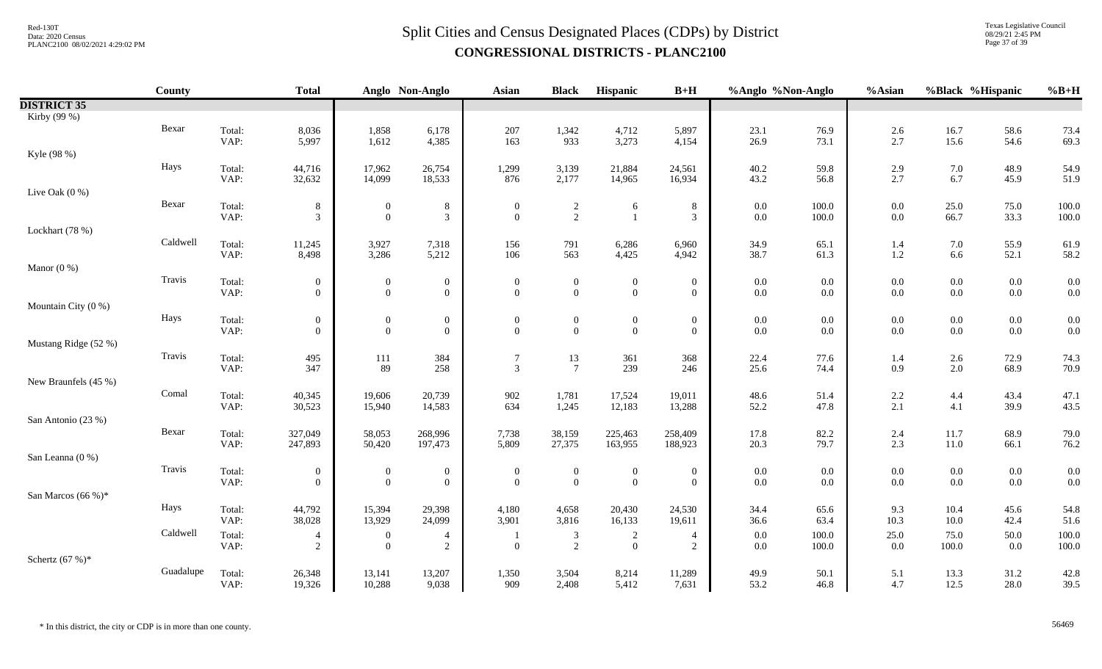Texas Legislative Council 08/29/21 2:45 PM Page 37 of 39

|                       | County    |                | <b>Total</b>                       |                                  | Anglo Non-Anglo                  | <b>Asian</b>                     | <b>Black</b>                     | Hispanic                         | $B+H$                              | %Anglo %Non-Anglo  |              | %Asian             |                    | %Black %Hispanic   | $%B+H$       |
|-----------------------|-----------|----------------|------------------------------------|----------------------------------|----------------------------------|----------------------------------|----------------------------------|----------------------------------|------------------------------------|--------------------|--------------|--------------------|--------------------|--------------------|--------------|
| <b>DISTRICT 35</b>    |           |                |                                    |                                  |                                  |                                  |                                  |                                  |                                    |                    |              |                    |                    |                    |              |
| Kirby (99 %)          |           |                |                                    |                                  |                                  |                                  |                                  |                                  |                                    |                    |              |                    |                    |                    |              |
|                       | Bexar     | Total:         | 8,036                              | 1,858                            | 6,178                            | $207\,$                          | 1,342                            | 4,712                            | 5,897                              | 23.1               | 76.9         | $2.6\,$            | 16.7               | 58.6               | 73.4         |
|                       |           | VAP:           | 5,997                              | 1,612                            | 4,385                            | 163                              | 933                              | 3,273                            | 4,154                              | 26.9               | 73.1         | 2.7                | 15.6               | 54.6               | 69.3         |
| Kyle (98 %)           |           |                |                                    |                                  |                                  |                                  |                                  |                                  |                                    |                    |              |                    |                    |                    |              |
|                       | Hays      | Total:         | 44,716                             | 17,962                           | 26,754                           | 1,299                            | 3,139                            | 21,884                           | 24,561                             | 40.2               | 59.8         | $2.9\,$            | $7.0\,$            | 48.9               | 54.9         |
|                       |           | VAP:           | 32,632                             | 14,099                           | 18,533                           | 876                              | 2,177                            | 14,965                           | 16,934                             | 43.2               | 56.8         | 2.7                | 6.7                | 45.9               | 51.9         |
| Live Oak $(0\%)$      |           |                |                                    |                                  |                                  |                                  |                                  |                                  |                                    |                    |              |                    |                    |                    |              |
|                       | Bexar     | Total:         | 8                                  | $\boldsymbol{0}$                 | $8\,$                            | $\mathbf{0}$                     | $\frac{2}{2}$                    | 6                                | $8\,$                              | $0.0\,$            | 100.0        | $0.0\,$            | 25.0               | 75.0               | 100.0        |
|                       |           | VAP:           | $\mathfrak{Z}$                     | $\overline{0}$                   | $\overline{3}$                   | $\overline{0}$                   |                                  |                                  | $\mathfrak{Z}$                     | $0.0\,$            | 100.0        | $0.0\,$            | 66.7               | 33.3               | 100.0        |
| Lockhart (78 %)       |           |                |                                    |                                  |                                  |                                  |                                  |                                  |                                    |                    |              |                    |                    |                    |              |
|                       | Caldwell  | Total:         | 11,245                             | 3,927                            | 7,318                            | 156                              | 791                              | 6,286                            | 6,960                              | 34.9               | 65.1         | 1.4                | $7.0\,$            | 55.9               | 61.9         |
|                       |           | VAP:           | 8,498                              | 3,286                            | 5,212                            | 106                              | 563                              | 4,425                            | 4,942                              | 38.7               | 61.3         | $1.2\,$            | 6.6                | 52.1               | 58.2         |
| Manor $(0\%)$         |           |                |                                    |                                  |                                  |                                  |                                  |                                  |                                    |                    |              |                    |                    |                    |              |
|                       | Travis    | Total:         | $\overline{0}$                     | $\boldsymbol{0}$                 | $\boldsymbol{0}$                 | $\mathbf{0}$                     | $\boldsymbol{0}$                 | $\boldsymbol{0}$                 | $\mathbf{0}$                       | $0.0\,$            | 0.0          | 0.0                | $0.0\,$            | $0.0\,$            | 0.0          |
|                       |           | VAP:           | $\overline{0}$                     | $\overline{0}$                   | $\overline{0}$                   | $\overline{0}$                   | $\overline{0}$                   | $\overline{0}$                   | $\overline{0}$                     | $0.0\,$            | 0.0          | $0.0\,$            | $0.0\,$            | $0.0\,$            | 0.0          |
| Mountain City (0 %)   |           |                |                                    |                                  |                                  |                                  |                                  |                                  |                                    |                    |              |                    |                    |                    |              |
|                       | Hays      | Total:<br>VAP: | $\boldsymbol{0}$<br>$\overline{0}$ | $\boldsymbol{0}$<br>$\mathbf{0}$ | $\boldsymbol{0}$<br>$\mathbf{0}$ | $\boldsymbol{0}$<br>$\mathbf{0}$ | $\boldsymbol{0}$<br>$\mathbf{0}$ | $\boldsymbol{0}$<br>$\mathbf{0}$ | $\boldsymbol{0}$<br>$\overline{0}$ | $0.0\,$<br>$0.0\,$ | 0.0<br>0.0   | $0.0\,$<br>$0.0\,$ | $0.0\,$<br>$0.0\,$ | $0.0\,$<br>$0.0\,$ | 0.0<br>0.0   |
| Mustang Ridge (52 %)  |           |                |                                    |                                  |                                  |                                  |                                  |                                  |                                    |                    |              |                    |                    |                    |              |
|                       | Travis    |                |                                    |                                  |                                  |                                  |                                  |                                  |                                    |                    |              |                    |                    |                    |              |
|                       |           | Total:<br>VAP: | 495<br>347                         | 111<br>89                        | 384<br>258                       | 7<br>$\mathfrak{Z}$              | $\frac{13}{7}$                   | 361<br>239                       | 368<br>246                         | 22.4<br>25.6       | 77.6<br>74.4 | 1.4<br>0.9         | $2.6\,$<br>2.0     | 72.9<br>68.9       | 74.3<br>70.9 |
| New Braunfels (45 %)  |           |                |                                    |                                  |                                  |                                  |                                  |                                  |                                    |                    |              |                    |                    |                    |              |
|                       | Comal     | Total:         | 40,345                             | 19,606                           | 20,739                           | 902                              | 1,781                            | 17,524                           | 19,011                             | 48.6               | 51.4         | $2.2\,$            | 4.4                | 43.4               | 47.1         |
|                       |           | VAP:           | 30,523                             | 15,940                           | 14,583                           | 634                              | 1,245                            | 12,183                           | 13,288                             | 52.2               | 47.8         | 2.1                | 4.1                | 39.9               | 43.5         |
| San Antonio (23 %)    |           |                |                                    |                                  |                                  |                                  |                                  |                                  |                                    |                    |              |                    |                    |                    |              |
|                       | Bexar     | Total:         | 327,049                            | 58,053                           | 268,996                          | 7,738                            | 38,159                           | 225,463                          | 258,409                            | 17.8               | 82.2         | 2.4                | 11.7               | 68.9               | 79.0         |
|                       |           | VAP:           | 247,893                            | 50,420                           | 197,473                          | 5,809                            | 27,375                           | 163,955                          | 188,923                            | 20.3               | 79.7         | 2.3                | $11.0\,$           | 66.1               | 76.2         |
| San Leanna (0 %)      |           |                |                                    |                                  |                                  |                                  |                                  |                                  |                                    |                    |              |                    |                    |                    |              |
|                       | Travis    | Total:         | $\overline{0}$                     | $\boldsymbol{0}$                 | $\overline{0}$                   | $\boldsymbol{0}$                 | $\boldsymbol{0}$                 | $\mathbf{0}$                     | $\overline{0}$                     | $0.0\,$            | $0.0\,$      | $0.0\,$            | $0.0\,$            | $0.0\,$            | 0.0          |
|                       |           | VAP:           | $\overline{0}$                     | $\overline{0}$                   | $\overline{0}$                   | $\overline{0}$                   | $\mathbf{0}$                     | $\mathbf{0}$                     | $\overline{0}$                     | $0.0\,$            | 0.0          | 0.0                | 0.0                | $0.0\,$            | 0.0          |
| San Marcos $(66\%)^*$ |           |                |                                    |                                  |                                  |                                  |                                  |                                  |                                    |                    |              |                    |                    |                    |              |
|                       | Hays      | Total:         | 44,792                             | 15,394                           | 29,398                           | 4,180                            | 4,658                            | 20,430                           | 24,530                             | 34.4               | 65.6         | 9.3                | 10.4               | 45.6               | 54.8         |
|                       |           | VAP:           | 38,028                             | 13,929                           | 24,099                           | 3,901                            | 3,816                            | 16,133                           | 19,611                             | 36.6               | 63.4         | 10.3               | $10.0\,$           | 42.4               | 51.6         |
|                       | Caldwell  | Total:         | $\overline{4}$                     | $\boldsymbol{0}$                 | $\overline{4}$                   |                                  | 3                                | $\sqrt{2}$                       | $\overline{4}$                     | $0.0\,$            | 100.0        | $25.0\,$           | 75.0               | 50.0               | 100.0        |
|                       |           | VAP:           | $\sqrt{2}$                         | $\mathbf{0}$                     | 2                                | $\overline{0}$                   | $\overline{2}$                   | $\mathbf{0}$                     | $\overline{c}$                     | $0.0\,$            | 100.0        | $0.0\,$            | 100.0              | $0.0\,$            | 100.0        |
| Schertz $(67%)$ *     |           |                |                                    |                                  |                                  |                                  |                                  |                                  |                                    |                    |              |                    |                    |                    |              |
|                       | Guadalupe | Total:         | 26,348                             | 13,141                           | 13,207                           | 1,350                            | 3,504                            | 8,214                            | 11,289                             | 49.9               | 50.1         | 5.1                | 13.3               | 31.2               | 42.8         |
|                       |           | VAP:           | 19,326                             | 10,288                           | 9,038                            | 909                              | 2,408                            | 5,412                            | 7,631                              | 53.2               | 46.8         | 4.7                | 12.5               | 28.0               | 39.5         |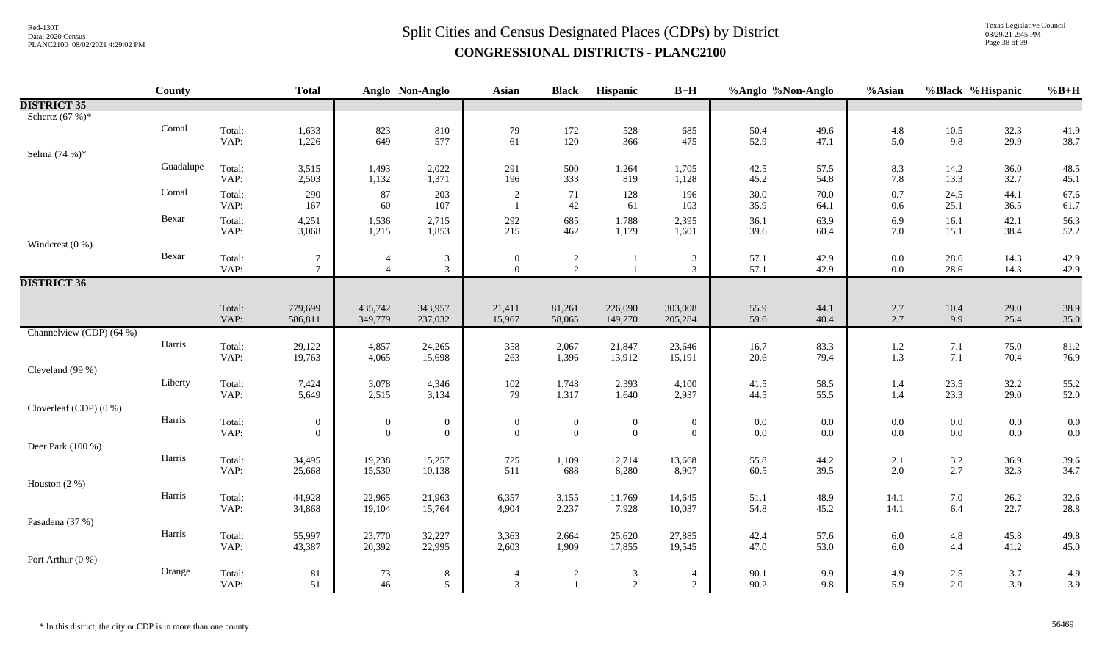# $Split$  Cities and Census Designated Places (CDPs) by District Data: 2020 Census **CONGRESSIONAL DISTRICTS - PLANC2100**

Texas Legislative Council 08/29/21 2:45 PM Page 38 of 39

|                          | <b>County</b> |                | <b>Total</b>                     |                  | Anglo Non-Anglo                  | <b>Asian</b>             | <b>Black</b>                     | Hispanic         | $B+H$               | %Anglo %Non-Anglo |              | %Asian     |                    | %Black %Hispanic | $%B+H$       |
|--------------------------|---------------|----------------|----------------------------------|------------------|----------------------------------|--------------------------|----------------------------------|------------------|---------------------|-------------------|--------------|------------|--------------------|------------------|--------------|
| <b>DISTRICT 35</b>       |               |                |                                  |                  |                                  |                          |                                  |                  |                     |                   |              |            |                    |                  |              |
| Schertz $(67%)$ *        |               |                |                                  |                  |                                  |                          |                                  |                  |                     |                   |              |            |                    |                  |              |
|                          | Comal         | Total:         | 1,633                            | 823<br>649       | 810                              | 79                       | 172                              | 528<br>366       | 685                 | 50.4              | 49.6         | 4.8        | $\frac{10.5}{9.8}$ | 32.3             | 41.9         |
|                          |               | VAP:           | 1,226                            |                  | 577                              | 61                       | 120                              |                  | 475                 | 52.9              | 47.1         | 5.0        |                    | 29.9             | 38.7         |
| Selma (74 %)*            |               |                |                                  |                  |                                  |                          |                                  |                  |                     |                   |              |            |                    |                  |              |
|                          | Guadalupe     | Total:         | 3,515                            | 1,493            | 2,022                            | 291                      | 500                              | 1,264            | 1,705               | 42.5              | 57.5         | 8.3        | 14.2               | 36.0             | 48.5         |
|                          |               | VAP:           | 2,503                            | 1,132            | 1,371                            | 196                      | 333                              | 819              | 1,128               | 45.2              | 54.8         | 7.8        | 13.3               | 32.7             | 45.1         |
|                          | Comal         | Total:         | 290                              | 87               | 203                              | $\overline{2}$           | 71                               | 128              | 196                 | 30.0              | 70.0         | 0.7        | 24.5               | 44.1             | 67.6         |
|                          |               | VAP:           | 167                              | 60               | 107                              | $\mathbf{1}$             | 42                               | 61               | 103                 | 35.9              | 64.1         | 0.6        | 25.1               | 36.5             | 61.7         |
|                          | Bexar         | Total:         | 4,251                            | 1,536            | 2,715                            | 292                      | 685                              | 1,788            | 2,395               | 36.1              | 63.9         | 6.9        | 16.1               | 42.1             | 56.3         |
|                          |               | VAP:           | 3,068                            | 1,215            | 1,853                            | 215                      | 462                              | 1,179            | 1,601               | 39.6              | 60.4         | 7.0        | 15.1               | 38.4             | 52.2         |
| Windcrest $(0 %)$        | Bexar         |                |                                  |                  |                                  |                          |                                  |                  |                     |                   |              |            |                    |                  |              |
|                          |               | Total:<br>VAP: | $\overline{7}$<br>$\overline{7}$ |                  | $\mathfrak{Z}$<br>$\mathfrak{Z}$ | $\mathbf{0}$<br>$\theta$ | $\overline{c}$<br>$\overline{2}$ |                  | $\mathfrak{Z}$<br>3 | 57.1<br>57.1      | 42.9<br>42.9 | 0.0<br>0.0 | 28.6<br>28.6       | 14.3<br>14.3     | 42.9<br>42.9 |
| <b>DISTRICT 36</b>       |               |                |                                  |                  |                                  |                          |                                  |                  |                     |                   |              |            |                    |                  |              |
|                          |               |                |                                  |                  |                                  |                          |                                  |                  |                     |                   |              |            |                    |                  |              |
|                          |               | Total:         | 779,699                          | 435,742          | 343,957                          | 21,411                   | 81,261                           | 226,090          | 303,008             | 55.9              | 44.1         | 2.7        | $10.4\,$           | 29.0             | 38.9         |
|                          |               | VAP:           | 586,811                          | 349,779          | 237,032                          | 15,967                   | 58,065                           | 149,270          | 205,284             | 59.6              | 40.4         | 2.7        | 9.9                | 25.4             | 35.0         |
| Channelview (CDP) (64 %) |               |                |                                  |                  |                                  |                          |                                  |                  |                     |                   |              |            |                    |                  |              |
|                          | Harris        | Total:         | 29,122                           | 4,857            | 24,265                           | 358                      | 2,067                            | 21,847           | 23,646              | 16.7              | 83.3         | $1.2\,$    | 7.1                | 75.0             | 81.2         |
|                          |               | VAP:           | 19,763                           | 4,065            | 15,698                           | 263                      | 1,396                            | 13,912           | 15,191              | 20.6              | 79.4         | 1.3        | 7.1                | 70.4             | 76.9         |
| Cleveland (99 %)         |               |                |                                  |                  |                                  |                          |                                  |                  |                     |                   |              |            |                    |                  |              |
|                          | Liberty       | Total:         | 7,424                            | 3,078            | 4,346                            | 102                      | 1,748                            | 2,393            | 4,100               | 41.5              | 58.5         | 1.4        | 23.5               | 32.2             | 55.2         |
|                          |               | VAP:           | 5,649                            | 2,515            | 3,134                            | 79                       | 1,317                            | 1,640            | 2,937               | 44.5              | 55.5         | 1.4        | 23.3               | 29.0             | 52.0         |
| Cloverleaf (CDP) (0 %)   |               |                |                                  |                  |                                  |                          |                                  |                  |                     |                   |              |            |                    |                  |              |
|                          | Harris        | Total:         | $\boldsymbol{0}$                 | $\mathbf{0}$     | $\boldsymbol{0}$                 | $\boldsymbol{0}$         | $\overline{0}$                   | $\boldsymbol{0}$ | $\boldsymbol{0}$    | $0.0\,$           | $0.0\,$      | 0.0        | $0.0\,$            | $0.0\,$          | 0.0          |
|                          |               | VAP:           | $\overline{0}$                   | $\overline{0}$   | $\boldsymbol{0}$                 | $\mathbf{0}$             | $\overline{0}$                   | $\boldsymbol{0}$ | $\overline{0}$      | $0.0\,$           | 0.0          | 0.0        | $0.0\,$            | 0.0              | 0.0          |
| Deer Park (100 %)        | Harris        |                |                                  |                  |                                  |                          |                                  |                  |                     |                   |              |            |                    |                  |              |
|                          |               | Total:<br>VAP: | 34,495<br>25,668                 | 19,238<br>15,530 | 15,257<br>10,138                 | 725<br>511               | 1,109<br>688                     | 12,714<br>8,280  | 13,668<br>8,907     | 55.8<br>60.5      | 44.2<br>39.5 | 2.1<br>2.0 | $\frac{3.2}{2.7}$  | 36.9<br>32.3     | 39.6<br>34.7 |
| Houston $(2\%)$          |               |                |                                  |                  |                                  |                          |                                  |                  |                     |                   |              |            |                    |                  |              |
|                          | Harris        | Total:         | 44,928                           | 22,965           | 21,963                           | 6,357                    | 3,155                            | 11,769           | 14,645              | 51.1              | 48.9         | 14.1       | $7.0\,$            | 26.2             | 32.6         |
|                          |               | VAP:           | 34,868                           | 19,104           | 15,764                           | 4,904                    | 2,237                            | 7,928            | 10,037              | 54.8              | 45.2         | 14.1       | 6.4                | 22.7             | 28.8         |
| Pasadena (37 %)          |               |                |                                  |                  |                                  |                          |                                  |                  |                     |                   |              |            |                    |                  |              |
|                          | Harris        | Total:         | 55,997                           | 23,770           | 32,227                           | 3,363                    | 2,664                            | 25,620           | 27,885              | 42.4              | 57.6         | 6.0        | $4.8\,$            | 45.8             | 49.8         |
|                          |               | VAP:           | 43,387                           | 20,392           | 22,995                           | 2,603                    | 1,909                            | 17,855           | 19,545              | 47.0              | 53.0         | 6.0        | 4.4                | 41.2             | 45.0         |
| Port Arthur (0 %)        |               |                |                                  |                  |                                  |                          |                                  |                  |                     |                   |              |            |                    |                  |              |
|                          | Orange        | Total:         | 81                               | 73               | $\,8\,$                          | $\overline{4}$           | $\sqrt{2}$                       | $\mathfrak{Z}$   | $\overline{4}$      | 90.1              | 9.9          | 4.9        | $2.5\,$            | $3.7$            | 4.9          |
|                          |               | VAP:           | 51                               | 46               | $\mathfrak{F}$                   | $\overline{3}$           | $\mathbf{1}$                     | $\overline{2}$   | 2                   | 90.2              | 9.8          | 5.9        | 2.0                | 3.9              | 3.9          |